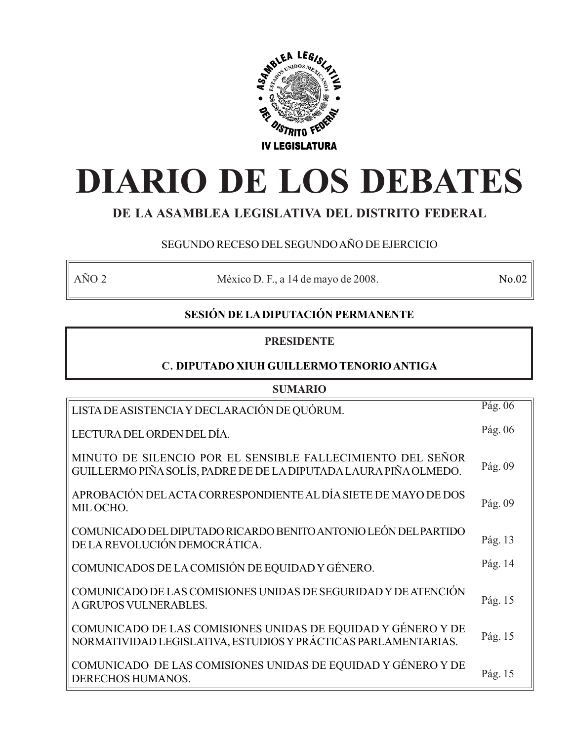

# **DIARIO DE LOS DEBATES**

# **DE LA ASAMBLEA LEGISLATIVA DEL DISTRITO FEDERAL**

# SEGUNDO RECESO DEL SEGUNDO AÑO DE EJERCICIO

AÑO 2 México D. F., a 14 de mayo de 2008. No.02

# **SESIÓN DE LA DIPUTACIÓN PERMANENTE**

# **PRESIDENTE**

# **C. DIPUTADO XIUH GUILLERMO TENORIO ANTIGA**

| <b>SUMARIO</b>                                                                                                                 |         |  |
|--------------------------------------------------------------------------------------------------------------------------------|---------|--|
| LISTA DE ASISTENCIA Y DECLARACIÓN DE QUÓRUM.                                                                                   | Pág. 06 |  |
| LECTURA DEL ORDEN DEL DÍA.                                                                                                     | Pág. 06 |  |
| MINUTO DE SILENCIO POR EL SENSIBLE FALLECIMIENTO DEL SEÑOR<br>GUILLERMO PIÑA SOLÍS, PADRE DE DE LA DIPUTADA LAURA PIÑA OLMEDO. | Pág. 09 |  |
| APROBACIÓN DEL ACTA CORRESPONDIENTE AL DÍA SIETE DE MAYO DE DOS<br>MIL OCHO.                                                   | Pág. 09 |  |
| COMUNICADO DEL DIPUTADO RICARDO BENITO ANTONIO LEÓN DEL PARTIDO<br>DE LA REVOLUCIÓN DEMOCRÁTICA.                               | Pág. 13 |  |
| COMUNICADOS DE LA COMISIÓN DE EQUIDAD Y GÉNERO.                                                                                | Pág. 14 |  |
| COMUNICADO DE LAS COMISIONES UNIDAS DE SEGURIDAD Y DE ATENCIÓN<br>A GRUPOS VULNERABLES.                                        | Pág. 15 |  |
| COMUNICADO DE LAS COMISIONES UNIDAS DE EQUIDAD Y GÉNERO Y DE<br>NORMATIVIDAD LEGISLATIVA, ESTUDIOS Y PRÁCTICAS PARLAMENTARIAS. | Pág. 15 |  |
| COMUNICADO DE LAS COMISIONES UNIDAS DE EQUIDAD Y GÉNERO Y DE<br>DERECHOS HUMANOS.                                              | Pág. 15 |  |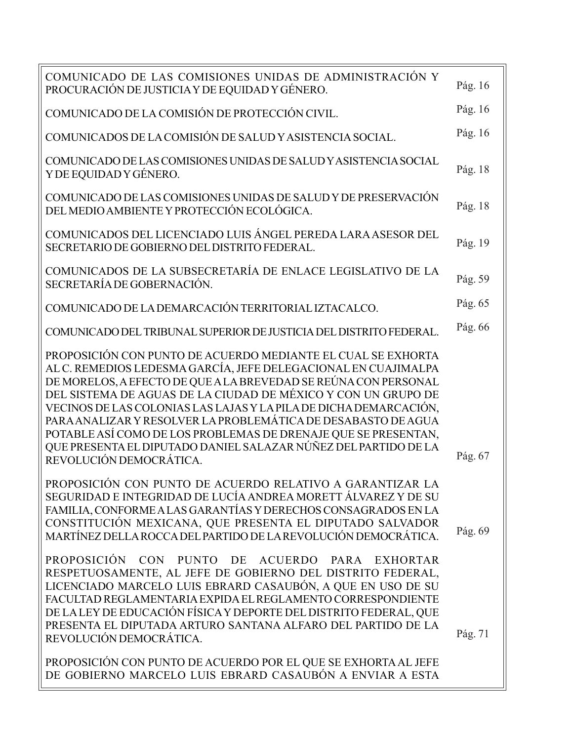| COMUNICADO DE LAS COMISIONES UNIDAS DE ADMINISTRACIÓN Y<br>PROCURACIÓN DE JUSTICIA Y DE EQUIDAD Y GÉNERO.                                                                                                                                                                                                                                                                                                                                                                                                                                                                | Pág. 16 |
|--------------------------------------------------------------------------------------------------------------------------------------------------------------------------------------------------------------------------------------------------------------------------------------------------------------------------------------------------------------------------------------------------------------------------------------------------------------------------------------------------------------------------------------------------------------------------|---------|
| COMUNICADO DE LA COMISIÓN DE PROTECCIÓN CIVIL.                                                                                                                                                                                                                                                                                                                                                                                                                                                                                                                           | Pág. 16 |
| COMUNICADOS DE LA COMISIÓN DE SALUD Y ASISTENCIA SOCIAL.                                                                                                                                                                                                                                                                                                                                                                                                                                                                                                                 | Pág. 16 |
| COMUNICADO DE LAS COMISIONES UNIDAS DE SALUDY ASISTENCIA SOCIAL<br>Y DE EQUIDAD Y GÉNERO.                                                                                                                                                                                                                                                                                                                                                                                                                                                                                | Pág. 18 |
| COMUNICADO DE LAS COMISIONES UNIDAS DE SALUD Y DE PRESERVACIÓN<br>DEL MEDIO AMBIENTE Y PROTECCIÓN ECOLÓGICA.                                                                                                                                                                                                                                                                                                                                                                                                                                                             | Pág. 18 |
| COMUNICADOS DEL LICENCIADO LUIS ÁNGEL PEREDA LARA ASESOR DEL<br>SECRETARIO DE GOBIERNO DEL DISTRITO FEDERAL.                                                                                                                                                                                                                                                                                                                                                                                                                                                             | Pág. 19 |
| COMUNICADOS DE LA SUBSECRETARÍA DE ENLACE LEGISLATIVO DE LA<br>SECRETARÍA DE GOBERNACIÓN.                                                                                                                                                                                                                                                                                                                                                                                                                                                                                | Pág. 59 |
| COMUNICADO DE LA DEMARCACIÓN TERRITORIAL IZTACALCO.                                                                                                                                                                                                                                                                                                                                                                                                                                                                                                                      | Pág. 65 |
| COMUNICADO DEL TRIBUNAL SUPERIOR DE JUSTICIA DEL DISTRITO FEDERAL.                                                                                                                                                                                                                                                                                                                                                                                                                                                                                                       | Pág. 66 |
| PROPOSICIÓN CON PUNTO DE ACUERDO MEDIANTE EL CUAL SE EXHORTA<br>AL C. REMEDIOS LEDESMA GARCÍA, JEFE DELEGACIONAL EN CUAJIMALPA<br>DE MORELOS, A EFECTO DE QUE A LA BREVEDAD SE REÚNA CON PERSONAL<br>DEL SISTEMA DE AGUAS DE LA CIUDAD DE MÉXICO Y CON UN GRUPO DE<br>VECINOS DE LAS COLONIAS LAS LAJAS Y LA PILA DE DICHA DEMARCACIÓN,<br>PARA ANALIZAR Y RESOLVER LA PROBLEMÁTICA DE DESABASTO DE AGUA<br>POTABLE ASÍ COMO DE LOS PROBLEMAS DE DRENAJE QUE SE PRESENTAN,<br>QUE PRESENTA EL DIPUTADO DANIEL SALAZAR NÚÑEZ DEL PARTIDO DE LA<br>REVOLUCIÓN DEMOCRÁTICA. | Pág. 67 |
| PROPOSICIÓN CON PUNTO DE ACUERDO RELATIVO A GARANTIZAR LA<br>SEGURIDAD E INTEGRIDAD DE LUCÍA ANDREA MORETT ÁLVAREZ Y DE SU<br>FAMILIA, CONFORME A LAS GARANTÍAS Y DERECHOS CONSAGRADOS EN LA<br>CONSTITUCIÓN MEXICANA, QUE PRESENTA EL DIPUTADO SALVADOR<br>MARTÍNEZ DELLA ROCCA DEL PARTIDO DE LA REVOLUCIÓN DEMOCRÁTICA.                                                                                                                                                                                                                                               | Pág. 69 |
| <b>PROPOSICIÓN</b><br>CON PUNTO DE ACUERDO PARA EXHORTAR<br>RESPETUOSAMENTE, AL JEFE DE GOBIERNO DEL DISTRITO FEDERAL,<br>LICENCIADO MARCELO LUIS EBRARD CASAUBÓN, A QUE EN USO DE SU<br>FACULTAD REGLAMENTARIA EXPIDA EL REGLAMENTO CORRESPONDIENTE<br>DE LA LEY DE EDUCACIÓN FÍSICA Y DEPORTE DEL DISTRITO FEDERAL, QUE<br>PRESENTA EL DIPUTADA ARTURO SANTANA ALFARO DEL PARTIDO DE LA<br>REVOLUCIÓN DEMOCRÁTICA.                                                                                                                                                     | Pág. 71 |
| PROPOSICIÓN CON PUNTO DE ACUERDO POR EL QUE SE EXHORTA AL JEFE<br>DE GOBIERNO MARCELO LUIS EBRARD CASAUBÓN A ENVIAR A ESTA                                                                                                                                                                                                                                                                                                                                                                                                                                               |         |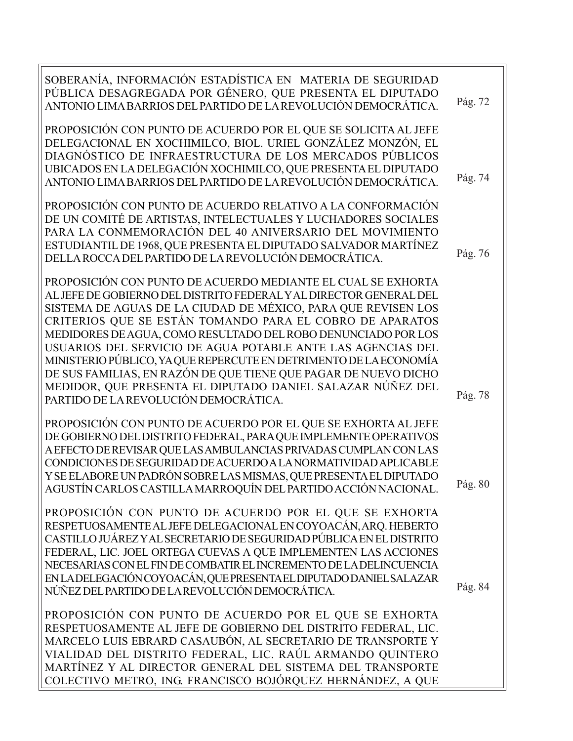| SOBERANÍA, INFORMACIÓN ESTADÍSTICA EN MATERIA DE SEGURIDAD<br>PÚBLICA DESAGREGADA POR GÉNERO, QUE PRESENTA EL DIPUTADO<br>ANTONIO LIMA BARRIOS DEL PARTIDO DE LA REVOLUCIÓN DEMOCRÁTICA.                                                                                                                                                                                                                                                                                                                                                                                                              | Pág. 72 |
|-------------------------------------------------------------------------------------------------------------------------------------------------------------------------------------------------------------------------------------------------------------------------------------------------------------------------------------------------------------------------------------------------------------------------------------------------------------------------------------------------------------------------------------------------------------------------------------------------------|---------|
| PROPOSICIÓN CON PUNTO DE ACUERDO POR EL QUE SE SOLICITA AL JEFE<br>DELEGACIONAL EN XOCHIMILCO, BIOL. URIEL GONZÁLEZ MONZÓN, EL<br>DIAGNÓSTICO DE INFRAESTRUCTURA DE LOS MERCADOS PÚBLICOS<br>UBICADOS EN LA DELEGACIÓN XOCHIMILCO, QUE PRESENTA EL DIPUTADO<br>ANTONIO LIMA BARRIOS DEL PARTIDO DE LA REVOLUCIÓN DEMOCRÁTICA.                                                                                                                                                                                                                                                                         | Pág. 74 |
| PROPOSICIÓN CON PUNTO DE ACUERDO RELATIVO A LA CONFORMACIÓN<br>DE UN COMITÉ DE ARTISTAS, INTELECTUALES Y LUCHADORES SOCIALES<br>PARA LA CONMEMORACIÓN DEL 40 ANIVERSARIO DEL MOVIMIENTO<br>ESTUDIANTIL DE 1968, QUE PRESENTA EL DIPUTADO SALVADOR MARTÍNEZ<br>DELLA ROCCA DEL PARTIDO DE LA REVOLUCIÓN DEMOCRÁTICA.                                                                                                                                                                                                                                                                                   | Pág. 76 |
| PROPOSICIÓN CON PUNTO DE ACUERDO MEDIANTE EL CUAL SE EXHORTA<br>AL JEFE DE GOBIERNO DEL DISTRITO FEDERAL Y AL DIRECTOR GENERAL DEL<br>SISTEMA DE AGUAS DE LA CIUDAD DE MÉXICO, PARA QUE REVISEN LOS<br>CRITERIOS QUE SE ESTÁN TOMANDO PARA EL COBRO DE APARATOS<br>MEDIDORES DE AGUA, COMO RESULTADO DEL ROBO DENUNCIADO POR LOS<br>USUARIOS DEL SERVICIO DE AGUA POTABLE ANTE LAS AGENCIAS DEL<br>MINISTERIO PÚBLICO, YA QUE REPERCUTE EN DETRIMENTO DE LA ECONOMÍA<br>DE SUS FAMILIAS, EN RAZÓN DE QUE TIENE QUE PAGAR DE NUEVO DICHO<br>MEDIDOR, QUE PRESENTA EL DIPUTADO DANIEL SALAZAR NÚÑEZ DEL | Pág. 78 |
| PARTIDO DE LA REVOLUCIÓN DEMOCRÁTICA.<br>PROPOSICIÓN CON PUNTO DE ACUERDO POR EL QUE SE EXHORTA AL JEFE<br>DE GOBIERNO DEL DISTRITO FEDERAL, PARA QUE IMPLEMENTE OPERATIVOS<br>A EFECTO DE REVISAR QUE LAS AMBULANCIAS PRIVADAS CUMPLAN CON LAS<br>CONDICIONES DE SEGURIDAD DE ACUERDO A LA NORMATIVIDAD APLICABLE<br>Y SE ELABORE UN PADRÓN SOBRE LAS MISMAS, QUE PRESENTA EL DIPUTADO                                                                                                                                                                                                               | Pág. 80 |
| AGUSTÍN CARLOS CASTILLA MARROQUÍN DEL PARTIDO ACCIÓN NACIONAL.<br>PROPOSICIÓN CON PUNTO DE ACUERDO POR EL QUE SE EXHORTA<br>RESPETUOSAMENTE AL JEFE DELEGACIONAL EN COYOACÁN, ARQ. HEBERTO<br>CASTILLO JUÁREZ Y AL SECRETARIO DE SEGURIDAD PÚBLICA EN EL DISTRITO<br>FEDERAL, LIC. JOEL ORTEGA CUEVAS A QUE IMPLEMENTEN LAS ACCIONES<br>NECESARIAS CON EL FIN DE COMBATIR EL INCREMENTO DE LA DELINCUENCIA<br>EN LA DELEGACIÓN COYOACÁN, QUE PRESENTA EL DIPUTADO DANIEL SALAZAR<br>NÚÑEZ DEL PARTIDO DE LA REVOLUCIÓN DEMOCRÁTICA.                                                                   | Pág. 84 |
| PROPOSICIÓN CON PUNTO DE ACUERDO POR EL QUE SE EXHORTA<br>RESPETUOSAMENTE AL JEFE DE GOBIERNO DEL DISTRITO FEDERAL, LIC.<br>MARCELO LUIS EBRARD CASAUBÓN, AL SECRETARIO DE TRANSPORTE Y<br>VIALIDAD DEL DISTRITO FEDERAL, LIC. RAÚL ARMANDO QUINTERO<br>MARTÍNEZ Y AL DIRECTOR GENERAL DEL SISTEMA DEL TRANSPORTE<br>COLECTIVO METRO, ING. FRANCISCO BOJÓRQUEZ HERNÁNDEZ, A QUE                                                                                                                                                                                                                       |         |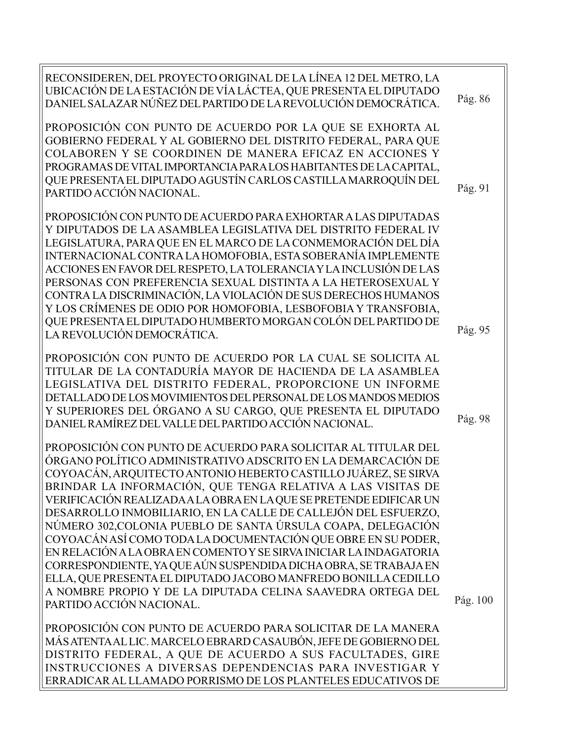| RECONSIDEREN, DEL PROYECTO ORIGINAL DE LA LÍNEA 12 DEL METRO, LA<br>UBICACIÓN DE LA ESTACIÓN DE VÍA LÁCTEA, QUE PRESENTA EL DIPUTADO<br>DANIEL SALAZAR NÚÑEZ DEL PARTIDO DE LA REVOLUCIÓN DEMOCRÁTICA.                                                                                                                                                                                                                                                                                                                                                                                                                                                                                                                                                                                                                                          | Pág. 86  |
|-------------------------------------------------------------------------------------------------------------------------------------------------------------------------------------------------------------------------------------------------------------------------------------------------------------------------------------------------------------------------------------------------------------------------------------------------------------------------------------------------------------------------------------------------------------------------------------------------------------------------------------------------------------------------------------------------------------------------------------------------------------------------------------------------------------------------------------------------|----------|
| PROPOSICIÓN CON PUNTO DE ACUERDO POR LA QUE SE EXHORTA AL<br>GOBIERNO FEDERAL Y AL GOBIERNO DEL DISTRITO FEDERAL, PARA QUE<br>COLABOREN Y SE COORDINEN DE MANERA EFICAZ EN ACCIONES Y<br>PROGRAMAS DE VITAL IMPORTANCIA PARA LOS HABITANTES DE LA CAPITAL,<br>QUE PRESENTA EL DIPUTADO AGUSTÍN CARLOS CASTILLA MARROQUÍN DEL<br>PARTIDO ACCIÓN NACIONAL.                                                                                                                                                                                                                                                                                                                                                                                                                                                                                        | Pág. 91  |
| PROPOSICIÓN CON PUNTO DE ACUERDO PARA EXHORTAR A LAS DIPUTADAS<br>Y DIPUTADOS DE LA ASAMBLEA LEGISLATIVA DEL DISTRITO FEDERAL IV<br>LEGISLATURA, PARA QUE EN EL MARCO DE LA CONMEMORACIÓN DEL DÍA<br>INTERNACIONAL CONTRA LA HOMOFOBIA, ESTA SOBERANÍA IMPLEMENTE<br>ACCIONES EN FAVOR DEL RESPETO, LA TOLERANCIA Y LA INCLUSIÓN DE LAS<br>PERSONAS CON PREFERENCIA SEXUAL DISTINTA A LA HETEROSEXUAL Y<br>CONTRA LA DISCRIMINACIÓN, LA VIOLACIÓN DE SUS DERECHOS HUMANOS<br>Y LOS CRÍMENES DE ODIO POR HOMOFOBIA, LESBOFOBIA Y TRANSFOBIA,<br>QUE PRESENTA EL DIPUTADO HUMBERTO MORGAN COLÓN DEL PARTIDO DE<br>LA REVOLUCIÓN DEMOCRÁTICA.                                                                                                                                                                                                      | Pág. 95  |
| PROPOSICIÓN CON PUNTO DE ACUERDO POR LA CUAL SE SOLICITA AL<br>TITULAR DE LA CONTADURÍA MAYOR DE HACIENDA DE LA ASAMBLEA<br>LEGISLATIVA DEL DISTRITO FEDERAL, PROPORCIONE UN INFORME<br>DETALLADO DE LOS MOVIMIENTOS DEL PERSONAL DE LOS MANDOS MEDIOS<br>Y SUPERIORES DEL ÓRGANO A SU CARGO, QUE PRESENTA EL DIPUTADO<br>DANIEL RAMÍREZ DEL VALLE DEL PARTIDO ACCIÓN NACIONAL.                                                                                                                                                                                                                                                                                                                                                                                                                                                                 | Pág. 98  |
| PROPOSICIÓN CON PUNTO DE ACUERDO PARA SOLICITAR AL TITULAR DEL<br>ÓRGANO POLÍTICO ADMINISTRATIVO ADSCRITO EN LA DEMARCACIÓN DE<br>COYOACÁN, ARQUITECTO ANTONIO HEBERTO CASTILLO JUÁREZ, SE SIRVA<br>BRINDAR LA INFORMACIÓN, QUE TENGA RELATIVA A LAS VISITAS DE<br>VERIFICACIÓN REALIZADA A LA OBRA EN LA QUE SE PRETENDE EDIFICAR UN<br>DESARROLLO INMOBILIARIO, EN LA CALLE DE CALLEJÓN DEL ESFUERZO,<br>NÚMERO 302, COLONIA PUEBLO DE SANTA ÚRSULA COAPA, DELEGACIÓN<br>COYOACÁN ASÍ COMO TODA LA DOCUMENTACIÓN QUE OBRE EN SU PODER,<br>EN RELACIÓN A LA OBRA EN COMENTO Y SE SIRVA INICIAR LA INDAGATORIA<br>CORRESPONDIENTE, YA QUE AÚN SUSPENDIDA DICHA OBRA, SE TRABAJA EN<br>ELLA, QUE PRESENTA EL DIPUTADO JACOBO MANFREDO BONILLA CEDILLO<br>A NOMBRE PROPIO Y DE LA DIPUTADA CELINA SAAVEDRA ORTEGA DEL<br>PARTIDO ACCIÓN NACIONAL. | Pág. 100 |
| PROPOSICIÓN CON PUNTO DE ACUERDO PARA SOLICITAR DE LA MANERA<br>MÁS ATENTA AL LIC. MARCELO EBRARD CASAUBÓN, JEFE DE GOBIERNO DEL<br>DISTRITO FEDERAL, A QUE DE ACUERDO A SUS FACULTADES, GIRE<br>INSTRUCCIONES A DIVERSAS DEPENDENCIAS PARA INVESTIGAR Y                                                                                                                                                                                                                                                                                                                                                                                                                                                                                                                                                                                        |          |

ERRADICAR AL LLAMADO PORRISMO DE LOS PLANTELES EDUCATIVOS DE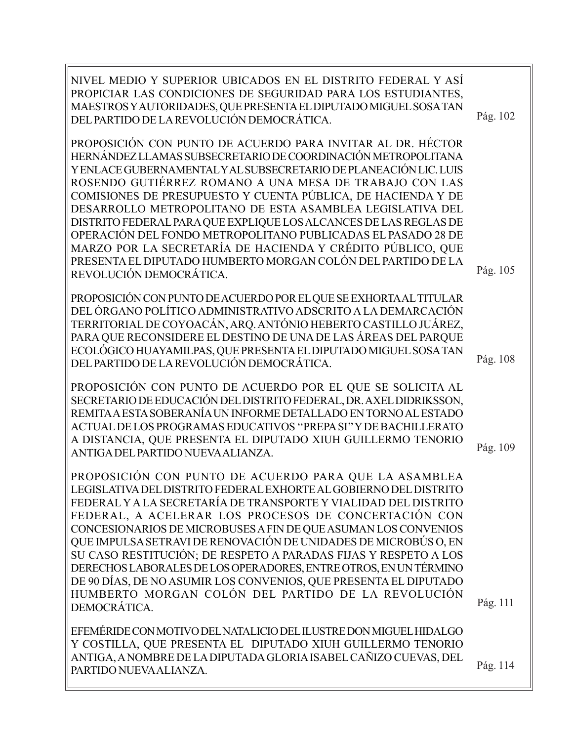| NIVEL MEDIO Y SUPERIOR UBICADOS EN EL DISTRITO FEDERAL Y ASÍ<br>PROPICIAR LAS CONDICIONES DE SEGURIDAD PARA LOS ESTUDIANTES,<br>MAESTROS Y AUTORIDADES, QUE PRESENTA EL DIPUTADO MIGUEL SOSA TAN<br>DEL PARTIDO DE LA REVOLUCIÓN DEMOCRÁTICA.                                                                                                                                                                                                                                                                                                                                                                                                                                        | Pág. 102 |
|--------------------------------------------------------------------------------------------------------------------------------------------------------------------------------------------------------------------------------------------------------------------------------------------------------------------------------------------------------------------------------------------------------------------------------------------------------------------------------------------------------------------------------------------------------------------------------------------------------------------------------------------------------------------------------------|----------|
| PROPOSICIÓN CON PUNTO DE ACUERDO PARA INVITAR AL DR. HÉCTOR<br>HERNÁNDEZ LLAMAS SUBSECRETARIO DE COORDINACIÓN METROPOLITANA<br>Y ENLACE GUBERNAMENTAL Y AL SUBSECRETARIO DE PLANEACIÓN LIC. LUIS<br>ROSENDO GUTIÉRREZ ROMANO A UNA MESA DE TRABAJO CON LAS<br>COMISIONES DE PRESUPUESTO Y CUENTA PÚBLICA, DE HACIENDA Y DE<br>DESARROLLO METROPOLITANO DE ESTA ASAMBLEA LEGISLATIVA DEL<br>DISTRITO FEDERAL PARA QUE EXPLIQUE LOS ALCANCES DE LAS REGLAS DE<br>OPERACIÓN DEL FONDO METROPOLITANO PUBLICADAS EL PASADO 28 DE<br>MARZO POR LA SECRETARÍA DE HACIENDA Y CRÉDITO PÚBLICO, QUE<br>PRESENTA EL DIPUTADO HUMBERTO MORGAN COLÓN DEL PARTIDO DE LA<br>REVOLUCIÓN DEMOCRÁTICA. | Pág. 105 |
| PROPOSICIÓN CON PUNTO DE ACUERDO POR EL QUE SE EXHORTA AL TITULAR<br>DEL ÓRGANO POLÍTICO ADMINISTRATIVO ADSCRITO A LA DEMARCACIÓN<br>TERRITORIAL DE COYOACÁN, ARQ. ANTÓNIO HEBERTO CASTILLO JUÁREZ,<br>PARA QUE RECONSIDERE EL DESTINO DE UNA DE LAS ÁREAS DEL PARQUE<br>ECOLÓGICO HUAYAMILPAS, QUE PRESENTA EL DIPUTADO MIGUEL SOSA TAN<br>DEL PARTIDO DE LA REVOLUCIÓN DEMOCRÁTICA.                                                                                                                                                                                                                                                                                                | Pág. 108 |
| PROPOSICIÓN CON PUNTO DE ACUERDO POR EL QUE SE SOLICITA AL<br>SECRETARIO DE EDUCACIÓN DEL DISTRITO FEDERAL, DR. AXEL DIDRIKSSON,<br>REMITA A ESTA SOBERANÍA UN INFORME DETALLADO EN TORNO AL ESTADO<br>ACTUAL DE LOS PROGRAMAS EDUCATIVOS "PREPA SI" Y DE BACHILLERATO<br>A DISTANCIA, QUE PRESENTA EL DIPUTADO XIUH GUILLERMO TENORIO<br>ANTIGA DEL PARTIDO NUEVA ALIANZA.                                                                                                                                                                                                                                                                                                          | Pág. 109 |
| PROPOSICIÓN CON PUNTO DE ACUERDO PARA QUE LA ASAMBLEA<br>LEGISLATIVA DEL DISTRITO FEDERAL EXHORTE AL GOBIERNO DEL DISTRITO<br>FEDERAL Y A LA SECRETARÍA DE TRANSPORTE Y VIALIDAD DEL DISTRITO<br>FEDERAL, A ACELERAR LOS PROCESOS DE CONCERTACIÓN CON<br>CONCESIONARIOS DE MICROBUSES A FIN DE QUE ASUMAN LOS CONVENIOS<br>QUE IMPULSA SETRAVI DE RENOVACIÓN DE UNIDADES DE MICROBÚS O, EN<br>SU CASO RESTITUCIÓN; DE RESPETO A PARADAS FIJAS Y RESPETO A LOS<br>DERECHOS LABORALES DE LOS OPERADORES, ENTRE OTROS, EN UN TÉRMINO<br>DE 90 DÍAS, DE NO ASUMIR LOS CONVENIOS, QUE PRESENTA EL DIPUTADO<br>HUMBERTO MORGAN COLÓN DEL PARTIDO DE LA REVOLUCIÓN<br>DEMOCRÁTICA.          | Pág. 111 |
| EFEMÉRIDE CON MOTIVO DEL NATALICIO DEL ILUSTRE DON MIGUEL HIDALGO<br>Y COSTILLA, QUE PRESENTA EL DIPUTADO XIUH GUILLERMO TENORIO<br>ANTIGA, A NOMBRE DE LA DIPUTADA GLORIA ISABEL CAÑIZO CUEVAS, DEL<br>PARTIDO NUEVA ALIANZA.                                                                                                                                                                                                                                                                                                                                                                                                                                                       | Pág. 114 |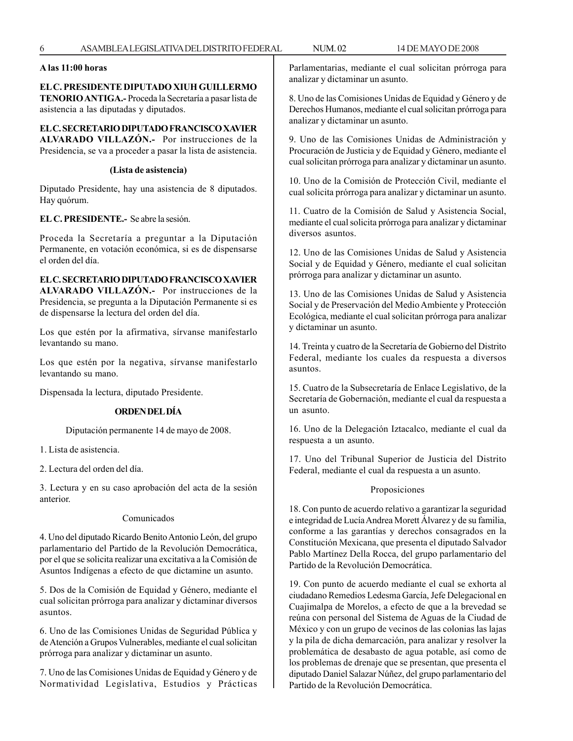#### **A las 11:00 horas**

#### **EL C. PRESIDENTE DIPUTADO XIUH GUILLERMO TENORIO ANTIGA.-** Proceda la Secretaría a pasar lista de asistencia a las diputadas y diputados.

**EL C. SECRETARIO DIPUTADO FRANCISCO XAVIER ALVARADO VILLAZÓN.-** Por instrucciones de la Presidencia, se va a proceder a pasar la lista de asistencia.

#### **(Lista de asistencia)**

Diputado Presidente, hay una asistencia de 8 diputados. Hay quórum.

#### **EL C. PRESIDENTE.-** Se abre la sesión.

Proceda la Secretaría a preguntar a la Diputación Permanente, en votación económica, si es de dispensarse el orden del día.

**EL C. SECRETARIO DIPUTADO FRANCISCO XAVIER ALVARADO VILLAZÓN.-** Por instrucciones de la Presidencia, se pregunta a la Diputación Permanente si es de dispensarse la lectura del orden del día.

Los que estén por la afirmativa, sírvanse manifestarlo levantando su mano.

Los que estén por la negativa, sírvanse manifestarlo levantando su mano.

Dispensada la lectura, diputado Presidente.

#### **ORDEN DEL DÍA**

Diputación permanente 14 de mayo de 2008.

1. Lista de asistencia.

2. Lectura del orden del día.

3. Lectura y en su caso aprobación del acta de la sesión anterior.

#### Comunicados

4. Uno del diputado Ricardo Benito Antonio León, del grupo parlamentario del Partido de la Revolución Democrática, por el que se solicita realizar una excitativa a la Comisión de Asuntos Indígenas a efecto de que dictamine un asunto.

5. Dos de la Comisión de Equidad y Género, mediante el cual solicitan prórroga para analizar y dictaminar diversos asuntos.

6. Uno de las Comisiones Unidas de Seguridad Pública y de Atención a Grupos Vulnerables, mediante el cual solicitan prórroga para analizar y dictaminar un asunto.

7. Uno de las Comisiones Unidas de Equidad y Género y de Normatividad Legislativa, Estudios y Prácticas Parlamentarias, mediante el cual solicitan prórroga para analizar y dictaminar un asunto.

8. Uno de las Comisiones Unidas de Equidad y Género y de Derechos Humanos, mediante el cual solicitan prórroga para analizar y dictaminar un asunto.

9. Uno de las Comisiones Unidas de Administración y Procuración de Justicia y de Equidad y Género, mediante el cual solicitan prórroga para analizar y dictaminar un asunto.

10. Uno de la Comisión de Protección Civil, mediante el cual solicita prórroga para analizar y dictaminar un asunto.

11. Cuatro de la Comisión de Salud y Asistencia Social, mediante el cual solicita prórroga para analizar y dictaminar diversos asuntos.

12. Uno de las Comisiones Unidas de Salud y Asistencia Social y de Equidad y Género, mediante el cual solicitan prórroga para analizar y dictaminar un asunto.

13. Uno de las Comisiones Unidas de Salud y Asistencia Social y de Preservación del Medio Ambiente y Protección Ecológica, mediante el cual solicitan prórroga para analizar y dictaminar un asunto.

14. Treinta y cuatro de la Secretaría de Gobierno del Distrito Federal, mediante los cuales da respuesta a diversos asuntos.

15. Cuatro de la Subsecretaría de Enlace Legislativo, de la Secretaría de Gobernación, mediante el cual da respuesta a un asunto.

16. Uno de la Delegación Iztacalco, mediante el cual da respuesta a un asunto.

17. Uno del Tribunal Superior de Justicia del Distrito Federal, mediante el cual da respuesta a un asunto.

#### Proposiciones

18. Con punto de acuerdo relativo a garantizar la seguridad e integridad de Lucía Andrea Morett Álvarez y de su familia, conforme a las garantías y derechos consagrados en la Constitución Mexicana, que presenta el diputado Salvador Pablo Martínez Della Rocca, del grupo parlamentario del Partido de la Revolución Democrática.

19. Con punto de acuerdo mediante el cual se exhorta al ciudadano Remedios Ledesma García, Jefe Delegacional en Cuajimalpa de Morelos, a efecto de que a la brevedad se reúna con personal del Sistema de Aguas de la Ciudad de México y con un grupo de vecinos de las colonias las lajas y la pila de dicha demarcación, para analizar y resolver la problemática de desabasto de agua potable, así como de los problemas de drenaje que se presentan, que presenta el diputado Daniel Salazar Núñez, del grupo parlamentario del Partido de la Revolución Democrática.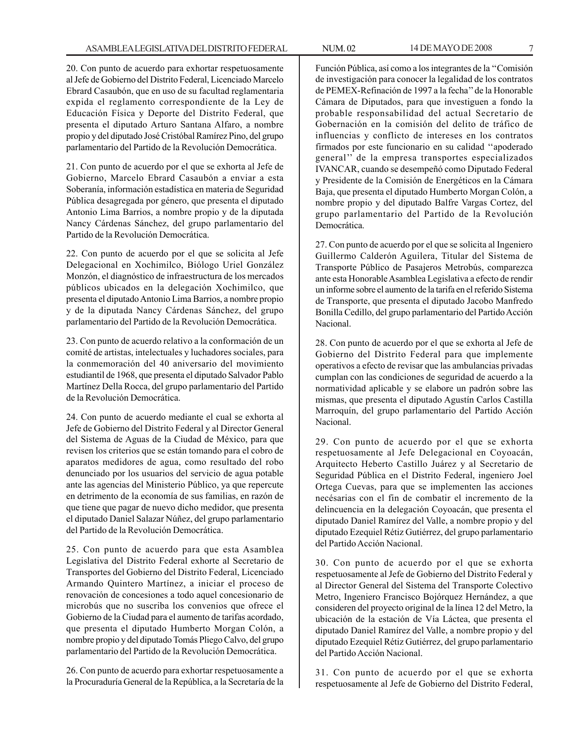20. Con punto de acuerdo para exhortar respetuosamente al Jefe de Gobierno del Distrito Federal, Licenciado Marcelo Ebrard Casaubón, que en uso de su facultad reglamentaria expida el reglamento correspondiente de la Ley de Educación Física y Deporte del Distrito Federal, que presenta el diputado Arturo Santana Alfaro, a nombre propio y del diputado José Cristóbal Ramírez Pino, del grupo parlamentario del Partido de la Revolución Democrática.

21. Con punto de acuerdo por el que se exhorta al Jefe de Gobierno, Marcelo Ebrard Casaubón a enviar a esta Soberanía, información estadística en materia de Seguridad Pública desagregada por género, que presenta el diputado Antonio Lima Barrios, a nombre propio y de la diputada Nancy Cárdenas Sánchez, del grupo parlamentario del Partido de la Revolución Democrática.

22. Con punto de acuerdo por el que se solicita al Jefe Delegacional en Xochimilco, Biólogo Uriel González Monzón, el diagnóstico de infraestructura de los mercados públicos ubicados en la delegación Xochimilco, que presenta el diputado Antonio Lima Barrios, a nombre propio y de la diputada Nancy Cárdenas Sánchez, del grupo parlamentario del Partido de la Revolución Democrática.

23. Con punto de acuerdo relativo a la conformación de un comité de artistas, intelectuales y luchadores sociales, para la conmemoración del 40 aniversario del movimiento estudiantil de 1968, que presenta el diputado Salvador Pablo Martínez Della Rocca, del grupo parlamentario del Partido de la Revolución Democrática.

24. Con punto de acuerdo mediante el cual se exhorta al Jefe de Gobierno del Distrito Federal y al Director General del Sistema de Aguas de la Ciudad de México, para que revisen los criterios que se están tomando para el cobro de aparatos medidores de agua, como resultado del robo denunciado por los usuarios del servicio de agua potable ante las agencias del Ministerio Público, ya que repercute en detrimento de la economía de sus familias, en razón de que tiene que pagar de nuevo dicho medidor, que presenta el diputado Daniel Salazar Núñez, del grupo parlamentario del Partido de la Revolución Democrática.

25. Con punto de acuerdo para que esta Asamblea Legislativa del Distrito Federal exhorte al Secretario de Transportes del Gobierno del Distrito Federal, Licenciado Armando Quintero Martínez, a iniciar el proceso de renovación de concesiones a todo aquel concesionario de microbús que no suscriba los convenios que ofrece el Gobierno de la Ciudad para el aumento de tarifas acordado, que presenta el diputado Humberto Morgan Colón, a nombre propio y del diputado Tomás Pliego Calvo, del grupo parlamentario del Partido de la Revolución Democrática.

26. Con punto de acuerdo para exhortar respetuosamente a la Procuraduría General de la República, a la Secretaría de la

Función Pública, así como a los integrantes de la ''Comisión de investigación para conocer la legalidad de los contratos de PEMEX-Refinación de 1997 a la fecha'' de la Honorable Cámara de Diputados, para que investiguen a fondo la probable responsabilidad del actual Secretario de Gobernación en la comisión del delito de tráfico de influencias y conflicto de intereses en los contratos firmados por este funcionario en su calidad ''apoderado general'' de la empresa transportes especializados IVANCAR, cuando se desempeñó como Diputado Federal y Presidente de la Comisión de Energéticos en la Cámara Baja, que presenta el diputado Humberto Morgan Colón, a nombre propio y del diputado Balfre Vargas Cortez, del grupo parlamentario del Partido de la Revolución Democrática.

27. Con punto de acuerdo por el que se solicita al Ingeniero Guillermo Calderón Aguilera, Titular del Sistema de Transporte Público de Pasajeros Metrobús, comparezca ante esta Honorable Asamblea Legislativa a efecto de rendir un informe sobre el aumento de la tarifa en el referido Sistema de Transporte, que presenta el diputado Jacobo Manfredo Bonilla Cedillo, del grupo parlamentario del Partido Acción Nacional.

28. Con punto de acuerdo por el que se exhorta al Jefe de Gobierno del Distrito Federal para que implemente operativos a efecto de revisar que las ambulancias privadas cumplan con las condiciones de seguridad de acuerdo a la normatividad aplicable y se elabore un padrón sobre las mismas, que presenta el diputado Agustín Carlos Castilla Marroquín, del grupo parlamentario del Partido Acción Nacional.

29. Con punto de acuerdo por el que se exhorta respetuosamente al Jefe Delegacional en Coyoacán, Arquitecto Heberto Castillo Juárez y al Secretario de Seguridad Pública en el Distrito Federal, ingeniero Joel Ortega Cuevas, para que se implementen las acciones necésarias con el fin de combatir el incremento de la delincuencia en la delegación Coyoacán, que presenta el diputado Daniel Ramírez del Valle, a nombre propio y del diputado Ezequiel Rétiz Gutiérrez, del grupo parlamentario del Partido Acción Nacional.

30. Con punto de acuerdo por el que se exhorta respetuosamente al Jefe de Gobierno del Distrito Federal y al Director General del Sistema del Transporte Colectivo Metro, Ingeniero Francisco Bojórquez Hernández, a que consideren del proyecto original de la línea 12 del Metro, la ubicación de la estación de Vía Láctea, que presenta el diputado Daniel Ramírez del Valle, a nombre propio y del diputado Ezequiel Rétiz Gutiérrez, del grupo parlamentario del Partido Acción Nacional.

31. Con punto de acuerdo por el que se exhorta respetuosamente al Jefe de Gobierno del Distrito Federal,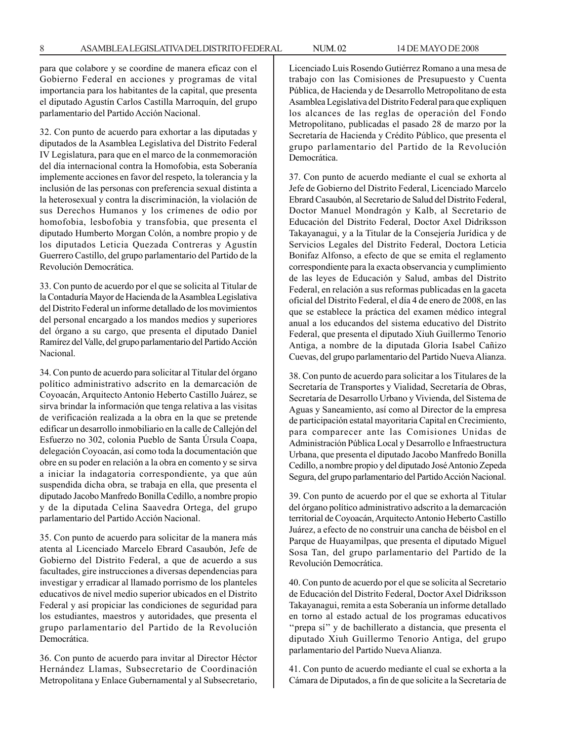para que colabore y se coordine de manera eficaz con el Gobierno Federal en acciones y programas de vital importancia para los habitantes de la capital, que presenta el diputado Agustín Carlos Castilla Marroquín, del grupo parlamentario del Partido Acción Nacional.

32. Con punto de acuerdo para exhortar a las diputadas y diputados de la Asamblea Legislativa del Distrito Federal IV Legislatura, para que en el marco de la conmemoración del día internacional contra la Homofobia, esta Soberanía implemente acciones en favor del respeto, la tolerancia y la inclusión de las personas con preferencia sexual distinta a la heterosexual y contra la discriminación, la violación de sus Derechos Humanos y los crímenes de odio por homofobia, lesbofobia y transfobia, que presenta el diputado Humberto Morgan Colón, a nombre propio y de los diputados Leticia Quezada Contreras y Agustín Guerrero Castillo, del grupo parlamentario del Partido de la Revolución Democrática.

33. Con punto de acuerdo por el que se solicita al Titular de la Contaduría Mayor de Hacienda de la Asamblea Legislativa del Distrito Federal un informe detallado de los movimientos del personal encargado a los mandos medios y superiores del órgano a su cargo, que presenta el diputado Daniel Ramírez del Valle, del grupo parlamentario del Partido Acción Nacional.

34. Con punto de acuerdo para solicitar al Titular del órgano político administrativo adscrito en la demarcación de Coyoacán, Arquitecto Antonio Heberto Castillo Juárez, se sirva brindar la información que tenga relativa a las visitas de verificación realizada a la obra en la que se pretende edificar un desarrollo inmobiliario en la calle de Callejón del Esfuerzo no 302, colonia Pueblo de Santa Úrsula Coapa, delegación Coyoacán, así como toda la documentación que obre en su poder en relación a la obra en comento y se sirva a iniciar la indagatoria correspondiente, ya que aún suspendida dicha obra, se trabaja en ella, que presenta el diputado Jacobo Manfredo Bonilla Cedillo, a nombre propio y de la diputada Celina Saavedra Ortega, del grupo parlamentario del Partido Acción Nacional.

35. Con punto de acuerdo para solicitar de la manera más atenta al Licenciado Marcelo Ebrard Casaubón, Jefe de Gobierno del Distrito Federal, a que de acuerdo a sus facultades, gire instrucciones a diversas dependencias para investigar y erradicar al llamado porrismo de los planteles educativos de nivel medio superior ubicados en el Distrito Federal y así propiciar las condiciones de seguridad para los estudiantes, maestros y autoridades, que presenta el grupo parlamentario del Partido de la Revolución Democrática.

36. Con punto de acuerdo para invitar al Director Héctor Hernández Llamas, Subsecretario de Coordinación Metropolitana y Enlace Gubernamental y al Subsecretario, Licenciado Luis Rosendo Gutiérrez Romano a una mesa de trabajo con las Comisiones de Presupuesto y Cuenta Pública, de Hacienda y de Desarrollo Metropolitano de esta Asamblea Legislativa del Distrito Federal para que expliquen los alcances de las reglas de operación del Fondo Metropolitano, publicadas el pasado 28 de marzo por la Secretaría de Hacienda y Crédito Público, que presenta el grupo parlamentario del Partido de la Revolución Democrática.

37. Con punto de acuerdo mediante el cual se exhorta al Jefe de Gobierno del Distrito Federal, Licenciado Marcelo Ebrard Casaubón, al Secretario de Salud del Distrito Federal, Doctor Manuel Mondragón y Kalb, al Secretario de Educación del Distrito Federal, Doctor Axel Didriksson Takayanagui, y a la Titular de la Consejería Jurídica y de Servicios Legales del Distrito Federal, Doctora Leticia Bonifaz Alfonso, a efecto de que se emita el reglamento correspondiente para la exacta observancia y cumplimiento de las leyes de Educación y Salud, ambas del Distrito Federal, en relación a sus reformas publicadas en la gaceta oficial del Distrito Federal, el día 4 de enero de 2008, en las que se establece la práctica del examen médico integral anual a los educandos del sistema educativo del Distrito Federal, que presenta el diputado Xiuh Guillermo Tenorio Antiga, a nombre de la diputada Gloria Isabel Cañizo Cuevas, del grupo parlamentario del Partido Nueva Alianza.

38. Con punto de acuerdo para solicitar a los Titulares de la Secretaría de Transportes y Vialidad, Secretaría de Obras, Secretaría de Desarrollo Urbano y Vivienda, del Sistema de Aguas y Saneamiento, así como al Director de la empresa de participación estatal mayoritaria Capital en Crecimiento, para comparecer ante las Comisiones Unidas de Administración Pública Local y Desarrollo e Infraestructura Urbana, que presenta el diputado Jacobo Manfredo Bonilla Cedillo, a nombre propio y del diputado José Antonio Zepeda Segura, del grupo parlamentario del Partido Acción Nacional.

39. Con punto de acuerdo por el que se exhorta al Titular del órgano político administrativo adscrito a la demarcación territorial de Coyoacán, Arquitecto Antonio Heberto Castillo Juárez, a efecto de no construir una cancha de béisbol en el Parque de Huayamilpas, que presenta el diputado Miguel Sosa Tan, del grupo parlamentario del Partido de la Revolución Democrática.

40. Con punto de acuerdo por el que se solicita al Secretario de Educación del Distrito Federal, Doctor Axel Didriksson Takayanagui, remita a esta Soberanía un informe detallado en torno al estado actual de los programas educativos ''prepa sí'' y de bachillerato a distancia, que presenta el diputado Xiuh Guillermo Tenorio Antiga, del grupo parlamentario del Partido Nueva Alianza.

41. Con punto de acuerdo mediante el cual se exhorta a la Cámara de Diputados, a fin de que solicite a la Secretaría de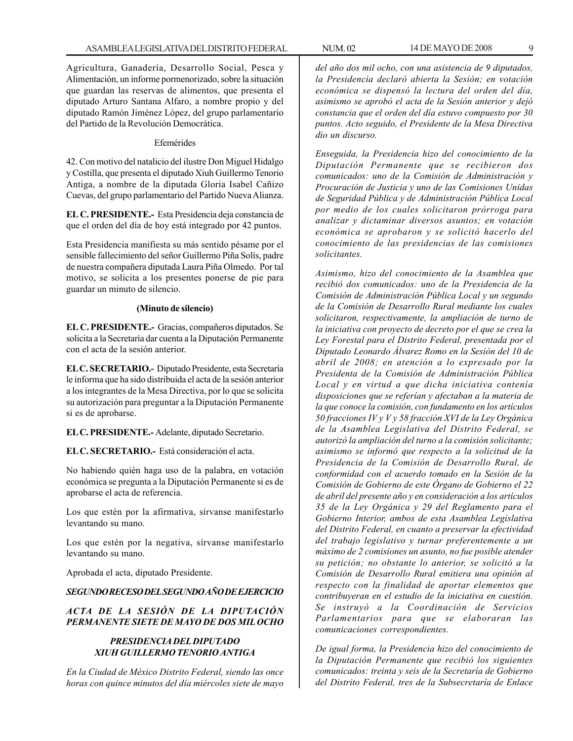Agricultura, Ganadería, Desarrollo Social, Pesca y Alimentación, un informe pormenorizado, sobre la situación que guardan las reservas de alimentos, que presenta el diputado Arturo Santana Alfaro, a nombre propio y del diputado Ramón Jiménez López, del grupo parlamentario del Partido de la Revolución Democrática.

#### Efemérides

42. Con motivo del natalicio del ilustre Don Miguel Hidalgo y Costilla, que presenta el diputado Xiuh Guillermo Tenorio Antiga, a nombre de la diputada Gloria Isabel Cañizo Cuevas, del grupo parlamentario del Partido Nueva Alianza.

**EL C. PRESIDENTE.-** Esta Presidencia deja constancia de que el orden del día de hoy está integrado por 42 puntos.

Esta Presidencia manifiesta su más sentido pésame por el sensible fallecimiento del señor Guillermo Piña Solís, padre de nuestra compañera diputada Laura Piña Olmedo. Por tal motivo, se solicita a los presentes ponerse de pie para guardar un minuto de silencio.

#### **(Minuto de silencio)**

**EL C. PRESIDENTE.-** Gracias, compañeros diputados. Se solicita a la Secretaría dar cuenta a la Diputación Permanente con el acta de la sesión anterior.

**EL C. SECRETARIO.-** Diputado Presidente, esta Secretaría le informa que ha sido distribuida el acta de la sesión anterior a los integrantes de la Mesa Directiva, por lo que se solicita su autorización para preguntar a la Diputación Permanente si es de aprobarse.

**EL C. PRESIDENTE.-** Adelante, diputado Secretario.

**EL C. SECRETARIO.-** Está consideración el acta.

No habiendo quién haga uso de la palabra, en votación económica se pregunta a la Diputación Permanente si es de aprobarse el acta de referencia.

Los que estén por la afirmativa, sírvanse manifestarlo levantando su mano.

Los que estén por la negativa, sírvanse manifestarlo levantando su mano.

Aprobada el acta, diputado Presidente.

#### *SEGUNDO RECESO DEL SEGUNDO AÑO DE EJERCICIO*

#### *ACTA DE LA SESIÓN DE LA DIPUTACIÓN PERMANENTE SIETE DE MAYO DE DOS MIL OCHO*

#### *PRESIDENCIA DEL DIPUTADO XIUH GUILLERMO TENORIO ANTIGA*

*En la Ciudad de México Distrito Federal, siendo las once horas con quince minutos del día miércoles siete de mayo* *del año dos mil ocho, con una asistencia de 9 diputados, la Presidencia declaró abierta la Sesión; en votación económica se dispensó la lectura del orden del día, asimismo se aprobó el acta de la Sesión anterior y dejó constancia que el orden del día estuvo compuesto por 30 puntos. Acto seguido, el Presidente de la Mesa Directiva dio un discurso.*

*Enseguida, la Presidencia hizo del conocimiento de la Diputación Permanente que se recibieron dos comunicados: uno de la Comisión de Administración y Procuración de Justicia y uno de las Comisiones Unidas de Seguridad Pública y de Administración Pública Local por medio de los cuales solicitaron prórroga para analizar y dictaminar diversos asuntos; en votación económica se aprobaron y se solicitó hacerlo del conocimiento de las presidencias de las comisiones solicitantes.*

*Asimismo, hizo del conocimiento de la Asamblea que recibió dos comunicados: uno de la Presidencia de la Comisión de Administración Pública Local y un segundo de la Comisión de Desarrollo Rural mediante los cuales solicitaron, respectivamente, la ampliación de turno de la iniciativa con proyecto de decreto por el que se crea la Ley Forestal para el Distrito Federal, presentada por el Diputado Leonardo Álvarez Romo en la Sesión del 10 de abril de 2008; en atención a lo expresado por la Presidenta de la Comisión de Administración Pública Local y en virtud a que dicha iniciativa contenía disposiciones que se referían y afectaban a la materia de la que conoce la comisión, con fundamento en los artículos 50 fracciones IV y V y 58 fracción XVI de la Ley Orgánica de la Asamblea Legislativa del Distrito Federal, se autorizó la ampliación del turno a la comisión solicitante; asimismo se informó que respecto a la solicitud de la Presidencia de la Comisión de Desarrollo Rural, de conformidad con el acuerdo tomado en la Sesión de la Comisión de Gobierno de este Órgano de Gobierno el 22 de abril del presente año y en consideración a los artículos 35 de la Ley Orgánica y 29 del Reglamento para el Gobierno Interior, ambos de esta Asamblea Legislativa del Distrito Federal, en cuanto a preservar la efectividad del trabajo legislativo y turnar preferentemente a un máximo de 2 comisiones un asunto, no fue posible atender su petición; no obstante lo anterior, se solicitó a la Comisión de Desarrollo Rural emitiera una opinión al respecto con la finalidad de aportar elementos que contribuyeran en el estudio de la iniciativa en cuestión. Se instruyó a la Coordinación de Servicios Parlamentarios para que se elaboraran las comunicaciones correspondientes.*

*De igual forma, la Presidencia hizo del conocimiento de la Diputación Permanente que recibió los siguientes comunicados: treinta y seis de la Secretaría de Gobierno del Distrito Federal, tres de la Subsecretaría de Enlace*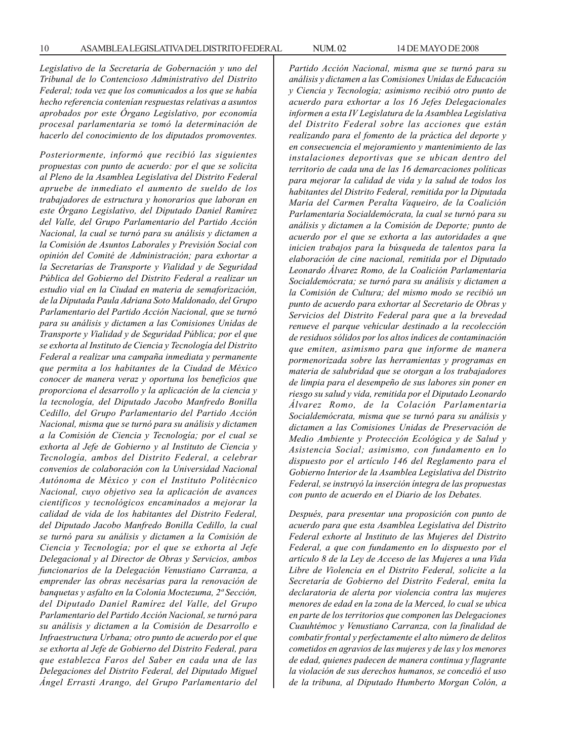*Legislativo de la Secretaría de Gobernación y uno del Tribunal de lo Contencioso Administrativo del Distrito Federal; toda vez que los comunicados a los que se había hecho referencia contenían respuestas relativas a asuntos aprobados por este Órgano Legislativo, por economía procesal parlamentaria se tomó la determinación de hacerlo del conocimiento de los diputados promoventes.*

*Posteriormente, informó que recibió las siguientes propuestas con punto de acuerdo: por el que se solicita al Pleno de la Asamblea Legislativa del Distrito Federal apruebe de inmediato el aumento de sueldo de los trabajadores de estructura y honorarios que laboran en este Órgano Legislativo, del Diputado Daniel Ramírez del Valle, del Grupo Parlamentario del Partido Acción Nacional, la cual se turnó para su análisis y dictamen a la Comisión de Asuntos Laborales y Previsión Social con opinión del Comité de Administración; para exhortar a la Secretarías de Transporte y Vialidad y de Seguridad Pública del Gobierno del Distrito Federal a realizar un estudio vial en la Ciudad en materia de semaforización, de la Diputada Paula Adriana Soto Maldonado, del Grupo Parlamentario del Partido Acción Nacional, que se turnó para su análisis y dictamen a las Comisiones Unidas de Transporte y Vialidad y de Seguridad Pública; por el que se exhorta al Instituto de Ciencia y Tecnología del Distrito Federal a realizar una campaña inmediata y permanente que permita a los habitantes de la Ciudad de México conocer de manera veraz y oportuna los beneficios que proporciona el desarrollo y la aplicación de la ciencia y la tecnología, del Diputado Jacobo Manfredo Bonilla Cedillo, del Grupo Parlamentario del Partido Acción Nacional, misma que se turnó para su análisis y dictamen a la Comisión de Ciencia y Tecnología; por el cual se exhorta al Jefe de Gobierno y al Instituto de Ciencia y Tecnología, ambos del Distrito Federal, a celebrar convenios de colaboración con la Universidad Nacional Autónoma de México y con el Instituto Politécnico Nacional, cuyo objetivo sea la aplicación de avances científicos y tecnológicos encaminados a mejorar la calidad de vida de los habitantes del Distrito Federal, del Diputado Jacobo Manfredo Bonilla Cedillo, la cual se turnó para su análisis y dictamen a la Comisión de Ciencia y Tecnología; por el que se exhorta al Jefe Delegacional y al Director de Obras y Servicios, ambos funcionarios de la Delegación Venustiano Carranza, a emprender las obras necésarias para la renovación de banquetas y asfalto en la Colonia Moctezuma, 2ª Sección, del Diputado Daniel Ramírez del Valle, del Grupo Parlamentario del Partido Acción Nacional, se turnó para su análisis y dictamen a la Comisión de Desarrollo e Infraestructura Urbana; otro punto de acuerdo por el que se exhorta al Jefe de Gobierno del Distrito Federal, para que establezca Faros del Saber en cada una de las Delegaciones del Distrito Federal, del Diputado Miguel Ángel Errasti Arango, del Grupo Parlamentario del* *Partido Acción Nacional, misma que se turnó para su análisis y dictamen a las Comisiones Unidas de Educación y Ciencia y Tecnología; asimismo recibió otro punto de acuerdo para exhortar a los 16 Jefes Delegacionales informen a esta IV Legislatura de la Asamblea Legislativa del Distrito Federal sobre las acciones que están realizando para el fomento de la práctica del deporte y en consecuencia el mejoramiento y mantenimiento de las instalaciones deportivas que se ubican dentro del territorio de cada una de las 16 demarcaciones políticas para mejorar la calidad de vida y la salud de todos los habitantes del Distrito Federal, remitida por la Diputada María del Carmen Peralta Vaqueiro, de la Coalición Parlamentaria Socialdemócrata, la cual se turnó para su análisis y dictamen a la Comisión de Deporte; punto de acuerdo por el que se exhorta a las autoridades a que inicien trabajos para la búsqueda de talentos para la elaboración de cine nacional, remitida por el Diputado Leonardo Álvarez Romo, de la Coalición Parlamentaria Socialdemócrata; se turnó para su análisis y dictamen a la Comisión de Cultura; del mismo modo se recibió un punto de acuerdo para exhortar al Secretario de Obras y Servicios del Distrito Federal para que a la brevedad renueve el parque vehicular destinado a la recolección de residuos sólidos por los altos índices de contaminación que emiten, asimismo para que informe de manera pormenorizada sobre las herramientas y programas en materia de salubridad que se otorgan a los trabajadores de limpia para el desempeño de sus labores sin poner en riesgo su salud y vida, remitida por el Diputado Leonardo Álvarez Romo, de la Colación Parlamentaria Socialdemócrata, misma que se turnó para su análisis y dictamen a las Comisiones Unidas de Preservación de Medio Ambiente y Protección Ecológica y de Salud y Asistencia Social; asimismo, con fundamento en lo dispuesto por el artículo 146 del Reglamento para el Gobierno Interior de la Asamblea Legislativa del Distrito Federal, se instruyó la inserción íntegra de las propuestas con punto de acuerdo en el Diario de los Debates.*

*Después, para presentar una proposición con punto de acuerdo para que esta Asamblea Legislativa del Distrito Federal exhorte al Instituto de las Mujeres del Distrito Federal, a que con fundamento en lo dispuesto por el artículo 8 de la Ley de Acceso de las Mujeres a una Vida Libre de Violencia en el Distrito Federal, solicite a la Secretaría de Gobierno del Distrito Federal, emita la declaratoria de alerta por violencia contra las mujeres menores de edad en la zona de la Merced, lo cual se ubica en parte de los territorios que componen las Delegaciones Cuauhtémoc y Venustiano Carranza, con la finalidad de combatir frontal y perfectamente el alto número de delitos cometidos en agravios de las mujeres y de las y los menores de edad, quienes padecen de manera continua y flagrante la violación de sus derechos humanos, se concedió el uso de la tribuna, al Diputado Humberto Morgan Colón, a*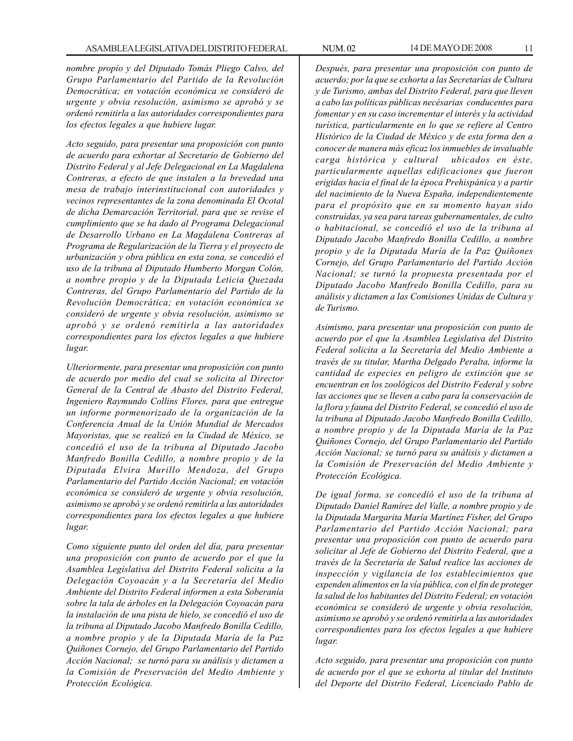*nombre propio y del Diputado Tomás Pliego Calvo, del Grupo Parlamentario del Partido de la Revolución Democrática; en votación económica se consideró de urgente y obvia resolución, asimismo se aprobó y se ordenó remitirla a las autoridades correspondientes para los efectos legales a que hubiere lugar.*

*Acto seguido, para presentar una proposición con punto de acuerdo para exhortar al Secretario de Gobierno del Distrito Federal y al Jefe Delegacional en La Magdalena Contreras, a efecto de que instalen a la brevedad una mesa de trabajo interinstitucional con autoridades y vecinos representantes de la zona denominada El Ocotal de dicha Demarcación Territorial, para que se revise el cumplimiento que se ha dado al Programa Delegacional de Desarrollo Urbano en La Magdalena Contreras al Programa de Regularización de la Tierra y el proyecto de urbanización y obra pública en esta zona, se concedió el uso de la tribuna al Diputado Humberto Morgan Colón, a nombre propio y de la Diputada Leticia Quezada Contreras, del Grupo Parlamentario del Partido de la Revolución Democrática; en votación económica se consideró de urgente y obvia resolución, asimismo se aprobó y se ordenó remitirla a las autoridades correspondientes para los efectos legales a que hubiere lugar.*

*Ulteriormente, para presentar una proposición con punto de acuerdo por medio del cual se solicita al Director General de la Central de Abasto del Distrito Federal, Ingeniero Raymundo Collins Flores, para que entregue un informe pormenorizado de la organización de la Conferencia Anual de la Unión Mundial de Mercados Mayoristas, que se realizó en la Ciudad de México, se concedió el uso de la tribuna al Diputado Jacobo Manfredo Bonilla Cedillo, a nombre propio y de la Diputada Elvira Murillo Mendoza, del Grupo Parlamentario del Partido Acción Nacional; en votación económica se consideró de urgente y obvia resolución, asimismo se aprobó y se ordenó remitirla a las autoridades correspondientes para los efectos legales a que hubiere lugar.*

*Como siguiente punto del orden del día, para presentar una proposición con punto de acuerdo por el que la Asamblea Legislativa del Distrito Federal solicita a la Delegación Coyoacán y a la Secretaría del Medio Ambiente del Distrito Federal informen a esta Soberanía sobre la tala de árboles en la Delegación Coyoacán para la instalación de una pista de hielo, se concedió el uso de la tribuna al Diputado Jacobo Manfredo Bonilla Cedillo, a nombre propio y de la Diputada María de la Paz Quiñones Cornejo, del Grupo Parlamentario del Partido Acción Nacional; se turnó para su análisis y dictamen a la Comisión de Preservación del Medio Ambiente y Protección Ecológica.*

*Después, para presentar una proposición con punto de acuerdo; por la que se exhorta a las Secretarías de Cultura y de Turismo, ambas del Distrito Federal, para que lleven a cabo las políticas públicas necésarias conducentes para fomentar y en su caso incrementar el interés y la actividad turística, particularmente en lo que se refiere al Centro Histórico de la Ciudad de México y de esta forma den a conocer de manera más eficaz los inmuebles de invaluable carga histórica y cultural ubicados en éste, particularmente aquellas edificaciones que fueron erigidas hacia el final de la época Prehispánica y a partir del nacimiento de la Nueva España, independientemente para el propósito que en su momento hayan sido construidas, ya sea para tareas gubernamentales, de culto o habitacional, se concedió el uso de la tribuna al Diputado Jacobo Manfredo Bonilla Cedillo, a nombre propio y de la Diputada María de la Paz Quiñones Cornejo, del Grupo Parlamentario del Partido Acción Nacional; se turnó la propuesta presentada por el Diputado Jacobo Manfredo Bonilla Cedillo, para su análisis y dictamen a las Comisiones Unidas de Cultura y de Turismo.*

*Asimismo, para presentar una proposición con punto de acuerdo por el que la Asamblea Legislativa del Distrito Federal solicita a la Secretaría del Medio Ambiente a través de su titular, Martha Delgado Peralta, informe la cantidad de especies en peligro de extinción que se encuentran en los zoológicos del Distrito Federal y sobre las acciones que se lleven a cabo para la conservación de la flora y fauna del Distrito Federal, se concedió el uso de la tribuna al Diputado Jacobo Manfredo Bonilla Cedillo, a nombre propio y de la Diputada María de la Paz Quiñones Cornejo, del Grupo Parlamentario del Partido Acción Nacional; se turnó para su análisis y dictamen a la Comisión de Preservación del Medio Ambiente y Protección Ecológica.*

*De igual forma, se concedió el uso de la tribuna al Diputado Daniel Ramírez del Valle, a nombre propio y de la Diputada Margarita María Martínez Fisher, del Grupo Parlamentario del Partido Acción Nacional; para presentar una proposición con punto de acuerdo para solicitar al Jefe de Gobierno del Distrito Federal, que a través de la Secretaría de Salud realice las acciones de inspección y vigilancia de los establecimientos que expenden alimentos en la vía pública, con el fin de proteger la salud de los habitantes del Distrito Federal; en votación económica se consideró de urgente y obvia resolución, asimismo se aprobó y se ordenó remitirla a las autoridades correspondientes para los efectos legales a que hubiere lugar.*

*Acto seguido, para presentar una proposición con punto de acuerdo por el que se exhorta al titular del Instituto del Deporte del Distrito Federal, Licenciado Pablo de*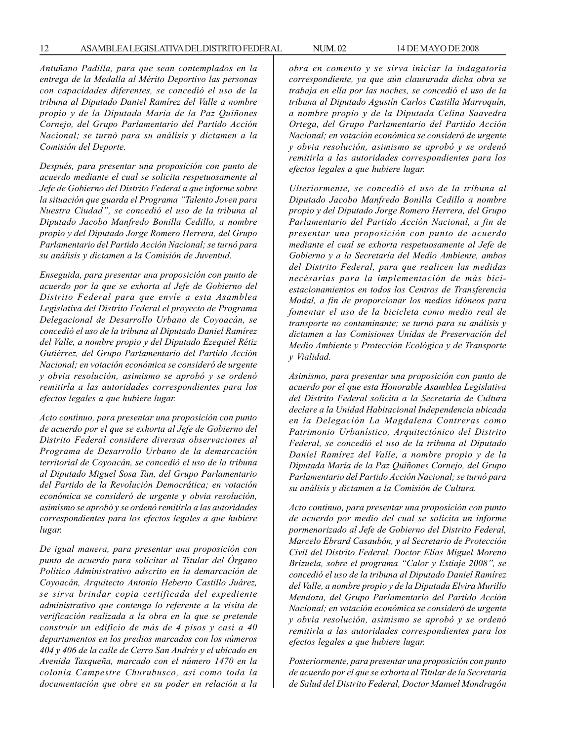*Antuñano Padilla, para que sean contemplados en la entrega de la Medalla al Mérito Deportivo las personas con capacidades diferentes, se concedió el uso de la tribuna al Diputado Daniel Ramírez del Valle a nombre propio y de la Diputada María de la Paz Quiñones Cornejo, del Grupo Parlamentario del Partido Acción Nacional; se turnó para su análisis y dictamen a la Comisión del Deporte.*

*Después, para presentar una proposición con punto de acuerdo mediante el cual se solicita respetuosamente al Jefe de Gobierno del Distrito Federal a que informe sobre la situación que guarda el Programa ''Talento Joven para Nuestra Ciudad'', se concedió el uso de la tribuna al Diputado Jacobo Manfredo Bonilla Cedillo, a nombre propio y del Diputado Jorge Romero Herrera, del Grupo Parlamentario del Partido Acción Nacional; se turnó para su análisis y dictamen a la Comisión de Juventud.*

*Enseguida, para presentar una proposición con punto de acuerdo por la que se exhorta al Jefe de Gobierno del Distrito Federal para que envíe a esta Asamblea Legislativa del Distrito Federal el proyecto de Programa Delegacional de Desarrollo Urbano de Coyoacán, se concedió el uso de la tribuna al Diputado Daniel Ramírez del Valle, a nombre propio y del Diputado Ezequiel Rétiz Gutiérrez, del Grupo Parlamentario del Partido Acción Nacional; en votación económica se consideró de urgente y obvia resolución, asimismo se aprobó y se ordenó remitirla a las autoridades correspondientes para los efectos legales a que hubiere lugar.*

*Acto continuo, para presentar una proposición con punto de acuerdo por el que se exhorta al Jefe de Gobierno del Distrito Federal considere diversas observaciones al Programa de Desarrollo Urbano de la demarcación territorial de Coyoacán, se concedió el uso de la tribuna al Diputado Miguel Sosa Tan, del Grupo Parlamentario del Partido de la Revolución Democrática; en votación económica se consideró de urgente y obvia resolución, asimismo se aprobó y se ordenó remitirla a las autoridades correspondientes para los efectos legales a que hubiere lugar.*

*De igual manera, para presentar una proposición con punto de acuerdo para solicitar al Titular del Órgano Político Administrativo adscrito en la demarcación de Coyoacán, Arquitecto Antonio Heberto Castillo Juárez, se sirva brindar copia certificada del expediente administrativo que contenga lo referente a la visita de verificación realizada a la obra en la que se pretende construir un edificio de más de 4 pisos y casi a 40 departamentos en los predios marcados con los números 404 y 406 de la calle de Cerro San Andrés y el ubicado en Avenida Taxqueña, marcado con el número 1470 en la colonia Campestre Churubusco, así como toda la documentación que obre en su poder en relación a la*

*obra en comento y se sirva iniciar la indagatoria correspondiente, ya que aún clausurada dicha obra se trabaja en ella por las noches, se concedió el uso de la tribuna al Diputado Agustín Carlos Castilla Marroquín, a nombre propio y de la Diputada Celina Saavedra Ortega, del Grupo Parlamentario del Partido Acción Nacional; en votación económica se consideró de urgente y obvia resolución, asimismo se aprobó y se ordenó remitirla a las autoridades correspondientes para los efectos legales a que hubiere lugar.*

*Ulteriormente, se concedió el uso de la tribuna al Diputado Jacobo Manfredo Bonilla Cedillo a nombre propio y del Diputado Jorge Romero Herrera, del Grupo Parlamentario del Partido Acción Nacional, a fin de presentar una proposición con punto de acuerdo mediante el cual se exhorta respetuosamente al Jefe de Gobierno y a la Secretaría del Medio Ambiente, ambos del Distrito Federal, para que realicen las medidas necésarias para la implementación de más biciestacionamientos en todos los Centros de Transferencia Modal, a fin de proporcionar los medios idóneos para fomentar el uso de la bicicleta como medio real de transporte no contaminante; se turnó para su análisis y dictamen a las Comisiones Unidas de Preservación del Medio Ambiente y Protección Ecológica y de Transporte y Vialidad.*

*Asimismo, para presentar una proposición con punto de acuerdo por el que esta Honorable Asamblea Legislativa del Distrito Federal solicita a la Secretaría de Cultura declare a la Unidad Habitacional Independencia ubicada en la Delegación La Magdalena Contreras como Patrimonio Urbanístico, Arquitectónico del Distrito Federal, se concedió el uso de la tribuna al Diputado Daniel Ramírez del Valle, a nombre propio y de la Diputada María de la Paz Quiñones Cornejo, del Grupo Parlamentario del Partido Acción Nacional; se turnó para su análisis y dictamen a la Comisión de Cultura.*

*Acto continuo, para presentar una proposición con punto de acuerdo por medio del cual se solicita un informe pormenorizado al Jefe de Gobierno del Distrito Federal, Marcelo Ebrard Casaubón, y al Secretario de Protección Civil del Distrito Federal, Doctor Elías Miguel Moreno Brizuela, sobre el programa ''Calor y Estiaje 2008'', se concedió el uso de la tribuna al Diputado Daniel Ramírez del Valle, a nombre propio y de la Diputada Elvira Murillo Mendoza, del Grupo Parlamentario del Partido Acción Nacional; en votación económica se consideró de urgente y obvia resolución, asimismo se aprobó y se ordenó remitirla a las autoridades correspondientes para los efectos legales a que hubiere lugar.*

*Posteriormente, para presentar una proposición con punto de acuerdo por el que se exhorta al Titular de la Secretaría de Salud del Distrito Federal, Doctor Manuel Mondragón*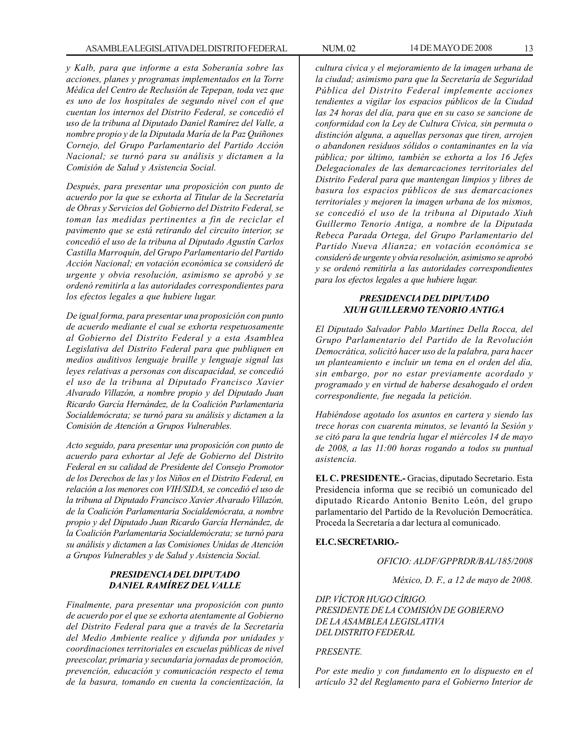*y Kalb, para que informe a esta Soberanía sobre las acciones, planes y programas implementados en la Torre Médica del Centro de Reclusión de Tepepan, toda vez que es uno de los hospitales de segundo nivel con el que cuentan los internos del Distrito Federal, se concedió el uso de la tribuna al Diputado Daniel Ramírez del Valle, a nombre propio y de la Diputada María de la Paz Quiñones Cornejo, del Grupo Parlamentario del Partido Acción Nacional; se turnó para su análisis y dictamen a la Comisión de Salud y Asistencia Social.*

*Después, para presentar una proposición con punto de acuerdo por la que se exhorta al Titular de la Secretaría de Obras y Servicios del Gobierno del Distrito Federal, se toman las medidas pertinentes a fin de reciclar el pavimento que se está retirando del circuito interior, se concedió el uso de la tribuna al Diputado Agustín Carlos Castilla Marroquín, del Grupo Parlamentario del Partido Acción Nacional; en votación económica se consideró de urgente y obvia resolución, asimismo se aprobó y se ordenó remitirla a las autoridades correspondientes para los efectos legales a que hubiere lugar.*

*De igual forma, para presentar una proposición con punto de acuerdo mediante el cual se exhorta respetuosamente al Gobierno del Distrito Federal y a esta Asamblea Legislativa del Distrito Federal para que publiquen en medios auditivos lenguaje braille y lenguaje signal las leyes relativas a personas con discapacidad, se concedió el uso de la tribuna al Diputado Francisco Xavier Alvarado Villazón, a nombre propio y del Diputado Juan Ricardo García Hernández, de la Coalición Parlamentaria Socialdemócrata; se turnó para su análisis y dictamen a la Comisión de Atención a Grupos Vulnerables.*

*Acto seguido, para presentar una proposición con punto de acuerdo para exhortar al Jefe de Gobierno del Distrito Federal en su calidad de Presidente del Consejo Promotor de los Derechos de las y los Niños en el Distrito Federal, en relación a los menores con VIH/SIDA, se concedió el uso de la tribuna al Diputado Francisco Xavier Alvarado Villazón, de la Coalición Parlamentaria Socialdemócrata, a nombre propio y del Diputado Juan Ricardo García Hernández, de la Coalición Parlamentaria Socialdemócrata; se turnó para su análisis y dictamen a las Comisiones Unidas de Atención a Grupos Vulnerables y de Salud y Asistencia Social.*

#### *PRESIDENCIA DEL DIPUTADO DANIEL RAMÍREZ DEL VALLE*

*Finalmente, para presentar una proposición con punto de acuerdo por el que se exhorta atentamente al Gobierno del Distrito Federal para que a través de la Secretaría del Medio Ambiente realice y difunda por unidades y coordinaciones territoriales en escuelas públicas de nivel preescolar, primaria y secundaria jornadas de promoción, prevención, educación y comunicación respecto el tema de la basura, tomando en cuenta la concientización, la*

*cultura cívica y el mejoramiento de la imagen urbana de la ciudad; asimismo para que la Secretaría de Seguridad Pública del Distrito Federal implemente acciones tendientes a vigilar los espacios públicos de la Ciudad las 24 horas del día, para que en su caso se sancione de conformidad con la Ley de Cultura Cívica, sin permuta o distinción alguna, a aquellas personas que tiren, arrojen o abandonen residuos sólidos o contaminantes en la vía pública; por último, también se exhorta a los 16 Jefes Delegacionales de las demarcaciones territoriales del Distrito Federal para que mantengan limpios y libres de basura los espacios públicos de sus demarcaciones territoriales y mejoren la imagen urbana de los mismos, se concedió el uso de la tribuna al Diputado Xiuh Guillermo Tenorio Antiga, a nombre de la Diputada Rebeca Parada Ortega, del Grupo Parlamentario del Partido Nueva Alianza; en votación económica se consideró de urgente y obvia resolución, asimismo se aprobó y se ordenó remitirla a las autoridades correspondientes para los efectos legales a que hubiere lugar.*

#### *PRESIDENCIA DEL DIPUTADO XIUH GUILLERMO TENORIO ANTIGA*

*El Diputado Salvador Pablo Martínez Della Rocca, del Grupo Parlamentario del Partido de la Revolución Democrática, solicitó hacer uso de la palabra, para hacer un planteamiento e incluir un tema en el orden del día, sin embargo, por no estar previamente acordado y programado y en virtud de haberse desahogado el orden correspondiente, fue negada la petición.*

*Habiéndose agotado los asuntos en cartera y siendo las trece horas con cuarenta minutos, se levantó la Sesión y se citó para la que tendría lugar el miércoles 14 de mayo de 2008, a las 11:00 horas rogando a todos su puntual asistencia.*

**EL C. PRESIDENTE.-** Gracias, diputado Secretario. Esta Presidencia informa que se recibió un comunicado del diputado Ricardo Antonio Benito León, del grupo parlamentario del Partido de la Revolución Democrática. Proceda la Secretaría a dar lectura al comunicado.

#### **EL C. SECRETARIO.-**

*OFICIO: ALDF/GPPRDR/BAL/185/2008*

*México, D. F., a 12 de mayo de 2008.*

*DIP. VÍCTOR HUGO CÍRIGO. PRESIDENTE DE LA COMISIÓN DE GOBIERNO DE LA ASAMBLEA LEGISLATIVA DEL DISTRITO FEDERAL*

#### *PRESENTE.*

*Por este medio y con fundamento en lo dispuesto en el artículo 32 del Reglamento para el Gobierno Interior de*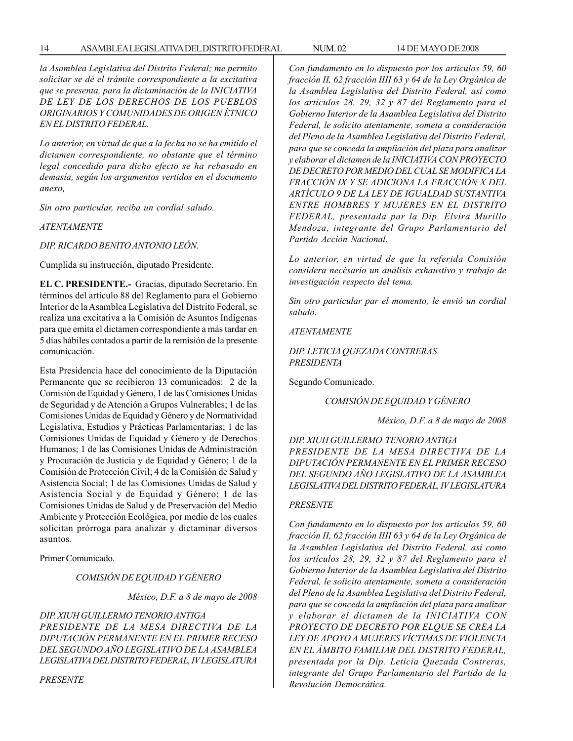#### 14 ASAMBLEA LEGISLATIVA DEL DISTRITO FEDERAL NUM. 02 14 DE MAYO DE 2008

*la Asamblea Legislativa del Distrito Federal; me permito solicitar se dé el trámite correspondiente a la excitativa que se presenta, para la dictaminación de la INICIATIVA DE LEY DE LOS DERECHOS DE LOS PUEBLOS ORIGINARIOS Y COMUNIDADES DE ORIGEN ÉTNICO EN EL DISTRITO FEDERAL.*

*Lo anterior, en virtud de que a la fecha no se ha emitido el dictamen correspondiente, no obstante que el término legal concedido para dicho efecto se ha rebasado en demasía, según los argumentos vertidos en el documento anexo,*

*Sin otro particular, reciba un cordial saludo.*

*ATENTAMENTE*

*DIP. RICARDO BENITO ANTONIO LEÓN.*

Cumplida su instrucción, diputado Presidente.

**EL C. PRESIDENTE.-** Gracias, diputado Secretario. En términos del artículo 88 del Reglamento para el Gobierno Interior de la Asamblea Legislativa del Distrito Federal, se realiza una excitativa a la Comisión de Asuntos Indígenas para que emita el dictamen correspondiente a más tardar en 5 días hábiles contados a partir de la remisión de la presente comunicación.

Esta Presidencia hace del conocimiento de la Diputación Permanente que se recibieron 13 comunicados: 2 de la Comisión de Equidad y Género, 1 de las Comisiones Unidas de Seguridad y de Atención a Grupos Vulnerables; 1 de las Comisiones Unidas de Equidad y Género y de Normatividad Legislativa, Estudios y Prácticas Parlamentarias; 1 de las Comisiones Unidas de Equidad y Género y de Derechos Humanos; 1 de las Comisiones Unidas de Administración y Procuración de Justicia y de Equidad y Género; 1 de la Comisión de Protección Civil; 4 de la Comisión de Salud y Asistencia Social; 1 de las Comisiones Unidas de Salud y Asistencia Social y de Equidad y Género; 1 de las Comisiones Unidas de Salud y de Preservación del Medio Ambiente y Protección Ecológica, por medio de los cuales solicitan prórroga para analizar y dictaminar diversos asuntos.

Primer Comunicado.

*COMISIÓN DE EQUIDAD Y GÉNERO*

*México, D.F. a 8 de mayo de 2008*

*DIP. XIUH GUILLERMO TENORIO ANTIGA PRESIDENTE DE LA MESA DIRECTIVA DE LA DIPUTACIÓN PERMANENTE EN EL PRIMER RECESO DEL SEGUNDO AÑO LEGISLATIVO DE LA ASAMBLEA LEGISLATIVA DEL DISTRITO FEDERAL, IV LEGISLATURA*

*PRESENTE*

*Con fundamento en lo dispuesto por los artículos 59, 60 fracción II, 62 fracción IIII 63 y 64 de la Ley Orgánica de la Asamblea Legislativa del Distrito Federal, así como los artículos 28, 29, 32 y 87 del Reglamento para el Gobierno Interior de la Asamblea Legislativa del Distrito Federal, le solicito atentamente, someta a consideración del Pleno de la Asamblea Legislativa del Distrito Federal, para que se conceda la ampliación del plaza para analizar y elaborar el dictamen de la INICIATIVA CON PROYECTO DE DECRETO POR MEDIO DEL CUAL SE MODIFICA LA FRACCIÓN IX Y SE ADICIONA LA FRACCIÓN X DEL ARTÍCULO 9 DE LA LEY DE IGUALDAD SUSTANTIVA ENTRE HOMBRES Y MUJERES EN EL DISTRITO FEDERAL, presentada par la Dip. Elvira Murillo Mendoza, integrante del Grupo Parlamentario del Partido Acción Nacional.*

*Lo anterior, en virtud de que la referida Comisión considera necésario un análisis exhaustivo y trabajo de investigación respecto del tema.*

*Sin otro particular par el momento, le envió un cordial saludo.*

*ATENTAMENTE*

*DIP. LETICIA QUEZADA CONTRERAS PRESIDENTA*

Segundo Comunicado.

*COMISIÓN DE EQUIDAD Y GÉNERO*

*México, D.F. a 8 de mayo de 2008*

*DIP. XIUH GUILLERMO TENORIO ANTIGA PRESIDENTE DE LA MESA DIRECTIVA DE LA DIPUTACIÓN PERMANENTE EN EL PRIMER RECESO DEL SEGUNDO AÑO LEGISLATIVO DE LA ASAMBLEA LEGISLATIVA DEL DISTRITO FEDERAL, IV LEGISLATURA*

#### *PRESENTE*

*Con fundamento en lo dispuesto por los artículos 59, 60 fracción II, 62 fracción IIII 63 y 64 de la Ley Orgánica de la Asamblea Legislativa del Distrito Federal, así como los artículos 28, 29, 32 y 87 del Reglamento para el Gobierno Interior de la Asamblea Legislativa del Distrito Federal, le solicito atentamente, someta a consideración del Pleno de la Asamblea Legislativa del Distrito Federal, para que se conceda la ampliación del plaza para analizar y elaborar el dictamen de la INICIATIVA CON PROYECTO DE DECRETO POR ELQUE SE CREA LA LEY DE APOYO A MUJERES VÍCTIMAS DE VIOLENCIA EN EL ÁMBITO FAMILIAR DEL DISTRITO FEDERAL, presentada por la Dip. Leticia Quezada Contreras, integrante del Grupo Parlamentario del Partido de la Revolución Democrática.*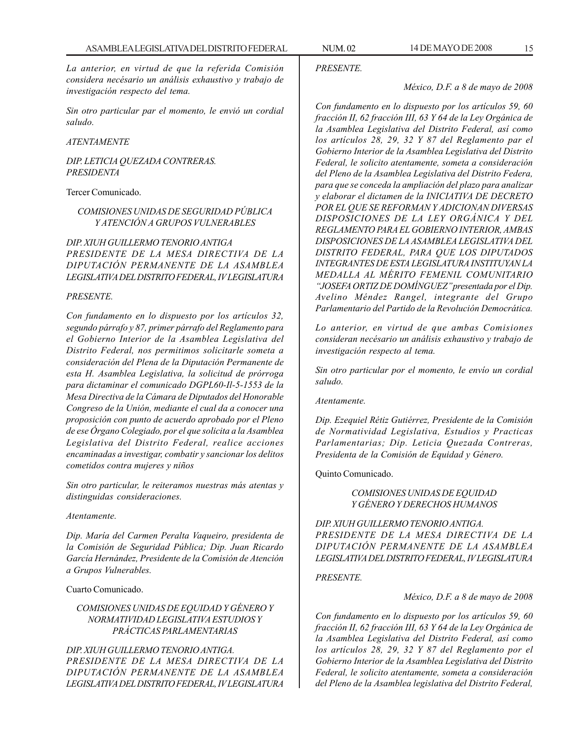*La anterior, en virtud de que la referida Comisión considera necésario un análisis exhaustivo y trabajo de investigación respecto del tema.*

*Sin otro particular par el momento, le envió un cordial saludo.*

*ATENTAMENTE*

*DIP. LETICIA QUEZADA CONTRERAS. PRESIDENTA*

Tercer Comunicado.

#### *COMISIONES UNIDAS DE SEGURIDAD PÚBLICA Y ATENCIÓN A GRUPOS VULNERABLES*

*DIP. XIUH GUILLERMO TENORIO ANTIGA PRESIDENTE DE LA MESA DIRECTIVA DE LA DIPUTACIÓN PERMANENTE DE LA ASAMBLEA LEGISLATIVA DEL DISTRITO FEDERAL, IV LEGISLATURA*

#### *PRESENTE.*

*Con fundamento en lo dispuesto por los artículos 32, segundo párrafo y 87, primer párrafo del Reglamento para el Gobierno Interior de la Asamblea Legislativa del Distrito Federal, nos permitimos solicitarle someta a consideración del Plena de la Diputación Permanente de esta H. Asamblea Legislativa, la solicitud de prórroga para dictaminar el comunicado DGPL60-Il-5-1553 de la Mesa Directiva de la Cámara de Diputados del Honorable Congreso de la Unión, mediante el cual da a conocer una proposición con punto de acuerdo aprobado por el Pleno de ese Órgano Colegiado, por el que solicita a la Asamblea Legislativa del Distrito Federal, realice acciones encaminadas a investigar, combatir y sancionar los delitos cometidos contra mujeres y niños*

*Sin otro particular, le reiteramos nuestras más atentas y distinguidas consideraciones.*

#### *Atentamente.*

*Dip. María del Carmen Peralta Vaqueiro, presidenta de la Comisión de Seguridad Pública; Dip. Juan Ricardo García Hernández, Presidente de la Comisión de Atención a Grupos Vulnerables.*

Cuarto Comunicado.

#### *COMISIONES UNIDAS DE EQUIDAD Y GÉNERO Y NORMATIVIDAD LEGISLATIVA ESTUDIOS Y PRÁCTICAS PARLAMENTARIAS*

*DIP. XIUH GUILLERMO TENORIO ANTIGA. PRESIDENTE DE LA MESA DIRECTIVA DE LA DIPUTACIÓN PERMANENTE DE LA ASAMBLEA LEGISLATIVA DEL DISTRITO FEDERAL, IV LEGISLATURA* *PRESENTE.*

*México, D.F. a 8 de mayo de 2008*

*Con fundamento en lo dispuesto por los artículos 59, 60 fracción II, 62 fracción III, 63 Y 64 de la Ley Orgánica de la Asamblea Legislativa del Distrito Federal, así como los artículos 28, 29, 32 Y 87 del Reglamento par el Gobierno Interior de la Asamblea Legislativa del Distrito Federal, le solicito atentamente, someta a consideración del Pleno de la Asamblea Legislativa del Distrito Federa, para que se conceda la ampliación del plazo para analizar y elaborar el dictamen de la INICIATIVA DE DECRETO POR EL QUE SE REFORMAN Y ADICIONAN DIVERSAS DISPOSICIONES DE LA LEY ORGÁNICA Y DEL REGLAMENTO PARA EL GOBIERNO INTERIOR, AMBAS DISPOSICIONES DE LA ASAMBLEA LEGISLATIVA DEL DISTRITO FEDERAL, PARA QUE LOS DIPUTADOS INTEGRANTES DE ESTA LEGISLATURA INSTITUYAN LA MEDALLA AL MÉRITO FEMENIL COMUNITARIO ''JOSEFA ORTIZ DE DOMÍNGUEZ'' presentada por el Dip. Avelino Méndez Rangel, integrante del Grupo Parlamentario del Partido de la Revolución Democrática.*

*Lo anterior, en virtud de que ambas Comisiones consideran necésario un análisis exhaustivo y trabajo de investigación respecto al tema.*

*Sin otro particular por el momento, le envío un cordial saludo.*

*Atentamente.*

*Dip. Ezequiel Rétiz Gutiérrez, Presidente de la Comisión de Normatividad Legislativa, Estudios y Practicas Parlamentarias; Dip. Leticia Quezada Contreras, Presidenta de la Comisión de Equidad y Género.*

Quinto Comunicado.

#### *COMISIONES UNIDAS DE EQUIDAD Y GÉNERO Y DERECHOS HUMANOS*

*DIP. XIUH GUILLERMO TENORIO ANTIGA. PRESIDENTE DE LA MESA DIRECTIVA DE LA DIPUTACIÓN PERMANENTE DE LA ASAMBLEA LEGISLATIVA DEL DISTRITO FEDERAL, IV LEGISLATURA*

*PRESENTE.*

*México, D.F. a 8 de mayo de 2008*

*Con fundamento en lo dispuesto por los artículos 59, 60 fracción II, 62 fracción III, 63 Y 64 de la Ley Orgánica de la Asamblea Legislativa del Distrito Federal, así como los artículos 28, 29, 32 Y 87 del Reglamento por el Gobierno Interior de la Asamblea Legislativa del Distrito Federal, le solicito atentamente, someta a consideración del Pleno de la Asamblea legislativa del Distrito Federal,*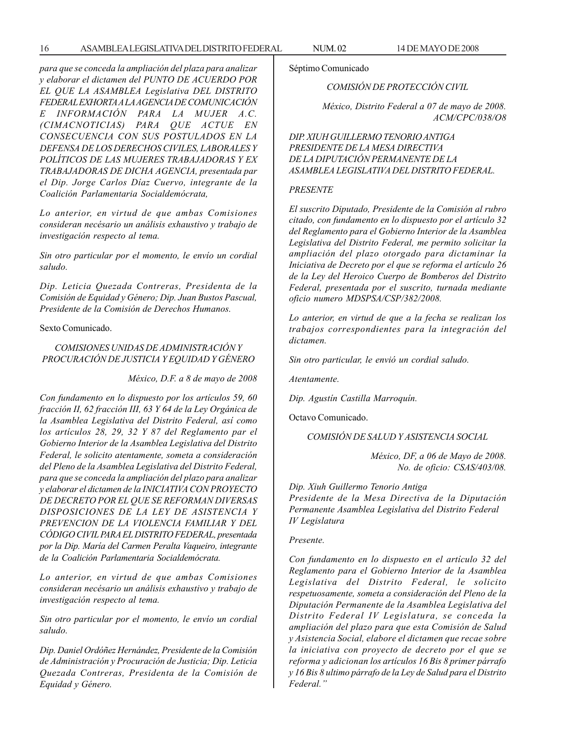*para que se conceda la ampliación del plaza para analizar y elaborar el dictamen del PUNTO DE ACUERDO POR EL QUE LA ASAMBLEA Legislativa DEL DISTRITO FEDERAL EXHORTA A LA AGENCIA DE COMUNICACIÓN E INFORMACIÓN PARA LA MUJER A.C. (CIMACNOTICIAS) PARA QUE ACTUE EN CONSECUENCIA CON SUS POSTULADOS EN LA DEFENSA DE LOS DERECHOS CIVILES, LABORALES Y POLÍTICOS DE LAS MUJERES TRABAJADORAS Y EX TRABAJADORAS DE DICHA AGENCIA, presentada par el Dip. Jorge Carlos Díaz Cuervo, integrante de la Coalición Parlamentaria Socialdemócrata,*

*Lo anterior, en virtud de que ambas Comisiones consideran necésario un análisis exhaustivo y trabajo de investigación respecto al tema.*

*Sin otro particular por el momento, le envío un cordial saludo.*

*Dip. Leticia Quezada Contreras, Presidenta de la Comisión de Equidad y Género; Dip. Juan Bustos Pascual, Presidente de la Comisión de Derechos Humanos.*

Sexto Comunicado.

#### *COMISIONES UNIDAS DE ADMINISTRACIÓN Y PROCURACIÓN DE JUSTICIA Y EQUIDAD Y GÉNERO*

*México, D.F. a 8 de mayo de 2008*

*Con fundamento en lo dispuesto por los artículos 59, 60 fracción II, 62 fracción III, 63 Y 64 de la Ley Orgánica de la Asamblea Legislativa del Distrito Federal, así como los artículos 28, 29, 32 Y 87 del Reglamento par el Gobierno Interior de la Asamblea Legislativa del Distrito Federal, le solicito atentamente, someta a consideración del Pleno de la Asamblea Legislativa del Distrito Federal, para que se conceda la ampliación del plazo para analizar y elaborar el dictamen de la INICIATIVA CON PROYECTO DE DECRETO POR EL QUE SE REFORMAN DIVERSAS DISPOSICIONES DE LA LEY DE ASISTENCIA Y PREVENCION DE LA VIOLENCIA FAMILIAR Y DEL CÓDIGO CIVIL PARA EL DISTRITO FEDERAL, presentada por la Dip. María del Carmen Peralta Vaqueiro, integrante de la Coalición Parlamentaria Socialdemócrata.*

*Lo anterior, en virtud de que ambas Comisiones consideran necésario un análisis exhaustivo y trabajo de investigación respecto al tema.*

*Sin otro particular por el momento, le envío un cordial saludo.*

*Dip. Daniel Ordóñez Hernández, Presidente de la Comisión de Administración y Procuración de Justicia; Dip. Leticia Quezada Contreras, Presidenta de la Comisión de Equidad y Género.*

#### Séptimo Comunicado

#### *COMISIÓN DE PROTECCIÓN CIVIL*

*México, Distrito Federal a 07 de mayo de 2008. ACM/CPC/038/O8*

*DIP. XIUH GUILLERMO TENORIO ANTIGA PRESIDENTE DE LA MESA DIRECTIVA DE LA DIPUTACIÓN PERMANENTE DE LA ASAMBLEA LEGISLATIVA DEL DISTRITO FEDERAL.*

#### *PRESENTE*

*El suscrito Diputado, Presidente de la Comisión al rubro citado, con fundamento en lo dispuesto por el artículo 32 del Reglamento para el Gobierno Interior de la Asamblea Legislativa del Distrito Federal, me permito solicitar la ampliación del plazo otorgado para dictaminar la Iniciativa de Decreto por el que se reforma el artículo 26 de la Ley del Heroico Cuerpo de Bomberos del Distrito Federal, presentada por el suscrito, turnada mediante oficio numero MDSPSA/CSP/382/2008.*

*Lo anterior, en virtud de que a la fecha se realizan los trabajos correspondientes para la integración del dictamen.*

*Sin otro particular, le envió un cordial saludo.*

*Atentamente.*

*Dip. Agustín Castilla Marroquín.*

Octavo Comunicado.

*COMISIÓN DE SALUD Y ASISTENCIA SOCIAL*

*México, DF, a 06 de Mayo de 2008. No. de oficio: CSAS/403/08.*

*Dip. Xiuh Guillermo Tenorio Antiga Presidente de la Mesa Directiva de la Diputación Permanente Asamblea Legislativa del Distrito Federal IV Legislatura*

#### *Presente.*

*Con fundamento en lo dispuesto en el artículo 32 del Reglamento para el Gobierno Interior de la Asamblea Legislativa del Distrito Federal, le solicito respetuosamente, someta a consideración del Pleno de la Diputación Permanente de la Asamblea Legislativa del Distrito Federal IV Legislatura, se conceda la ampliación del plazo para que esta Comisión de Salud y Asistencia Social, elabore el dictamen que recae sobre la iniciativa con proyecto de decreto por el que se reforma y adicionan los artículos 16 Bis 8 primer párrafo y 16 Bis 8 ultimo párrafo de la Ley de Salud para el Distrito Federal.''*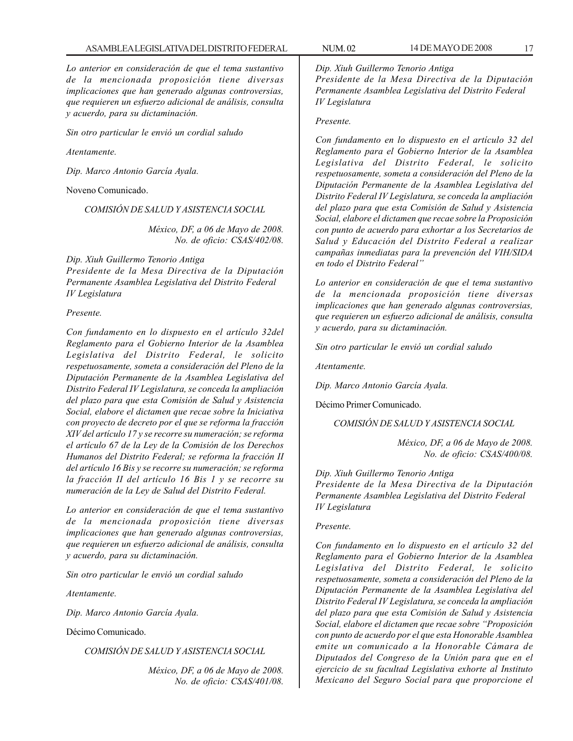*Lo anterior en consideración de que el tema sustantivo de la mencionada proposición tiene diversas implicaciones que han generado algunas controversias, que requieren un esfuerzo adicional de análisis, consulta y acuerdo, para su dictaminación.*

*Sin otro particular le envió un cordial saludo*

*Atentamente.*

*Dip. Marco Antonio García Ayala.*

Noveno Comunicado.

*COMISIÓN DE SALUD Y ASISTENCIA SOCIAL*

*México, DF, a 06 de Mayo de 2008. No. de oficio: CSAS/402/08.*

*Dip. Xiuh Guillermo Tenorio Antiga Presidente de la Mesa Directiva de la Diputación Permanente Asamblea Legislativa del Distrito Federal IV Legislatura*

*Presente.*

*Con fundamento en lo dispuesto en el artículo 32del Reglamento para el Gobierno Interior de la Asamblea Legislativa del Distrito Federal, le solicito respetuosamente, someta a consideración del Pleno de la Diputación Permanente de la Asamblea Legislativa del Distrito Federal IV Legislatura, se conceda la ampliación del plazo para que esta Comisión de Salud y Asistencia Social, elabore el dictamen que recae sobre la Iniciativa con proyecto de decreto por el que se reforma la fracción XIV del artículo 17 y se recorre su numeración; se reforma el artículo 67 de la Ley de la Comisión de los Derechos Humanos del Distrito Federal; se reforma la fracción II del artículo 16 Bis y se recorre su numeración; se reforma la fracción II del artículo 16 Bis 1 y se recorre su numeración de la Ley de Salud del Distrito Federal.*

*Lo anterior en consideración de que el tema sustantivo de la mencionada proposición tiene diversas implicaciones que han generado algunas controversias, que requieren un esfuerzo adicional de análisis, consulta y acuerdo, para su dictaminación.*

*Sin otro particular le envió un cordial saludo*

*Atentamente.*

*Dip. Marco Antonio García Ayala.*

Décimo Comunicado.

*COMISIÓN DE SALUD Y ASISTENCIA SOCIAL*

*México, DF, a 06 de Mayo de 2008. No. de oficio: CSAS/401/08.* *Dip. Xiuh Guillermo Tenorio Antiga Presidente de la Mesa Directiva de la Diputación Permanente Asamblea Legislativa del Distrito Federal IV Legislatura*

#### *Presente.*

*Con fundamento en lo dispuesto en el artículo 32 del Reglamento para el Gobierno Interior de la Asamblea Legislativa del Distrito Federal, le solicito respetuosamente, someta a consideración del Pleno de la Diputación Permanente de la Asamblea Legislativa del Distrito Federal IV Legislatura, se conceda la ampliación del plazo para que esta Comisión de Salud y Asistencia Social, elabore el dictamen que recae sobre la Proposición con punto de acuerdo para exhortar a los Secretarios de Salud y Educación del Distrito Federal a realizar campañas inmediatas para la prevención del VIH/SIDA en todo el Distrito Federal''*

*Lo anterior en consideración de que el tema sustantivo de la mencionada proposición tiene diversas implicaciones que han generado algunas controversias, que requieren un esfuerzo adicional de análisis, consulta y acuerdo, para su dictaminación.*

*Sin otro particular le envió un cordial saludo*

*Atentamente.*

*Dip. Marco Antonio García Ayala.*

Décimo Primer Comunicado.

*COMISIÓN DE SALUD Y ASISTENCIA SOCIAL*

*México, DF, a 06 de Mayo de 2008. No. de oficio: CSAS/400/08.*

*Dip. Xiuh Guillermo Tenorio Antiga Presidente de la Mesa Directiva de la Diputación Permanente Asamblea Legislativa del Distrito Federal IV Legislatura*

#### *Presente.*

*Con fundamento en lo dispuesto en el artículo 32 del Reglamento para el Gobierno Interior de la Asamblea Legislativa del Distrito Federal, le solicito respetuosamente, someta a consideración del Pleno de la Diputación Permanente de la Asamblea Legislativa del Distrito Federal IV Legislatura, se conceda la ampliación del plazo para que esta Comisión de Salud y Asistencia Social, elabore el dictamen que recae sobre ''Proposición con punto de acuerdo por el que esta Honorable Asamblea emite un comunicado a la Honorable Cámara de Diputados del Congreso de la Unión para que en el ejercicio de su facultad Legislativa exhorte al Instituto Mexicano del Seguro Social para que proporcione el*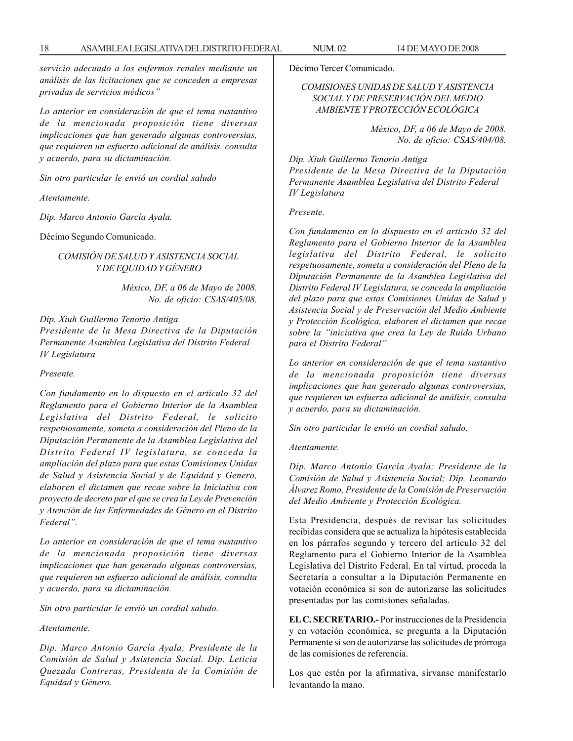*servicio adecuado a los enfermos renales mediante un análisis de las licitaciones que se conceden a empresas privadas de servicios médicos''*

*Lo anterior en consideración de que el tema sustantivo de la mencionada proposición tiene diversas implicaciones que han generado algunas controversias, que requieren un esfuerzo adicional de análisis, consulta y acuerdo, para su dictaminación.*

*Sin otro particular le envió un cordial saludo*

*Atentamente.*

*Dip. Marco Antonio García Ayala.*

Décimo Segundo Comunicado.

*COMISIÓN DE SALUD Y ASISTENCIA SOCIAL Y DE EQUIDAD Y GÉNERO*

> *México, DF, a 06 de Mayo de 2008. No. de oficio: CSAS/405/08.*

*Dip. Xiuh Guillermo Tenorio Antiga*

*Presidente de la Mesa Directiva de la Diputación Permanente Asamblea Legislativa del Distrito Federal IV Legislatura*

*Presente.*

*Con fundamento en lo dispuesto en el artículo 32 del Reglamento para el Gobierno Interior de la Asamblea Legislativa del Distrito Federal, le solicito respetuosamente, someta a consideración del Pleno de la Diputación Permanente de la Asamblea Legislativa del Distrito Federal IV legislatura, se conceda la ampliación del plazo para que estas Comisiones Unidas de Salud y Asistencia Social y de Equidad y Genero, elaboren el dictamen que recae sobre la Iniciativa con proyecto de decreto par el que se crea la Ley de Prevención y Atención de las Enfermedades de Género en el Distrito Federal''.*

*Lo anterior en consideración de que el tema sustantivo de la mencionada proposición tiene diversas implicaciones que han generado algunas controversias, que requieren un esfuerzo adicional de análisis, consulta y acuerdo, para su dictaminación.*

*Sin otro particular le envió un cordial saludo.*

*Atentamente.*

*Dip. Marco Antonio García Ayala; Presidente de la Comisión de Salud y Asistencia Social. Dip. Leticia Quezada Contreras, Presidenta de la Comisión de Equidad y Género.*

Décimo Tercer Comunicado.

#### *COMISIONES UNIDAS DE SALUD Y ASISTENCIA SOCIAL Y DE PRESERVACIÓN DEL MEDIO AMBIENTE Y PROTECCIÓN ECOLÓGICA*

*México, DF, a 06 de Mayo de 2008. No. de oficio: CSAS/404/08.*

*Dip. Xiuh Guillermo Tenorio Antiga*

*Presidente de la Mesa Directiva de la Diputación Permanente Asamblea Legislativa del Distrito Federal IV Legislatura*

*Presente.*

*Con fundamento en lo dispuesto en el artículo 32 del Reglamento para el Gobierno Interior de la Asamblea legislativa del Distrito Federal, le solicito respetuosamente, someta a consideración del Pleno de la Diputación Permanente de la Asamblea Legislativa del Distrito Federal IV Legislatura, se conceda la ampliación del plazo para que estas Comisiones Unidas de Salud y Asistencia Social y de Preservación del Medio Ambiente y Protección Ecológica, elaboren el dictamen que recae sobre la ''iniciativa que crea la Ley de Ruido Urbano para el Distrito Federal''*

*Lo anterior en consideración de que el tema sustantivo de la mencionada proposición tiene diversas implicaciones que han generado algunas controversias, que requieren un esfuerza adicional de análisis, consulta y acuerdo, para su dictaminación.*

*Sin otro particular le envió un cordial saludo.*

*Atentamente.*

*Dip. Marco Antonio García Ayala; Presidente de la Comisión de Salud y Asistencia Social; Dip. Leonardo Álvarez Romo, Presidente de la Comisión de Preservación del Medio Ambiente y Protección Ecológica.*

Esta Presidencia, después de revisar las solicitudes recibidas considera que se actualiza la hipótesis establecida en los párrafos segundo y tercero del artículo 32 del Reglamento para el Gobierno Interior de la Asamblea Legislativa del Distrito Federal. En tal virtud, proceda la Secretaría a consultar a la Diputación Permanente en votación económica si son de autorizarse las solicitudes presentadas por las comisiones señaladas.

**EL C. SECRETARIO.-** Por instrucciones de la Presidencia y en votación económica, se pregunta a la Diputación Permanente si son de autorizarse las solicitudes de prórroga de las comisiones de referencia.

Los que estén por la afirmativa, sírvanse manifestarlo levantando la mano.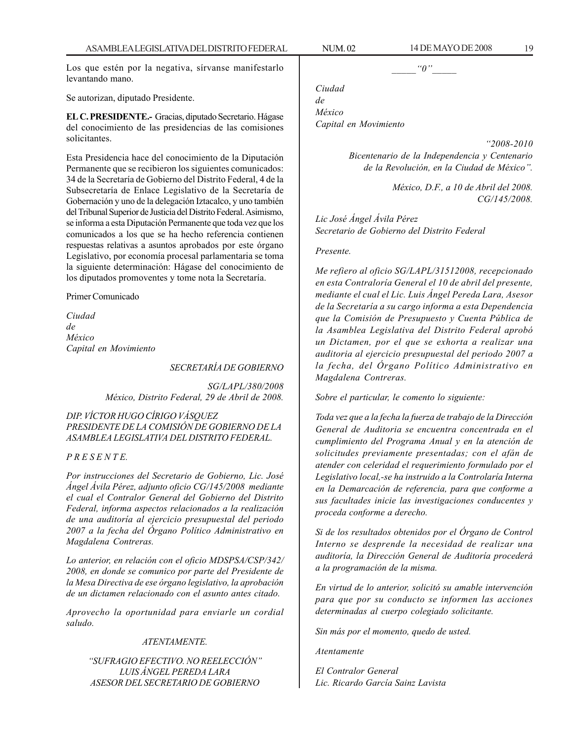Los que estén por la negativa, sírvanse manifestarlo levantando mano.

Se autorizan, diputado Presidente.

**EL C. PRESIDENTE.-** Gracias, diputado Secretario. Hágase del conocimiento de las presidencias de las comisiones solicitantes.

Esta Presidencia hace del conocimiento de la Diputación Permanente que se recibieron los siguientes comunicados: 34 de la Secretaría de Gobierno del Distrito Federal, 4 de la Subsecretaría de Enlace Legislativo de la Secretaría de Gobernación y uno de la delegación Iztacalco, y uno también del Tribunal Superior de Justicia del Distrito Federal. Asimismo, se informa a esta Diputación Permanente que toda vez que los comunicados a los que se ha hecho referencia contienen respuestas relativas a asuntos aprobados por este órgano Legislativo, por economía procesal parlamentaria se toma la siguiente determinación: Hágase del conocimiento de los diputados promoventes y tome nota la Secretaría.

Primer Comunicado

*Ciudad de México Capital en Movimiento*

*SECRETARÍA DE GOBIERNO*

*SG/LAPL/380/2008 México, Distrito Federal, 29 de Abril de 2008.*

*DIP. VÍCTOR HUGO CÍRIGO VÁSQUEZ PRESIDENTE DE LA COMISIÓN DE GOBIERNO DE LA ASAMBLEA LEGISLATIVA DEL DISTRITO FEDERAL.*

*P R E S E N T E.*

*Por instrucciones del Secretario de Gobierno, Lic. José Ángel Ávila Pérez, adjunto oficio CG/145/2008 mediante el cual el Contralor General del Gobierno del Distrito Federal, informa aspectos relacionados a la realización de una auditoría al ejercicio presupuestal del periodo 2007 a la fecha del Órgano Político Administrativo en Magdalena Contreras.*

*Lo anterior, en relación con el oficio MDSPSA/CSP/342/ 2008, en donde se comunico por parte del Presidente de la Mesa Directiva de ese órgano legislativo, la aprobación de un dictamen relacionado con el asunto antes citado.*

*Aprovecho la oportunidad para enviarle un cordial saludo.*

#### *ATENTAMENTE.*

*''SUFRAGIO EFECTIVO. NO REELECCIÓN'' LUIS ÁNGEL PEREDA LARA ASESOR DEL SECRETARIO DE GOBIERNO*

 $\lq o''$ 

*Ciudad de México Capital en Movimiento*

*''2008-2010*

*Bicentenario de la Independencia y Centenario de la Revolución, en la Ciudad de México''.*

> *México, D.F., a 10 de Abril del 2008. CG/145/2008.*

*Lic José Ángel Ávila Pérez Secretario de Gobierno del Distrito Federal*

#### *Presente.*

*Me refiero al oficio SG/LAPL/31512008, recepcionado en esta Contraloría General el 10 de abril del presente, mediante el cual el Lic. Luis Ángel Pereda Lara, Asesor de la Secretaría a su cargo informa a esta Dependencia que la Comisión de Presupuesto y Cuenta Pública de la Asamblea Legislativa del Distrito Federal aprobó un Dictamen, por el que se exhorta a realizar una auditoria al ejercicio presupuestal del periodo 2007 a la fecha, del Órgano Político Administrativo en Magdalena Contreras.*

*Sobre el particular, le comento lo siguiente:*

*Toda vez que a la fecha la fuerza de trabajo de la Dirección General de Auditoria se encuentra concentrada en el cumplimiento del Programa Anual y en la atención de solicitudes previamente presentadas; con el afán de atender con celeridad el requerimiento formulado por el Legislativo local,-se ha instruido a la Controlaría Interna en la Demarcación de referencia, para que conforme a sus facultades inicie las investigaciones conducentes y proceda conforme a derecho.*

*Si de los resultados obtenidos por el Órgano de Control Interno se desprende la necesidad de realizar una auditoría, la Dirección General de Auditoría procederá a la programación de la misma.*

*En virtud de lo anterior, solicitó su amable intervención para que por su conducto se informen las acciones determinadas al cuerpo colegiado solicitante.*

*Sin más por el momento, quedo de usted.*

*Atentamente*

*El Contralor General Lic. Ricardo García Sainz Lavista*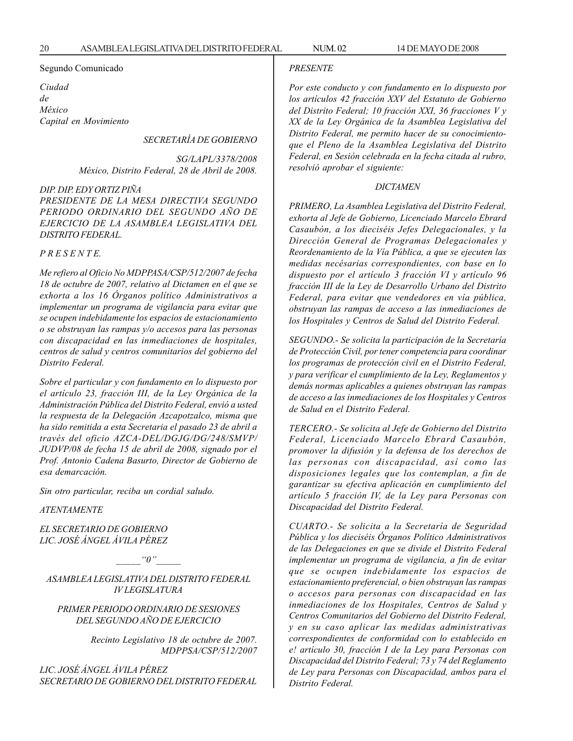#### Segundo Comunicado

*Ciudad de México Capital en Movimiento*

#### *SECRETARÍA DE GOBIERNO*

*SG/LAPL/3378/2008 México, Distrito Federal, 28 de Abril de 2008.*

#### *DIP. DIP. EDY ORTIZ PIÑA*

*PRESIDENTE DE LA MESA DIRECTIVA SEGUNDO PERIODO ORDINARIO DEL SEGUNDO AÑO DE EJERCICIO DE LA ASAMBLEA LEGISLATIVA DEL DISTRITO FEDERAL.*

#### *P R E S E N T E.*

*Me refiero al Oficio No MDPPASA/CSP/512/2007 de fecha 18 de octubre de 2007, relativo al Dictamen en el que se exhorta a los 16 Órganos político Administrativos a implementar un programa de vigilancia para evitar que se ocupen indebidamente los espacios de estacionamiento o se obstruyan las rampas y/o accesos para las personas con discapacidad en las inmediaciones de hospitales, centros de salud y centros comunitarios del gobierno del Distrito Federal.*

*Sobre el particular y con fundamento en lo dispuesto por el artículo 23, fracción III, de la Ley Orgánica de la Administración Pública del Distrito Federal, envió a usted la respuesta de la Delegación Azcapotzalco, misma que ha sido remitida a esta Secretaria el pasado 23 de abril a través del oficio AZCA-DEL/DGJG/DG/248/SMVP/ JUDVP/08 de fecha 15 de abril de 2008, signado por el Prof. Antonio Cadena Basurto, Director de Gobierno de esa demarcación.*

*Sin otro particular, reciba un cordial saludo.*

*ATENTAMENTE*

*EL SECRETARIO DE GOBIERNO LIC. JOSÉ ÁNGEL ÁVILA PÉREZ*

 $"0"$ 

*ASAMBLEA LEGISLATIVA DEL DISTRITO FEDERAL IV LEGISLATURA*

*PRIMER PERIODO ORDINARIO DE SESIONES DEL SEGUNDO AÑO DE EJERCICIO*

> *Recinto Legislativo 18 de octubre de 2007. MDPPSA/CSP/512/2007*

*LIC. JOSÉ ÁNGEL ÁVILA PÉREZ SECRETARIO DE GOBIERNO DEL DISTRITO FEDERAL*

#### *PRESENTE*

*Por este conducto y con fundamento en lo dispuesto por los artículos 42 fracción XXV del Estatuto de Gobierno del Distrito Federal; 10 fracción XXI, 36 fracciones V y XX de la Ley Orgánica de la Asamblea Legislativa del Distrito Federal, me permito hacer de su conocimientoque el Pleno de la Asamblea Legislativa del Distrito Federal, en Sesión celebrada en la fecha citada al rubro, resolvió aprobar el siguiente:*

#### *DICTAMEN*

*PRIMERO, La Asamblea Legislativa del Distrito Federal, exhorta al Jefe de Gobierno, Licenciado Marcelo Ebrard Casaubón, a los dieciséis Jefes Delegacionales, y la Dirección General de Programas Delegacionales y Reordenamiento de la Vía Pública, a que se ejecuten las medidas necésarias correspondientes, con base en lo dispuesto por el artículo 3 fracción VI y artículo 96 fracción III de la Ley de Desarrollo Urbano del Distrito Federal, para evitar que vendedores en vía pública, obstruyan las rampas de acceso a las inmediaciones de los Hospitales y Centros de Salud del Distrito Federal.*

*SEGUNDO.- Se solicita la participación de la Secretaría de Protección Civil, por tener competencia para coordinar los programas de protección civil en el Distrito Federal, y para verificar el cumplimiento de la Ley, Reglamentos y demás normas aplicables a quienes obstruyan las rampas de acceso a las inmediaciones de los Hospitales y Centros de Salud en el Distrito Federal.*

*TERCERO.- Se solicita al Jefe de Gobierno del Distrito Federal, Licenciado Marcelo Ebrard Casaubón, promover la difusión y la defensa de los derechos de las personas con discapacidad, así como las disposiciones legales que los contemplan, a fin de garantizar su efectiva aplicación en cumplimiento del artículo 5 fracción IV, de la Ley para Personas con Discapacidad del Distrito Federal.*

*CUARTO.- Se solicita a la Secretaría de Seguridad Pública y los dieciséis Órganos Político Administrativos de las Delegaciones en que se divide el Distrito Federal implementar un programa de vigilancia, a fin de evitar que se ocupen indebidamente los espacios de estacionamiento preferencial, o bien obstruyan las rampas o accesos para personas con discapacidad en las inmediaciones de los Hospitales, Centros de Salud y Centros Comunitarios del Gobierno del Distrito Federal, y en su caso aplicar las medidas administrativas correspondientes de conformidad con lo establecido en e! artículo 30, fracción I de la Ley para Personas con Discapacidad del Distrito Federal; 73 y 74 del Reglamento de Ley para Personas con Discapacidad, ambos para el Distrito Federal.*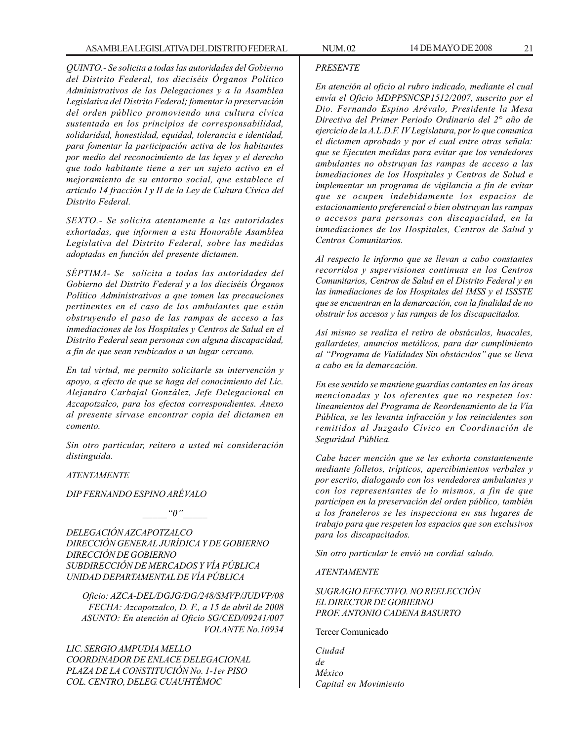*QUINTO.- Se solicita a todas las autoridades del Gobierno del Distrito Federal, tos dieciséis Órganos Político Administrativos de las Delegaciones y a la Asamblea Legislativa del Distrito Federal; fomentar la preservación del orden público promoviendo una cultura cívica sustentada en los principios de corresponsabilidad, solidaridad, honestidad, equidad, tolerancia e identidad, para fomentar la participación activa de los habitantes por medio del reconocimiento de las leyes y el derecho que todo habitante tiene a ser un sujeto activo en el mejoramiento de su entorno social, que establece el artículo 14 fracción I y II de la Ley de Cultura Cívica del Distrito Federal.*

*SEXTO.- Se solicita atentamente a las autoridades exhortadas, que informen a esta Honorable Asamblea Legislativa del Distrito Federal, sobre las medidas adoptadas en función del presente dictamen.*

*SÉPTIMA- Se solicita a todas las autoridades del Gobierno del Distrito Federal y a los dieciséis Órganos Político Administrativos a que tomen las precauciones pertinentes en el caso de los ambulantes que están obstruyendo el paso de las rampas de acceso a las inmediaciones de los Hospitales y Centros de Salud en el Distrito Federal sean personas con alguna discapacidad, a fin de que sean reubicados a un lugar cercano.*

*En tal virtud, me permito solicitarle su intervención y apoyo, a efecto de que se haga del conocimiento del Lic. Alejandro Carbajal González, Jefe Delegacional en Azcapotzalco, para los efectos correspondientes. Anexo al presente sírvase encontrar copia del dictamen en comento.*

*Sin otro particular, reitero a usted mi consideración distinguida.*

#### *ATENTAMENTE*

*DIP FERNANDO ESPINO ARÉVALO*

 $"0"$ 

*DELEGACIÓN AZCAPOTZALCO DIRECCIÓN GENERAL JURÍDICA Y DE GOBIERNO DIRECCIÓN DE GOBIERNO SUBDIRECCIÓN DE MERCADOS Y VÍA PÚBLICA UNIDAD DEPARTAMENTAL DE VÍA PÚBLICA*

*Oficio: AZCA-DEL/DGJG/DG/248/SMVP/JUDVP/08 FECHA: Azcapotzalco, D. F., a 15 de abril de 2008 ASUNTO: En atención al Oficio SG/CED/09241/007 VOLANTE No.10934*

*LIC. SERGIO AMPUDIA MELLO COORDINADOR DE ENLACE DELEGACIONAL PLAZA DE LA CONSTITUCIÓN No. 1-1er PISO COL. CENTRO, DELEG. CUAUHTÉMOC*

#### *PRESENTE*

*En atención al oficio al rubro indicado, mediante el cual envía el Oficio MDPPSNCSP1512/2007, suscrito por el Dio. Fernando Espino Arévalo, Presidente la Mesa Directiva del Primer Periodo Ordinario del 2° año de ejercicio de la A.L.D.F. IV Legislatura, por lo que comunica el dictamen aprobado y por el cual entre otras señala: que se Ejecuten medidas para evitar que los vendedores ambulantes no obstruyan las rampas de acceso a las inmediaciones de los Hospitales y Centros de Salud e implementar un programa de vigilancia a fin de evitar que se ocupen indebidamente los espacios de estacionamiento preferencial o bien obstruyan las rampas o accesos para personas con discapacidad, en la inmediaciones de los Hospitales, Centros de Salud y Centros Comunitarios.*

*Al respecto le informo que se llevan a cabo constantes recorridos y supervisiones continuas en los Centros Comunitarios, Centros de Salud en el Distrito Federal y en las inmediaciones de los Hospitales del IMSS y el ISSSTE que se encuentran en la demarcación, con la finalidad de no obstruir los accesos y las rampas de los discapacitados.*

*Así mismo se realiza el retiro de obstáculos, huacales, gallardetes, anuncios metálicos, para dar cumplimiento al ''Programa de Vialidades Sin obstáculos'' que se lleva a cabo en la demarcación.*

*En ese sentido se mantiene guardias cantantes en las áreas mencionadas y los oferentes que no respeten los: lineamientos del Programa de Reordenamiento de la Vía Pública, se les levanta infracción y los reincidentes son remitidos al Juzgado Cívico en Coordinación de Seguridad Pública.*

*Cabe hacer mención que se les exhorta constantemente mediante folletos, trípticos, apercibimientos verbales y por escrito, dialogando con los vendedores ambulantes y con los representantes de lo mismos, a fin de que participen en la preservación del orden público, también a los franeleros se les inspecciona en sus lugares de trabajo para que respeten los espacios que son exclusivos para los discapacitados.*

*Sin otro particular le envió un cordial saludo.*

*ATENTAMENTE*

*SUGRAGIO EFECTIVO. NO REELECCIÓN EL DIRECTOR DE GOBIERNO PROF. ANTONIO CADENA BASURTO*

Tercer Comunicado

*Ciudad de México Capital en Movimiento*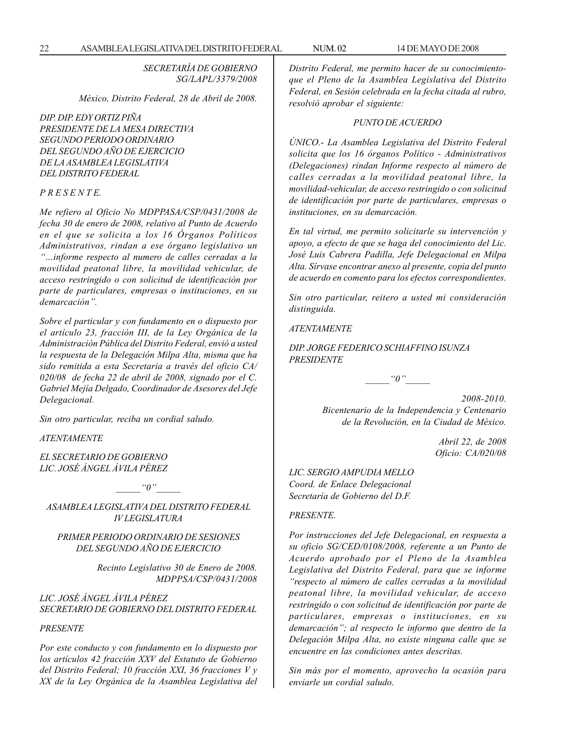*SECRETARÍA DE GOBIERNO SG/LAPL/3379/2008*

*México, Distrito Federal, 28 de Abril de 2008.*

*DIP. DIP. EDY ORTIZ PIÑA PRESIDENTE DE LA MESA DIRECTIVA SEGUNDO PERIODO ORDINARIO DEL SEGUNDO AÑO DE EJERCICIO DE LA ASAMBLEA LEGISLATIVA DEL DISTRITO FEDERAL*

#### *P R E S E N T E.*

*Me refiero al Oficio No MDPPASA/CSP/0431/2008 de fecha 30 de enero de 2008, relativo al Punto de Acuerdo en el que se solicita a los 16 Órganos Políticos Administrativos, rindan a ese órgano legislativo un ''…informe respecto al numero de calles cerradas a la movilidad peatonal libre, la movilidad vehicular, de acceso restringido o con solicitud de identificación por parte de particulares, empresas o instituciones, en su demarcación''.*

*Sobre el particular y con fundamento en o dispuesto por el artículo 23, fracción III, de la Ley Orgánica de la Administración Pública del Distrito Federal, envió a usted la respuesta de la Delegación Milpa Alta, misma que ha sido remitida a esta Secretaria a través del oficio CA/ 020/08 de fecha 22 de abril de 2008, signado por el C. Gabriel Mejía Delgado, Coordinador de Asesores del Jefe Delegacional.*

*Sin otro particular, reciba un cordial saludo.*

*ATENTAMENTE*

*EL SECRETARIO DE GOBIERNO LIC. JOSÉ ÁNGEL ÁVILA PÉREZ*

 $\lq q''$ 

*ASAMBLEA LEGISLATIVA DEL DISTRITO FEDERAL IV LEGISLATURA*

#### *PRIMER PERIODO ORDINARIO DE SESIONES DEL SEGUNDO AÑO DE EJERCICIO*

*Recinto Legislativo 30 de Enero de 2008. MDPPSA/CSP/0431/2008*

*LIC. JOSÉ ÁNGEL ÁVILA PÉREZ SECRETARIO DE GOBIERNO DEL DISTRITO FEDERAL*

#### *PRESENTE*

*Por este conducto y con fundamento en lo dispuesto por los artículos 42 fracción XXV del Estatuto de Gobierno del Distrito Federal; 10 fracción XXI, 36 fracciones V y XX de la Ley Orgánica de la Asamblea Legislativa del* *Distrito Federal, me permito hacer de su conocimientoque el Pleno de la Asamblea Legislativa del Distrito Federal, en Sesión celebrada en la fecha citada al rubro, resolvió aprobar el siguiente:*

#### *PUNTO DE ACUERDO*

*ÚNICO.- La Asamblea Legislativa del Distrito Federal solicita que los 16 órganos Político - Administrativos (Delegaciones) rindan Informe respecto al número de calles cerradas a la movilidad peatonal libre, la movilidad-vehicular, de acceso restringido o con solicitud de identificación por parte de particulares, empresas o instituciones, en su demarcación.*

*En tal virtud, me permito solicitarle su intervención y apoyo, a efecto de que se haga del conocimiento del Lic. José Luis Cabrera Padilla, Jefe Delegacional en Milpa Alta. Sírvase encontrar anexo al presente, copia del punto de acuerdo en comento para los efectos correspondientes.*

*Sin otro particular, reitero a usted mi consideración distinguida.*

*ATENTAMENTE*

*DIP. JORGE FEDERICO SCHIAFFINO ISUNZA PRESIDENTE*

 $"0"$ 

*2008-2010. Bicentenario de la Independencia y Centenario de la Revolución, en la Ciudad de México.*

> *Abril 22, de 2008 Oficio: CA/020/08*

*LIC. SERGIO AMPUDIA MELLO Coord. de Enlace Delegacional Secretaría de Gobierno del D.F.*

#### *PRESENTE.*

*Por instrucciones del Jefe Delegacional, en respuesta a su oficio SG/CED/0108/2008, referente a un Punto de Acuerdo aprobado por el Pleno de la Asamblea Legislativa del Distrito Federal, para que se informe ''respecto al número de calles cerradas a la movilidad peatonal libre, la movilidad vehicular, de acceso restringido o con solicitud de identificación por parte de particulares, empresas o instituciones, en su demarcación''; al respecto le informo que dentro de la Delegación Milpa Alta, no existe ninguna calle que se encuentre en las condiciones antes descritas.*

*Sin más por el momento, aprovecho la ocasión para enviarle un cordial saludo.*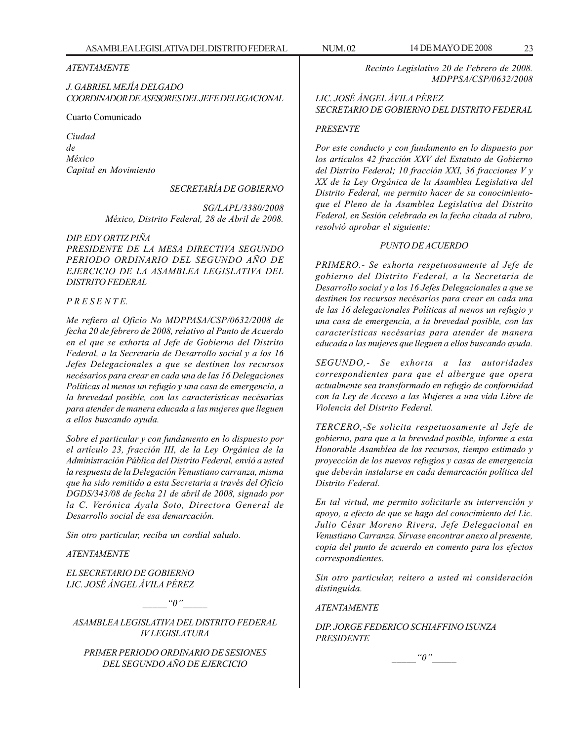#### *ATENTAMENTE*

*J. GABRIEL MEJÍA DELGADO COORDINADOR DE ASESORES DEL JEFE DELEGACIONAL*

Cuarto Comunicado

*Ciudad de México Capital en Movimiento*

*SECRETARÍA DE GOBIERNO*

*SG/LAPL/3380/2008 México, Distrito Federal, 28 de Abril de 2008.*

*DIP. EDY ORTIZ PIÑA PRESIDENTE DE LA MESA DIRECTIVA SEGUNDO PERIODO ORDINARIO DEL SEGUNDO AÑO DE EJERCICIO DE LA ASAMBLEA LEGISLATIVA DEL DISTRITO FEDERAL*

#### *P R E S E N T E.*

*Me refiero al Oficio No MDPPASA/CSP/0632/2008 de fecha 20 de febrero de 2008, relativo al Punto de Acuerdo en el que se exhorta al Jefe de Gobierno del Distrito Federal, a la Secretaría de Desarrollo social y a los 16 Jefes Delegacionales a que se destinen los recursos necésarios para crear en cada una de las 16 Delegaciones Políticas al menos un refugio y una casa de emergencia, a la brevedad posible, con las características necésarias para atender de manera educada a las mujeres que lleguen a ellos buscando ayuda.*

*Sobre el particular y con fundamento en lo dispuesto por el artículo 23, fracción III, de la Ley Orgánica de la Administración Pública del Distrito Federal, envió a usted la respuesta de la Delegación Venustiano carranza, misma que ha sido remitido a esta Secretaria a través del Oficio DGDS/343/08 de fecha 21 de abril de 2008, signado por la C. Verónica Ayala Soto, Directora General de Desarrollo social de esa demarcación.*

*Sin otro particular, reciba un cordial saludo.*

#### *ATENTAMENTE*

*EL SECRETARIO DE GOBIERNO LIC. JOSÉ ÁNGEL ÁVILA PÉREZ*

 $"0"$ 

*ASAMBLEA LEGISLATIVA DEL DISTRITO FEDERAL IV LEGISLATURA*

*PRIMER PERIODO ORDINARIO DE SESIONES DEL SEGUNDO AÑO DE EJERCICIO*

*Recinto Legislativo 20 de Febrero de 2008. MDPPSA/CSP/0632/2008*

#### *LIC. JOSÉ ÁNGEL ÁVILA PÉREZ SECRETARIO DE GOBIERNO DEL DISTRITO FEDERAL*

#### *PRESENTE*

*Por este conducto y con fundamento en lo dispuesto por los artículos 42 fracción XXV del Estatuto de Gobierno del Distrito Federal; 10 fracción XXI, 36 fracciones V y XX de la Ley Orgánica de la Asamblea Legislativa del Distrito Federal, me permito hacer de su conocimientoque el Pleno de la Asamblea Legislativa del Distrito Federal, en Sesión celebrada en la fecha citada al rubro, resolvió aprobar el siguiente:*

#### *PUNTO DE ACUERDO*

*PRIMERO.- Se exhorta respetuosamente al Jefe de gobierno del Distrito Federal, a la Secretaría de Desarrollo social y a los 16 Jefes Delegacionales a que se destinen los recursos necésarios para crear en cada una de las 16 delegacionales Políticas al menos un refugio y una casa de emergencia, a la brevedad posible, con las características necésarias para atender de manera educada a las mujeres que lleguen a ellos buscando ayuda.*

*SEGUNDO,- Se exhorta a las autoridades correspondientes para que el albergue que opera actualmente sea transformado en refugio de conformidad con la Ley de Acceso a las Mujeres a una vida Libre de Violencia del Distrito Federal.*

*TERCERO,-Se solicita respetuosamente al Jefe de gobierno, para que a la brevedad posible, informe a esta Honorable Asamblea de los recursos, tiempo estimado y proyección de los nuevos refugios y casas de emergencia que deberán instalarse en cada demarcación política del Distrito Federal.*

*En tal virtud, me permito solicitarle su intervención y apoyo, a efecto de que se haga del conocimiento del Lic. Julio César Moreno Rivera, Jefe Delegacional en Venustiano Carranza. Sírvase encontrar anexo al presente, copia del punto de acuerdo en comento para los efectos correspondientes.*

*Sin otro particular, reitero a usted mi consideración distinguida.*

#### *ATENTAMENTE*

*DIP. JORGE FEDERICO SCHIAFFINO ISUNZA PRESIDENTE*

$$
``\theta"
$$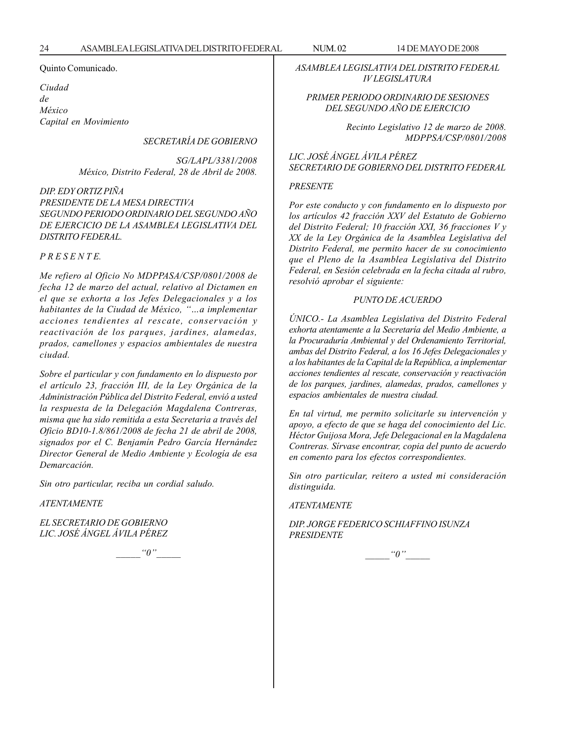Quinto Comunicado.

*Ciudad de México Capital en Movimiento*

*SECRETARÍA DE GOBIERNO*

*SG/LAPL/3381/2008 México, Distrito Federal, 28 de Abril de 2008.*

#### *DIP. EDY ORTIZ PIÑA PRESIDENTE DE LA MESA DIRECTIVA SEGUNDO PERIODO ORDINARIO DEL SEGUNDO AÑO DE EJERCICIO DE LA ASAMBLEA LEGISLATIVA DEL DISTRITO FEDERAL.*

*P R E S E N T E.*

*Me refiero al Oficio No MDPPASA/CSP/0801/2008 de fecha 12 de marzo del actual, relativo al Dictamen en el que se exhorta a los Jefes Delegacionales y a los habitantes de la Ciudad de México, ''…a implementar acciones tendientes al rescate, conservación y reactivación de los parques, jardines, alamedas, prados, camellones y espacios ambientales de nuestra ciudad.*

*Sobre el particular y con fundamento en lo dispuesto por el artículo 23, fracción III, de la Ley Orgánica de la Administración Pública del Distrito Federal, envió a usted la respuesta de la Delegación Magdalena Contreras, misma que ha sido remitida a esta Secretaria a través del Oficio BD10-1.8/861/2008 de fecha 21 de abril de 2008, signados por el C. Benjamín Pedro García Hernández Director General de Medio Ambiente y Ecología de esa Demarcación.*

*Sin otro particular, reciba un cordial saludo.*

*ATENTAMENTE*

*EL SECRETARIO DE GOBIERNO LIC. JOSÉ ÁNGEL ÁVILA PÉREZ*

 $\lq o$ ''

*ASAMBLEA LEGISLATIVA DEL DISTRITO FEDERAL IV LEGISLATURA*

#### *PRIMER PERIODO ORDINARIO DE SESIONES DEL SEGUNDO AÑO DE EJERCICIO*

*Recinto Legislativo 12 de marzo de 2008. MDPPSA/CSP/0801/2008*

*LIC. JOSÉ ÁNGEL ÁVILA PÉREZ SECRETARIO DE GOBIERNO DEL DISTRITO FEDERAL*

#### *PRESENTE*

*Por este conducto y con fundamento en lo dispuesto por los artículos 42 fracción XXV del Estatuto de Gobierno del Distrito Federal; 10 fracción XXI, 36 fracciones V y XX de la Ley Orgánica de la Asamblea Legislativa del Distrito Federal, me permito hacer de su conocimiento que el Pleno de la Asamblea Legislativa del Distrito Federal, en Sesión celebrada en la fecha citada al rubro, resolvió aprobar el siguiente:*

#### *PUNTO DE ACUERDO*

*ÚNICO.- La Asamblea Legislativa del Distrito Federal exhorta atentamente a la Secretaría del Medio Ambiente, a la Procuraduría Ambiental y del Ordenamiento Territorial, ambas del Distrito Federal, a los 16 Jefes Delegacionales y a los habitantes de la Capital de la República, a implementar acciones tendientes al rescate, conservación y reactivación de los parques, jardines, alamedas, prados, camellones y espacios ambientales de nuestra ciudad.*

*En tal virtud, me permito solicitarle su intervención y apoyo, a efecto de que se haga del conocimiento del Lic. Héctor Guijosa Mora, Jefe Delegacional en la Magdalena Contreras. Sírvase encontrar, copia del punto de acuerdo en comento para los efectos correspondientes.*

*Sin otro particular, reitero a usted mi consideración distinguida.*

#### *ATENTAMENTE*

*DIP. JORGE FEDERICO SCHIAFFINO ISUNZA PRESIDENTE*

 $"0"$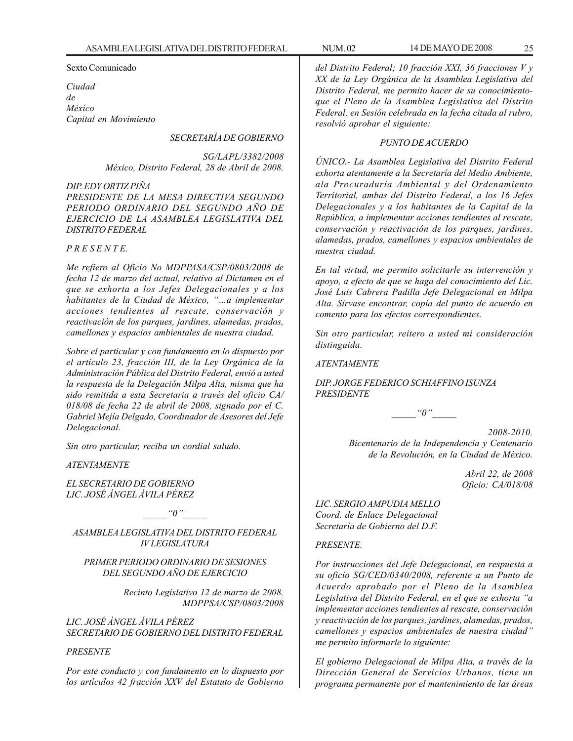Sexto Comunicado

*Ciudad de México Capital en Movimiento*

#### *SECRETARÍA DE GOBIERNO*

*SG/LAPL/3382/2008 México, Distrito Federal, 28 de Abril de 2008.*

*DIP. EDY ORTIZ PIÑA PRESIDENTE DE LA MESA DIRECTIVA SEGUNDO PERIODO ORDINARIO DEL SEGUNDO AÑO DE EJERCICIO DE LA ASAMBLEA LEGISLATIVA DEL DISTRITO FEDERAL*

#### *P R E S E N T E.*

*Me refiero al Oficio No MDPPASA/CSP/0803/2008 de fecha 12 de marzo del actual, relativo al Dictamen en el que se exhorta a los Jefes Delegacionales y a los habitantes de la Ciudad de México, ''…a implementar acciones tendientes al rescate, conservación y reactivación de los parques, jardines, alamedas, prados, camellones y espacios ambientales de nuestra ciudad.*

*Sobre el particular y con fundamento en lo dispuesto por el artículo 23, fracción III, de la Ley Orgánica de la Administración Pública del Distrito Federal, envió a usted la respuesta de la Delegación Milpa Alta, misma que ha sido remitida a esta Secretaria a través del oficio CA/ 018/08 de fecha 22 de abril de 2008, signado por el C. Gabriel Mejía Delgado, Coordinador de Asesores del Jefe Delegacional.*

*Sin otro particular, reciba un cordial saludo.*

*ATENTAMENTE*

*EL SECRETARIO DE GOBIERNO LIC. JOSÉ ÁNGEL ÁVILA PÉREZ*

 $"0"$ 

*ASAMBLEA LEGISLATIVA DEL DISTRITO FEDERAL IV LEGISLATURA*

#### *PRIMER PERIODO ORDINARIO DE SESIONES DEL SEGUNDO AÑO DE EJERCICIO*

*Recinto Legislativo 12 de marzo de 2008. MDPPSA/CSP/0803/2008*

*LIC. JOSÉ ÁNGEL ÁVILA PÉREZ SECRETARIO DE GOBIERNO DEL DISTRITO FEDERAL*

#### *PRESENTE*

*Por este conducto y con fundamento en lo dispuesto por los artículos 42 fracción XXV del Estatuto de Gobierno* *del Distrito Federal; 10 fracción XXI, 36 fracciones V y XX de la Ley Orgánica de la Asamblea Legislativa del Distrito Federal, me permito hacer de su conocimientoque el Pleno de la Asamblea Legislativa del Distrito Federal, en Sesión celebrada en la fecha citada al rubro, resolvió aprobar el siguiente:*

#### *PUNTO DE ACUERDO*

*ÚNICO.- La Asamblea Legislativa del Distrito Federal exhorta atentamente a la Secretaría del Medio Ambiente, ala Procuraduría Ambiental y del Ordenamiento Territorial, ambas del Distrito Federal, a los 16 Jefes Delegacionales y a los habitantes de la Capital de la República, a implementar acciones tendientes al rescate, conservación y reactivación de los parques, jardines, alamedas, prados, camellones y espacios ambientales de nuestra ciudad.*

*En tal virtud, me permito solicitarle su intervención y apoyo, a efecto de que se haga del conocimiento del Lic. José Luis Cabrera Padilla Jefe Delegacional en Milpa Alta. Sírvase encontrar, copia del punto de acuerdo en comento para los efectos correspondientes.*

*Sin otro particular, reitero a usted mi consideración distinguida.*

*ATENTAMENTE*

*DIP. JORGE FEDERICO SCHIAFFINO ISUNZA PRESIDENTE*

 $\lq$ <sup>"0</sup>

*2008-2010. Bicentenario de la Independencia y Centenario de la Revolución, en la Ciudad de México.*

> *Abril 22, de 2008 Oficio: CA/018/08*

*LIC. SERGIO AMPUDIA MELLO Coord. de Enlace Delegacional Secretaría de Gobierno del D.F.*

#### *PRESENTE.*

*Por instrucciones del Jefe Delegacional, en respuesta a su oficio SG/CED/0340/2008, referente a un Punto de Acuerdo aprobado por el Pleno de la Asamblea Legislativa del Distrito Federal, en el que se exhorta ''a implementar acciones tendientes al rescate, conservación y reactivación de los parques, jardines, alamedas, prados, camellones y espacios ambientales de nuestra ciudad'' me permito informarle lo siguiente:*

*El gobierno Delegacional de Milpa Alta, a través de la Dirección General de Servicios Urbanos, tiene un programa permanente por el mantenimiento de las áreas*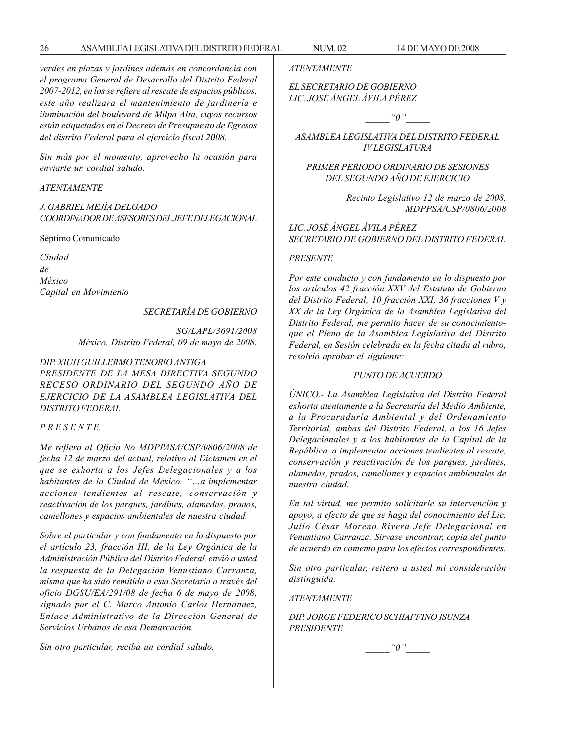*verdes en plazas y jardines además en concordancia con el programa General de Desarrollo del Distrito Federal 2007-2012, en los se refiere al rescate de espacios públicos, este año realizara el mantenimiento de jardinería e iluminación del boulevard de Milpa Alta, cuyos recursos están etiquetados en el Decreto de Presupuesto de Egresos del distrito Federal para el ejercicio fiscal 2008.*

*Sin más por el momento, aprovecho la ocasión para enviarle un cordial saludo.*

#### *ATENTAMENTE*

*J. GABRIEL MEJÍA DELGADO COORDINADOR DE ASESORES DEL JEFE DELEGACIONAL*

Séptimo Comunicado

*Ciudad de México Capital en Movimiento*

*SECRETARÍA DE GOBIERNO*

*SG/LAPL/3691/2008 México, Distrito Federal, 09 de mayo de 2008.*

#### *DIP. XIUH GUILLERMO TENORIO ANTIGA PRESIDENTE DE LA MESA DIRECTIVA SEGUNDO RECESO ORDINARIO DEL SEGUNDO AÑO DE EJERCICIO DE LA ASAMBLEA LEGISLATIVA DEL DISTRITO FEDERAL*

#### *P R E S E N T E.*

*Me refiero al Oficio No MDPPASA/CSP/0806/2008 de fecha 12 de marzo del actual, relativo al Dictamen en el que se exhorta a los Jefes Delegacionales y a los habitantes de la Ciudad de México, ''…a implementar acciones tendientes al rescate, conservación y reactivación de los parques, jardines, alamedas, prados, camellones y espacios ambientales de nuestra ciudad.*

*Sobre el particular y con fundamento en lo dispuesto por el artículo 23, fracción III, de la Ley Orgánica de la Administración Pública del Distrito Federal, envió a usted la respuesta de la Delegación Venustiano Carranza, misma que ha sido remitida a esta Secretaria a través del oficio DGSU/EA/291/08 de fecha 6 de mayo de 2008, signado por el C. Marco Antonio Carlos Hernández, Enlace Administrativo de la Dirección General de Servicios Urbanos de esa Demarcación.*

*Sin otro particular, reciba un cordial saludo.*

*ATENTAMENTE*

*EL SECRETARIO DE GOBIERNO LIC. JOSÉ ÁNGEL ÁVILA PÉREZ*

 $"0"$ 

*ASAMBLEA LEGISLATIVA DEL DISTRITO FEDERAL IV LEGISLATURA*

#### *PRIMER PERIODO ORDINARIO DE SESIONES DEL SEGUNDO AÑO DE EJERCICIO*

*Recinto Legislativo 12 de marzo de 2008. MDPPSA/CSP/0806/2008*

*LIC. JOSÉ ÁNGEL ÁVILA PÉREZ SECRETARIO DE GOBIERNO DEL DISTRITO FEDERAL*

#### *PRESENTE*

*Por este conducto y con fundamento en lo dispuesto por los artículos 42 fracción XXV del Estatuto de Gobierno del Distrito Federal; 10 fracción XXI, 36 fracciones V y XX de la Ley Orgánica de la Asamblea Legislativa del Distrito Federal, me permito hacer de su conocimientoque el Pleno de la Asamblea Legislativa del Distrito Federal, en Sesión celebrada en la fecha citada al rubro, resolvió aprobar el siguiente:*

#### *PUNTO DE ACUERDO*

*ÚNICO.- La Asamblea Legislativa del Distrito Federal exhorta atentamente a la Secretaría del Medio Ambiente, a la Procuraduría Ambiental y del Ordenamiento Territorial, ambas del Distrito Federal, a los 16 Jefes Delegacionales y a los habitantes de la Capital de la República, a implementar acciones tendientes al rescate, conservación y reactivación de los parques, jardines, alamedas, prados, camellones y espacios ambientales de nuestra ciudad.*

*En tal virtud, me permito solicitarle su intervención y apoyo, a efecto de que se haga del conocimiento del Lic. Julio César Moreno Rivera Jefe Delegacional en Venustiano Carranza. Sírvase encontrar, copia del punto de acuerdo en comento para los efectos correspondientes.*

*Sin otro particular, reitero a usted mi consideración distinguida.*

*ATENTAMENTE*

*DIP. JORGE FEDERICO SCHIAFFINO ISUNZA PRESIDENTE*

 $"0"$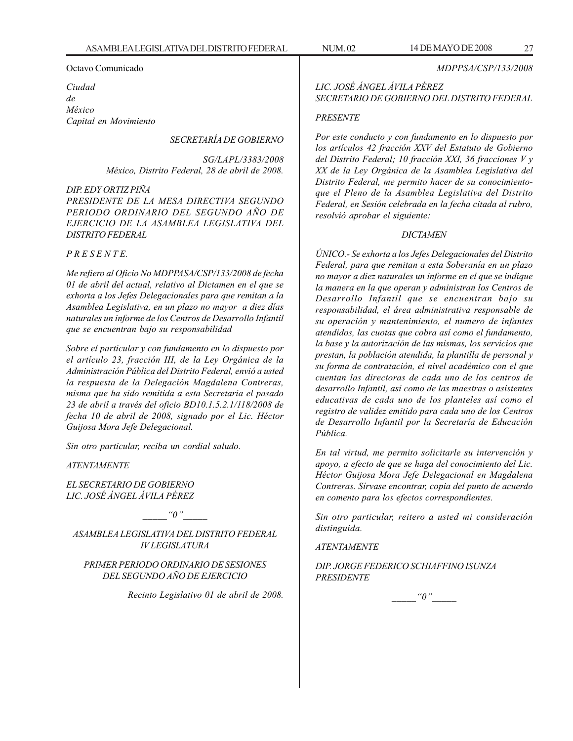#### Octavo Comunicado

*Ciudad de México Capital en Movimiento*

#### *SECRETARÍA DE GOBIERNO*

*SG/LAPL/3383/2008 México, Distrito Federal, 28 de abril de 2008.*

#### *DIP. EDY ORTIZ PIÑA PRESIDENTE DE LA MESA DIRECTIVA SEGUNDO PERIODO ORDINARIO DEL SEGUNDO AÑO DE EJERCICIO DE LA ASAMBLEA LEGISLATIVA DEL DISTRITO FEDERAL*

#### *P R E S E N T E.*

*Me refiero al Oficio No MDPPASA/CSP/133/2008 de fecha 01 de abril del actual, relativo al Dictamen en el que se exhorta a los Jefes Delegacionales para que remitan a la Asamblea Legislativa, en un plazo no mayor a diez días naturales un informe de los Centros de Desarrollo Infantil que se encuentran bajo su responsabilidad*

*Sobre el particular y con fundamento en lo dispuesto por el artículo 23, fracción III, de la Ley Orgánica de la Administración Pública del Distrito Federal, envió a usted la respuesta de la Delegación Magdalena Contreras, misma que ha sido remitida a esta Secretaria el pasado 23 de abril a través del oficio BD10.1.5.2.1/118/2008 de fecha 10 de abril de 2008, signado por el Lic. Héctor Guijosa Mora Jefe Delegacional.*

*Sin otro particular, reciba un cordial saludo.*

*ATENTAMENTE*

*EL SECRETARIO DE GOBIERNO LIC. JOSÉ ÁNGEL ÁVILA PÉREZ*

 $\lq\lq o''$ 

*ASAMBLEA LEGISLATIVA DEL DISTRITO FEDERAL IV LEGISLATURA*

#### *PRIMER PERIODO ORDINARIO DE SESIONES DEL SEGUNDO AÑO DE EJERCICIO*

*Recinto Legislativo 01 de abril de 2008.*

### *LIC. JOSÉ ÁNGEL ÁVILA PÉREZ SECRETARIO DE GOBIERNO DEL DISTRITO FEDERAL*

#### *PRESENTE*

*Por este conducto y con fundamento en lo dispuesto por los artículos 42 fracción XXV del Estatuto de Gobierno del Distrito Federal; 10 fracción XXI, 36 fracciones V y XX de la Ley Orgánica de la Asamblea Legislativa del Distrito Federal, me permito hacer de su conocimientoque el Pleno de la Asamblea Legislativa del Distrito Federal, en Sesión celebrada en la fecha citada al rubro, resolvió aprobar el siguiente:*

#### *DICTAMEN*

*ÚNICO.- Se exhorta a los Jefes Delegacionales del Distrito Federal, para que remitan a esta Soberanía en un plazo no mayor a diez naturales un informe en el que se indique la manera en la que operan y administran los Centros de Desarrollo Infantil que se encuentran bajo su responsabilidad, el área administrativa responsable de su operación y mantenimiento, el numero de infantes atendidos, las cuotas que cobra así como el fundamento, la base y la autorización de las mismas, los servicios que prestan, la población atendida, la plantilla de personal y su forma de contratación, el nivel académico con el que cuentan las directoras de cada uno de los centros de desarrollo Infantil, así como de las maestras o asistentes educativas de cada uno de los planteles así como el registro de validez emitido para cada uno de los Centros de Desarrollo Infantil por la Secretaría de Educación Pública.*

*En tal virtud, me permito solicitarle su intervención y apoyo, a efecto de que se haga del conocimiento del Lic. Héctor Guijosa Mora Jefe Delegacional en Magdalena Contreras. Sírvase encontrar, copia del punto de acuerdo en comento para los efectos correspondientes.*

*Sin otro particular, reitero a usted mi consideración distinguida.*

#### *ATENTAMENTE*

*DIP. JORGE FEDERICO SCHIAFFINO ISUNZA PRESIDENTE*

 $"0"$ 

*MDPPSA/CSP/133/2008*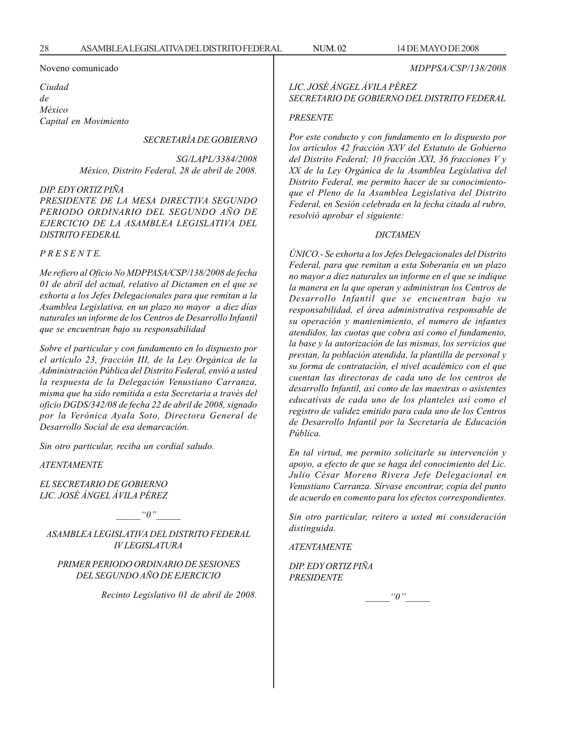*MDPPSA/CSP/138/2008*

#### Noveno comunicado

*Ciudad de México Capital en Movimiento*

*SECRETARÍA DE GOBIERNO*

*SG/LAPL/3384/2008 México, Distrito Federal, 28 de abril de 2008.*

#### *DIP. EDY ORTIZ PIÑA*

*PRESIDENTE DE LA MESA DIRECTIVA SEGUNDO PERIODO ORDINARIO DEL SEGUNDO AÑO DE EJERCICIO DE LA ASAMBLEA LEGISLATIVA DEL DISTRITO FEDERAL*

*P R E S E N T E.*

*Me refiero al Oficio No MDPPASA/CSP/138/2008 de fecha 01 de abril del actual, relativo al Dictamen en el que se exhorta a los Jefes Delegacionales para que remitan a la Asamblea Legislativa, en un plazo no mayor a diez días naturales un informe de los Centros de Desarrollo Infantil que se encuentran bajo su responsabilidad*

*Sobre el particular y con fundamento en lo dispuesto por el artículo 23, fracción III, de la Ley Orgánica de la Administración Pública del Distrito Federal, envió a usted la respuesta de la Delegación Venustiano Carranza, misma que ha sido remitida a esta Secretaria a través del oficio DGDS/342/08 de fecha 22 de abril de 2008, signado por la Verónica Ayala Soto, Directora General de Desarrollo Social de esa demarcación.*

*Sin otro particular, reciba un cordial saludo.*

*ATENTAMENTE*

*EL SECRETARIO DE GOBIERNO LIC. JOSÉ ÁNGEL ÁVILA PÉREZ*

 $"0"$ 

*ASAMBLEA LEGISLATIVA DEL DISTRITO FEDERAL IV LEGISLATURA*

#### *PRIMER PERIODO ORDINARIO DE SESIONES DEL SEGUNDO AÑO DE EJERCICIO*

*Recinto Legislativo 01 de abril de 2008.*

## *LIC. JOSÉ ÁNGEL ÁVILA PÉREZ SECRETARIO DE GOBIERNO DEL DISTRITO FEDERAL*

#### *PRESENTE*

*Por este conducto y con fundamento en lo dispuesto por los artículos 42 fracción XXV del Estatuto de Gobierno del Distrito Federal; 10 fracción XXI, 36 fracciones V y XX de la Ley Orgánica de la Asamblea Legislativa del Distrito Federal, me permito hacer de su conocimientoque el Pleno de la Asamblea Legislativa del Distrito Federal, en Sesión celebrada en la fecha citada al rubro, resolvió aprobar el siguiente:*

#### *DICTAMEN*

*ÚNICO.- Se exhorta a los Jefes Delegacionales del Distrito Federal, para que remitan a esta Soberanía en un plazo no mayor a diez naturales un informe en el que se indique la manera en la que operan y administran los Centros de Desarrollo Infantil que se encuentran bajo su responsabilidad, el área administrativa responsable de su operación y mantenimiento, el numero de infantes atendidos, las cuotas que cobra así como el fundamento, la base y la autorización de las mismas, los servicios que prestan, la población atendida, la plantilla de personal y su forma de contratación, el nivel académico con el que cuentan las directoras de cada uno de los centros de desarrollo Infantil, así como de las maestras o asistentes educativas de cada uno de los planteles así como el registro de validez emitido para cada uno de los Centros de Desarrollo Infantil por la Secretaría de Educación Pública.*

*En tal virtud, me permito solicitarle su intervención y apoyo, a efecto de que se haga del conocimiento del Lic. Julio César Moreno Rivera Jefe Delegacional en Venustiano Carranza. Sírvase encontrar, copia del punto de acuerdo en comento para los efectos correspondientes.*

*Sin otro particular, reitero a usted mi consideración distinguida.*

*ATENTAMENTE*

*DIP. EDY ORTIZ PIÑA PRESIDENTE*

 $\lq\lq0$ ''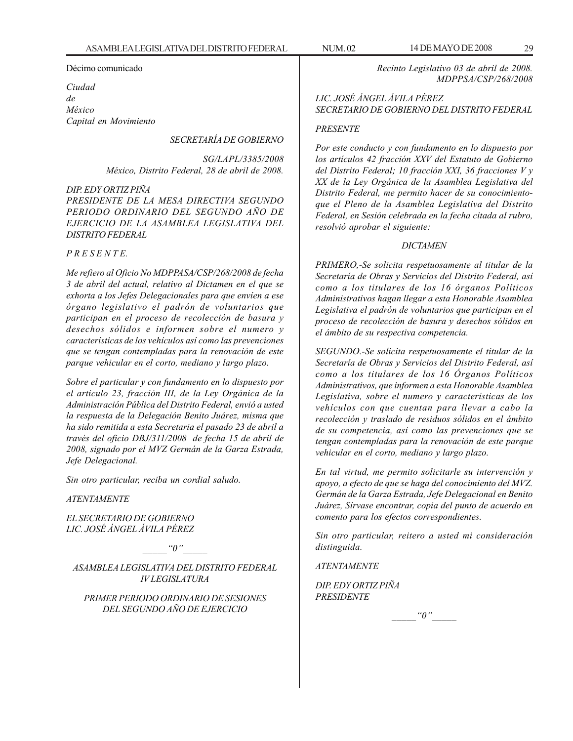Décimo comunicado

*Ciudad de México Capital en Movimiento*

#### *SECRETARÍA DE GOBIERNO*

*SG/LAPL/3385/2008 México, Distrito Federal, 28 de abril de 2008.*

#### *DIP. EDY ORTIZ PIÑA PRESIDENTE DE LA MESA DIRECTIVA SEGUNDO PERIODO ORDINARIO DEL SEGUNDO AÑO DE EJERCICIO DE LA ASAMBLEA LEGISLATIVA DEL DISTRITO FEDERAL*

#### *P R E S E N T E.*

*Me refiero al Oficio No MDPPASA/CSP/268/2008 de fecha 3 de abril del actual, relativo al Dictamen en el que se exhorta a los Jefes Delegacionales para que envíen a ese órgano legislativo el padrón de voluntarios que participan en el proceso de recolección de basura y desechos sólidos e informen sobre el numero y características de los vehículos así como las prevenciones que se tengan contempladas para la renovación de este parque vehicular en el corto, mediano y largo plazo.*

*Sobre el particular y con fundamento en lo dispuesto por el artículo 23, fracción III, de la Ley Orgánica de la Administración Pública del Distrito Federal, envió a usted la respuesta de la Delegación Benito Juárez, misma que ha sido remitida a esta Secretaria el pasado 23 de abril a través del oficio DBJ/311/2008 de fecha 15 de abril de 2008, signado por el MVZ Germán de la Garza Estrada, Jefe Delegacional.*

*Sin otro particular, reciba un cordial saludo.*

*ATENTAMENTE*

*EL SECRETARIO DE GOBIERNO LIC. JOSÉ ÁNGEL ÁVILA PÉREZ*

 $"0"$ 

*ASAMBLEA LEGISLATIVA DEL DISTRITO FEDERAL IV LEGISLATURA*

*PRIMER PERIODO ORDINARIO DE SESIONES DEL SEGUNDO AÑO DE EJERCICIO*

*Recinto Legislativo 03 de abril de 2008. MDPPSA/CSP/268/2008*

#### *LIC. JOSÉ ÁNGEL ÁVILA PÉREZ SECRETARIO DE GOBIERNO DEL DISTRITO FEDERAL*

#### *PRESENTE*

*Por este conducto y con fundamento en lo dispuesto por los artículos 42 fracción XXV del Estatuto de Gobierno del Distrito Federal; 10 fracción XXI, 36 fracciones V y XX de la Ley Orgánica de la Asamblea Legislativa del Distrito Federal, me permito hacer de su conocimientoque el Pleno de la Asamblea Legislativa del Distrito Federal, en Sesión celebrada en la fecha citada al rubro, resolvió aprobar el siguiente:*

#### *DICTAMEN*

*PRIMERO,-Se solicita respetuosamente al titular de la Secretaría de Obras y Servicios del Distrito Federal, así como a los titulares de los 16 órganos Políticos Administrativos hagan llegar a esta Honorable Asamblea Legislativa el padrón de voluntarios que participan en el proceso de recolección de basura y desechos sólidos en el ámbito de su respectiva competencia.*

*SEGUNDO.-Se solicita respetuosamente el titular de la Secretaría de Obras y Servicios del Distrito Federal, así como a los titulares de los 16 Órganos Políticos Administrativos, que informen a esta Honorable Asamblea Legislativa, sobre el numero y características de los vehículos con que cuentan para llevar a cabo la recolección y traslado de residuos sólidos en el ámbito de su competencia, así como las prevenciones que se tengan contempladas para la renovación de este parque vehicular en el corto, mediano y largo plazo.*

*En tal virtud, me permito solicitarle su intervención y apoyo, a efecto de que se haga del conocimiento del MVZ. Germán de la Garza Estrada, Jefe Delegacional en Benito Juárez, Sírvase encontrar, copia del punto de acuerdo en comento para los efectos correspondientes.*

*Sin otro particular, reitero a usted mi consideración distinguida.*

*ATENTAMENTE*

*DIP. EDY ORTIZ PIÑA PRESIDENTE*

 $"0"$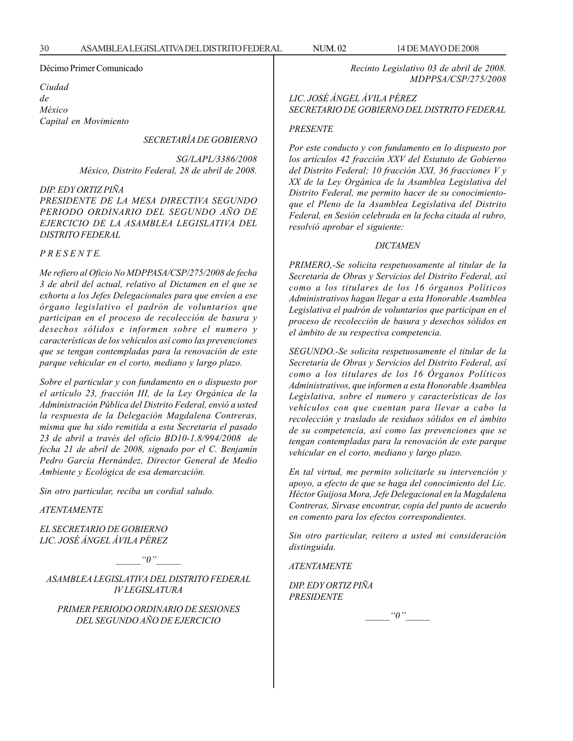#### Décimo Primer Comunicado

*Ciudad de México Capital en Movimiento*

*SECRETARÍA DE GOBIERNO*

*SG/LAPL/3386/2008 México, Distrito Federal, 28 de abril de 2008.*

#### *DIP. EDY ORTIZ PIÑA*

*PRESIDENTE DE LA MESA DIRECTIVA SEGUNDO PERIODO ORDINARIO DEL SEGUNDO AÑO DE EJERCICIO DE LA ASAMBLEA LEGISLATIVA DEL DISTRITO FEDERAL*

#### *P R E S E N T E.*

*Me refiero al Oficio No MDPPASA/CSP/275/2008 de fecha 3 de abril del actual, relativo al Dictamen en el que se exhorta a los Jefes Delegacionales para que envíen a ese órgano legislativo el padrón de voluntarios que participan en el proceso de recolección de basura y desechos sólidos e informen sobre el numero y características de los vehículos así como las prevenciones que se tengan contempladas para la renovación de este parque vehicular en el corto, mediano y largo plazo.*

*Sobre el particular y con fundamento en o dispuesto por el artículo 23, fracción III, de la Ley Orgánica de la Administración Pública del Distrito Federal, envió a usted la respuesta de la Delegación Magdalena Contreras, misma que ha sido remitida a esta Secretaria el pasado 23 de abril a través del oficio BD10-1.8/994/2008 de fecha 21 de abril de 2008, signado por el C. Benjamín Pedro García Hernández, Director General de Medio Ambiente y Ecológica de esa demarcación.*

*Sin otro particular, reciba un cordial saludo.*

*ATENTAMENTE*

*EL SECRETARIO DE GOBIERNO LIC. JOSÉ ÁNGEL ÁVILA PÉREZ*

 $"0"$ 

*ASAMBLEA LEGISLATIVA DEL DISTRITO FEDERAL IV LEGISLATURA*

*PRIMER PERIODO ORDINARIO DE SESIONES DEL SEGUNDO AÑO DE EJERCICIO*

*Recinto Legislativo 03 de abril de 2008. MDPPSA/CSP/275/2008*

*LIC. JOSÉ ÁNGEL ÁVILA PÉREZ SECRETARIO DE GOBIERNO DEL DISTRITO FEDERAL*

#### *PRESENTE*

*Por este conducto y con fundamento en lo dispuesto por los artículos 42 fracción XXV del Estatuto de Gobierno del Distrito Federal; 10 fracción XXI, 36 fracciones V y XX de la Ley Orgánica de la Asamblea Legislativa del Distrito Federal, me permito hacer de su conocimientoque el Pleno de la Asamblea Legislativa del Distrito Federal, en Sesión celebrada en la fecha citada al rubro, resolvió aprobar el siguiente:*

#### *DICTAMEN*

*PRIMERO,-Se solicita respetuosamente al titular de la Secretaría de Obras y Servicios del Distrito Federal, así como a los titulares de los 16 órganos Políticos Administrativos hagan llegar a esta Honorable Asamblea Legislativa el padrón de voluntarios que participan en el proceso de recolección de basura y desechos sólidos en el ámbito de su respectiva competencia.*

*SEGUNDO.-Se solicita respetuosamente el titular de la Secretaría de Obras y Servicios del Distrito Federal, así como a los titulares de los 16 Órganos Políticos Administrativos, que informen a esta Honorable Asamblea Legislativa, sobre el numero y características de los vehículos con que cuentan para llevar a cabo la recolección y traslado de residuos sólidos en el ámbito de su competencia, así como las prevenciones que se tengan contempladas para la renovación de este parque vehicular en el corto, mediano y largo plazo.*

*En tal virtud, me permito solicitarle su intervención y apoyo, a efecto de que se haga del conocimiento del Lic. Héctor Guijosa Mora, Jefe Delegacional en la Magdalena Contreras, Sírvase encontrar, copia del punto de acuerdo en comento para los efectos correspondientes.*

*Sin otro particular, reitero a usted mi consideración distinguida.*

*ATENTAMENTE*

*DIP. EDY ORTIZ PIÑA PRESIDENTE*

 $\lq\lq o''$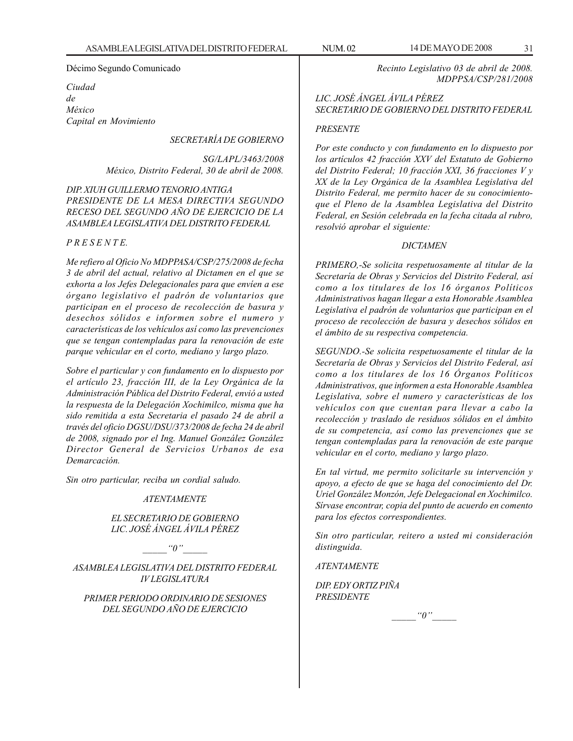*Ciudad de México Capital en Movimiento*

#### *SECRETARÍA DE GOBIERNO*

*SG/LAPL/3463/2008 México, Distrito Federal, 30 de abril de 2008.*

#### *DIP. XIUH GUILLERMO TENORIO ANTIGA PRESIDENTE DE LA MESA DIRECTIVA SEGUNDO RECESO DEL SEGUNDO AÑO DE EJERCICIO DE LA ASAMBLEA LEGISLATIVA DEL DISTRITO FEDERAL*

#### *P R E S E N T E.*

*Me refiero al Oficio No MDPPASA/CSP/275/2008 de fecha 3 de abril del actual, relativo al Dictamen en el que se exhorta a los Jefes Delegacionales para que envíen a ese órgano legislativo el padrón de voluntarios que participan en el proceso de recolección de basura y desechos sólidos e informen sobre el numero y características de los vehículos así como las prevenciones que se tengan contempladas para la renovación de este parque vehicular en el corto, mediano y largo plazo.*

*Sobre el particular y con fundamento en lo dispuesto por el artículo 23, fracción III, de la Ley Orgánica de la Administración Pública del Distrito Federal, envió a usted la respuesta de la Delegación Xochimilco, misma que ha sido remitida a esta Secretaria el pasado 24 de abril a través del oficio DGSU/DSU/373/2008 de fecha 24 de abril de 2008, signado por el Ing. Manuel González González Director General de Servicios Urbanos de esa Demarcación.*

*Sin otro particular, reciba un cordial saludo.*

#### *ATENTAMENTE*

#### *EL SECRETARIO DE GOBIERNO LIC. JOSÉ ÁNGEL ÁVILA PÉREZ*

 $"0"$ 

*ASAMBLEA LEGISLATIVA DEL DISTRITO FEDERAL IV LEGISLATURA*

*PRIMER PERIODO ORDINARIO DE SESIONES DEL SEGUNDO AÑO DE EJERCICIO*

*Recinto Legislativo 03 de abril de 2008. MDPPSA/CSP/281/2008*

#### *LIC. JOSÉ ÁNGEL ÁVILA PÉREZ SECRETARIO DE GOBIERNO DEL DISTRITO FEDERAL*

#### *PRESENTE*

*Por este conducto y con fundamento en lo dispuesto por los artículos 42 fracción XXV del Estatuto de Gobierno del Distrito Federal; 10 fracción XXI, 36 fracciones V y XX de la Ley Orgánica de la Asamblea Legislativa del Distrito Federal, me permito hacer de su conocimientoque el Pleno de la Asamblea Legislativa del Distrito Federal, en Sesión celebrada en la fecha citada al rubro, resolvió aprobar el siguiente:*

#### *DICTAMEN*

*PRIMERO,-Se solicita respetuosamente al titular de la Secretaría de Obras y Servicios del Distrito Federal, así como a los titulares de los 16 órganos Políticos Administrativos hagan llegar a esta Honorable Asamblea Legislativa el padrón de voluntarios que participan en el proceso de recolección de basura y desechos sólidos en el ámbito de su respectiva competencia.*

*SEGUNDO.-Se solicita respetuosamente el titular de la Secretaría de Obras y Servicios del Distrito Federal, así como a los titulares de los 16 Órganos Políticos Administrativos, que informen a esta Honorable Asamblea Legislativa, sobre el numero y características de los vehículos con que cuentan para llevar a cabo la recolección y traslado de residuos sólidos en el ámbito de su competencia, así como las prevenciones que se tengan contempladas para la renovación de este parque vehicular en el corto, mediano y largo plazo.*

*En tal virtud, me permito solicitarle su intervención y apoyo, a efecto de que se haga del conocimiento del Dr. Uriel González Monzón, Jefe Delegacional en Xochimilco. Sírvase encontrar, copia del punto de acuerdo en comento para los efectos correspondientes.*

*Sin otro particular, reitero a usted mi consideración distinguida.*

*ATENTAMENTE*

*DIP. EDY ORTIZ PIÑA PRESIDENTE*

 $"0"$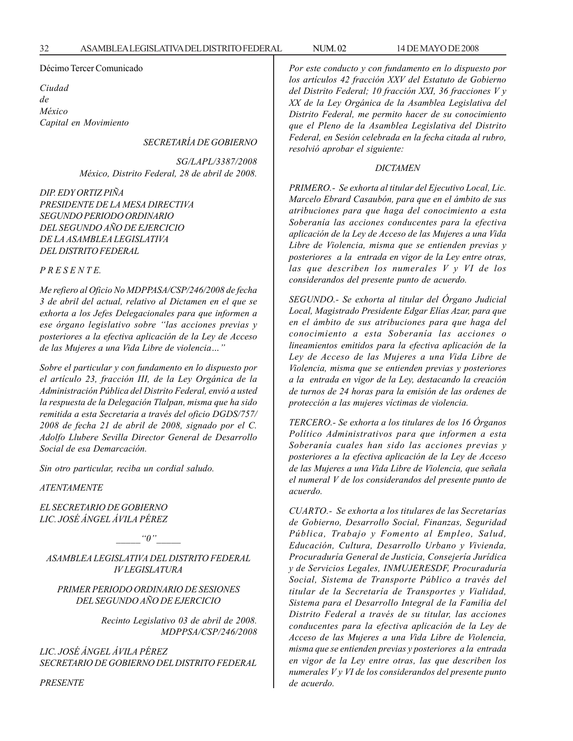#### Décimo Tercer Comunicado

*Ciudad de México Capital en Movimiento*

# *SECRETARÍA DE GOBIERNO*

*SG/LAPL/3387/2008 México, Distrito Federal, 28 de abril de 2008.*

*DIP. EDY ORTIZ PIÑA PRESIDENTE DE LA MESA DIRECTIVA SEGUNDO PERIODO ORDINARIO DEL SEGUNDO AÑO DE EJERCICIO DE LA ASAMBLEA LEGISLATIVA DEL DISTRITO FEDERAL*

#### *P R E S E N T E.*

*Me refiero al Oficio No MDPPASA/CSP/246/2008 de fecha 3 de abril del actual, relativo al Dictamen en el que se exhorta a los Jefes Delegacionales para que informen a ese órgano legislativo sobre ''las acciones previas y posteriores a la efectiva aplicación de la Ley de Acceso de las Mujeres a una Vida Libre de violencia…''*

*Sobre el particular y con fundamento en lo dispuesto por el artículo 23, fracción III, de la Ley Orgánica de la Administración Pública del Distrito Federal, envió a usted la respuesta de la Delegación Tlalpan, misma que ha sido remitida a esta Secretaria a través del oficio DGDS/757/ 2008 de fecha 21 de abril de 2008, signado por el C. Adolfo Llubere Sevilla Director General de Desarrollo Social de esa Demarcación.*

*Sin otro particular, reciba un cordial saludo.*

*ATENTAMENTE*

*EL SECRETARIO DE GOBIERNO LIC. JOSÉ ÁNGEL ÁVILA PÉREZ*

 $"0"$ 

*ASAMBLEA LEGISLATIVA DEL DISTRITO FEDERAL IV LEGISLATURA*

*PRIMER PERIODO ORDINARIO DE SESIONES DEL SEGUNDO AÑO DE EJERCICIO*

> *Recinto Legislativo 03 de abril de 2008. MDPPSA/CSP/246/2008*

*LIC. JOSÉ ÁNGEL ÁVILA PÉREZ SECRETARIO DE GOBIERNO DEL DISTRITO FEDERAL* *Por este conducto y con fundamento en lo dispuesto por los artículos 42 fracción XXV del Estatuto de Gobierno del Distrito Federal; 10 fracción XXI, 36 fracciones V y XX de la Ley Orgánica de la Asamblea Legislativa del Distrito Federal, me permito hacer de su conocimiento que el Pleno de la Asamblea Legislativa del Distrito Federal, en Sesión celebrada en la fecha citada al rubro, resolvió aprobar el siguiente:*

#### *DICTAMEN*

*PRIMERO.- Se exhorta al titular del Ejecutivo Local, Lic. Marcelo Ebrard Casaubón, para que en el ámbito de sus atribuciones para que haga del conocimiento a esta Soberanía las acciones conducentes para la efectiva aplicación de la Ley de Acceso de las Mujeres a una Vida Libre de Violencia, misma que se entienden previas y posteriores a la entrada en vigor de la Ley entre otras, las que describen los numerales V y VI de los considerandos del presente punto de acuerdo.*

*SEGUNDO.- Se exhorta al titular del Órgano Judicial Local, Magistrado Presidente Edgar Elías Azar, para que en el ámbito de sus atribuciones para que haga del conocimiento a esta Soberanía las acciones o lineamientos emitidos para la efectiva aplicación de la Ley de Acceso de las Mujeres a una Vida Libre de Violencia, misma que se entienden previas y posteriores a la entrada en vigor de la Ley, destacando la creación de turnos de 24 horas para la emisión de las ordenes de protección a las mujeres víctimas de violencia.*

*TERCERO.- Se exhorta a los titulares de los 16 Órganos Político Administrativos para que informen a esta Soberanía cuales han sido las acciones previas y posteriores a la efectiva aplicación de la Ley de Acceso de las Mujeres a una Vida Libre de Violencia, que señala el numeral V de los considerandos del presente punto de acuerdo.*

*CUARTO.- Se exhorta a los titulares de las Secretarías de Gobierno, Desarrollo Social, Finanzas, Seguridad Pública, Trabajo y Fomento al Empleo, Salud, Educación, Cultura, Desarrollo Urbano y Vivienda, Procuraduría General de Justicia, Consejería Jurídica y de Servicios Legales, INMUJERESDF, Procuraduría Social, Sistema de Transporte Público a través del titular de la Secretaría de Transportes y Vialidad, Sistema para el Desarrollo Integral de la Familia del Distrito Federal a través de su titular, las acciones conducentes para la efectiva aplicación de la Ley de Acceso de las Mujeres a una Vida Libre de Violencia, misma que se entienden previas y posteriores a la entrada en vigor de la Ley entre otras, las que describen los numerales V y VI de los considerandos del presente punto de acuerdo.*

*PRESENTE*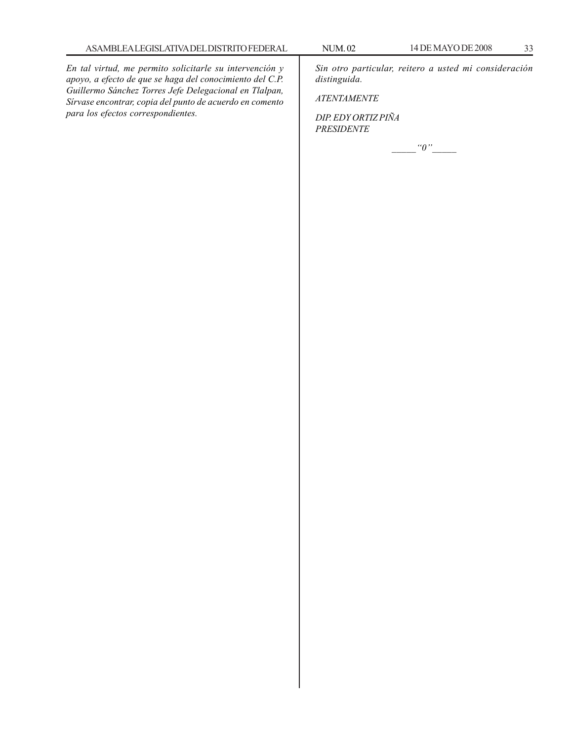*En tal virtud, me permito solicitarle su intervención y apoyo, a efecto de que se haga del conocimiento del C.P. Guillermo Sánchez Torres Jefe Delegacional en Tlalpan, Sírvase encontrar, copia del punto de acuerdo en comento para los efectos correspondientes.*

*Sin otro particular, reitero a usted mi consideración distinguida.*

*ATENTAMENTE*

*DIP. EDY ORTIZ PIÑA PRESIDENTE*

*\_\_\_\_\_''0''\_\_\_\_\_*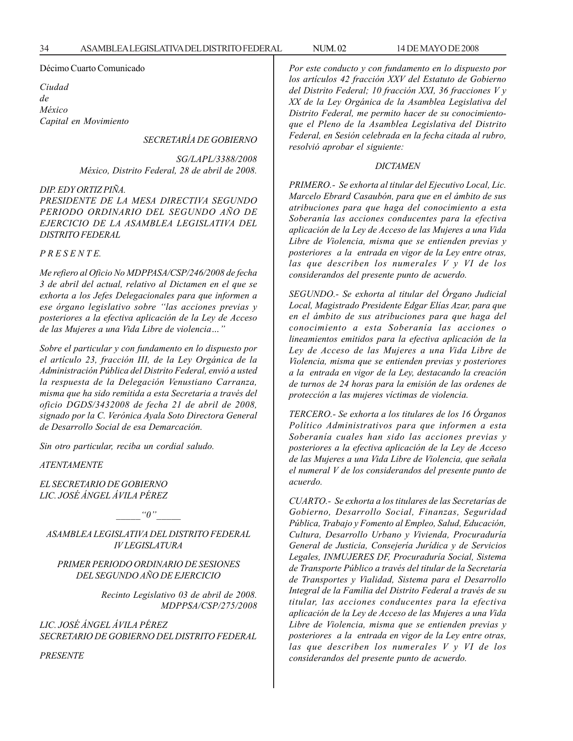#### Décimo Cuarto Comunicado

*Ciudad de México Capital en Movimiento*

*SECRETARÍA DE GOBIERNO*

*SG/LAPL/3388/2008 México, Distrito Federal, 28 de abril de 2008.*

#### *DIP. EDY ORTIZ PIÑA.*

*PRESIDENTE DE LA MESA DIRECTIVA SEGUNDO PERIODO ORDINARIO DEL SEGUNDO AÑO DE EJERCICIO DE LA ASAMBLEA LEGISLATIVA DEL DISTRITO FEDERAL*

#### *P R E S E N T E.*

*Me refiero al Oficio No MDPPASA/CSP/246/2008 de fecha 3 de abril del actual, relativo al Dictamen en el que se exhorta a los Jefes Delegacionales para que informen a ese órgano legislativo sobre ''las acciones previas y posteriores a la efectiva aplicación de la Ley de Acceso de las Mujeres a una Vida Libre de violencia…''*

*Sobre el particular y con fundamento en lo dispuesto por el artículo 23, fracción III, de la Ley Orgánica de la Administración Pública del Distrito Federal, envió a usted la respuesta de la Delegación Venustiano Carranza, misma que ha sido remitida a esta Secretaria a través del oficio DGDS/3432008 de fecha 21 de abril de 2008, signado por la C. Verónica Ayala Soto Directora General de Desarrollo Social de esa Demarcación.*

*Sin otro particular, reciba un cordial saludo.*

*ATENTAMENTE*

*EL SECRETARIO DE GOBIERNO LIC. JOSÉ ÁNGEL ÁVILA PÉREZ*

 $"0"$ 

*ASAMBLEA LEGISLATIVA DEL DISTRITO FEDERAL IV LEGISLATURA*

*PRIMER PERIODO ORDINARIO DE SESIONES DEL SEGUNDO AÑO DE EJERCICIO*

> *Recinto Legislativo 03 de abril de 2008. MDPPSA/CSP/275/2008*

*LIC. JOSÉ ÁNGEL ÁVILA PÉREZ SECRETARIO DE GOBIERNO DEL DISTRITO FEDERAL*

*PRESENTE*

*Por este conducto y con fundamento en lo dispuesto por los artículos 42 fracción XXV del Estatuto de Gobierno del Distrito Federal; 10 fracción XXI, 36 fracciones V y XX de la Ley Orgánica de la Asamblea Legislativa del Distrito Federal, me permito hacer de su conocimientoque el Pleno de la Asamblea Legislativa del Distrito Federal, en Sesión celebrada en la fecha citada al rubro, resolvió aprobar el siguiente:*

#### *DICTAMEN*

*PRIMERO.- Se exhorta al titular del Ejecutivo Local, Lic. Marcelo Ebrard Casaubón, para que en el ámbito de sus atribuciones para que haga del conocimiento a esta Soberanía las acciones conducentes para la efectiva aplicación de la Ley de Acceso de las Mujeres a una Vida Libre de Violencia, misma que se entienden previas y posteriores a la entrada en vigor de la Ley entre otras, las que describen los numerales V y VI de los considerandos del presente punto de acuerdo.*

*SEGUNDO.- Se exhorta al titular del Órgano Judicial Local, Magistrado Presidente Edgar Elías Azar, para que en el ámbito de sus atribuciones para que haga del conocimiento a esta Soberanía las acciones o lineamientos emitidos para la efectiva aplicación de la Ley de Acceso de las Mujeres a una Vida Libre de Violencia, misma que se entienden previas y posteriores a la entrada en vigor de la Ley, destacando la creación de turnos de 24 horas para la emisión de las ordenes de protección a las mujeres víctimas de violencia.*

*TERCERO.- Se exhorta a los titulares de los 16 Órganos Político Administrativos para que informen a esta Soberanía cuales han sido las acciones previas y posteriores a la efectiva aplicación de la Ley de Acceso de las Mujeres a una Vida Libre de Violencia, que señala el numeral V de los considerandos del presente punto de acuerdo.*

*CUARTO.- Se exhorta a los titulares de las Secretarías de Gobierno, Desarrollo Social, Finanzas, Seguridad Pública, Trabajo y Fomento al Empleo, Salud, Educación, Cultura, Desarrollo Urbano y Vivienda, Procuraduría General de Justicia, Consejería Jurídica y de Servicios Legales, INMUJERES DF, Procuraduría Social, Sistema de Transporte Público a través del titular de la Secretaría de Transportes y Vialidad, Sistema para el Desarrollo Integral de la Familia del Distrito Federal a través de su titular, las acciones conducentes para la efectiva aplicación de la Ley de Acceso de las Mujeres a una Vida Libre de Violencia, misma que se entienden previas y posteriores a la entrada en vigor de la Ley entre otras, las que describen los numerales V y VI de los considerandos del presente punto de acuerdo.*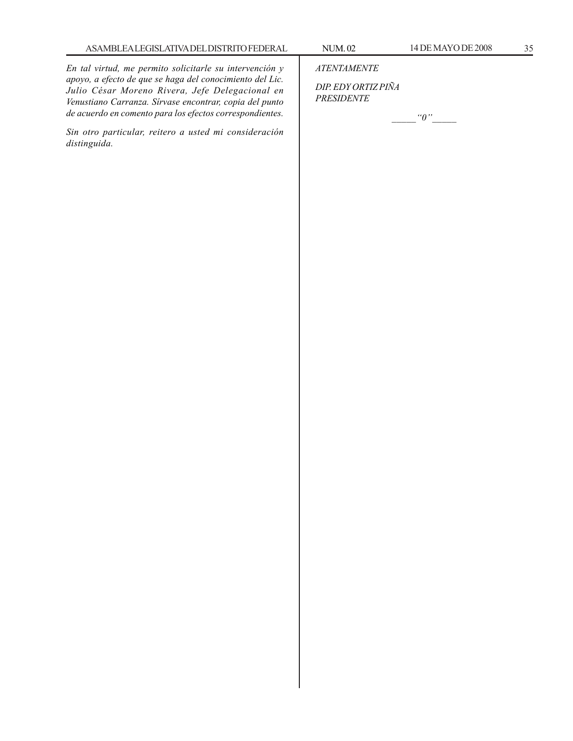*En tal virtud, me permito solicitarle su intervención y apoyo, a efecto de que se haga del conocimiento del Lic. Julio César Moreno Rivera, Jefe Delegacional en Venustiano Carranza. Sírvase encontrar, copia del punto*

*Sin otro particular, reitero a usted mi consideración distinguida.*

*de acuerdo en comento para los efectos correspondientes.*

*ATENTAMENTE*

*DIP. EDY ORTIZ PIÑA PRESIDENTE*

*\_\_\_\_\_''0''\_\_\_\_\_*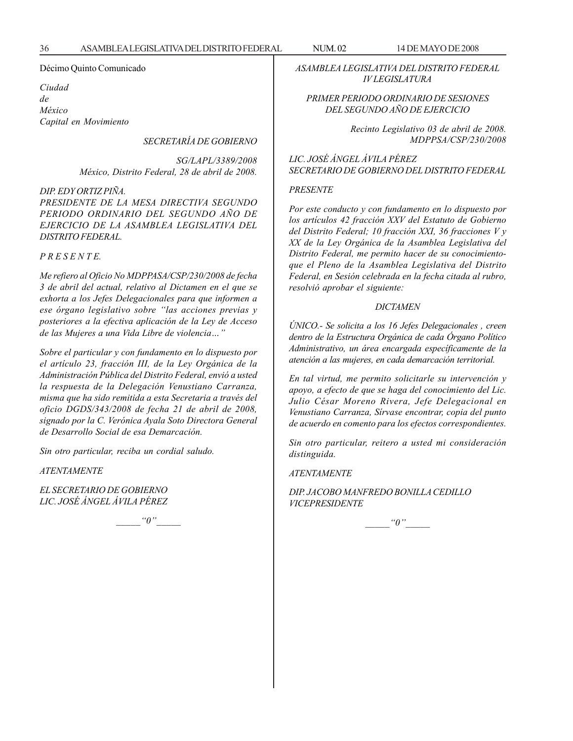Décimo Quinto Comunicado

*Ciudad de México Capital en Movimiento*

*SECRETARÍA DE GOBIERNO*

*SG/LAPL/3389/2008 México, Distrito Federal, 28 de abril de 2008.*

*DIP. EDY ORTIZ PIÑA.*

*PRESIDENTE DE LA MESA DIRECTIVA SEGUNDO PERIODO ORDINARIO DEL SEGUNDO AÑO DE EJERCICIO DE LA ASAMBLEA LEGISLATIVA DEL DISTRITO FEDERAL.*

*P R E S E N T E.*

*Me refiero al Oficio No MDPPASA/CSP/230/2008 de fecha 3 de abril del actual, relativo al Dictamen en el que se exhorta a los Jefes Delegacionales para que informen a ese órgano legislativo sobre ''las acciones previas y posteriores a la efectiva aplicación de la Ley de Acceso de las Mujeres a una Vida Libre de violencia…''*

*Sobre el particular y con fundamento en lo dispuesto por el artículo 23, fracción III, de la Ley Orgánica de la Administración Pública del Distrito Federal, envió a usted la respuesta de la Delegación Venustiano Carranza, misma que ha sido remitida a esta Secretaria a través del oficio DGDS/343/2008 de fecha 21 de abril de 2008, signado por la C. Verónica Ayala Soto Directora General de Desarrollo Social de esa Demarcación.*

*Sin otro particular, reciba un cordial saludo.*

*ATENTAMENTE*

*EL SECRETARIO DE GOBIERNO LIC. JOSÉ ÁNGEL ÁVILA PÉREZ*

 $^{\prime\prime}0$  ''

*ASAMBLEA LEGISLATIVA DEL DISTRITO FEDERAL IV LEGISLATURA*

#### *PRIMER PERIODO ORDINARIO DE SESIONES DEL SEGUNDO AÑO DE EJERCICIO*

*Recinto Legislativo 03 de abril de 2008. MDPPSA/CSP/230/2008*

*LIC. JOSÉ ÁNGEL ÁVILA PÉREZ SECRETARIO DE GOBIERNO DEL DISTRITO FEDERAL*

#### *PRESENTE*

*Por este conducto y con fundamento en lo dispuesto por los artículos 42 fracción XXV del Estatuto de Gobierno del Distrito Federal; 10 fracción XXI, 36 fracciones V y XX de la Ley Orgánica de la Asamblea Legislativa del Distrito Federal, me permito hacer de su conocimientoque el Pleno de la Asamblea Legislativa del Distrito Federal, en Sesión celebrada en la fecha citada al rubro, resolvió aprobar el siguiente:*

#### *DICTAMEN*

*ÚNICO.- Se solicita a los 16 Jefes Delegacionales , creen dentro de la Estructura Orgánica de cada Órgano Político Administrativo, un área encargada específicamente de la atención a las mujeres, en cada demarcación territorial.*

*En tal virtud, me permito solicitarle su intervención y apoyo, a efecto de que se haga del conocimiento del Lic. Julio César Moreno Rivera, Jefe Delegacional en Venustiano Carranza, Sírvase encontrar, copia del punto de acuerdo en comento para los efectos correspondientes.*

*Sin otro particular, reitero a usted mi consideración distinguida.*

*ATENTAMENTE*

*DIP. JACOBO MANFREDO BONILLA CEDILLO VICEPRESIDENTE*

 $\lq q''$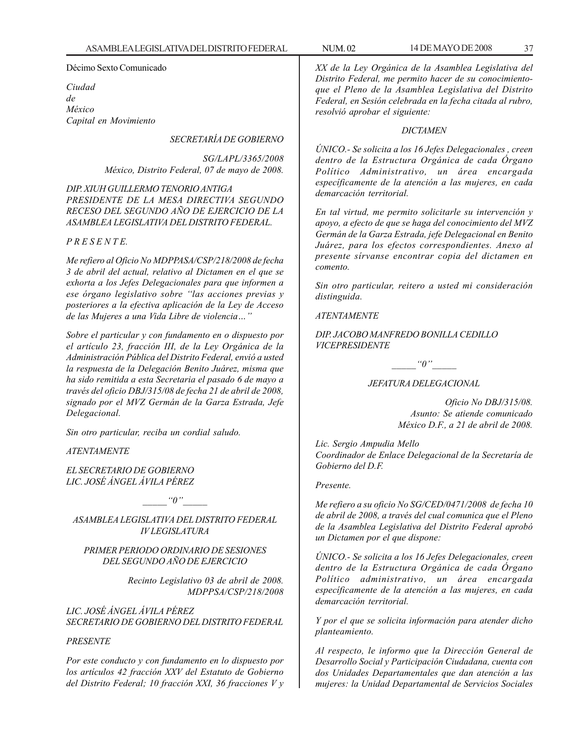Décimo Sexto Comunicado

*Ciudad de México Capital en Movimiento*

## *SECRETARÍA DE GOBIERNO*

*SG/LAPL/3365/2008 México, Distrito Federal, 07 de mayo de 2008.*

*DIP. XIUH GUILLERMO TENORIO ANTIGA PRESIDENTE DE LA MESA DIRECTIVA SEGUNDO RECESO DEL SEGUNDO AÑO DE EJERCICIO DE LA ASAMBLEA LEGISLATIVA DEL DISTRITO FEDERAL.*

### *P R E S E N T E.*

*Me refiero al Oficio No MDPPASA/CSP/218/2008 de fecha 3 de abril del actual, relativo al Dictamen en el que se exhorta a los Jefes Delegacionales para que informen a ese órgano legislativo sobre ''las acciones previas y posteriores a la efectiva aplicación de la Ley de Acceso de las Mujeres a una Vida Libre de violencia…''*

*Sobre el particular y con fundamento en o dispuesto por el artículo 23, fracción III, de la Ley Orgánica de la Administración Pública del Distrito Federal, envió a usted la respuesta de la Delegación Benito Juárez, misma que ha sido remitida a esta Secretaria el pasado 6 de mayo a través del oficio DBJ/315/08 de fecha 21 de abril de 2008, signado por el MVZ Germán de la Garza Estrada, Jefe Delegacional.*

*Sin otro particular, reciba un cordial saludo.*

*ATENTAMENTE*

*EL SECRETARIO DE GOBIERNO LIC. JOSÉ ÁNGEL ÁVILA PÉREZ*

 $^{\alpha}0$ <sup>"'</sup>

*ASAMBLEA LEGISLATIVA DEL DISTRITO FEDERAL IV LEGISLATURA*

### *PRIMER PERIODO ORDINARIO DE SESIONES DEL SEGUNDO AÑO DE EJERCICIO*

*Recinto Legislativo 03 de abril de 2008. MDPPSA/CSP/218/2008*

*LIC. JOSÉ ÁNGEL ÁVILA PÉREZ SECRETARIO DE GOBIERNO DEL DISTRITO FEDERAL*

#### *PRESENTE*

*Por este conducto y con fundamento en lo dispuesto por los artículos 42 fracción XXV del Estatuto de Gobierno del Distrito Federal; 10 fracción XXI, 36 fracciones V y* *XX de la Ley Orgánica de la Asamblea Legislativa del Distrito Federal, me permito hacer de su conocimientoque el Pleno de la Asamblea Legislativa del Distrito Federal, en Sesión celebrada en la fecha citada al rubro, resolvió aprobar el siguiente:*

#### *DICTAMEN*

*ÚNICO.- Se solicita a los 16 Jefes Delegacionales , creen dentro de la Estructura Orgánica de cada Órgano Político Administrativo, un área encargada específicamente de la atención a las mujeres, en cada demarcación territorial.*

*En tal virtud, me permito solicitarle su intervención y apoyo, a efecto de que se haga del conocimiento del MVZ Germán de la Garza Estrada, jefe Delegacional en Benito Juárez, para los efectos correspondientes. Anexo al presente sírvanse encontrar copia del dictamen en comento.*

*Sin otro particular, reitero a usted mi consideración distinguida.*

#### *ATENTAMENTE*

*DIP. JACOBO MANFREDO BONILLA CEDILLO VICEPRESIDENTE*

 $"0"$ 

#### *JEFATURA DELEGACIONAL*

*Oficio No DBJ/315/08. Asunto: Se atiende comunicado México D.F., a 21 de abril de 2008.*

*Lic. Sergio Ampudia Mello Coordinador de Enlace Delegacional de la Secretaría de Gobierno del D.F.*

### *Presente.*

*Me refiero a su oficio No SG/CED/0471/2008 de fecha 10 de abril de 2008, a través del cual comunica que el Pleno de la Asamblea Legislativa del Distrito Federal aprobó un Dictamen por el que dispone:*

*ÚNICO.- Se solicita a los 16 Jefes Delegacionales, creen dentro de la Estructura Orgánica de cada Órgano Político administrativo, un área encargada específicamente de la atención a las mujeres, en cada demarcación territorial.*

*Y por el que se solicita información para atender dicho planteamiento.*

*Al respecto, le informo que la Dirección General de Desarrollo Social y Participación Ciudadana, cuenta con dos Unidades Departamentales que dan atención a las mujeres: la Unidad Departamental de Servicios Sociales*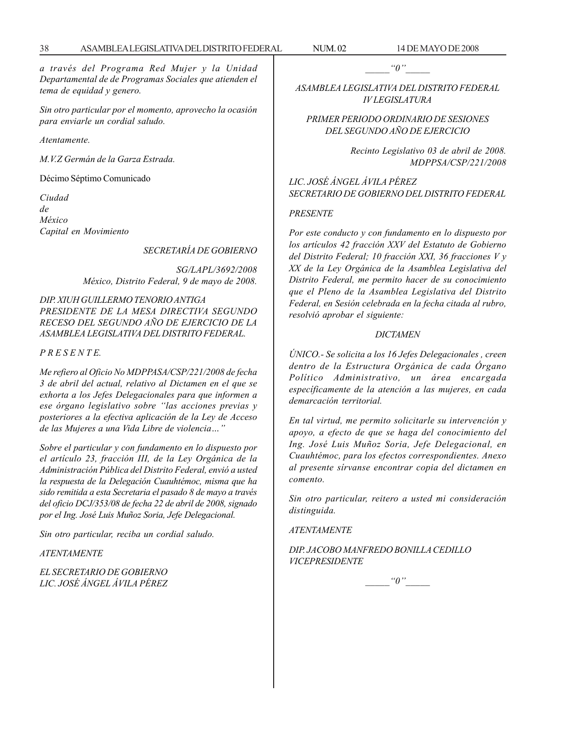*a través del Programa Red Mujer y la Unidad Departamental de de Programas Sociales que atienden el tema de equidad y genero.*

*Sin otro particular por el momento, aprovecho la ocasión para enviarle un cordial saludo.*

*Atentamente.*

*M.V.Z Germán de la Garza Estrada.*

Décimo Séptimo Comunicado

*Ciudad de México Capital en Movimiento*

*SECRETARÍA DE GOBIERNO*

*SG/LAPL/3692/2008 México, Distrito Federal, 9 de mayo de 2008.*

*DIP. XIUH GUILLERMO TENORIO ANTIGA PRESIDENTE DE LA MESA DIRECTIVA SEGUNDO RECESO DEL SEGUNDO AÑO DE EJERCICIO DE LA ASAMBLEA LEGISLATIVA DEL DISTRITO FEDERAL.*

*P R E S E N T E.*

*Me refiero al Oficio No MDPPASA/CSP/221/2008 de fecha 3 de abril del actual, relativo al Dictamen en el que se exhorta a los Jefes Delegacionales para que informen a ese órgano legislativo sobre ''las acciones previas y posteriores a la efectiva aplicación de la Ley de Acceso de las Mujeres a una Vida Libre de violencia…''*

*Sobre el particular y con fundamento en lo dispuesto por el artículo 23, fracción III, de la Ley Orgánica de la Administración Pública del Distrito Federal, envió a usted la respuesta de la Delegación Cuauhtémoc, misma que ha sido remitida a esta Secretaria el pasado 8 de mayo a través del oficio DCJ/353/08 de fecha 22 de abril de 2008, signado por el Ing. José Luis Muñoz Soria, Jefe Delegacional.*

*Sin otro particular, reciba un cordial saludo.*

### *ATENTAMENTE*

*EL SECRETARIO DE GOBIERNO LIC. JOSÉ ÁNGEL ÁVILA PÉREZ*  $"0"$ 

*ASAMBLEA LEGISLATIVA DEL DISTRITO FEDERAL IV LEGISLATURA*

*PRIMER PERIODO ORDINARIO DE SESIONES DEL SEGUNDO AÑO DE EJERCICIO*

> *Recinto Legislativo 03 de abril de 2008. MDPPSA/CSP/221/2008*

*LIC. JOSÉ ÁNGEL ÁVILA PÉREZ SECRETARIO DE GOBIERNO DEL DISTRITO FEDERAL*

#### *PRESENTE*

*Por este conducto y con fundamento en lo dispuesto por los artículos 42 fracción XXV del Estatuto de Gobierno del Distrito Federal; 10 fracción XXI, 36 fracciones V y XX de la Ley Orgánica de la Asamblea Legislativa del Distrito Federal, me permito hacer de su conocimiento que el Pleno de la Asamblea Legislativa del Distrito Federal, en Sesión celebrada en la fecha citada al rubro, resolvió aprobar el siguiente:*

## *DICTAMEN*

*ÚNICO.- Se solicita a los 16 Jefes Delegacionales , creen dentro de la Estructura Orgánica de cada Órgano Político Administrativo, un área encargada específicamente de la atención a las mujeres, en cada demarcación territorial.*

*En tal virtud, me permito solicitarle su intervención y apoyo, a efecto de que se haga del conocimiento del Ing. José Luis Muñoz Soria, Jefe Delegacional, en Cuauhtémoc, para los efectos correspondientes. Anexo al presente sírvanse encontrar copia del dictamen en comento.*

*Sin otro particular, reitero a usted mi consideración distinguida.*

*ATENTAMENTE*

*DIP. JACOBO MANFREDO BONILLA CEDILLO VICEPRESIDENTE*

 $"0"$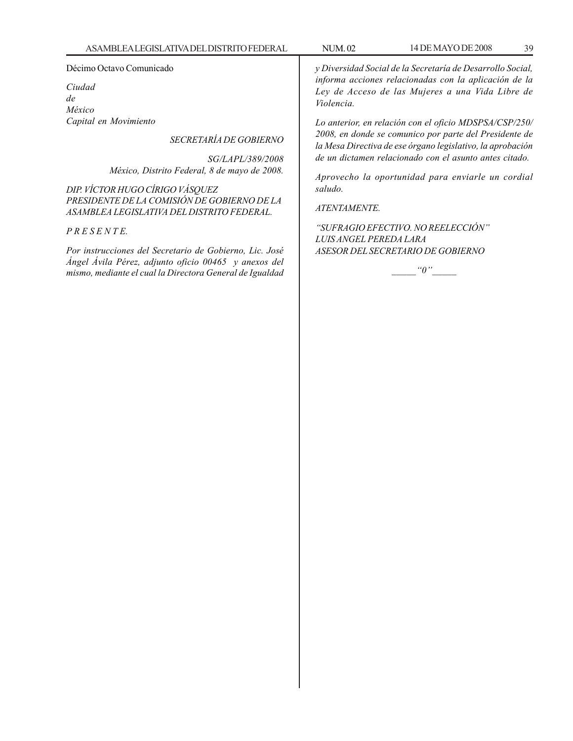### Décimo Octavo Comunicado

*Ciudad de México Capital en Movimiento*

## *SECRETARÍA DE GOBIERNO*

*SG/LAPL/389/2008 México, Distrito Federal, 8 de mayo de 2008.*

*DIP. VÍCTOR HUGO CÍRIGO VÁSQUEZ PRESIDENTE DE LA COMISIÓN DE GOBIERNO DE LA ASAMBLEA LEGISLATIVA DEL DISTRITO FEDERAL.*

## *P R E S E N T E.*

*Por instrucciones del Secretario de Gobierno, Lic. José Ángel Ávila Pérez, adjunto oficio 00465 y anexos del mismo, mediante el cual la Directora General de Igualdad* *y Diversidad Social de la Secretaría de Desarrollo Social, informa acciones relacionadas con la aplicación de la Ley de Acceso de las Mujeres a una Vida Libre de Violencia.*

*Lo anterior, en relación con el oficio MDSPSA/CSP/250/ 2008, en donde se comunico por parte del Presidente de la Mesa Directiva de ese órgano legislativo, la aprobación de un dictamen relacionado con el asunto antes citado.*

*Aprovecho la oportunidad para enviarle un cordial saludo.*

## *ATENTAMENTE.*

*''SUFRAGIO EFECTIVO. NO REELECCIÓN'' LUIS ANGEL PEREDA LARA ASESOR DEL SECRETARIO DE GOBIERNO*

 $"0"$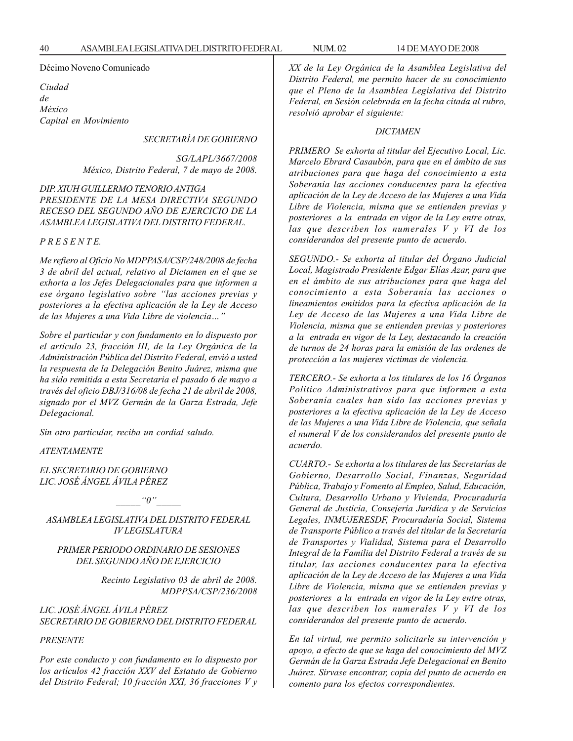### Décimo Noveno Comunicado

*Ciudad de México Capital en Movimiento*

*SECRETARÍA DE GOBIERNO*

*SG/LAPL/3667/2008 México, Distrito Federal, 7 de mayo de 2008.*

*DIP. XIUH GUILLERMO TENORIO ANTIGA PRESIDENTE DE LA MESA DIRECTIVA SEGUNDO RECESO DEL SEGUNDO AÑO DE EJERCICIO DE LA ASAMBLEA LEGISLATIVA DEL DISTRITO FEDERAL.*

*P R E S E N T E.*

*Me refiero al Oficio No MDPPASA/CSP/248/2008 de fecha 3 de abril del actual, relativo al Dictamen en el que se exhorta a los Jefes Delegacionales para que informen a ese órgano legislativo sobre ''las acciones previas y posteriores a la efectiva aplicación de la Ley de Acceso de las Mujeres a una Vida Libre de violencia…''*

*Sobre el particular y con fundamento en lo dispuesto por el artículo 23, fracción III, de la Ley Orgánica de la Administración Pública del Distrito Federal, envió a usted la respuesta de la Delegación Benito Juárez, misma que ha sido remitida a esta Secretaria el pasado 6 de mayo a través del oficio DBJ/316/08 de fecha 21 de abril de 2008, signado por el MVZ Germán de la Garza Estrada, Jefe Delegacional.*

*Sin otro particular, reciba un cordial saludo.*

### *ATENTAMENTE*

*EL SECRETARIO DE GOBIERNO LIC. JOSÉ ÁNGEL ÁVILA PÉREZ*

 $^{\prime\prime}0$  ''

*ASAMBLEA LEGISLATIVA DEL DISTRITO FEDERAL IV LEGISLATURA*

## *PRIMER PERIODO ORDINARIO DE SESIONES DEL SEGUNDO AÑO DE EJERCICIO*

*Recinto Legislativo 03 de abril de 2008. MDPPSA/CSP/236/2008*

*LIC. JOSÉ ÁNGEL ÁVILA PÉREZ SECRETARIO DE GOBIERNO DEL DISTRITO FEDERAL*

#### *PRESENTE*

*Por este conducto y con fundamento en lo dispuesto por los artículos 42 fracción XXV del Estatuto de Gobierno del Distrito Federal; 10 fracción XXI, 36 fracciones V y* *XX de la Ley Orgánica de la Asamblea Legislativa del Distrito Federal, me permito hacer de su conocimiento que el Pleno de la Asamblea Legislativa del Distrito Federal, en Sesión celebrada en la fecha citada al rubro, resolvió aprobar el siguiente:*

#### *DICTAMEN*

*PRIMERO Se exhorta al titular del Ejecutivo Local, Lic. Marcelo Ebrard Casaubón, para que en el ámbito de sus atribuciones para que haga del conocimiento a esta Soberanía las acciones conducentes para la efectiva aplicación de la Ley de Acceso de las Mujeres a una Vida Libre de Violencia, misma que se entienden previas y posteriores a la entrada en vigor de la Ley entre otras, las que describen los numerales V y VI de los considerandos del presente punto de acuerdo.*

*SEGUNDO.- Se exhorta al titular del Órgano Judicial Local, Magistrado Presidente Edgar Elías Azar, para que en el ámbito de sus atribuciones para que haga del conocimiento a esta Soberanía las acciones o lineamientos emitidos para la efectiva aplicación de la Ley de Acceso de las Mujeres a una Vida Libre de Violencia, misma que se entienden previas y posteriores a la entrada en vigor de la Ley, destacando la creación de turnos de 24 horas para la emisión de las ordenes de protección a las mujeres víctimas de violencia.*

*TERCERO.- Se exhorta a los titulares de los 16 Órganos Político Administrativos para que informen a esta Soberanía cuales han sido las acciones previas y posteriores a la efectiva aplicación de la Ley de Acceso de las Mujeres a una Vida Libre de Violencia, que señala el numeral V de los considerandos del presente punto de acuerdo.*

*CUARTO.- Se exhorta a los titulares de las Secretarías de Gobierno, Desarrollo Social, Finanzas, Seguridad Pública, Trabajo y Fomento al Empleo, Salud, Educación, Cultura, Desarrollo Urbano y Vivienda, Procuraduría General de Justicia, Consejería Jurídica y de Servicios Legales, INMUJERESDF, Procuraduría Social, Sistema de Transporte Público a través del titular de la Secretaría de Transportes y Vialidad, Sistema para el Desarrollo Integral de la Familia del Distrito Federal a través de su titular, las acciones conducentes para la efectiva aplicación de la Ley de Acceso de las Mujeres a una Vida Libre de Violencia, misma que se entienden previas y posteriores a la entrada en vigor de la Ley entre otras, las que describen los numerales V y VI de los considerandos del presente punto de acuerdo.*

*En tal virtud, me permito solicitarle su intervención y apoyo, a efecto de que se haga del conocimiento del MVZ Germán de la Garza Estrada Jefe Delegacional en Benito Juárez. Sírvase encontrar, copia del punto de acuerdo en comento para los efectos correspondientes.*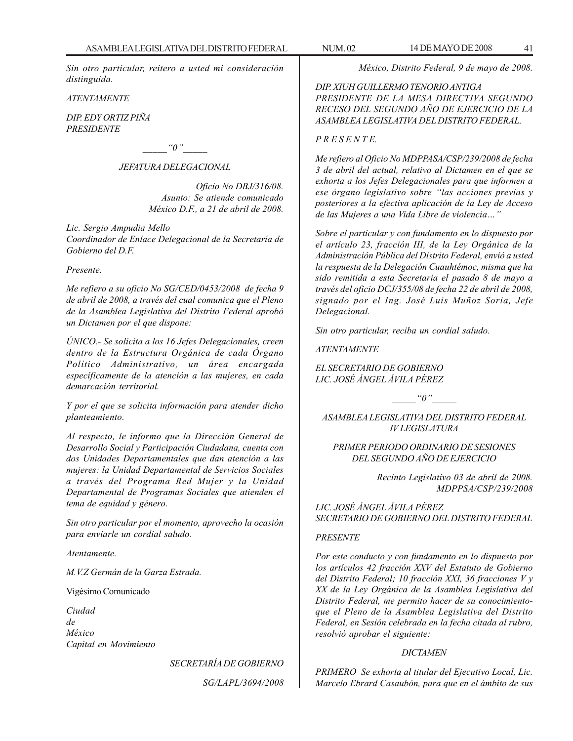*Sin otro particular, reitero a usted mi consideración distinguida.*

*ATENTAMENTE*

*DIP. EDY ORTIZ PIÑA PRESIDENTE*

 $"0"$ 

## *JEFATURA DELEGACIONAL*

*Oficio No DBJ/316/08. Asunto: Se atiende comunicado México D.F., a 21 de abril de 2008.*

*Lic. Sergio Ampudia Mello*

*Coordinador de Enlace Delegacional de la Secretaría de Gobierno del D.F.*

### *Presente.*

*Me refiero a su oficio No SG/CED/0453/2008 de fecha 9 de abril de 2008, a través del cual comunica que el Pleno de la Asamblea Legislativa del Distrito Federal aprobó un Dictamen por el que dispone:*

*ÚNICO.- Se solicita a los 16 Jefes Delegacionales, creen dentro de la Estructura Orgánica de cada Órgano Político Administrativo, un área encargada específicamente de la atención a las mujeres, en cada demarcación territorial.*

*Y por el que se solicita información para atender dicho planteamiento.*

*Al respecto, le informo que la Dirección General de Desarrollo Social y Participación Ciudadana, cuenta con dos Unidades Departamentales que dan atención a las mujeres: la Unidad Departamental de Servicios Sociales a través del Programa Red Mujer y la Unidad Departamental de Programas Sociales que atienden el tema de equidad y género.*

*Sin otro particular por el momento, aprovecho la ocasión para enviarle un cordial saludo.*

*Atentamente.*

*M.V.Z Germán de la Garza Estrada.*

Vigésimo Comunicado

*Ciudad de México Capital en Movimiento*

*SECRETARÍA DE GOBIERNO*

*SG/LAPL/3694/2008*

*México, Distrito Federal, 9 de mayo de 2008.*

*DIP. XIUH GUILLERMO TENORIO ANTIGA PRESIDENTE DE LA MESA DIRECTIVA SEGUNDO RECESO DEL SEGUNDO AÑO DE EJERCICIO DE LA ASAMBLEA LEGISLATIVA DEL DISTRITO FEDERAL.*

## *P R E S E N T E.*

*Me refiero al Oficio No MDPPASA/CSP/239/2008 de fecha 3 de abril del actual, relativo al Dictamen en el que se exhorta a los Jefes Delegacionales para que informen a ese órgano legislativo sobre ''las acciones previas y posteriores a la efectiva aplicación de la Ley de Acceso de las Mujeres a una Vida Libre de violencia…''*

*Sobre el particular y con fundamento en lo dispuesto por el artículo 23, fracción III, de la Ley Orgánica de la Administración Pública del Distrito Federal, envió a usted la respuesta de la Delegación Cuauhtémoc, misma que ha sido remitida a esta Secretaria el pasado 8 de mayo a través del oficio DCJ/355/08 de fecha 22 de abril de 2008, signado por el Ing. José Luis Muñoz Soria, Jefe Delegacional.*

*Sin otro particular, reciba un cordial saludo.*

*ATENTAMENTE*

*EL SECRETARIO DE GOBIERNO LIC. JOSÉ ÁNGEL ÁVILA PÉREZ*

 $\lq o''$ 

*ASAMBLEA LEGISLATIVA DEL DISTRITO FEDERAL IV LEGISLATURA*

*PRIMER PERIODO ORDINARIO DE SESIONES DEL SEGUNDO AÑO DE EJERCICIO*

> *Recinto Legislativo 03 de abril de 2008. MDPPSA/CSP/239/2008*

*LIC. JOSÉ ÁNGEL ÁVILA PÉREZ SECRETARIO DE GOBIERNO DEL DISTRITO FEDERAL*

### *PRESENTE*

*Por este conducto y con fundamento en lo dispuesto por los artículos 42 fracción XXV del Estatuto de Gobierno del Distrito Federal; 10 fracción XXI, 36 fracciones V y XX de la Ley Orgánica de la Asamblea Legislativa del Distrito Federal, me permito hacer de su conocimientoque el Pleno de la Asamblea Legislativa del Distrito Federal, en Sesión celebrada en la fecha citada al rubro, resolvió aprobar el siguiente:*

### *DICTAMEN*

*PRIMERO Se exhorta al titular del Ejecutivo Local, Lic. Marcelo Ebrard Casaubón, para que en el ámbito de sus*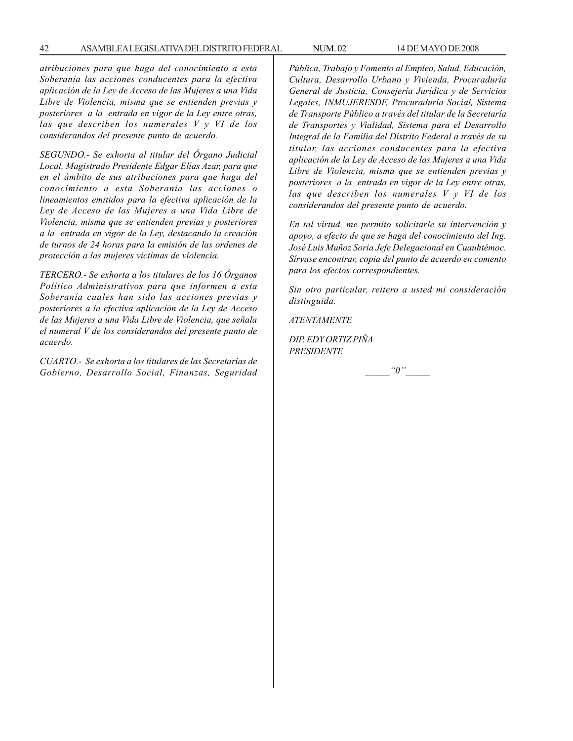*atribuciones para que haga del conocimiento a esta Soberanía las acciones conducentes para la efectiva aplicación de la Ley de Acceso de las Mujeres a una Vida Libre de Violencia, misma que se entienden previas y posteriores a la entrada en vigor de la Ley entre otras, las que describen los numerales V y VI de los considerandos del presente punto de acuerdo.*

*SEGUNDO.- Se exhorta al titular del Órgano Judicial Local, Magistrado Presidente Edgar Elías Azar, para que en el ámbito de sus atribuciones para que haga del conocimiento a esta Soberanía las acciones o lineamientos emitidos para la efectiva aplicación de la Ley de Acceso de las Mujeres a una Vida Libre de Violencia, misma que se entienden previas y posteriores a la entrada en vigor de la Ley, destacando la creación de turnos de 24 horas para la emisión de las ordenes de protección a las mujeres víctimas de violencia.*

*TERCERO.- Se exhorta a los titulares de los 16 Órganos Político Administrativos para que informen a esta Soberanía cuales han sido las acciones previas y posteriores a la efectiva aplicación de la Ley de Acceso de las Mujeres a una Vida Libre de Violencia, que señala el numeral V de los considerandos del presente punto de acuerdo.*

*CUARTO.- Se exhorta a los titulares de las Secretarías de Gobierno, Desarrollo Social, Finanzas, Seguridad* *Pública, Trabajo y Fomento al Empleo, Salud, Educación, Cultura, Desarrollo Urbano y Vivienda, Procuraduría General de Justicia, Consejería Jurídica y de Servicios Legales, INMUJERESDF, Procuraduría Social, Sistema de Transporte Público a través del titular de la Secretaría de Transportes y Vialidad, Sistema para el Desarrollo Integral de la Familia del Distrito Federal a través de su titular, las acciones conducentes para la efectiva aplicación de la Ley de Acceso de las Mujeres a una Vida Libre de Violencia, misma que se entienden previas y posteriores a la entrada en vigor de la Ley entre otras, las que describen los numerales V y VI de los considerandos del presente punto de acuerdo.*

*En tal virtud, me permito solicitarle su intervención y apoyo, a efecto de que se haga del conocimiento del Ing. José Luis Muñoz Soria Jefe Delegacional en Cuauhtémoc. Sírvase encontrar, copia del punto de acuerdo en comento para los efectos correspondientes.*

*Sin otro particular, reitero a usted mi consideración distinguida.*

*ATENTAMENTE*

*DIP. EDY ORTIZ PIÑA PRESIDENTE*

 $"0"$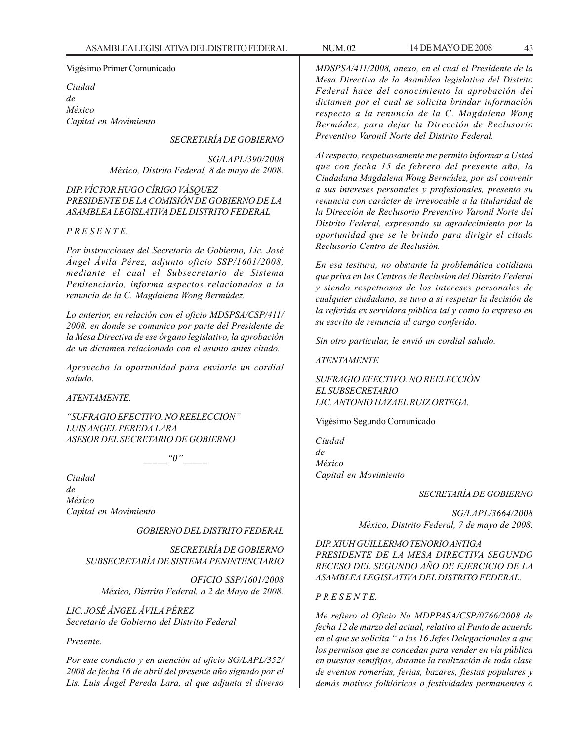### Vigésimo Primer Comunicado

*Ciudad de México Capital en Movimiento*

*SECRETARÍA DE GOBIERNO*

*SG/LAPL/390/2008 México, Distrito Federal, 8 de mayo de 2008.*

*DIP. VÍCTOR HUGO CÍRIGO VÁSQUEZ PRESIDENTE DE LA COMISIÓN DE GOBIERNO DE LA ASAMBLEA LEGISLATIVA DEL DISTRITO FEDERAL*

## *P R E S E N T E.*

*Por instrucciones del Secretario de Gobierno, Lic. José Ángel Ávila Pérez, adjunto oficio SSP/1601/2008, mediante el cual el Subsecretario de Sistema Penitenciario, informa aspectos relacionados a la renuncia de la C. Magdalena Wong Bermúdez.*

*Lo anterior, en relación con el oficio MDSPSA/CSP/411/ 2008, en donde se comunico por parte del Presidente de la Mesa Directiva de ese órgano legislativo, la aprobación de un dictamen relacionado con el asunto antes citado.*

*Aprovecho la oportunidad para enviarle un cordial saludo.*

*ATENTAMENTE.*

*''SUFRAGIO EFECTIVO. NO REELECCIÓN'' LUIS ANGEL PEREDA LARA ASESOR DEL SECRETARIO DE GOBIERNO*

 $"0"$ 

*Ciudad de México Capital en Movimiento*

*GOBIERNO DEL DISTRITO FEDERAL*

*SECRETARÍA DE GOBIERNO SUBSECRETARÍA DE SISTEMA PENINTENCIARIO*

*OFICIO SSP/1601/2008 México, Distrito Federal, a 2 de Mayo de 2008.*

*LIC. JOSÉ ÁNGEL ÁVILA PÉREZ Secretario de Gobierno del Distrito Federal*

## *Presente.*

*Por este conducto y en atención al oficio SG/LAPL/352/ 2008 de fecha 16 de abril del presente año signado por el Lis. Luis Ángel Pereda Lara, al que adjunta el diverso*

*MDSPSA/411/2008, anexo, en el cual el Presidente de la Mesa Directiva de la Asamblea legislativa del Distrito Federal hace del conocimiento la aprobación del dictamen por el cual se solicita brindar información respecto a la renuncia de la C. Magdalena Wong Bermúdez, para dejar la Dirección de Reclusorio Preventivo Varonil Norte del Distrito Federal.*

*Al respecto, respetuosamente me permito informar a Usted que con fecha 15 de febrero del presente año, la Ciudadana Magdalena Wong Bermúdez, por así convenir a sus intereses personales y profesionales, presento su renuncia con carácter de irrevocable a la titularidad de la Dirección de Reclusorio Preventivo Varonil Norte del Distrito Federal, expresando su agradecimiento por la oportunidad que se le brindo para dirigir el citado Reclusorio Centro de Reclusión.*

*En esa tesitura, no obstante la problemática cotidiana que priva en los Centros de Reclusión del Distrito Federal y siendo respetuosos de los intereses personales de cualquier ciudadano, se tuvo a si respetar la decisión de la referida ex servidora pública tal y como lo expreso en su escrito de renuncia al cargo conferido.*

*Sin otro particular, le envió un cordial saludo.*

*ATENTAMENTE*

*SUFRAGIO EFECTIVO. NO REELECCIÓN EL SUBSECRETARIO LIC. ANTONIO HAZAEL RUIZ ORTEGA.*

Vigésimo Segundo Comunicado

*Ciudad de México Capital en Movimiento*

### *SECRETARÍA DE GOBIERNO*

*SG/LAPL/3664/2008 México, Distrito Federal, 7 de mayo de 2008.*

*DIP. XIUH GUILLERMO TENORIO ANTIGA PRESIDENTE DE LA MESA DIRECTIVA SEGUNDO RECESO DEL SEGUNDO AÑO DE EJERCICIO DE LA ASAMBLEA LEGISLATIVA DEL DISTRITO FEDERAL.*

### *P R E S E N T E.*

*Me refiero al Oficio No MDPPASA/CSP/0766/2008 de fecha 12 de marzo del actual, relativo al Punto de acuerdo en el que se solicita '' a los 16 Jefes Delegacionales a que los permisos que se concedan para vender en vía pública en puestos semifijos, durante la realización de toda clase de eventos romerías, ferias, bazares, fiestas populares y demás motivos folklóricos o festividades permanentes o*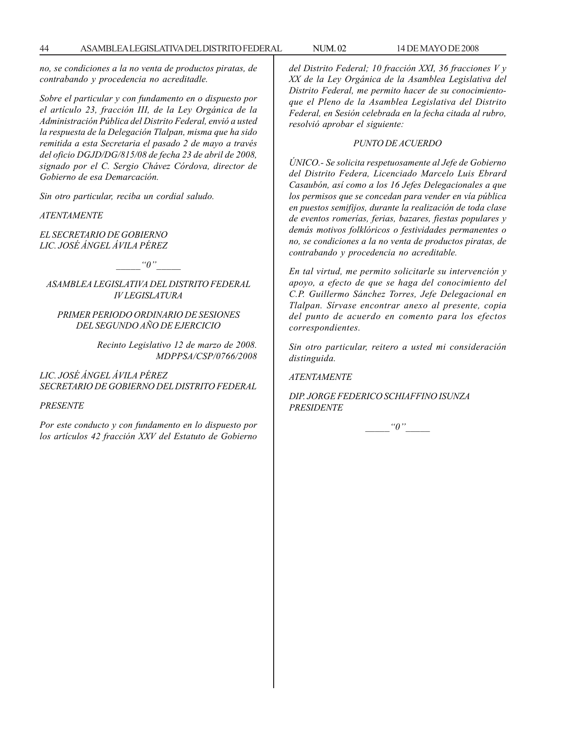*no, se condiciones a la no venta de productos piratas, de contrabando y procedencia no acreditadle.*

*Sobre el particular y con fundamento en o dispuesto por el artículo 23, fracción III, de la Ley Orgánica de la Administración Pública del Distrito Federal, envió a usted la respuesta de la Delegación Tlalpan, misma que ha sido remitida a esta Secretaria el pasado 2 de mayo a través del oficio DGJD/DG/815/08 de fecha 23 de abril de 2008, signado por el C. Sergio Chávez Córdova, director de Gobierno de esa Demarcación.*

*Sin otro particular, reciba un cordial saludo.*

*ATENTAMENTE*

*EL SECRETARIO DE GOBIERNO LIC. JOSÉ ÁNGEL ÁVILA PÉREZ*

 $"0"$ 

*ASAMBLEA LEGISLATIVA DEL DISTRITO FEDERAL IV LEGISLATURA*

## *PRIMER PERIODO ORDINARIO DE SESIONES DEL SEGUNDO AÑO DE EJERCICIO*

*Recinto Legislativo 12 de marzo de 2008. MDPPSA/CSP/0766/2008*

*LIC. JOSÉ ÁNGEL ÁVILA PÉREZ SECRETARIO DE GOBIERNO DEL DISTRITO FEDERAL*

*PRESENTE*

*Por este conducto y con fundamento en lo dispuesto por los artículos 42 fracción XXV del Estatuto de Gobierno* *del Distrito Federal; 10 fracción XXI, 36 fracciones V y XX de la Ley Orgánica de la Asamblea Legislativa del Distrito Federal, me permito hacer de su conocimientoque el Pleno de la Asamblea Legislativa del Distrito Federal, en Sesión celebrada en la fecha citada al rubro, resolvió aprobar el siguiente:*

### *PUNTO DE ACUERDO*

*ÚNICO.- Se solicita respetuosamente al Jefe de Gobierno del Distrito Federa, Licenciado Marcelo Luis Ebrard Casaubón, así como a los 16 Jefes Delegacionales a que los permisos que se concedan para vender en vía pública en puestos semifijos, durante la realización de toda clase de eventos romerías, ferias, bazares, fiestas populares y demás motivos folklóricos o festividades permanentes o no, se condiciones a la no venta de productos piratas, de contrabando y procedencia no acreditable.*

*En tal virtud, me permito solicitarle su intervención y apoyo, a efecto de que se haga del conocimiento del C.P. Guillermo Sánchez Torres, Jefe Delegacional en Tlalpan. Sírvase encontrar anexo al presente, copia del punto de acuerdo en comento para los efectos correspondientes.*

*Sin otro particular, reitero a usted mi consideración distinguida.*

*ATENTAMENTE*

*DIP. JORGE FEDERICO SCHIAFFINO ISUNZA PRESIDENTE*

 $"0"$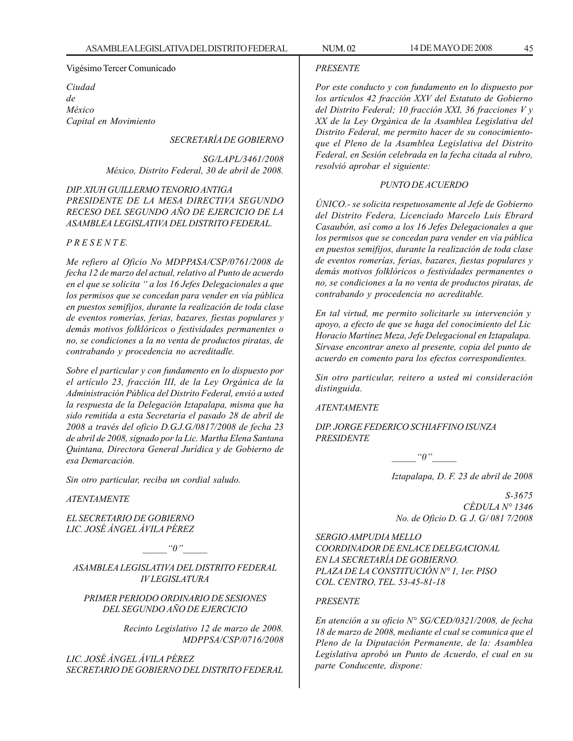### Vigésimo Tercer Comunicado

*Ciudad de México Capital en Movimiento*

## *SECRETARÍA DE GOBIERNO*

*SG/LAPL/3461/2008 México, Distrito Federal, 30 de abril de 2008.*

## *DIP. XIUH GUILLERMO TENORIO ANTIGA PRESIDENTE DE LA MESA DIRECTIVA SEGUNDO RECESO DEL SEGUNDO AÑO DE EJERCICIO DE LA ASAMBLEA LEGISLATIVA DEL DISTRITO FEDERAL.*

## *P R E S E N T E.*

*Me refiero al Oficio No MDPPASA/CSP/0761/2008 de fecha 12 de marzo del actual, relativo al Punto de acuerdo en el que se solicita '' a los 16 Jefes Delegacionales a que los permisos que se concedan para vender en vía pública en puestos semifijos, durante la realización de toda clase de eventos romerías, ferias, bazares, fiestas populares y demás motivos folklóricos o festividades permanentes o no, se condiciones a la no venta de productos piratas, de contrabando y procedencia no acreditadle.*

*Sobre el particular y con fundamento en lo dispuesto por el artículo 23, fracción III, de la Ley Orgánica de la Administración Pública del Distrito Federal, envió a usted la respuesta de la Delegación Iztapalapa, misma que ha sido remitida a esta Secretaria el pasado 28 de abril de 2008 a través del oficio D.G.J.G./0817/2008 de fecha 23 de abril de 2008, signado por la Lic. Martha Elena Santana Quintana, Directora General Jurídica y de Gobierno de esa Demarcación.*

*Sin otro particular, reciba un cordial saludo.*

*ATENTAMENTE*

*EL SECRETARIO DE GOBIERNO LIC. JOSÉ ÁNGEL ÁVILA PÉREZ*

 $"0"$ 

*ASAMBLEA LEGISLATIVA DEL DISTRITO FEDERAL IV LEGISLATURA*

## *PRIMER PERIODO ORDINARIO DE SESIONES DEL SEGUNDO AÑO DE EJERCICIO*

*Recinto Legislativo 12 de marzo de 2008. MDPPSA/CSP/0716/2008*

*LIC. JOSÉ ÁNGEL ÁVILA PÉREZ SECRETARIO DE GOBIERNO DEL DISTRITO FEDERAL*

## *PRESENTE*

*Por este conducto y con fundamento en lo dispuesto por los artículos 42 fracción XXV del Estatuto de Gobierno del Distrito Federal; 10 fracción XXI, 36 fracciones V y XX de la Ley Orgánica de la Asamblea Legislativa del Distrito Federal, me permito hacer de su conocimientoque el Pleno de la Asamblea Legislativa del Distrito Federal, en Sesión celebrada en la fecha citada al rubro, resolvió aprobar el siguiente:*

## *PUNTO DE ACUERDO*

*ÚNICO.- se solicita respetuosamente al Jefe de Gobierno del Distrito Federa, Licenciado Marcelo Luis Ebrard Casaubón, así como a los 16 Jefes Delegacionales a que los permisos que se concedan para vender en vía pública en puestos semifijos, durante la realización de toda clase de eventos romerías, ferias, bazares, fiestas populares y demás motivos folklóricos o festividades permanentes o no, se condiciones a la no venta de productos piratas, de contrabando y procedencia no acreditable.*

*En tal virtud, me permito solicitarle su intervención y apoyo, a efecto de que se haga del conocimiento del Lic Horacio Martínez Meza, Jefe Delegacional en Iztapalapa. Sírvase encontrar anexo al presente, copia del punto de acuerdo en comento para los efectos correspondientes.*

*Sin otro particular, reitero a usted mi consideración distinguida.*

*ATENTAMENTE*

*DIP. JORGE FEDERICO SCHIAFFINO ISUNZA PRESIDENTE*

*\_\_\_\_\_''0''\_\_\_\_\_*

*Iztapalapa, D. F. 23 de abril de 2008*

*S-3675 CÉDULA N° 1346 No. de Oficio D. G. J. G/ 081 7/2008*

*SERGIO AMPUDIA MELLO COORDINADOR DE ENLACE DELEGACIONAL EN LA SECRETARÍA DE GOBIERNO. PLAZA DE LA CONSTITUCIÓN N° 1, 1er. PISO COL. CENTRO, TEL. 53-45-81-18*

### *PRESENTE*

*En atención a su oficio N° SG/CED/0321/2008, de fecha 18 de marzo de 2008, mediante el cual se comunica que el Pleno de la Diputación Permanente, de la: Asamblea Legislativa aprobó un Punto de Acuerdo, el cual en su parte Conducente, dispone:*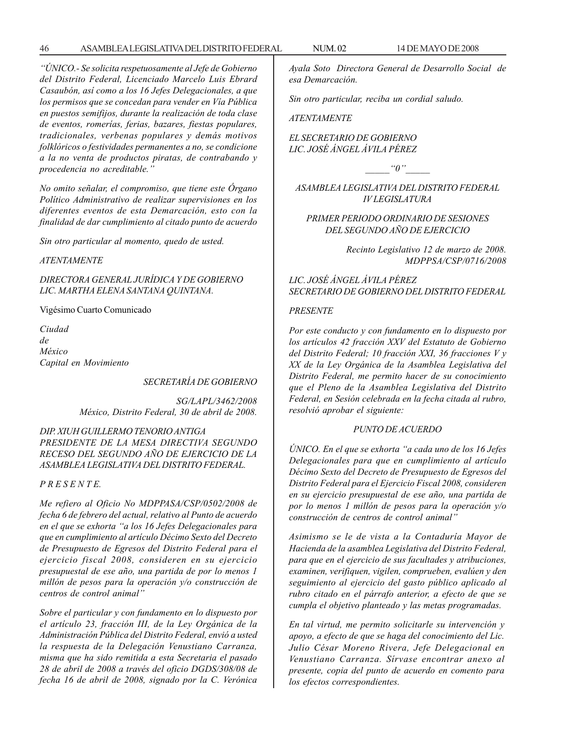*''ÚNICO.- Se solicita respetuosamente al Jefe de Gobierno del Distrito Federal, Licenciado Marcelo Luis Ebrard Casaubón, así como a los 16 Jefes Delegacionales, a que los permisos que se concedan para vender en Vía Pública en puestos semifijos, durante la realización de toda clase de eventos, romerías, ferias, bazares, fiestas populares, tradicionales, verbenas populares y demás motivos folklóricos o festividades permanentes a no, se condicione a la no venta de productos piratas, de contrabando y procedencia no acreditable.''*

*No omito señalar, el compromiso, que tiene este Órgano Político Administrativo de realizar supervisiones en los diferentes eventos de esta Demarcación, esto con la finalidad de dar cumplimiento al citado punto de acuerdo*

*Sin otro particular al momento, quedo de usted.*

#### *ATENTAMENTE*

*DIRECTORA GENERAL JURÍDICA Y DE GOBIERNO LIC. MARTHA ELENA SANTANA QUINTANA.*

Vigésimo Cuarto Comunicado

*Ciudad de México Capital en Movimiento*

*SECRETARÍA DE GOBIERNO*

*SG/LAPL/3462/2008 México, Distrito Federal, 30 de abril de 2008.*

*DIP. XIUH GUILLERMO TENORIO ANTIGA PRESIDENTE DE LA MESA DIRECTIVA SEGUNDO RECESO DEL SEGUNDO AÑO DE EJERCICIO DE LA ASAMBLEA LEGISLATIVA DEL DISTRITO FEDERAL.*

## *P R E S E N T E.*

*Me refiero al Oficio No MDPPASA/CSP/0502/2008 de fecha 6 de febrero del actual, relativo al Punto de acuerdo en el que se exhorta ''a los 16 Jefes Delegacionales para que en cumplimiento al artículo Décimo Sexto del Decreto de Presupuesto de Egresos del Distrito Federal para el ejercicio fiscal 2008, consideren en su ejercicio presupuestal de ese año, una partida de por lo menos 1 millón de pesos para la operación y/o construcción de centros de control animal''*

*Sobre el particular y con fundamento en lo dispuesto por el artículo 23, fracción III, de la Ley Orgánica de la Administración Pública del Distrito Federal, envió a usted la respuesta de la Delegación Venustiano Carranza, misma que ha sido remitida a esta Secretaria el pasado 28 de abril de 2008 a través del oficio DGDS/308/08 de fecha 16 de abril de 2008, signado por la C. Verónica* *Ayala Soto Directora General de Desarrollo Social de esa Demarcación.*

*Sin otro particular, reciba un cordial saludo.*

*ATENTAMENTE*

*EL SECRETARIO DE GOBIERNO LIC. JOSÉ ÁNGEL ÁVILA PÉREZ*

 $q$ <sup>"</sup>

*ASAMBLEA LEGISLATIVA DEL DISTRITO FEDERAL IV LEGISLATURA*

*PRIMER PERIODO ORDINARIO DE SESIONES DEL SEGUNDO AÑO DE EJERCICIO*

> *Recinto Legislativo 12 de marzo de 2008. MDPPSA/CSP/0716/2008*

*LIC. JOSÉ ÁNGEL ÁVILA PÉREZ SECRETARIO DE GOBIERNO DEL DISTRITO FEDERAL*

### *PRESENTE*

*Por este conducto y con fundamento en lo dispuesto por los artículos 42 fracción XXV del Estatuto de Gobierno del Distrito Federal; 10 fracción XXI, 36 fracciones V y XX de la Ley Orgánica de la Asamblea Legislativa del Distrito Federal, me permito hacer de su conocimiento que el Pleno de la Asamblea Legislativa del Distrito Federal, en Sesión celebrada en la fecha citada al rubro, resolvió aprobar el siguiente:*

#### *PUNTO DE ACUERDO*

*ÚNICO. En el que se exhorta ''a cada uno de los 16 Jefes Delegacionales para que en cumplimiento al artículo Décimo Sexto del Decreto de Presupuesto de Egresos del Distrito Federal para el Ejercicio Fiscal 2008, consideren en su ejercicio presupuestal de ese año, una partida de por lo menos 1 millón de pesos para la operación y/o construcción de centros de control animal''*

*Asimismo se le de vista a la Contaduría Mayor de Hacienda de la asamblea Legislativa del Distrito Federal, para que en el ejercicio de sus facultades y atribuciones, examinen, verifiquen, vigilen, comprueben, evalúen y den seguimiento al ejercicio del gasto público aplicado al rubro citado en el párrafo anterior, a efecto de que se cumpla el objetivo planteado y las metas programadas.*

*En tal virtud, me permito solicitarle su intervención y apoyo, a efecto de que se haga del conocimiento del Lic. Julio César Moreno Rivera, Jefe Delegacional en Venustiano Carranza. Sírvase encontrar anexo al presente, copia del punto de acuerdo en comento para los efectos correspondientes.*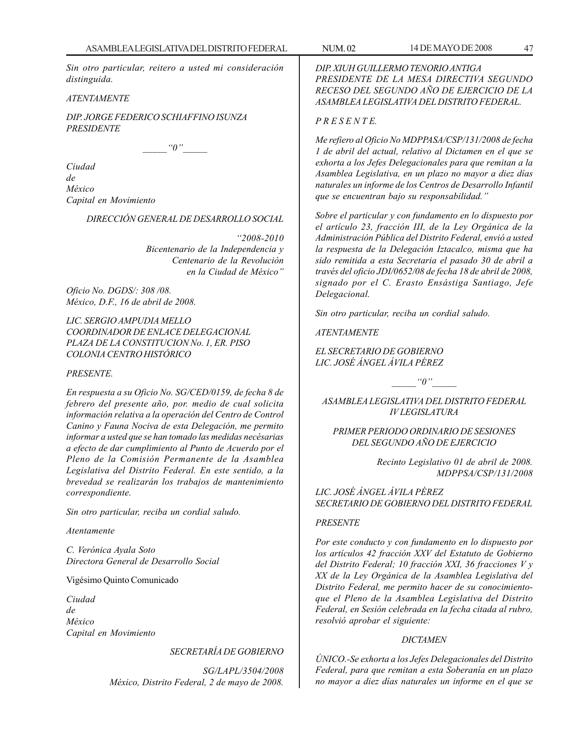*Sin otro particular, reitero a usted mi consideración distinguida.*

## *ATENTAMENTE*

*DIP. JORGE FEDERICO SCHIAFFINO ISUNZA PRESIDENTE*

 $"0"$ 

*Ciudad de México Capital en Movimiento*

*DIRECCIÓN GENERAL DE DESARROLLO SOCIAL*

*''2008-2010 Bicentenario de la Independencia y Centenario de la Revolución en la Ciudad de México''*

*Oficio No. DGDS/: 308 /08. México, D.F., 16 de abril de 2008.*

*LIC. SERGIO AMPUDIA MELLO COORDINADOR DE ENLACE DELEGACIONAL PLAZA DE LA CONSTITUCION No. 1, ER. PISO COLONIA CENTRO HISTÓRICO*

### *PRESENTE.*

*En respuesta a su Oficio No. SG/CED/0159, de fecha 8 de febrero del presente año, por. medio de cual solicita información relativa a la operación del Centro de Control Canino y Fauna Nociva de esta Delegación, me permito informar a usted que se han tomado las medidas necésarias a efecto de dar cumplimiento al Punto de Acuerdo por el Pleno de la Comisión Permanente de la Asamblea Legislativa del Distrito Federal. En este sentido, a la brevedad se realizarán los trabajos de mantenimiento correspondiente.*

*Sin otro particular, reciba un cordial saludo.*

### *Atentamente*

*C. Verónica Ayala Soto Directora General de Desarrollo Social*

Vigésimo Quinto Comunicado

*Ciudad de México Capital en Movimiento*

## *SECRETARÍA DE GOBIERNO*

*SG/LAPL/3504/2008 México, Distrito Federal, 2 de mayo de 2008.*

### *P R E S E N T E.*

*Me refiero al Oficio No MDPPASA/CSP/131/2008 de fecha 1 de abril del actual, relativo al Dictamen en el que se exhorta a los Jefes Delegacionales para que remitan a la Asamblea Legislativa, en un plazo no mayor a diez días naturales un informe de los Centros de Desarrollo Infantil que se encuentran bajo su responsabilidad.''*

*Sobre el particular y con fundamento en lo dispuesto por el artículo 23, fracción III, de la Ley Orgánica de la Administración Pública del Distrito Federal, envió a usted la respuesta de la Delegación Iztacalco, misma que ha sido remitida a esta Secretaria el pasado 30 de abril a través del oficio JDI/0652/08 de fecha 18 de abril de 2008, signado por el C. Erasto Ensástiga Santiago, Jefe Delegacional.*

*Sin otro particular, reciba un cordial saludo.*

*ATENTAMENTE*

*EL SECRETARIO DE GOBIERNO LIC. JOSÉ ÁNGEL ÁVILA PÉREZ*

 $"0"$ 

*ASAMBLEA LEGISLATIVA DEL DISTRITO FEDERAL IV LEGISLATURA*

*PRIMER PERIODO ORDINARIO DE SESIONES DEL SEGUNDO AÑO DE EJERCICIO*

> *Recinto Legislativo 01 de abril de 2008. MDPPSA/CSP/131/2008*

*LIC. JOSÉ ÁNGEL ÁVILA PÉREZ SECRETARIO DE GOBIERNO DEL DISTRITO FEDERAL*

### *PRESENTE*

*Por este conducto y con fundamento en lo dispuesto por los artículos 42 fracción XXV del Estatuto de Gobierno del Distrito Federal; 10 fracción XXI, 36 fracciones V y XX de la Ley Orgánica de la Asamblea Legislativa del Distrito Federal, me permito hacer de su conocimientoque el Pleno de la Asamblea Legislativa del Distrito Federal, en Sesión celebrada en la fecha citada al rubro, resolvió aprobar el siguiente:*

#### *DICTAMEN*

*ÚNICO.-Se exhorta a los Jefes Delegacionales del Distrito Federal, para que remitan a esta Soberanía en un plazo no mayor a diez días naturales un informe en el que se*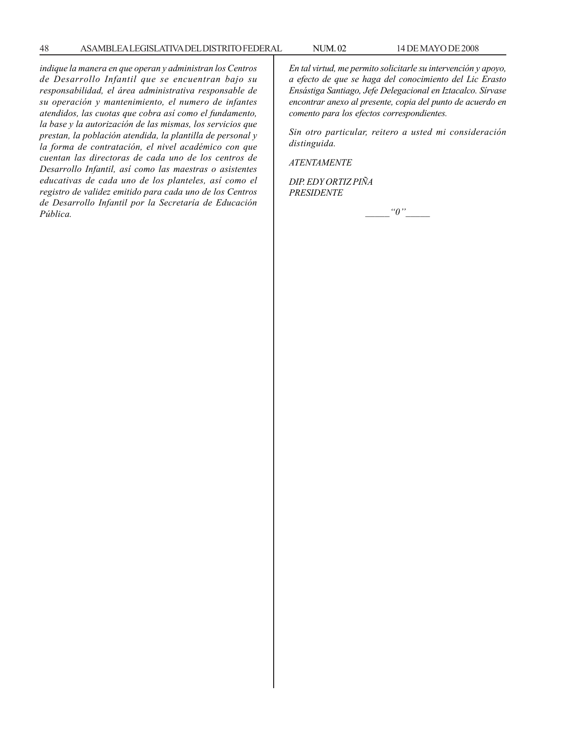*indique la manera en que operan y administran los Centros de Desarrollo Infantil que se encuentran bajo su responsabilidad, el área administrativa responsable de su operación y mantenimiento, el numero de infantes atendidos, las cuotas que cobra así como el fundamento, la base y la autorización de las mismas, los servicios que prestan, la población atendida, la plantilla de personal y la forma de contratación, el nivel académico con que cuentan las directoras de cada uno de los centros de Desarrollo Infantil, así como las maestras o asistentes educativas de cada uno de los planteles, así como el registro de validez emitido para cada uno de los Centros de Desarrollo Infantil por la Secretaría de Educación Pública.*

*En tal virtud, me permito solicitarle su intervención y apoyo, a efecto de que se haga del conocimiento del Lic Erasto Ensástiga Santiago, Jefe Delegacional en Iztacalco. Sírvase encontrar anexo al presente, copia del punto de acuerdo en comento para los efectos correspondientes.*

*Sin otro particular, reitero a usted mi consideración distinguida.*

*ATENTAMENTE*

*DIP. EDY ORTIZ PIÑA PRESIDENTE*

 $"0"$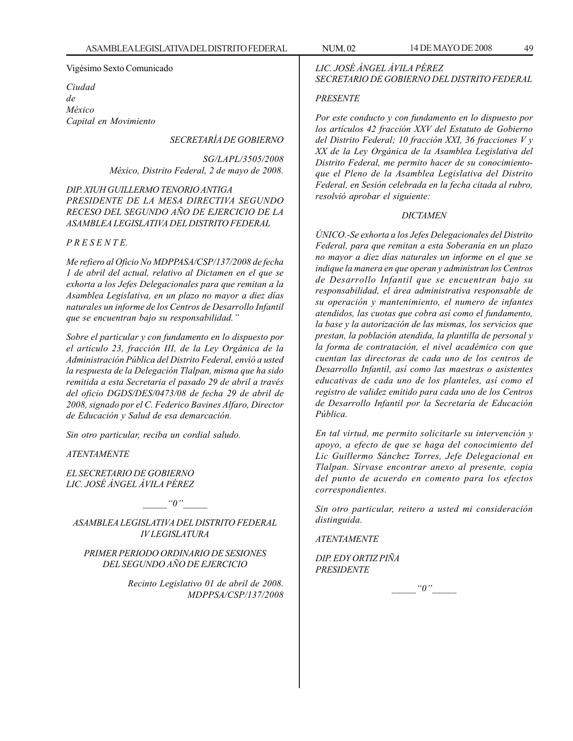#### Vigésimo Sexto Comunicado

*Ciudad de México Capital en Movimiento*

## *SECRETARÍA DE GOBIERNO*

*SG/LAPL/3505/2008 México, Distrito Federal, 2 de mayo de 2008.*

## *DIP. XIUH GUILLERMO TENORIO ANTIGA PRESIDENTE DE LA MESA DIRECTIVA SEGUNDO RECESO DEL SEGUNDO AÑO DE EJERCICIO DE LA ASAMBLEA LEGISLATIVA DEL DISTRITO FEDERAL*

## *P R E S E N T E.*

*Me refiero al Oficio No MDPPASA/CSP/137/2008 de fecha 1 de abril del actual, relativo al Dictamen en el que se exhorta a los Jefes Delegacionales para que remitan a la Asamblea Legislativa, en un plazo no mayor a diez días naturales un informe de los Centros de Desarrollo Infantil que se encuentran bajo su responsabilidad.''*

*Sobre el particular y con fundamento en lo dispuesto por el artículo 23, fracción III, de la Ley Orgánica de la Administración Pública del Distrito Federal, envió a usted la respuesta de la Delegación Tlalpan, misma que ha sido remitida a esta Secretaria el pasado 29 de abril a través del oficio DGDS/DES/0473/08 de fecha 29 de abril de 2008, signado por el C. Federico Bavines Alfaro, Director de Educación y Salud de esa demarcación.*

*Sin otro particular, reciba un cordial saludo.*

*ATENTAMENTE*

*EL SECRETARIO DE GOBIERNO LIC. JOSÉ ÁNGEL ÁVILA PÉREZ*

 $"0"$ 

*ASAMBLEA LEGISLATIVA DEL DISTRITO FEDERAL IV LEGISLATURA*

*PRIMER PERIODO ORDINARIO DE SESIONES DEL SEGUNDO AÑO DE EJERCICIO*

> *Recinto Legislativo 01 de abril de 2008. MDPPSA/CSP/137/2008*

## *LIC. JOSÉ ÁNGEL ÁVILA PÉREZ SECRETARIO DE GOBIERNO DEL DISTRITO FEDERAL*

#### *PRESENTE*

*Por este conducto y con fundamento en lo dispuesto por los artículos 42 fracción XXV del Estatuto de Gobierno del Distrito Federal; 10 fracción XXI, 36 fracciones V y XX de la Ley Orgánica de la Asamblea Legislativa del Distrito Federal, me permito hacer de su conocimientoque el Pleno de la Asamblea Legislativa del Distrito Federal, en Sesión celebrada en la fecha citada al rubro, resolvió aprobar el siguiente:*

### *DICTAMEN*

*ÚNICO.-Se exhorta a los Jefes Delegacionales del Distrito Federal, para que remitan a esta Soberanía en un plazo no mayor a diez días naturales un informe en el que se indique la manera en que operan y administran los Centros de Desarrollo Infantil que se encuentran bajo su responsabilidad, el área administrativa responsable de su operación y mantenimiento, el numero de infantes atendidos, las cuotas que cobra así como el fundamento, la base y la autorización de las mismas, los servicios que prestan, la población atendida, la plantilla de personal y la forma de contratación, el nivel académico con que cuentan las directoras de cada uno de los centros de Desarrollo Infantil, así como las maestras o asistentes educativas de cada uno de los planteles, así como el registro de validez emitido para cada uno de los Centros de Desarrollo Infantil por la Secretaría de Educación Pública.*

*En tal virtud, me permito solicitarle su intervención y apoyo, a efecto de que se haga del conocimiento del Lic Guillermo Sánchez Torres, Jefe Delegacional en Tlalpan. Sírvase encontrar anexo al presente, copia del punto de acuerdo en comento para los efectos correspondientes.*

*Sin otro particular, reitero a usted mi consideración distinguida.*

*ATENTAMENTE*

*DIP. EDY ORTIZ PIÑA PRESIDENTE*

 $"0"$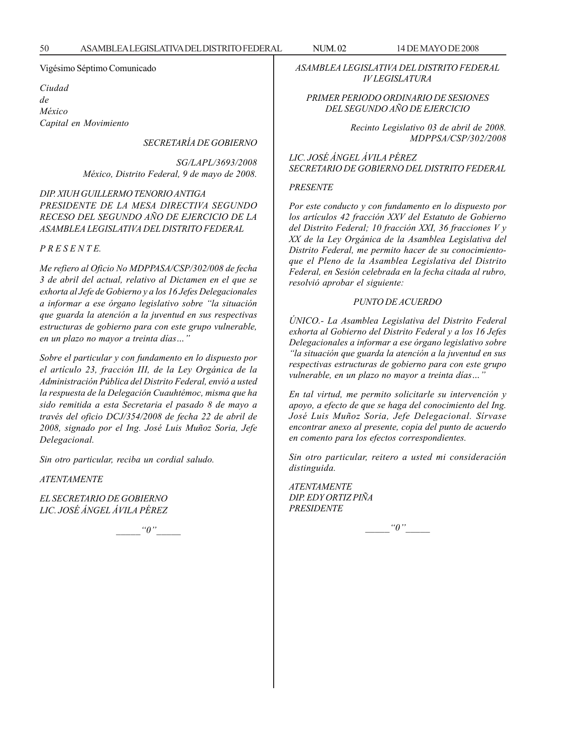Vigésimo Séptimo Comunicado

*Ciudad de México Capital en Movimiento*

*SECRETARÍA DE GOBIERNO*

*SG/LAPL/3693/2008 México, Distrito Federal, 9 de mayo de 2008.*

## *DIP. XIUH GUILLERMO TENORIO ANTIGA PRESIDENTE DE LA MESA DIRECTIVA SEGUNDO RECESO DEL SEGUNDO AÑO DE EJERCICIO DE LA ASAMBLEA LEGISLATIVA DEL DISTRITO FEDERAL*

*P R E S E N T E.*

*Me refiero al Oficio No MDPPASA/CSP/302/008 de fecha 3 de abril del actual, relativo al Dictamen en el que se exhorta al Jefe de Gobierno y a los 16 Jefes Delegacionales a informar a ese órgano legislativo sobre ''la situación que guarda la atención a la juventud en sus respectivas estructuras de gobierno para con este grupo vulnerable, en un plazo no mayor a treinta días…''*

*Sobre el particular y con fundamento en lo dispuesto por el artículo 23, fracción III, de la Ley Orgánica de la Administración Pública del Distrito Federal, envió a usted la respuesta de la Delegación Cuauhtémoc, misma que ha sido remitida a esta Secretaria el pasado 8 de mayo a través del oficio DCJ/354/2008 de fecha 22 de abril de 2008, signado por el Ing. José Luis Muñoz Soria, Jefe Delegacional.*

*Sin otro particular, reciba un cordial saludo.*

*ATENTAMENTE*

*EL SECRETARIO DE GOBIERNO LIC. JOSÉ ÁNGEL ÁVILA PÉREZ*

 $"0"$ 

*ASAMBLEA LEGISLATIVA DEL DISTRITO FEDERAL IV LEGISLATURA*

## *PRIMER PERIODO ORDINARIO DE SESIONES DEL SEGUNDO AÑO DE EJERCICIO*

*Recinto Legislativo 03 de abril de 2008. MDPPSA/CSP/302/2008*

*LIC. JOSÉ ÁNGEL ÁVILA PÉREZ SECRETARIO DE GOBIERNO DEL DISTRITO FEDERAL*

#### *PRESENTE*

*Por este conducto y con fundamento en lo dispuesto por los artículos 42 fracción XXV del Estatuto de Gobierno del Distrito Federal; 10 fracción XXI, 36 fracciones V y XX de la Ley Orgánica de la Asamblea Legislativa del Distrito Federal, me permito hacer de su conocimientoque el Pleno de la Asamblea Legislativa del Distrito Federal, en Sesión celebrada en la fecha citada al rubro, resolvió aprobar el siguiente:*

#### *PUNTO DE ACUERDO*

*ÚNICO.- La Asamblea Legislativa del Distrito Federal exhorta al Gobierno del Distrito Federal y a los 16 Jefes Delegacionales a informar a ese órgano legislativo sobre ''la situación que guarda la atención a la juventud en sus respectivas estructuras de gobierno para con este grupo vulnerable, en un plazo no mayor a treinta días…''*

*En tal virtud, me permito solicitarle su intervención y apoyo, a efecto de que se haga del conocimiento del Ing. José Luis Muñoz Soria, Jefe Delegacional. Sírvase encontrar anexo al presente, copia del punto de acuerdo en comento para los efectos correspondientes.*

*Sin otro particular, reitero a usted mi consideración distinguida.*

*ATENTAMENTE DIP. EDY ORTIZ PIÑA PRESIDENTE*

 $\lq q''$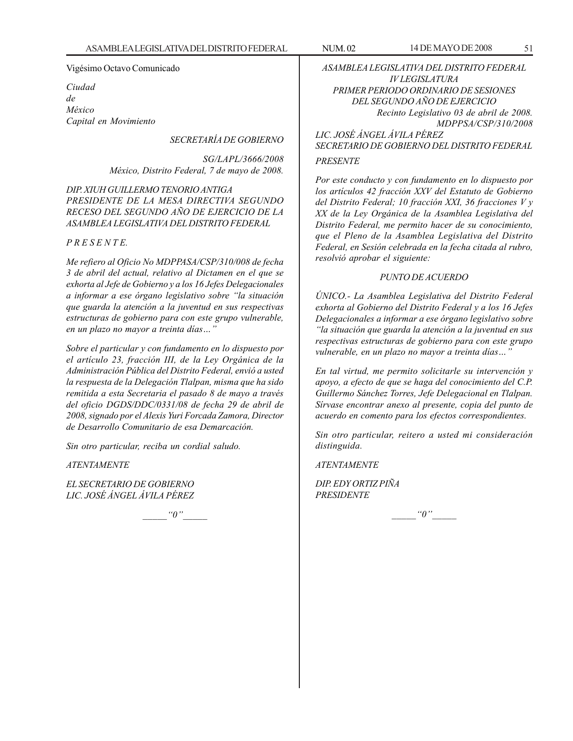### Vigésimo Octavo Comunicado

*Ciudad de México Capital en Movimiento*

## *SECRETARÍA DE GOBIERNO*

*SG/LAPL/3666/2008 México, Distrito Federal, 7 de mayo de 2008.*

## *DIP. XIUH GUILLERMO TENORIO ANTIGA PRESIDENTE DE LA MESA DIRECTIVA SEGUNDO RECESO DEL SEGUNDO AÑO DE EJERCICIO DE LA ASAMBLEA LEGISLATIVA DEL DISTRITO FEDERAL*

## *P R E S E N T E.*

*Me refiero al Oficio No MDPPASA/CSP/310/008 de fecha 3 de abril del actual, relativo al Dictamen en el que se exhorta al Jefe de Gobierno y a los 16 Jefes Delegacionales a informar a ese órgano legislativo sobre ''la situación que guarda la atención a la juventud en sus respectivas estructuras de gobierno para con este grupo vulnerable, en un plazo no mayor a treinta días…''*

*Sobre el particular y con fundamento en lo dispuesto por el artículo 23, fracción III, de la Ley Orgánica de la Administración Pública del Distrito Federal, envió a usted la respuesta de la Delegación Tlalpan, misma que ha sido remitida a esta Secretaria el pasado 8 de mayo a través del oficio DGDS/DDC/0331/08 de fecha 29 de abril de 2008, signado por el Alexis Yuri Forcada Zamora, Director de Desarrollo Comunitario de esa Demarcación.*

*Sin otro particular, reciba un cordial saludo.*

*ATENTAMENTE*

*EL SECRETARIO DE GOBIERNO LIC. JOSÉ ÁNGEL ÁVILA PÉREZ*

 $"0"$ 

*ASAMBLEA LEGISLATIVA DEL DISTRITO FEDERAL IV LEGISLATURA PRIMER PERIODO ORDINARIO DE SESIONES DEL SEGUNDO AÑO DE EJERCICIO Recinto Legislativo 03 de abril de 2008. MDPPSA/CSP/310/2008 LIC. JOSÉ ÁNGEL ÁVILA PÉREZ*

*SECRETARIO DE GOBIERNO DEL DISTRITO FEDERAL*

## *PRESENTE*

*Por este conducto y con fundamento en lo dispuesto por los artículos 42 fracción XXV del Estatuto de Gobierno del Distrito Federal; 10 fracción XXI, 36 fracciones V y XX de la Ley Orgánica de la Asamblea Legislativa del Distrito Federal, me permito hacer de su conocimiento, que el Pleno de la Asamblea Legislativa del Distrito Federal, en Sesión celebrada en la fecha citada al rubro, resolvió aprobar el siguiente:*

### *PUNTO DE ACUERDO*

*ÚNICO.- La Asamblea Legislativa del Distrito Federal exhorta al Gobierno del Distrito Federal y a los 16 Jefes Delegacionales a informar a ese órgano legislativo sobre ''la situación que guarda la atención a la juventud en sus respectivas estructuras de gobierno para con este grupo vulnerable, en un plazo no mayor a treinta días…''*

*En tal virtud, me permito solicitarle su intervención y apoyo, a efecto de que se haga del conocimiento del C.P. Guillermo Sánchez Torres, Jefe Delegacional en Tlalpan. Sírvase encontrar anexo al presente, copia del punto de acuerdo en comento para los efectos correspondientes.*

*Sin otro particular, reitero a usted mi consideración distinguida.*

*ATENTAMENTE*

*DIP. EDY ORTIZ PIÑA PRESIDENTE*

 $\lq o''$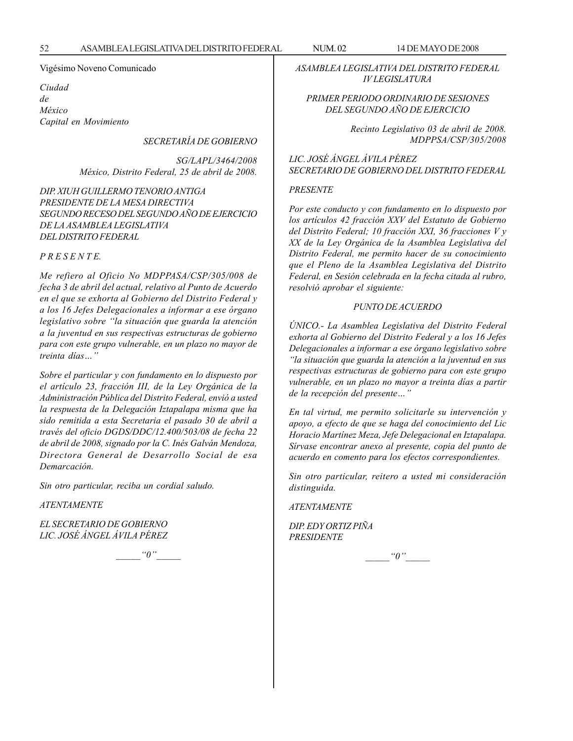Vigésimo Noveno Comunicado

*Ciudad de México Capital en Movimiento*

*SECRETARÍA DE GOBIERNO*

*SG/LAPL/3464/2008 México, Distrito Federal, 25 de abril de 2008.*

*DIP. XIUH GUILLERMO TENORIO ANTIGA PRESIDENTE DE LA MESA DIRECTIVA SEGUNDO RECESO DEL SEGUNDO AÑO DE EJERCICIO DE LA ASAMBLEA LEGISLATIVA DEL DISTRITO FEDERAL*

*P R E S E N T E.*

*Me refiero al Oficio No MDPPASA/CSP/305/008 de fecha 3 de abril del actual, relativo al Punto de Acuerdo en el que se exhorta al Gobierno del Distrito Federal y a los 16 Jefes Delegacionales a informar a ese órgano legislativo sobre ''la situación que guarda la atención a la juventud en sus respectivas estructuras de gobierno para con este grupo vulnerable, en un plazo no mayor de treinta días…''*

*Sobre el particular y con fundamento en lo dispuesto por el artículo 23, fracción III, de la Ley Orgánica de la Administración Pública del Distrito Federal, envió a usted la respuesta de la Delegación Iztapalapa misma que ha sido remitida a esta Secretaria el pasado 30 de abril a través del oficio DGDS/DDC/12.400/503/08 de fecha 22 de abril de 2008, signado por la C. Inés Galván Mendoza, Directora General de Desarrollo Social de esa Demarcación.*

*Sin otro particular, reciba un cordial saludo.*

*ATENTAMENTE*

*EL SECRETARIO DE GOBIERNO LIC. JOSÉ ÁNGEL ÁVILA PÉREZ*

 $"0"$ 

*ASAMBLEA LEGISLATIVA DEL DISTRITO FEDERAL IV LEGISLATURA*

## *PRIMER PERIODO ORDINARIO DE SESIONES DEL SEGUNDO AÑO DE EJERCICIO*

*Recinto Legislativo 03 de abril de 2008. MDPPSA/CSP/305/2008*

*LIC. JOSÉ ÁNGEL ÁVILA PÉREZ SECRETARIO DE GOBIERNO DEL DISTRITO FEDERAL*

#### *PRESENTE*

*Por este conducto y con fundamento en lo dispuesto por los artículos 42 fracción XXV del Estatuto de Gobierno del Distrito Federal; 10 fracción XXI, 36 fracciones V y XX de la Ley Orgánica de la Asamblea Legislativa del Distrito Federal, me permito hacer de su conocimiento que el Pleno de la Asamblea Legislativa del Distrito Federal, en Sesión celebrada en la fecha citada al rubro, resolvió aprobar el siguiente:*

#### *PUNTO DE ACUERDO*

*ÚNICO.- La Asamblea Legislativa del Distrito Federal exhorta al Gobierno del Distrito Federal y a los 16 Jefes Delegacionales a informar a ese órgano legislativo sobre ''la situación que guarda la atención a la juventud en sus respectivas estructuras de gobierno para con este grupo vulnerable, en un plazo no mayor a treinta días a partir de la recepción del presente…''*

*En tal virtud, me permito solicitarle su intervención y apoyo, a efecto de que se haga del conocimiento del Lic Horacio Martínez Meza, Jefe Delegacional en Iztapalapa. Sírvase encontrar anexo al presente, copia del punto de acuerdo en comento para los efectos correspondientes.*

*Sin otro particular, reitero a usted mi consideración distinguida.*

#### *ATENTAMENTE*

*DIP. EDY ORTIZ PIÑA PRESIDENTE*

 $\lq q''$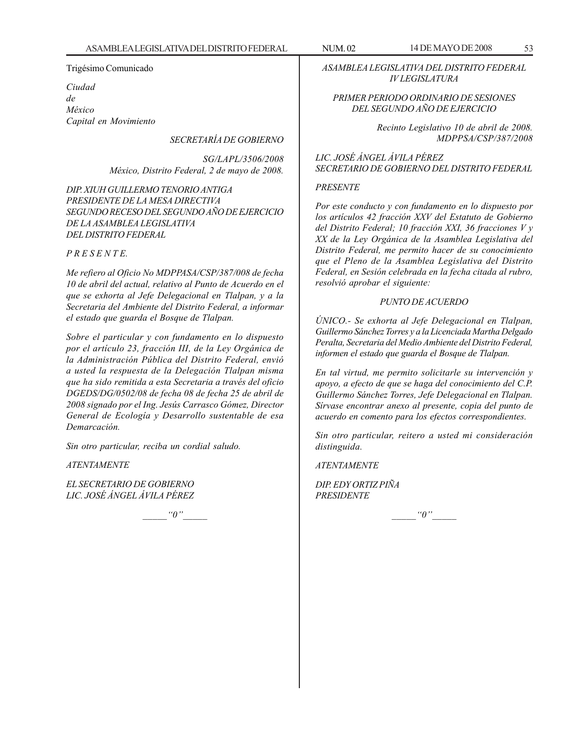#### Trigésimo Comunicado

*Ciudad de México Capital en Movimiento*

## *SECRETARÍA DE GOBIERNO*

*SG/LAPL/3506/2008 México, Distrito Federal, 2 de mayo de 2008.*

*DIP. XIUH GUILLERMO TENORIO ANTIGA PRESIDENTE DE LA MESA DIRECTIVA SEGUNDO RECESO DEL SEGUNDO AÑO DE EJERCICIO DE LA ASAMBLEA LEGISLATIVA DEL DISTRITO FEDERAL*

### *P R E S E N T E.*

*Me refiero al Oficio No MDPPASA/CSP/387/008 de fecha 10 de abril del actual, relativo al Punto de Acuerdo en el que se exhorta al Jefe Delegacional en Tlalpan, y a la Secretaria del Ambiente del Distrito Federal, a informar el estado que guarda el Bosque de Tlalpan.*

*Sobre el particular y con fundamento en lo dispuesto por el artículo 23, fracción III, de la Ley Orgánica de la Administración Pública del Distrito Federal, envió a usted la respuesta de la Delegación Tlalpan misma que ha sido remitida a esta Secretaria a través del oficio DGEDS/DG/0502/08 de fecha 08 de fecha 25 de abril de 2008 signado por el Ing. Jesús Carrasco Gómez, Director General de Ecología y Desarrollo sustentable de esa Demarcación.*

*Sin otro particular, reciba un cordial saludo.*

*ATENTAMENTE*

*EL SECRETARIO DE GOBIERNO LIC. JOSÉ ÁNGEL ÁVILA PÉREZ*

 $"0"$ 

*ASAMBLEA LEGISLATIVA DEL DISTRITO FEDERAL IV LEGISLATURA*

## *PRIMER PERIODO ORDINARIO DE SESIONES DEL SEGUNDO AÑO DE EJERCICIO*

*Recinto Legislativo 10 de abril de 2008. MDPPSA/CSP/387/2008*

*LIC. JOSÉ ÁNGEL ÁVILA PÉREZ SECRETARIO DE GOBIERNO DEL DISTRITO FEDERAL*

## *PRESENTE*

*Por este conducto y con fundamento en lo dispuesto por los artículos 42 fracción XXV del Estatuto de Gobierno del Distrito Federal; 10 fracción XXI, 36 fracciones V y XX de la Ley Orgánica de la Asamblea Legislativa del Distrito Federal, me permito hacer de su conocimiento que el Pleno de la Asamblea Legislativa del Distrito Federal, en Sesión celebrada en la fecha citada al rubro, resolvió aprobar el siguiente:*

## *PUNTO DE ACUERDO*

*ÚNICO.- Se exhorta al Jefe Delegacional en Tlalpan, Guillermo Sánchez Torres y a la Licenciada Martha Delgado Peralta, Secretaria del Medio Ambiente del Distrito Federal, informen el estado que guarda el Bosque de Tlalpan.*

*En tal virtud, me permito solicitarle su intervención y apoyo, a efecto de que se haga del conocimiento del C.P. Guillermo Sánchez Torres, Jefe Delegacional en Tlalpan. Sírvase encontrar anexo al presente, copia del punto de acuerdo en comento para los efectos correspondientes.*

*Sin otro particular, reitero a usted mi consideración distinguida.*

*ATENTAMENTE*

*DIP. EDY ORTIZ PIÑA PRESIDENTE*

 $"0"$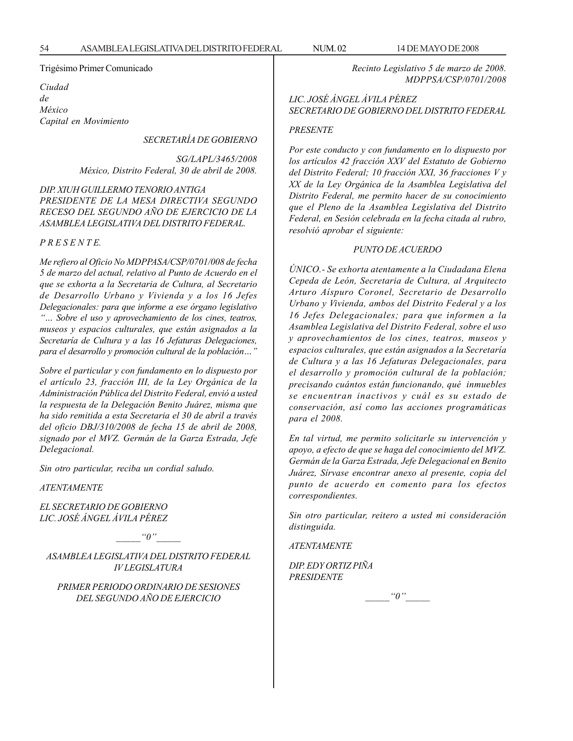## Trigésimo Primer Comunicado

*Ciudad de México Capital en Movimiento*

*SECRETARÍA DE GOBIERNO*

*SG/LAPL/3465/2008 México, Distrito Federal, 30 de abril de 2008.*

*DIP. XIUH GUILLERMO TENORIO ANTIGA PRESIDENTE DE LA MESA DIRECTIVA SEGUNDO RECESO DEL SEGUNDO AÑO DE EJERCICIO DE LA ASAMBLEA LEGISLATIVA DEL DISTRITO FEDERAL.*

*P R E S E N T E.*

*Me refiero al Oficio No MDPPASA/CSP/0701/008 de fecha 5 de marzo del actual, relativo al Punto de Acuerdo en el que se exhorta a la Secretaria de Cultura, al Secretario de Desarrollo Urbano y Vivienda y a los 16 Jefes Delegacionales: para que informe a ese órgano legislativo ''… Sobre el uso y aprovechamiento de los cines, teatros, museos y espacios culturales, que están asignados a la Secretaría de Cultura y a las 16 Jefaturas Delegaciones, para el desarrollo y promoción cultural de la población…''*

*Sobre el particular y con fundamento en lo dispuesto por el artículo 23, fracción III, de la Ley Orgánica de la Administración Pública del Distrito Federal, envió a usted la respuesta de la Delegación Benito Juárez, misma que ha sido remitida a esta Secretaria el 30 de abril a través del oficio DBJ/310/2008 de fecha 15 de abril de 2008, signado por el MVZ. Germán de la Garza Estrada, Jefe Delegacional.*

*Sin otro particular, reciba un cordial saludo.*

*ATENTAMENTE*

*EL SECRETARIO DE GOBIERNO LIC. JOSÉ ÁNGEL ÁVILA PÉREZ*

 $"0"$ 

*ASAMBLEA LEGISLATIVA DEL DISTRITO FEDERAL IV LEGISLATURA*

*PRIMER PERIODO ORDINARIO DE SESIONES DEL SEGUNDO AÑO DE EJERCICIO*

*Recinto Legislativo 5 de marzo de 2008. MDPPSA/CSP/0701/2008*

*LIC. JOSÉ ÁNGEL ÁVILA PÉREZ SECRETARIO DE GOBIERNO DEL DISTRITO FEDERAL*

### *PRESENTE*

*Por este conducto y con fundamento en lo dispuesto por los artículos 42 fracción XXV del Estatuto de Gobierno del Distrito Federal; 10 fracción XXI, 36 fracciones V y XX de la Ley Orgánica de la Asamblea Legislativa del Distrito Federal, me permito hacer de su conocimiento que el Pleno de la Asamblea Legislativa del Distrito Federal, en Sesión celebrada en la fecha citada al rubro, resolvió aprobar el siguiente:*

## *PUNTO DE ACUERDO*

*ÚNICO.- Se exhorta atentamente a la Ciudadana Elena Cepeda de León, Secretaria de Cultura, al Arquitecto Arturo Aíspuro Coronel, Secretario de Desarrollo Urbano y Vivienda, ambos del Distrito Federal y a los 16 Jefes Delegacionales; para que informen a la Asamblea Legislativa del Distrito Federal, sobre el uso y aprovechamientos de los cines, teatros, museos y espacios culturales, que están asignados a la Secretaría de Cultura y a las 16 Jefaturas Delegacionales, para el desarrollo y promoción cultural de la población; precisando cuántos están funcionando, qué inmuebles se encuentran inactivos y cuál es su estado de conservación, así como las acciones programáticas para el 2008.*

*En tal virtud, me permito solicitarle su intervención y apoyo, a efecto de que se haga del conocimiento del MVZ. Germán de la Garza Estrada, Jefe Delegacional en Benito Juárez, Sírvase encontrar anexo al presente, copia del punto de acuerdo en comento para los efectos correspondientes.*

*Sin otro particular, reitero a usted mi consideración distinguida.*

*ATENTAMENTE*

*DIP. EDY ORTIZ PIÑA PRESIDENTE*

 $\lq\lq0$ ''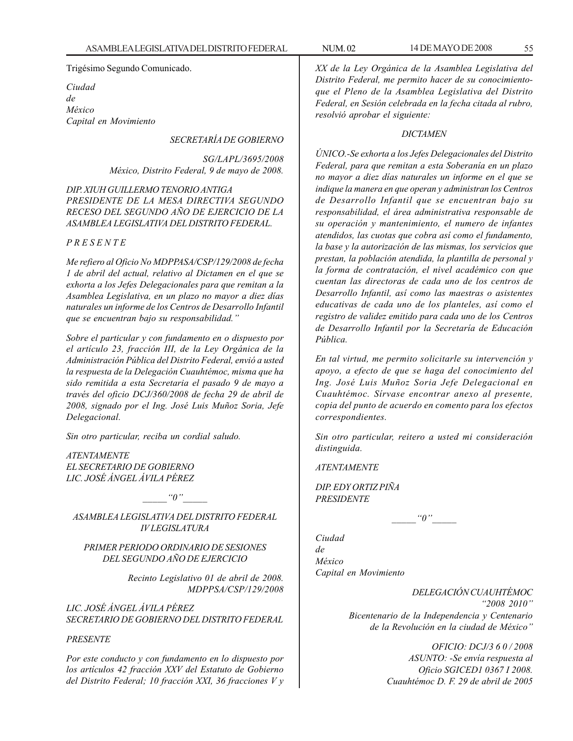Trigésimo Segundo Comunicado.

*Ciudad de México Capital en Movimiento*

## *SECRETARÍA DE GOBIERNO*

*SG/LAPL/3695/2008 México, Distrito Federal, 9 de mayo de 2008.*

*DIP. XIUH GUILLERMO TENORIO ANTIGA PRESIDENTE DE LA MESA DIRECTIVA SEGUNDO RECESO DEL SEGUNDO AÑO DE EJERCICIO DE LA ASAMBLEA LEGISLATIVA DEL DISTRITO FEDERAL.*

## *P R E S E N T E*

*Me refiero al Oficio No MDPPASA/CSP/129/2008 de fecha 1 de abril del actual, relativo al Dictamen en el que se exhorta a los Jefes Delegacionales para que remitan a la Asamblea Legislativa, en un plazo no mayor a diez días naturales un informe de los Centros de Desarrollo Infantil que se encuentran bajo su responsabilidad.''*

*Sobre el particular y con fundamento en o dispuesto por el artículo 23, fracción III, de la Ley Orgánica de la Administración Pública del Distrito Federal, envió a usted la respuesta de la Delegación Cuauhtémoc, misma que ha sido remitida a esta Secretaria el pasado 9 de mayo a través del oficio DCJ/360/2008 de fecha 29 de abril de 2008, signado por el Ing. José Luis Muñoz Soria, Jefe Delegacional.*

*Sin otro particular, reciba un cordial saludo.*

*ATENTAMENTE EL SECRETARIO DE GOBIERNO LIC. JOSÉ ÁNGEL ÁVILA PÉREZ*

 $"0"$ 

*ASAMBLEA LEGISLATIVA DEL DISTRITO FEDERAL IV LEGISLATURA*

## *PRIMER PERIODO ORDINARIO DE SESIONES DEL SEGUNDO AÑO DE EJERCICIO*

*Recinto Legislativo 01 de abril de 2008. MDPPSA/CSP/129/2008*

*LIC. JOSÉ ÁNGEL ÁVILA PÉREZ SECRETARIO DE GOBIERNO DEL DISTRITO FEDERAL*

## *PRESENTE*

*Por este conducto y con fundamento en lo dispuesto por los artículos 42 fracción XXV del Estatuto de Gobierno del Distrito Federal; 10 fracción XXI, 36 fracciones V y* *XX de la Ley Orgánica de la Asamblea Legislativa del Distrito Federal, me permito hacer de su conocimientoque el Pleno de la Asamblea Legislativa del Distrito Federal, en Sesión celebrada en la fecha citada al rubro, resolvió aprobar el siguiente:*

## *DICTAMEN*

*ÚNICO.-Se exhorta a los Jefes Delegacionales del Distrito Federal, para que remitan a esta Soberanía en un plazo no mayor a diez días naturales un informe en el que se indique la manera en que operan y administran los Centros de Desarrollo Infantil que se encuentran bajo su responsabilidad, el área administrativa responsable de su operación y mantenimiento, el numero de infantes atendidos, las cuotas que cobra así como el fundamento, la base y la autorización de las mismas, los servicios que prestan, la población atendida, la plantilla de personal y la forma de contratación, el nivel académico con que cuentan las directoras de cada uno de los centros de Desarrollo Infantil, así como las maestras o asistentes educativas de cada uno de los planteles, así como el registro de validez emitido para cada uno de los Centros de Desarrollo Infantil por la Secretaría de Educación Pública.*

*En tal virtud, me permito solicitarle su intervención y apoyo, a efecto de que se haga del conocimiento del Ing. José Luis Muñoz Soria Jefe Delegacional en Cuauhtémoc. Sírvase encontrar anexo al presente, copia del punto de acuerdo en comento para los efectos correspondientes.*

*Sin otro particular, reitero a usted mi consideración distinguida.*

*ATENTAMENTE*

*DIP. EDY ORTIZ PIÑA PRESIDENTE*

 $\lq\lq o''$ 

*Ciudad de México Capital en Movimiento*

> *DELEGACIÓN CUAUHTÉMOC ''2008 2010'' Bicentenario de la Independencia y Centenario de la Revolución en la ciudad de México''*

> > *OFICIO: DCJ/3 6 0 / 2008 ASUNTO: -Se envía respuesta al Oficio SGICED1 0367 I 2008. Cuauhtémoc D. F. 29 de abril de 2005*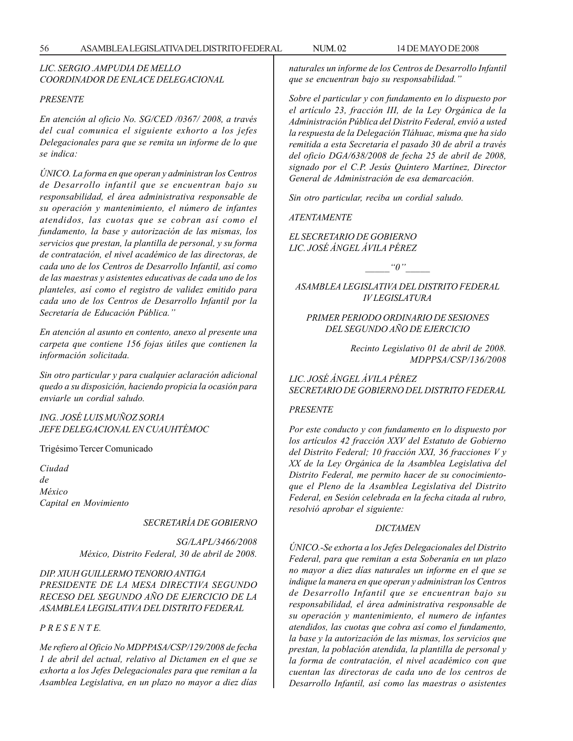## *LIC. SERGIO .AMPUDIA DE MELLO COORDINADOR DE ENLACE DELEGACIONAL*

#### *PRESENTE*

*En atención al oficio No. SG/CED /0367/ 2008, a través del cual comunica el siguiente exhorto a los jefes Delegacionales para que se remita un informe de lo que se indica:*

*ÚNICO. La forma en que operan y administran los Centros de Desarrollo infantil que se encuentran bajo su responsabilidad, el área administrativa responsable de su operación y mantenimiento, el número de infantes atendidos, las cuotas que se cobran así como el fundamento, la base y autorización de las mismas, los servicios que prestan, la plantilla de personal, y su forma de contratación, el nivel académico de las directoras, de cada uno de los Centros de Desarrollo Infantil, así como de las maestras y asistentes educativas de cada uno de los planteles, así como el registro de validez emitido para cada uno de los Centros de Desarrollo Infantil por la Secretaría de Educación Pública.''*

*En atención al asunto en contento, anexo al presente una carpeta que contiene 156 fojas útiles que contienen la información solicitada.*

*Sin otro particular y para cualquier aclaración adicional quedo a su disposición, haciendo propicia la ocasión para enviarle un cordial saludo.*

*ING.. JOSÉ LUIS MUÑOZ SORIA JEFE DELEGACIONAL EN CUAUHTÉMOC*

#### Trigésimo Tercer Comunicado

*Ciudad de México Capital en Movimiento*

## *SECRETARÍA DE GOBIERNO*

*SG/LAPL/3466/2008 México, Distrito Federal, 30 de abril de 2008.*

*DIP. XIUH GUILLERMO TENORIO ANTIGA PRESIDENTE DE LA MESA DIRECTIVA SEGUNDO RECESO DEL SEGUNDO AÑO DE EJERCICIO DE LA ASAMBLEA LEGISLATIVA DEL DISTRITO FEDERAL*

*P R E S E N T E.*

*Me refiero al Oficio No MDPPASA/CSP/129/2008 de fecha 1 de abril del actual, relativo al Dictamen en el que se exhorta a los Jefes Delegacionales para que remitan a la Asamblea Legislativa, en un plazo no mayor a diez días* *naturales un informe de los Centros de Desarrollo Infantil que se encuentran bajo su responsabilidad.''*

*Sobre el particular y con fundamento en lo dispuesto por el artículo 23, fracción III, de la Ley Orgánica de la Administración Pública del Distrito Federal, envió a usted la respuesta de la Delegación Tláhuac, misma que ha sido remitida a esta Secretaria el pasado 30 de abril a través del oficio DGA/638/2008 de fecha 25 de abril de 2008, signado por el C.P. Jesús Quintero Martínez, Director General de Administración de esa demarcación.*

*Sin otro particular, reciba un cordial saludo.*

*ATENTAMENTE*

*EL SECRETARIO DE GOBIERNO LIC. JOSÉ ÁNGEL ÁVILA PÉREZ*

 $\alpha_0$ "

*ASAMBLEA LEGISLATIVA DEL DISTRITO FEDERAL IV LEGISLATURA*

## *PRIMER PERIODO ORDINARIO DE SESIONES DEL SEGUNDO AÑO DE EJERCICIO*

*Recinto Legislativo 01 de abril de 2008. MDPPSA/CSP/136/2008*

*LIC. JOSÉ ÁNGEL ÁVILA PÉREZ SECRETARIO DE GOBIERNO DEL DISTRITO FEDERAL*

### *PRESENTE*

*Por este conducto y con fundamento en lo dispuesto por los artículos 42 fracción XXV del Estatuto de Gobierno del Distrito Federal; 10 fracción XXI, 36 fracciones V y XX de la Ley Orgánica de la Asamblea Legislativa del Distrito Federal, me permito hacer de su conocimientoque el Pleno de la Asamblea Legislativa del Distrito Federal, en Sesión celebrada en la fecha citada al rubro, resolvió aprobar el siguiente:*

#### *DICTAMEN*

*ÚNICO.-Se exhorta a los Jefes Delegacionales del Distrito Federal, para que remitan a esta Soberanía en un plazo no mayor a diez días naturales un informe en el que se indique la manera en que operan y administran los Centros de Desarrollo Infantil que se encuentran bajo su responsabilidad, el área administrativa responsable de su operación y mantenimiento, el numero de infantes atendidos, las cuotas que cobra así como el fundamento, la base y la autorización de las mismas, los servicios que prestan, la población atendida, la plantilla de personal y la forma de contratación, el nivel académico con que cuentan las directoras de cada uno de los centros de Desarrollo Infantil, así como las maestras o asistentes*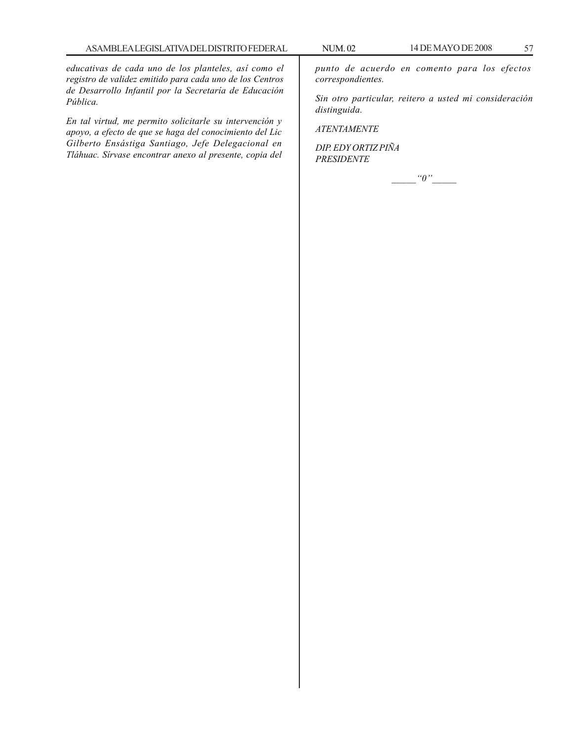*educativas de cada uno de los planteles, así como el registro de validez emitido para cada uno de los Centros de Desarrollo Infantil por la Secretaría de Educación Pública.*

*En tal virtud, me permito solicitarle su intervención y apoyo, a efecto de que se haga del conocimiento del Lic Gilberto Ensástiga Santiago, Jefe Delegacional en Tláhuac. Sírvase encontrar anexo al presente, copia del* *punto de acuerdo en comento para los efectos correspondientes.*

*Sin otro particular, reitero a usted mi consideración distinguida.*

*ATENTAMENTE*

*DIP. EDY ORTIZ PIÑA PRESIDENTE*

*\_\_\_\_\_''0''\_\_\_\_\_*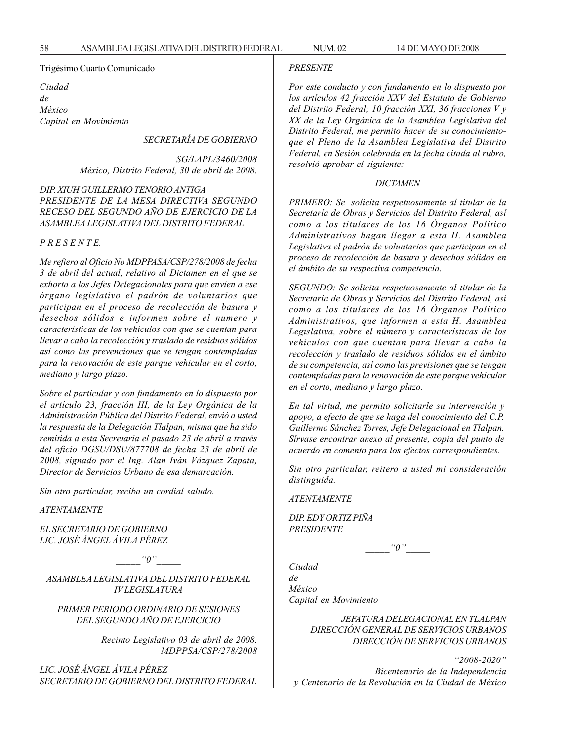### Trigésimo Cuarto Comunicado

*Ciudad de México Capital en Movimiento*

*SECRETARÍA DE GOBIERNO*

*SG/LAPL/3460/2008 México, Distrito Federal, 30 de abril de 2008.*

*DIP. XIUH GUILLERMO TENORIO ANTIGA PRESIDENTE DE LA MESA DIRECTIVA SEGUNDO RECESO DEL SEGUNDO AÑO DE EJERCICIO DE LA ASAMBLEA LEGISLATIVA DEL DISTRITO FEDERAL*

*P R E S E N T E.*

*Me refiero al Oficio No MDPPASA/CSP/278/2008 de fecha 3 de abril del actual, relativo al Dictamen en el que se exhorta a los Jefes Delegacionales para que envíen a ese órgano legislativo el padrón de voluntarios que participan en el proceso de recolección de basura y desechos sólidos e informen sobre el numero y características de los vehículos con que se cuentan para llevar a cabo la recolección y traslado de residuos sólidos así como las prevenciones que se tengan contempladas para la renovación de este parque vehicular en el corto, mediano y largo plazo.*

*Sobre el particular y con fundamento en lo dispuesto por el artículo 23, fracción III, de la Ley Orgánica de la Administración Pública del Distrito Federal, envió a usted la respuesta de la Delegación Tlalpan, misma que ha sido remitida a esta Secretaria el pasado 23 de abril a través del oficio DGSU/DSU/877708 de fecha 23 de abril de 2008, signado por el Ing. Alan Iván Vázquez Zapata, Director de Servicios Urbano de esa demarcación.*

*Sin otro particular, reciba un cordial saludo.*

*ATENTAMENTE*

*EL SECRETARIO DE GOBIERNO LIC. JOSÉ ÁNGEL ÁVILA PÉREZ*

 $"0"$ 

*ASAMBLEA LEGISLATIVA DEL DISTRITO FEDERAL IV LEGISLATURA*

*PRIMER PERIODO ORDINARIO DE SESIONES DEL SEGUNDO AÑO DE EJERCICIO*

> *Recinto Legislativo 03 de abril de 2008. MDPPSA/CSP/278/2008*

*LIC. JOSÉ ÁNGEL ÁVILA PÉREZ SECRETARIO DE GOBIERNO DEL DISTRITO FEDERAL*

#### *PRESENTE*

*Por este conducto y con fundamento en lo dispuesto por los artículos 42 fracción XXV del Estatuto de Gobierno del Distrito Federal; 10 fracción XXI, 36 fracciones V y XX de la Ley Orgánica de la Asamblea Legislativa del Distrito Federal, me permito hacer de su conocimientoque el Pleno de la Asamblea Legislativa del Distrito Federal, en Sesión celebrada en la fecha citada al rubro, resolvió aprobar el siguiente:*

### *DICTAMEN*

*PRIMERO: Se solicita respetuosamente al titular de la Secretaría de Obras y Servicios del Distrito Federal, así como a los titulares de los 16 Órganos Político Administrativos hagan llegar a esta H. Asamblea Legislativa el padrón de voluntarios que participan en el proceso de recolección de basura y desechos sólidos en el ámbito de su respectiva competencia.*

*SEGUNDO: Se solicita respetuosamente al titular de la Secretaría de Obras y Servicios del Distrito Federal, así como a los titulares de los 16 Órganos Político Administrativos, que informen a esta H. Asamblea Legislativa, sobre el número y características de los vehículos con que cuentan para llevar a cabo la recolección y traslado de residuos sólidos en el ámbito de su competencia, así como las previsiones que se tengan contempladas para la renovación de este parque vehicular en el corto, mediano y largo plazo.*

*En tal virtud, me permito solicitarle su intervención y apoyo, a efecto de que se haga del conocimiento del C.P. Guillermo Sánchez Torres, Jefe Delegacional en Tlalpan. Sírvase encontrar anexo al presente, copia del punto de acuerdo en comento para los efectos correspondientes.*

*Sin otro particular, reitero a usted mi consideración distinguida.*

*ATENTAMENTE*

*DIP. EDY ORTIZ PIÑA PRESIDENTE*

 $"0"$ 

*Ciudad de México Capital en Movimiento*

> *JEFATURA DELEGACIONAL EN TLALPAN DIRECCIÓN GENERAL DE SERVICIOS URBANOS DIRECCIÓN DE SERVICIOS URBANOS*

*''2008-2020'' Bicentenario de la Independencia y Centenario de la Revolución en la Ciudad de México*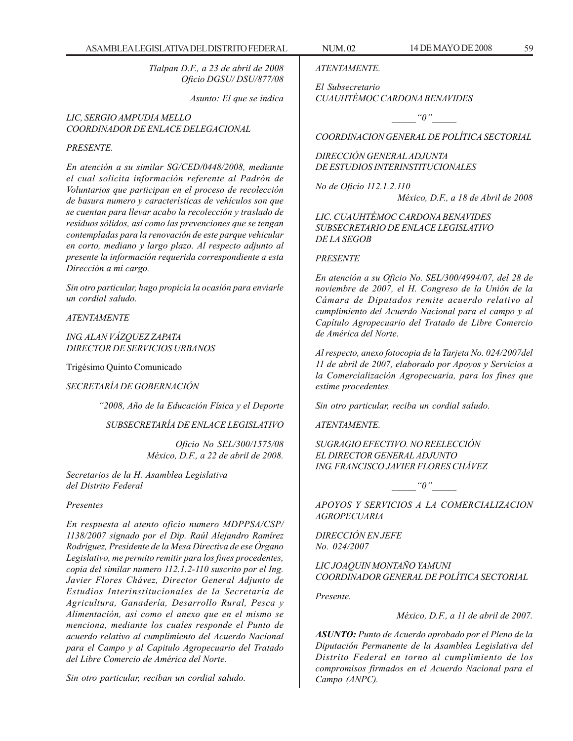*Tlalpan D.F., a 23 de abril de 2008 Oficio DGSU/ DSU/877/08*

*Asunto: El que se indica*

*LIC, SERGIO AMPUDIA MELLO COORDINADOR DE ENLACE DELEGACIONAL*

### *PRESENTE.*

*En atención a su similar SG/CED/0448/2008, mediante el cual solicita información referente al Padrón de Voluntarios que participan en el proceso de recolección de basura numero y características de vehículos son que se cuentan para llevar acabo la recolección y traslado de residuos sólidos, así como las prevenciones que se tengan contempladas para la renovación de este parque vehicular en corto, mediano y largo plazo. Al respecto adjunto al presente la información requerida correspondiente a esta Dirección a mi cargo.*

*Sin otro particular, hago propicia la ocasión para enviarle un cordial saludo.*

*ATENTAMENTE*

*ING. ALAN VÁZQUEZ ZAPATA DIRECTOR DE SERVICIOS URBANOS*

Trigésimo Quinto Comunicado

*SECRETARÍA DE GOBERNACIÓN*

*''2008, Año de la Educación Física y el Deporte*

*SUBSECRETARÍA DE ENLACE LEGISLATIVO*

*Oficio No SEL/300/1575/08 México, D.F., a 22 de abril de 2008.*

*Secretarios de la H. Asamblea Legislativa del Distrito Federal*

### *Presentes*

*En respuesta al atento oficio numero MDPPSA/CSP/ 1138/2007 signado por el Dip. Raúl Alejandro Ramírez Rodríguez, Presidente de la Mesa Directiva de ese Órgano Legislativo, me permito remitir para los fines procedentes, copia del similar numero 112.1.2-110 suscrito por el Ing. Javier Flores Chávez, Director General Adjunto de Estudios Interinstitucionales de la Secretaría de Agricultura, Ganadería, Desarrollo Rural, Pesca y Alimentación, así como el anexo que en el mismo se menciona, mediante los cuales responde el Punto de acuerdo relativo al cumplimiento del Acuerdo Nacional para el Campo y al Capitulo Agropecuario del Tratado del Libre Comercio de América del Norte.*

*Sin otro particular, reciban un cordial saludo.*

*ATENTAMENTE.*

*El Subsecretario CUAUHTÈMOC CARDONA BENAVIDES*

 $"0"$ 

*COORDINACION GENERAL DE POLÍTICA SECTORIAL*

*DIRECCIÓN GENERAL ADJUNTA DE ESTUDIOS INTERINSTITUCIONALES*

*No de Oficio 112.1.2.110 México, D.F., a 18 de Abril de 2008*

*LIC. CUAUHTÉMOC CARDONA BENAVIDES SUBSECRETARIO DE ENLACE LEGISLATIVO DE LA SEGOB*

#### *PRESENTE*

*En atención a su Oficio No. SEL/300/4994/07, del 28 de noviembre de 2007, el H. Congreso de la Unión de la Cámara de Diputados remite acuerdo relativo al cumplimiento del Acuerdo Nacional para el campo y al Capítulo Agropecuario del Tratado de Libre Comercio de América del Norte.*

*Al respecto, anexo fotocopia de la Tarjeta No. 024/2007del 11 de abril de 2007, elaborado por Apoyos y Servicios a la Comercialización Agropecuaria, para los fines que estime procedentes.*

*Sin otro particular, reciba un cordial saludo.*

*ATENTAMENTE.*

*SUGRAGIO EFECTIVO. NO REELECCIÓN EL DIRECTOR GENERAL ADJUNTO ING. FRANCISCO JAVIER FLORES CHÁVEZ*

 $\lq q$ <sup>"</sup>

*APOYOS Y SERVICIOS A LA COMERCIALIZACION AGROPECUARIA*

*DIRECCIÓN EN JEFE No. 024/2007*

*LIC JOAQUIN MONTAÑO YAMUNI COORDINADOR GENERAL DE POLÍTICA SECTORIAL*

*Presente.*

*México, D.F., a 11 de abril de 2007.*

*ASUNTO: Punto de Acuerdo aprobado por el Pleno de la Diputación Permanente de la Asamblea Legislativa del Distrito Federal en torno al cumplimiento de los compromisos firmados en el Acuerdo Nacional para el Campo (ANPC).*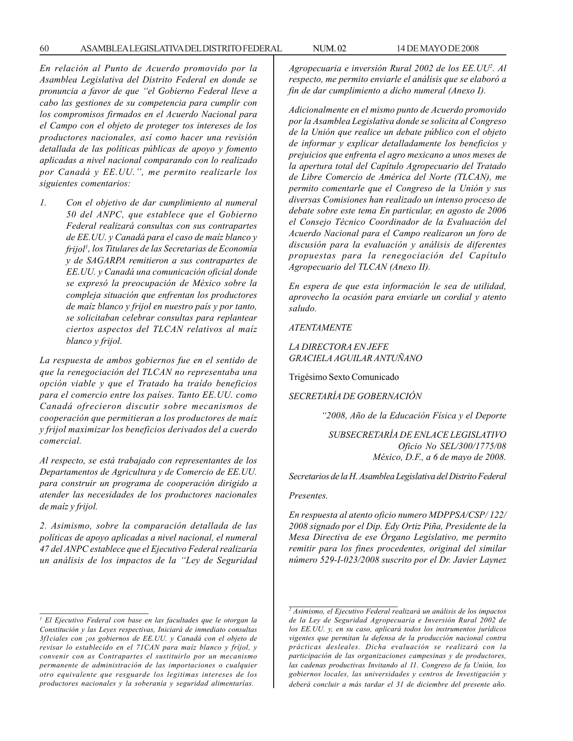*En relación al Punto de Acuerdo promovido por la Asamblea Legislativa del Distrito Federal en donde se pronuncia a favor de que ''el Gobierno Federal lleve a cabo las gestiones de su competencia para cumplir con los compromisos firmados en el Acuerdo Nacional para el Campo con el objeto de proteger tos intereses de los productores nacionales, así como hacer una revisión detallada de las políticas públicas de apoyo y fomento aplicadas a nivel nacional comparando con lo realizado por Canadá y EE.UU.'', me permito realizarle los siguientes comentarios:*

*1. Con el objetivo de dar cumplimiento al numeral 50 del ANPC, que establece que el Gobierno Federal realizará consultas con sus contrapartes de EE.UU. y Canadá para el caso de maíz blanco y frijol1 , los Titulares de las Secretarias de Economía y de SAGARPA remitieron a sus contrapartes de EE.UU. y Canadá una comunicación oficial donde se expresó la preocupación de México sobre la compleja situación que enfrentan los productores de maíz blanco y frijol en nuestro país y por tanto, se solicitaban celebrar consultas para replantear ciertos aspectos del TLCAN relativos al maíz blanco y frijol.*

*La respuesta de ambos gobiernos fue en el sentido de que la renegociación del TLCAN no representaba una opción viable y que el Tratado ha traído beneficios para el comercio entre los países. Tanto EE.UU. como Canadá ofrecieron discutir sobre mecanismos de cooperación que permitieran a los productores de maíz y frijol maximizar los beneficios derivados del a cuerdo comercial.*

*Al respecto, se está trabajado con representantes de los Departamentos de Agricultura y de Comercio de EE.UU. para construir un programa de cooperación dirigido a atender las necesidades de los productores nacionales de maíz y frijol.*

*2. Asimismo, sobre la comparación detallada de las políticas de apoyo aplicadas a nivel nacional, el numeral 47 del ANPC establece que el Ejecutivo Federal realizaría un análisis de los impactos de la ''Ley de Seguridad*

*Agropecuaria e inversión Rural 2002 de los EE.UU2 . Al respecto, me permito enviarle el análisis que se elaboró a fin de dar cumplimiento a dicho numeral (Anexo I).*

*Adicionalmente en el mismo punto de Acuerdo promovido por la Asamblea Legislativa donde se solicita al Congreso de la Unión que realice un debate público con el objeto de informar y explicar detalladamente los beneficios y prejuicios que enfrenta el agro mexicano a unos meses de la apertura total del Capítulo Agropecuario del Tratado de Libre Comercio de América del Norte (TLCAN), me permito comentarle que el Congreso de la Unión y sus diversas Comisiones han realizado un intenso proceso de debate sobre este tema En particular, en agosto de 2006 el Consejo Técnico Coordinador de la Evaluación del Acuerdo Nacional para el Campo realizaron un foro de discusión para la evaluación y análisis de diferentes propuestas para la renegociación del Capítulo Agropecuario del TLCAN (Anexo II).*

*En espera de que esta información le sea de utilidad, aprovecho la ocasión para enviarle un cordial y atento saludo.*

*ATENTAMENTE*

*LA DIRECTORA EN JEFE GRACIELA AGUILAR ANTUÑANO*

Trigésimo Sexto Comunicado

## *SECRETARÍA DE GOBERNACIÓN*

*''2008, Año de la Educación Física y el Deporte*

*SUBSECRETARÍA DE ENLACE LEGISLATIVO Oficio No SEL/300/1775/08 México, D.F., a 6 de mayo de 2008.*

*Secretarios de la H. Asamblea Legislativa del Distrito Federal*

#### *Presentes.*

*En respuesta al atento oficio numero MDPPSA/CSP/ 122/ 2008 signado por el Dip. Edy Ortiz Piña, Presidente de la Mesa Directiva de ese Órgano Legislativo, me permito remitir para los fines procedentes, original del similar número 529-I-023/2008 suscrito por el Dr. Javier Laynez*

*<sup>1</sup> El Ejecutivo Federal con base en las facultades que le otorgan la Constitución y las Leyes respectivas, Iniciará de inmediato consultas 3f1ciales con ¡os gobiernos de EE.UU. y Canadá con el objeto de revisar lo establecido en el 71CAN para maíz blanco y fríjol, y convenir con as Contrapartes el sustituirlo por un mecanismo permanente de administración de las importaciones o cualquier otro equivalente que resguarde los legitimas intereses de los productores nacionales y la soberanía y seguridad alimentarías.*

*<sup>2</sup> Asimismo, el Ejecutivo Federal realizará un análisis de los impactos de la Ley de Seguridad Agropecuaria e Inversión Rural 2002 de los EE.UU. y, en su caso, aplicará todos los instrumentos jurídicos vigentes que permitan la defensa de la producción nacional contra prácticas desleales. Dicha evaluación se realizará con la participación de las organizaciones campesinas y de productores, las cadenas productivas Invitando al 11. Congreso de fa Unión, los gobiernos locales, las universidades y centros de Investigación y deberá concluir a más tardar el 31 de diciembre del presente año.*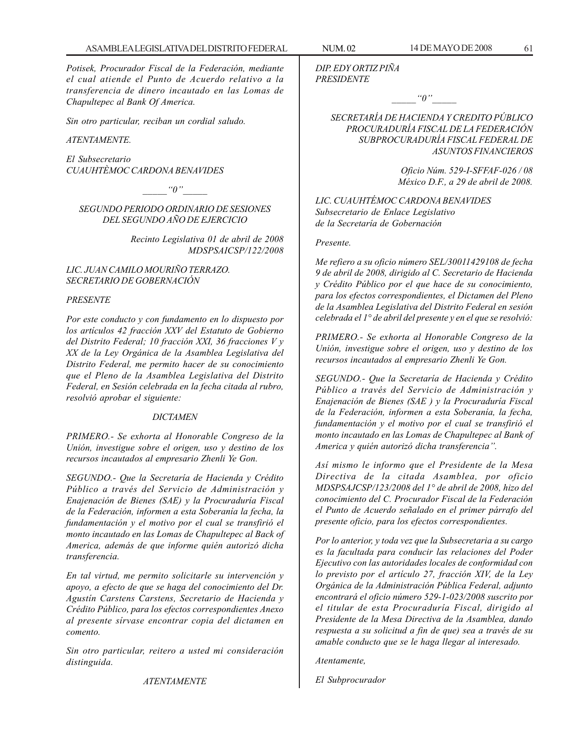*Potisek, Procurador Fiscal de la Federación, mediante el cual atiende el Punto de Acuerdo relativo a la transferencia de dinero incautado en las Lomas de Chapultepec al Bank Of America.*

*Sin otro particular, reciban un cordial saludo.*

*ATENTAMENTE.*

*El Subsecretario CUAUHTÈMOC CARDONA BENAVIDES*

 $\lq q''$ 

*SEGUNDO PERIODO ORDINARIO DE SESIONES DEL SEGUNDO AÑO DE EJERCICIO*

> *Recinto Legislativa 01 de abril de 2008 MDSPSAICSP/122/2008*

## *LIC. JUAN CAMILO MOURIÑO TERRAZO. SECRETARIO DE GOBERNACIÓN*

### *PRESENTE*

*Por este conducto y con fundamento en lo dispuesto por los artículos 42 fracción XXV del Estatuto de Gobierno del Distrito Federal; 10 fracción XXI, 36 fracciones V y XX de la Ley Orgánica de la Asamblea Legislativa del Distrito Federal, me permito hacer de su conocimiento que el Pleno de la Asamblea Legislativa del Distrito Federal, en Sesión celebrada en la fecha citada al rubro, resolvió aprobar el siguiente:*

#### *DICTAMEN*

*PRIMERO.- Se exhorta al Honorable Congreso de la Unión, investigue sobre el origen, uso y destino de los recursos incautados al empresario Zhenli Ye Gon.*

*SEGUNDO.- Que la Secretaría de Hacienda y Crédito Público a través del Servicio de Administración y Enajenación de Bienes (SAE) y la Procuraduría Fiscal de la Federación, informen a esta Soberanía la fecha, la fundamentación y el motivo por el cual se transfirió el monto incautado en las Lomas de Chapultepec al Back of America, además de que informe quién autorizó dicha transferencia.*

*En tal virtud, me permito solicitarle su intervención y apoyo, a efecto de que se haga del conocimiento del Dr. Agustín Carstens Carstens, Secretario de Hacienda y Crédito Público, para los efectos correspondientes Anexo al presente sírvase encontrar copia del dictamen en comento.*

*Sin otro particular, reitero a usted mi consideración distinguida.*

*ATENTAMENTE*

*DIP. EDY ORTIZ PIÑA PRESIDENTE*

 $"0"$ 

*SECRETARÍA DE HACIENDA Y CREDITO PÚBLICO PROCURADURÍA FISCAL DE LA FEDERACIÓN SUBPROCURADURÍA FISCAL FEDERAL DE ASUNTOS FINANCIEROS*

> *Oficio Núm. 529-I-SFFAF-026 / 08 México D.F., a 29 de abril de 2008.*

*LIC. CUAUHTÉMOC CARDONA BENAVIDES Subsecretario de Enlace Legislativo de la Secretaría de Gobernación*

#### *Presente.*

*Me refiero a su oficio número SEL/30011429108 de fecha 9 de abril de 2008, dirigido al C. Secretario de Hacienda y Crédito Público por el que hace de su conocimiento, para los efectos correspondientes, el Dictamen del Pleno de la Asamblea Legislativa del Distrito Federal en sesión celebrada el 1° de abril del presente y en el que se resolvió:*

*PRIMERO.- Se exhorta al Honorable Congreso de la Unión, investigue sobre el origen, uso y destino de los recursos incautados al empresario Zhenli Ye Gon.*

*SEGUNDO.- Que la Secretaría de Hacienda y Crédito Público a través del Servicio de Administración y Enajenación de Bienes (SAE ) y la Procuraduría Fiscal de la Federación, informen a esta Soberanía, la fecha, fundamentación y el motivo por el cual se transfirió el monto incautado en las Lomas de Chapultepec al Bank of America y quién autorizó dicha transferencia''.*

*Así mismo le informo que el Presidente de la Mesa Directiva de la citada Asamblea, por oficio MDSPSAJCSP/123/2008 del 1° de abril de 2008, hizo del conocimiento del C. Procurador Fiscal de la Federación el Punto de Acuerdo señalado en el primer párrafo del presente oficio, para los efectos correspondientes.*

*Por lo anterior, y toda vez que la Subsecretaria a su cargo es la facultada para conducir las relaciones del Poder Ejecutivo con las autoridades locales de conformidad con lo previsto por el artículo 27, fracción XIV, de la Ley Orgánica de la Administración Pública Federal, adjunto encontrará el oficio número 529-1-023/2008 suscrito por el titular de esta Procuraduría Fiscal, dirigido al Presidente de la Mesa Directiva de la Asamblea, dando respuesta a su solicitud a fin de que) sea a través de su amable conducto que se le haga llegar al interesado.*

*Atentamente,*

*El Subprocurador*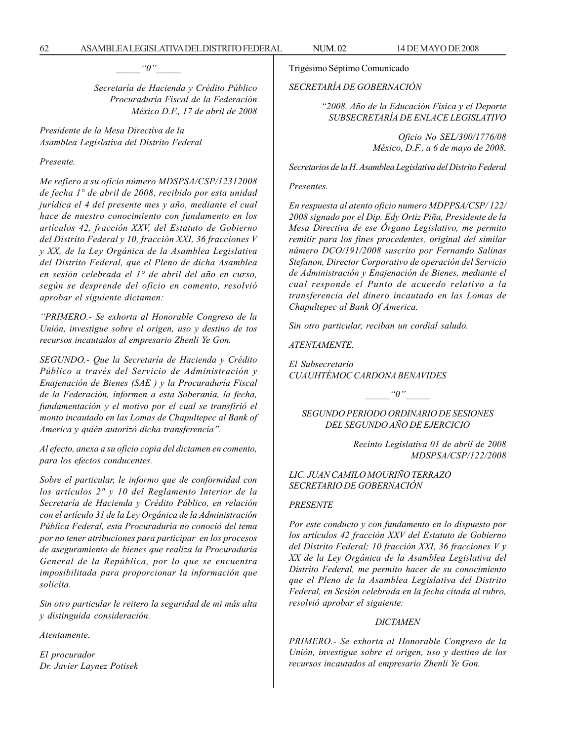$"0"$ 

*Secretaría de Hacienda y Crédito Público Procuraduría Fiscal de la Federación México D.F., 17 de abril de 2008*

*Presidente de la Mesa Directiva de la Asamblea Legislativa del Distrito Federal*

*Presente.*

*Me refiero a su oficio número MDSPSA/CSP/12312008 de fecha 1° de abril de 2008, recibido por esta unidad jurídica el 4 del presente mes y año, mediante el cual hace de nuestro conocimiento con fundamento en los artículos 42, fracción XXV, del Estatuto de Gobierno del Distrito Federal y 10, fracción XXI, 36 fracciones V y XX, de la Ley Orgánica de la Asamblea Legislativa del Distrito Federal, que el Pleno de dicha Asamblea en sesión celebrada el 1° de abril del año en curso, según se desprende del oficio en comento, resolvió aprobar el siguiente dictamen:*

*''PRIMERO.- Se exhorta al Honorable Congreso de la Unión, investigue sobre el origen, uso y destino de tos recursos incautados al empresario Zhenli Ye Gon.*

*SEGUNDO.- Que la Secretaría de Hacienda y Crédito Público a través del Servicio de Administración y Enajenación de Bienes (SAE ) y la Procuraduría Fiscal de la Federación, informen a esta Soberanía, la fecha, fundamentación y el motivo por el cual se transfirió el monto incautado en las Lomas de Chapultepec al Bank of America y quién autorizó dicha transferencia''.*

*Al efecto, anexa a su oficio copia del dictamen en comento, para los efectos conducentes.*

*Sobre el particular, le informo que de conformidad con los artículos 2" y 10 del Reglamento Interior de la Secretaría de Hacienda y Crédito Público, en relación con el artículo 31 de la Ley Orgánica de la Administración Pública Federal, esta Procuraduría no conoció del tema por no tener atribuciones para participar en los procesos de aseguramiento de bienes que realiza la Procuraduría General de la República, por lo que se encuentra imposibilitada para proporcionar la información que solicita.*

*Sin otro particular le reitero la seguridad de mi más alta y distinguida consideración.*

*Atentamente.*

*El procurador Dr. Javier Laynez Potisek* Trigésimo Séptimo Comunicado

*SECRETARÍA DE GOBERNACIÓN*

*''2008, Año de la Educación Física y el Deporte SUBSECRETARÍA DE ENLACE LEGISLATIVO*

> *Oficio No SEL/300/1776/08 México, D.F., a 6 de mayo de 2008.*

*Secretarios de la H. Asamblea Legislativa del Distrito Federal*

#### *Presentes.*

*En respuesta al atento oficio numero MDPPSA/CSP/ 122/ 2008 signado por el Dip. Edy Ortiz Piña, Presidente de la Mesa Directiva de ese Órgano Legislativo, me permito remitir para los fines procedentes, original del similar número DCO/191/2008 suscrito por Fernando Salinas Stefanon, Director Corporativo de operación del Servicio de Administración y Enajenación de Bienes, mediante el cual responde el Punto de acuerdo relativo a la transferencia del dinero incautado en las Lomas de Chapultepec al Bank Of America.*

*Sin otro particular, reciban un cordial saludo.*

*ATENTAMENTE.*

*El Subsecretario CUAUHTÉMOC CARDONA BENAVIDES*

 $"0"$ 

*SEGUNDO PERIODO ORDINARIO DE SESIONES DEL SEGUNDO AÑO DE EJERCICIO*

> *Recinto Legislativa 01 de abril de 2008 MDSPSA/CSP/122/2008*

## *LIC. JUAN CAMILO MOURIÑO TERRAZO SECRETARIO DE GOBERNACIÓN*

### *PRESENTE*

*Por este conducto y con fundamento en lo dispuesto por los artículos 42 fracción XXV del Estatuto de Gobierno del Distrito Federal; 10 fracción XXI, 36 fracciones V y XX de la Ley Orgánica de la Asamblea Legislativa del Distrito Federal, me permito hacer de su conocimiento que el Pleno de la Asamblea Legislativa del Distrito Federal, en Sesión celebrada en la fecha citada al rubro, resolvió aprobar el siguiente:*

#### *DICTAMEN*

*PRIMERO.- Se exhorta al Honorable Congreso de la Unión, investigue sobre el origen, uso y destino de los recursos incautados al empresario Zhenli Ye Gon.*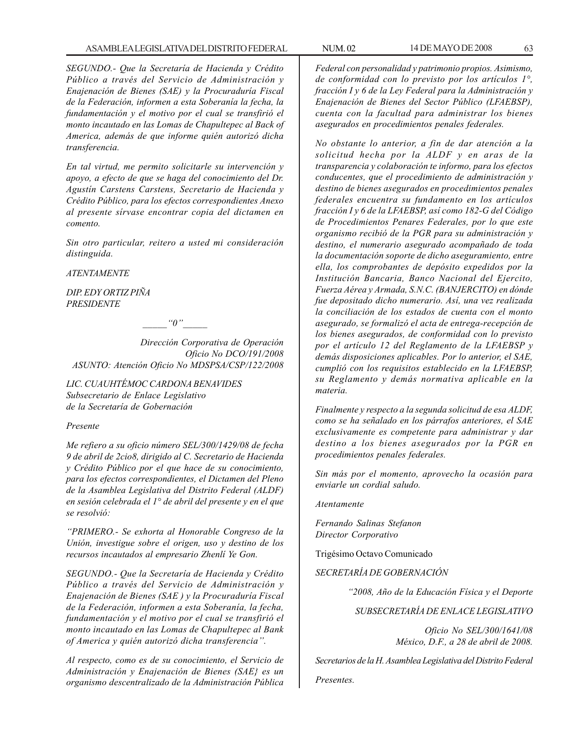*SEGUNDO.- Que la Secretaría de Hacienda y Crédito Público a través del Servicio de Administración y Enajenación de Bienes (SAE) y la Procuraduría Fiscal de la Federación, informen a esta Soberanía la fecha, la fundamentación y el motivo por el cual se transfirió el monto incautado en las Lomas de Chapultepec al Back of America, además de que informe quién autorizó dicha transferencia.*

*En tal virtud, me permito solicitarle su intervención y apoyo, a efecto de que se haga del conocimiento del Dr. Agustín Carstens Carstens, Secretario de Hacienda y Crédito Público, para los efectos correspondientes Anexo al presente sírvase encontrar copia del dictamen en comento.*

*Sin otro particular, reitero a usted mi consideración distinguida.*

*ATENTAMENTE*

*DIP. EDY ORTIZ PIÑA PRESIDENTE*

 $"0"$ 

*Dirección Corporativa de Operación Oficio No DCO/191/2008 ASUNTO: Atención Oficio No MDSPSA/CSP/122/2008*

*LIC. CUAUHTÉMOC CARDONA BENAVIDES Subsecretario de Enlace Legislativo de la Secretaría de Gobernación*

### *Presente*

*Me refiero a su oficio número SEL/300/1429/08 de fecha 9 de abril de 2cio8, dirigido al C. Secretario de Hacienda y Crédito Público por el que hace de su conocimiento, para los efectos correspondientes, el Dictamen del Pleno de la Asamblea Legislativa del Distrito Federal (ALDF) en sesión celebrada el 1° de abril del presente y en el que se resolvió:*

*''PRIMERO.- Se exhorta al Honorable Congreso de la Unión, investigue sobre el origen, uso y destino de los recursos incautados al empresario Zhenlí Ye Gon.*

*SEGUNDO.- Que la Secretaría de Hacienda y Crédito Público a través del Servicio de Administración y Enajenación de Bienes (SAE ) y la Procuraduría Fiscal de la Federación, informen a esta Soberanía, la fecha, fundamentación y el motivo por el cual se transfirió el monto incautado en las Lomas de Chapultepec al Bank of America y quién autorizó dicha transferencia''.*

*Al respecto, como es de su conocimiento, el Servicio de Administración y Enajenación de Bienes (SAE} es un organismo descentralizado de la Administración Pública*

*Federal con personalidad y patrimonio propios. Asimismo, de conformidad con lo previsto por los artículos 1°, fracción I y 6 de la Ley Federal para la Administración y Enajenación de Bienes del Sector Público (LFAEBSP), cuenta con la facultad para administrar los bienes asegurados en procedimientos penales federales.*

*No obstante lo anterior, a fin de dar atención a la solicitud hecha por la ALDF y en aras de la transparencia y colaboración te informo, para los efectos conducentes, que el procedimiento de administración y destino de bienes asegurados en procedimientos penales federales encuentra su fundamento en los artículos fracción I y 6 de la LFAEBSP, así como 182-G del Código de Procedimientos Penares Federales, por lo que este organismo recibió de la PGR para su administración y destino, el numerario asegurado acompañado de toda la documentación soporte de dicho aseguramiento, entre ella, los comprobantes de depósito expedidos por la Institución Bancaria, Banco Nacional del Ejercito, Fuerza Aérea y Armada, S.N.C. (BANJERCITO) en dónde fue depositado dicho numerario. Así, una vez realizada la conciliación de los estados de cuenta con el monto asegurado, se formalizó el acta de entrega-recepción de los bienes asegurados, de conformidad con lo previsto por el artículo 12 del Reglamento de la LFAEBSP y demás disposiciones aplicables. Por lo anterior, el SAE, cumplió con los requisitos establecido en la LFAEBSP, su Reglamento y demás normativa aplicable en la materia.*

*Finalmente y respecto a la segunda solicitud de esa ALDF, como se ha señalado en los párrafos anteriores, el SAE exclusivamente es competente para administrar y dar destino a los bienes asegurados por la PGR en procedimientos penales federales.*

*Sin más por el momento, aprovecho la ocasión para enviarle un cordial saludo.*

*Atentamente*

*Fernando Salinas Stefanon Director Corporativo*

Trigésimo Octavo Comunicado

*SECRETARÍA DE GOBERNACIÓN*

*''2008, Año de la Educación Física y el Deporte*

*SUBSECRETARÍA DE ENLACE LEGISLATIVO*

*Oficio No SEL/300/1641/08 México, D.F., a 28 de abril de 2008.*

*Secretarios de la H. Asamblea Legislativa del Distrito Federal*

*Presentes.*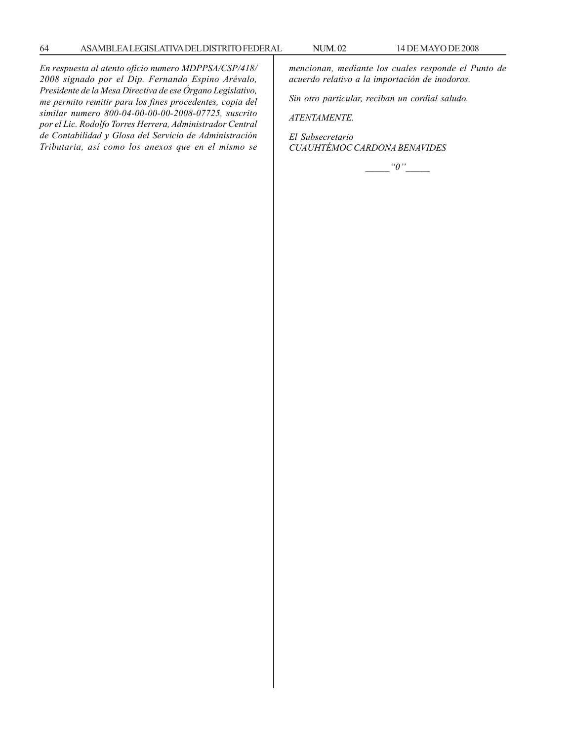*En respuesta al atento oficio numero MDPPSA/CSP/418/ 2008 signado por el Dip. Fernando Espino Arévalo, Presidente de la Mesa Directiva de ese Órgano Legislativo, me permito remitir para los fines procedentes, copia del similar numero 800-04-00-00-00-2008-07725, suscrito por el Lic. Rodolfo Torres Herrera, Administrador Central de Contabilidad y Glosa del Servicio de Administración Tributaria, así como los anexos que en el mismo se*

*mencionan, mediante los cuales responde el Punto de acuerdo relativo a la importación de inodoros.*

*Sin otro particular, reciban un cordial saludo.*

*ATENTAMENTE.*

*El Subsecretario CUAUHTÉMOC CARDONA BENAVIDES*

*\_\_\_\_\_''0''\_\_\_\_\_*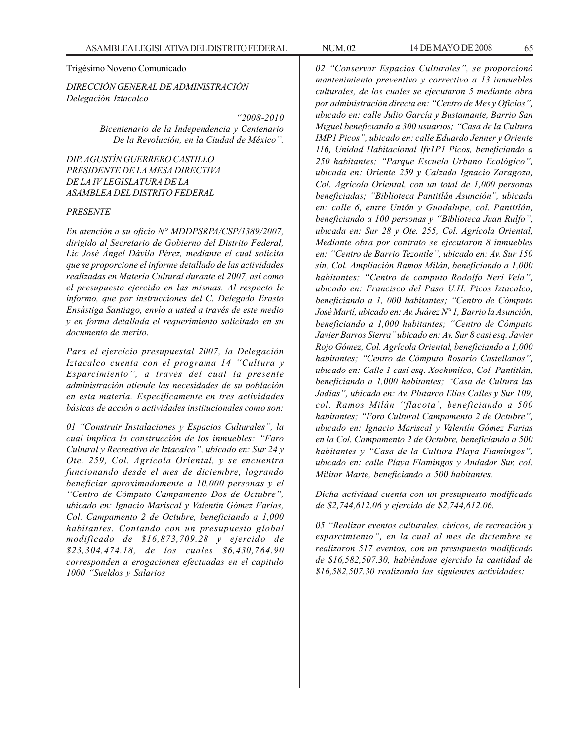### Trigésimo Noveno Comunicado

*DIRECCIÓN GENERAL DE ADMINISTRACIÓN Delegación Iztacalco*

> *''2008-2010 Bicentenario de la Independencia y Centenario De la Revolución, en la Ciudad de México''.*

*DIP. AGUSTÍN GUERRERO CASTILLO PRESIDENTE DE LA MESA DIRECTIVA DE LA IV LEGISLATURA DE LA ASAMBLEA DEL DISTRITO FEDERAL*

#### *PRESENTE*

*En atención a su oficio N° MDDPSRPA/CSP/1389/2007, dirigido al Secretario de Gobierno del Distrito Federal, Lic José Ángel Dávila Pérez, mediante el cual solicita que se proporcione el informe detallado de las actividades realizadas en Materia Cultural durante el 2007, así como el presupuesto ejercido en las mismas. Al respecto le informo, que por instrucciones del C. Delegado Erasto Ensástiga Santiago, envío a usted a través de este medio y en forma detallada el requerimiento solicitado en su documento de merito.*

*Para el ejercicio presupuestal 2007, la Delegación Iztacalco cuenta con el programa 14 ''Cultura y Esparcimiento'', a través del cual la presente administración atiende las necesidades de su población en esta materia. Específicamente en tres actividades básicas de acción o actividades institucionales como son:*

*01 ''Construir Instalaciones y Espacios Culturales'', la cual implica la construcción de los inmuebles: ''Faro Cultural y Recreativo de Iztacalco'', ubicado en: Sur 24 y Ote. 259, Col. Agrícola Oriental, y se encuentra funcionando desde el mes de diciembre, logrando beneficiar aproximadamente a 10,000 personas y el ''Centro de Cómputo Campamento Dos de Octubre'', ubicado en: Ignacio Mariscal y Valentín Gómez Farias, Col. Campamento 2 de Octubre, beneficiando a 1,000 habitantes. Contando con un presupuesto global modificado de \$16,873,709.28 y ejercido de \$23,304,474.18, de los cuales \$6,430,764.90 corresponden a erogaciones efectuadas en el capitulo 1000 ''Sueldos y Salarios*

*02 ''Conservar Espacios Culturales'', se proporcionó mantenimiento preventivo y correctivo a 13 inmuebles culturales, de los cuales se ejecutaron 5 mediante obra por administración directa en: ''Centro de Mes y Oficios'', ubicado en: calle Julio García y Bustamante, Barrio San Miguel beneficiando a 300 usuarios; ''Casa de la Cultura IMP1 Picos'', ubicado en: calle Eduardo Jenner y Oriente 116, Unidad Habitacional Ifv1P1 Picos, beneficiando a 250 habitantes; ''Parque Escuela Urbano Ecológico'', ubicada en: Oriente 259 y Calzada Ignacio Zaragoza, Col. Agrícola Oriental, con un total de 1,000 personas beneficiadas; ''Biblioteca Pantitlán Asunción'', ubicada en: calle 6, entre Unión y Guadalupe, col. Pantitlán, beneficiando a 100 personas y ''Biblioteca Juan Rulfo'', ubicada en: Sur 28 y Ote. 255, Col. Agrícola Oriental, Mediante obra por contrato se ejecutaron 8 inmuebles en: ''Centro de Barrio Tezontle'', ubicado en: Av. Sur 150 sin, Col. Ampliación Ramos Milán, beneficiando a 1,000 habitantes; ''Centro de computo Rodolfo Neri Vela'', ubicado en: Francisco del Paso U.H. Picos Iztacalco, beneficiando a 1, 000 habitantes; ''Centro de Cómputo José Martí, ubicado en: Av. Juárez N° 1, Barrio la Asunción, beneficiando a 1,000 habitantes; ''Centro de Cómputo Javier Barros Sierra'' ubicado en: Av. Sur 8 casi esq. Javier Rojo Gómez, Col. Agrícola Oriental, beneficiando a 1,000 habitantes; ''Centro de Cómputo Rosario Castellanos'', ubicado en: Calle 1 casi esq. Xochimilco, Col. Pantitlán, beneficiando a 1,000 habitantes; ''Casa de Cultura las Jadias'', ubicada en: Av. Plutarco Elías Calles y Sur 109, col. Ramos Milán ''flacota', beneficiando a 500 habitantes; ''Foro Cultural Campamento 2 de Octubre'', ubicado en: Ignacio Mariscal y Valentín Gómez Farias en la Col. Campamento 2 de Octubre, beneficiando a 500 habitantes y ''Casa de la Cultura Playa Flamingos'', ubicado en: calle Playa Flamingos y Andador Sur, col. Militar Marte, beneficiando a 500 habitantes.*

*Dicha actividad cuenta con un presupuesto modificado de \$2,744,612.06 y ejercido de \$2,744,612.06.*

*05 ''Realizar eventos culturales, cívicos, de recreación y esparcimiento'', en la cual al mes de diciembre se realizaron 517 eventos, con un presupuesto modificado de \$16,582,507.30, habiéndose ejercido la cantidad de \$16,582,507.30 realizando las siguientes actividades:*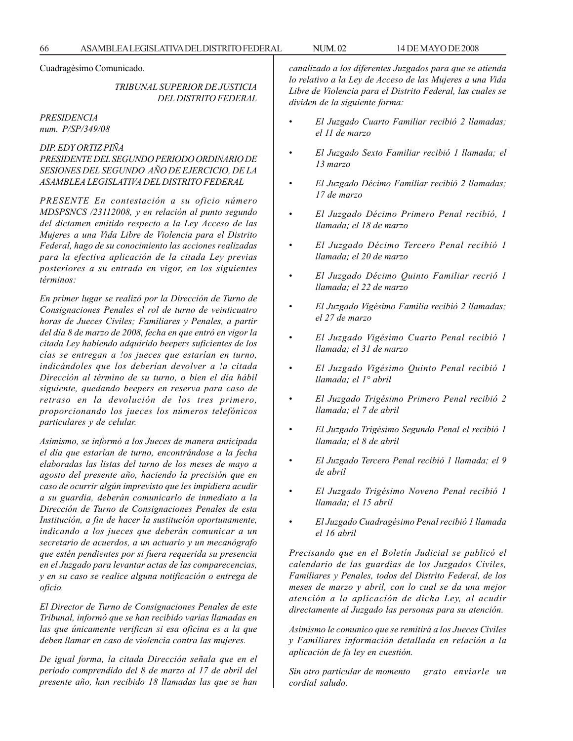Cuadragésimo Comunicado.

*TRIBUNAL SUPERIOR DE JUSTICIA DEL DISTRITO FEDERAL*

#### *PRESIDENCIA num. P/SP/349/08*

# *DIP. EDY ORTIZ PIÑA*

*PRESIDENTE DEL SEGUNDO PERIODO ORDINARIO DE SESIONES DEL SEGUNDO AÑO DE EJERCICIO, DE LA ASAMBLEA LEGISLATIVA DEL DISTRITO FEDERAL*

*PRESENTE En contestación a su oficio número MDSPSNCS /23112008, y en relación al punto segundo del dictamen emitido respecto a la Ley Acceso de las Mujeres a una Vida Libre de Violencia para el Distrito Federal, hago de su conocimiento las acciones realizadas para la efectiva aplicación de la citada Ley previas posteriores a su entrada en vigor, en los siguientes términos:*

*En primer lugar se realizó por la Dirección de Turno de Consignaciones Penales el rol de turno de veinticuatro horas de Jueces Civiles; Familiares y Penales, a partir del día 8 de marzo de 2008, fecha en que entró en vigor la citada Ley habiendo adquirido beepers suficientes de los cías se entregan a !os jueces que estarían en turno, indicándoles que los deberían devolver a !a citada Dirección al término de su turno, o bien el día hábil siguiente, quedando beepers en reserva para caso de retraso en la devolución de los tres primero, proporcionando los jueces los números telefónicos particulares y de celular.*

*Asimismo, se informó a los Jueces de manera anticipada el día que estarían de turno, encontrándose a la fecha elaboradas las listas del turno de los meses de mayo a agosto del presente año, haciendo la precisión que en caso de ocurrir algún imprevisto que les impidiera acudir a su guardia, deberán comunicarlo de inmediato a la Dirección de Turno de Consignaciones Penales de esta Institución, a fin de hacer la sustitución oportunamente, indicando a los jueces que deberán comunicar a un secretario de acuerdos, a un actuario y un mecanógrafo que estén pendientes por si fuera requerida su presencia en el Juzgado para levantar actas de las comparecencias, y en su caso se realice alguna notificación o entrega de oficio.*

*El Director de Turno de Consignaciones Penales de este Tribunal, informó que se han recibido varias llamadas en las que únicamente verifican si esa oficina es a la que deben llamar en caso de violencia contra las mujeres.*

*De igual forma, la citada Dirección señala que en el periodo comprendido del 8 de marzo al 17 de abril del presente año, han recibido 18 llamadas las que se han* *canalizado a los diferentes Juzgados para que se atienda lo relativo a la Ley de Acceso de las Mujeres a una Vida Libre de Violencia para el Distrito Federal, las cuales se dividen de la siguiente forma:*

- *El Juzgado Cuarto Familiar recibió 2 llamadas; el 11 de marzo*
- *El Juzgado Sexto Familiar recibió 1 llamada; el 13 marzo*
- *El Juzgado Décimo Familiar recibió 2 llamadas; 17 de marzo*
- *El Juzgado Décimo Primero Penal recibió, 1 llamada; el 18 de marzo*
- *El Juzgado Décimo Tercero Penal recibió 1 llamada; el 20 de marzo*
- *El Juzgado Décimo Quinto Familiar recrió 1 llamada; el 22 de marzo*
- *El Juzgado Vigésimo Familia recibió 2 llamadas; el 27 de marzo*
- *El Juzgado Vigésimo Cuarto Penal recibió 1 llamada; el 31 de marzo*
- *El Juzgado Vigésimo Quinto Penal recibió 1 llamada; el 1° abril*
- *El Juzgado Trigésimo Primero Penal recibió 2 llamada; el 7 de abril*
- *El Juzgado Trigésimo Segundo Penal el recibió 1 llamada; el 8 de abril*
- *El Juzgado Tercero Penal recibió 1 llamada; el 9 de abril*
- *El Juzgado Trigésimo Noveno Penal recibió 1 llamada; el 15 abril*
- *El Juzgado Cuadragésimo Penal recibió 1 llamada el 16 abril*

*Precisando que en el Boletín Judicial se publicó el calendario de las guardias de los Juzgados Civiles, Familiares y Penales, todos del Distrito Federal, de los meses de marzo y abril, con lo cual se da una mejor atención a la aplicación de dicha Ley, al acudir directamente al Juzgado las personas para su atención.*

*Asimismo le comunico que se remitirá a los Jueces Civiles y Familiares información detallada en relación a la aplicación de fa ley en cuestión.*

*Sin otro particular de momento grato enviarle un cordial saludo.*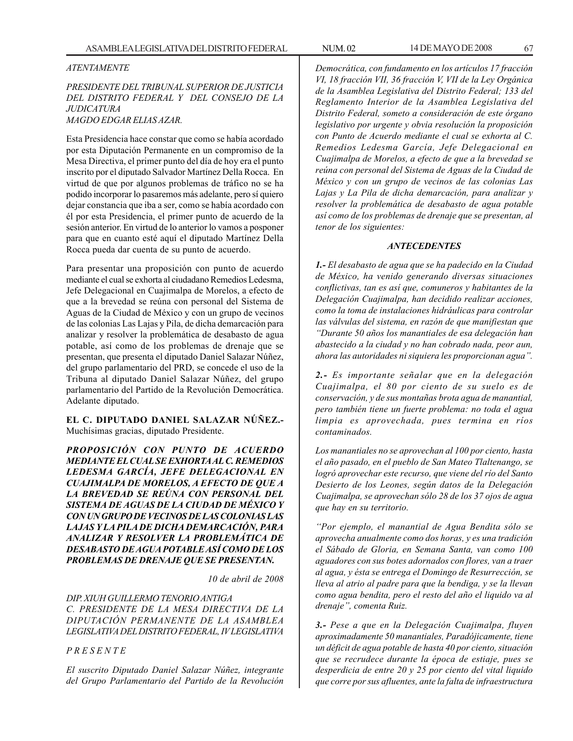## *ATENTAMENTE*

## *PRESIDENTE DEL TRIBUNAL SUPERIOR DE JUSTICIA DEL DISTRITO FEDERAL Y DEL CONSEJO DE LA JUDICATURA MAGDO EDGAR ELIAS AZAR.*

Esta Presidencia hace constar que como se había acordado por esta Diputación Permanente en un compromiso de la Mesa Directiva, el primer punto del día de hoy era el punto inscrito por el diputado Salvador Martínez Della Rocca. En virtud de que por algunos problemas de tráfico no se ha podido incorporar lo pasaremos más adelante, pero sí quiero dejar constancia que iba a ser, como se había acordado con él por esta Presidencia, el primer punto de acuerdo de la sesión anterior. En virtud de lo anterior lo vamos a posponer para que en cuanto esté aquí el diputado Martínez Della Rocca pueda dar cuenta de su punto de acuerdo.

Para presentar una proposición con punto de acuerdo mediante el cual se exhorta al ciudadano Remedios Ledesma, Jefe Delegacional en Cuajimalpa de Morelos, a efecto de que a la brevedad se reúna con personal del Sistema de Aguas de la Ciudad de México y con un grupo de vecinos de las colonias Las Lajas y Pila, de dicha demarcación para analizar y resolver la problemática de desabasto de agua potable, así como de los problemas de drenaje que se presentan, que presenta el diputado Daniel Salazar Núñez, del grupo parlamentario del PRD, se concede el uso de la Tribuna al diputado Daniel Salazar Núñez, del grupo parlamentario del Partido de la Revolución Democrática. Adelante diputado.

**EL C. DIPUTADO DANIEL SALAZAR NÚÑEZ.-** Muchísimas gracias, diputado Presidente.

*PROPOSICIÓN CON PUNTO DE ACUERDO MEDIANTE EL CUAL SE EXHORTA AL C. REMEDIOS LEDESMA GARCÍA, JEFE DELEGACIONAL EN CUAJIMALPA DE MORELOS, A EFECTO DE QUE A LA BREVEDAD SE REÚNA CON PERSONAL DEL SISTEMA DE AGUAS DE LA CIUDAD DE MÉXICO Y CON UN GRUPO DE VECINOS DE LAS COLONIAS LAS LAJAS Y LA PILA DE DICHA DEMARCACIÓN, PARA ANALIZAR Y RESOLVER LA PROBLEMÁTICA DE DESABASTO DE AGUA POTABLE ASÍ COMO DE LOS PROBLEMAS DE DRENAJE QUE SE PRESENTAN.*

*10 de abril de 2008*

*DIP. XIUH GUILLERMO TENORIO ANTIGA C. PRESIDENTE DE LA MESA DIRECTIVA DE LA DIPUTACIÓN PERMANENTE DE LA ASAMBLEA LEGISLATIVA DEL DISTRITO FEDERAL, IV LEGISLATIVA*

*P R E S E N T E*

*El suscrito Diputado Daniel Salazar Núñez, integrante del Grupo Parlamentario del Partido de la Revolución* *Democrática, con fundamento en los artículos 17 fracción VI, 18 fracción VII, 36 fracción V, VII de la Ley Orgánica de la Asamblea Legislativa del Distrito Federal; 133 del Reglamento Interior de la Asamblea Legislativa del Distrito Federal, someto a consideración de este órgano legislativo por urgente y obvia resolución la proposición con Punto de Acuerdo mediante el cual se exhorta al C. Remedios Ledesma García, Jefe Delegacional en Cuajimalpa de Morelos, a efecto de que a la brevedad se reúna con personal del Sistema de Aguas de la Ciudad de México y con un grupo de vecinos de las colonias Las Lajas y La Pila de dicha demarcación, para analizar y resolver la problemática de desabasto de agua potable así como de los problemas de drenaje que se presentan, al tenor de los siguientes:*

### *ANTECEDENTES*

*1.- El desabasto de agua que se ha padecido en la Ciudad de México, ha venido generando diversas situaciones conflictivas, tan es así que, comuneros y habitantes de la Delegación Cuajimalpa, han decidido realizar acciones, como la toma de instalaciones hidráulicas para controlar las válvulas del sistema, en razón de que manifiestan que ''Durante 50 años los manantiales de esa delegación han abastecido a la ciudad y no han cobrado nada, peor aun, ahora las autoridades ni siquiera les proporcionan agua''.*

*2.- Es importante señalar que en la delegación Cuajimalpa, el 80 por ciento de su suelo es de conservación, y de sus montañas brota agua de manantial, pero también tiene un fuerte problema: no toda el agua limpia es aprovechada, pues termina en ríos contaminados.*

*Los manantiales no se aprovechan al 100 por ciento, hasta el año pasado, en el pueblo de San Mateo Tlaltenango, se logró aprovechar este recurso, que viene del río del Santo Desierto de los Leones, según datos de la Delegación Cuajimalpa, se aprovechan sólo 28 de los 37 ojos de agua que hay en su territorio.*

*''Por ejemplo, el manantial de Agua Bendita sólo se aprovecha anualmente como dos horas, y es una tradición el Sábado de Gloria, en Semana Santa, van como 100 aguadores con sus botes adornados con flores, van a traer al agua, y ésta se entrega el Domingo de Resurrección, se lleva al atrio al padre para que la bendiga, y se la llevan como agua bendita, pero el resto del año el liquido va al drenaje'', comenta Ruiz.*

*3.- Pese a que en la Delegación Cuajimalpa, fluyen aproximadamente 50 manantiales, Paradójicamente, tiene un déficit de agua potable de hasta 40 por ciento, situación que se recrudece durante la época de estiaje, pues se desperdicia de entre 20 y 25 por ciento del vital liquido que corre por sus afluentes, ante la falta de infraestructura*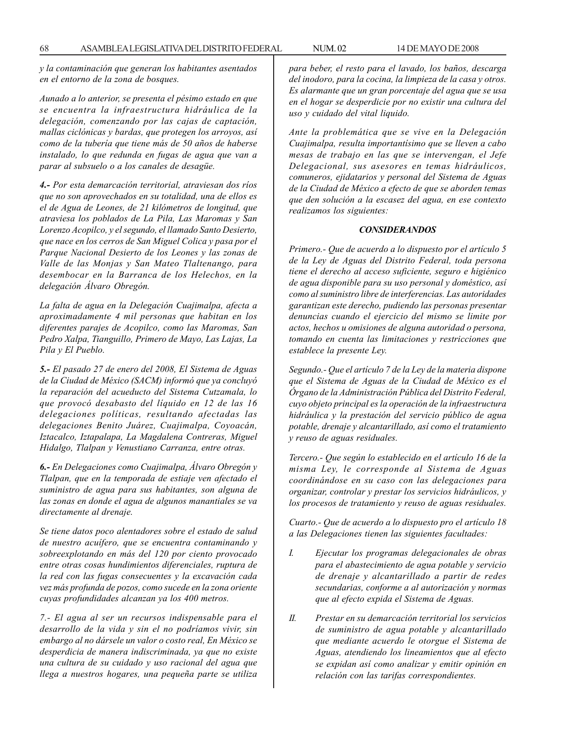*y la contaminación que generan los habitantes asentados en el entorno de la zona de bosques.*

*Aunado a lo anterior, se presenta el pésimo estado en que se encuentra la infraestructura hidráulica de la delegación, comenzando por las cajas de captación, mallas ciclónicas y bardas, que protegen los arroyos, así como de la tubería que tiene más de 50 años de haberse instalado, lo que redunda en fugas de agua que van a parar al subsuelo o a los canales de desagüe.*

*4.- Por esta demarcación territorial, atraviesan dos ríos que no son aprovechados en su totalidad, una de ellos es el de Agua de Leones, de 21 kilómetros de longitud, que atraviesa los poblados de La Pila, Las Maromas y San Lorenzo Acopilco, y el segundo, el llamado Santo Desierto, que nace en los cerros de San Miguel Colica y pasa por el Parque Nacional Desierto de los Leones y las zonas de Valle de las Monjas y San Mateo Tlaltenango, para desembocar en la Barranca de los Helechos, en la delegación Álvaro Obregón.*

*La falta de agua en la Delegación Cuajimalpa, afecta a aproximadamente 4 mil personas que habitan en los diferentes parajes de Acopilco, como las Maromas, San Pedro Xalpa, Tianguillo, Primero de Mayo, Las Lajas, La Pila y El Pueblo.*

*5.- El pasado 27 de enero del 2008, El Sistema de Aguas de la Ciudad de México (SACM) informó que ya concluyó la reparación del acueducto del Sistema Cutzamala, lo que provocó desabasto del líquido en 12 de las 16 delegaciones políticas, resultando afectadas las delegaciones Benito Juárez, Cuajimalpa, Coyoacán, Iztacalco, Iztapalapa, La Magdalena Contreras, Miguel Hidalgo, Tlalpan y Venustiano Carranza, entre otras.*

*6.- En Delegaciones como Cuajimalpa, Álvaro Obregón y Tlalpan, que en la temporada de estiaje ven afectado el suministro de agua para sus habitantes, son alguna de las zonas en donde el agua de algunos manantiales se va directamente al drenaje.*

*Se tiene datos poco alentadores sobre el estado de salud de nuestro acuífero, que se encuentra contaminando y sobreexplotando en más del 120 por ciento provocado entre otras cosas hundimientos diferenciales, ruptura de la red con las fugas consecuentes y la excavación cada vez más profunda de pozos, como sucede en la zona oriente cuyas profundidades alcanzan ya los 400 metros.*

*7.- El agua al ser un recursos indispensable para el desarrollo de la vida y sin el no podríamos vivir, sin embargo al no dársele un valor o costo real, En México se desperdicia de manera indiscriminada, ya que no existe una cultura de su cuidado y uso racional del agua que llega a nuestros hogares, una pequeña parte se utiliza*

*para beber, el resto para el lavado, los baños, descarga del inodoro, para la cocina, la limpieza de la casa y otros. Es alarmante que un gran porcentaje del agua que se usa en el hogar se desperdicie por no existir una cultura del uso y cuidado del vital liquido.*

*Ante la problemática que se vive en la Delegación Cuajimalpa, resulta importantísimo que se lleven a cabo mesas de trabajo en las que se intervengan, el Jefe Delegacional, sus asesores en temas hidráulicos, comuneros, ejidatarios y personal del Sistema de Aguas de la Ciudad de México a efecto de que se aborden temas que den solución a la escasez del agua, en ese contexto realizamos los siguientes:*

#### *CONSIDERANDOS*

*Primero.- Que de acuerdo a lo dispuesto por el artículo 5 de la Ley de Aguas del Distrito Federal, toda persona tiene el derecho al acceso suficiente, seguro e higiénico de agua disponible para su uso personal y doméstico, así como al suministro libre de interferencias. Las autoridades garantizan este derecho, pudiendo las personas presentar denuncias cuando el ejercicio del mismo se limite por actos, hechos u omisiones de alguna autoridad o persona, tomando en cuenta las limitaciones y restricciones que establece la presente Ley.*

*Segundo.- Que el artículo 7 de la Ley de la materia dispone que el Sistema de Aguas de la Ciudad de México es el Órgano de la Administración Pública del Distrito Federal, cuyo objeto principal es la operación de la infraestructura hidráulica y la prestación del servicio público de agua potable, drenaje y alcantarillado, así como el tratamiento y reuso de aguas residuales.*

*Tercero.- Que según lo establecido en el artículo 16 de la misma Ley, le corresponde al Sistema de Aguas coordinándose en su caso con las delegaciones para organizar, controlar y prestar los servicios hidráulicos, y los procesos de tratamiento y reuso de aguas residuales.*

*Cuarto.- Que de acuerdo a lo dispuesto pro el artículo 18 a las Delegaciones tienen las siguientes facultades:*

- *I. Ejecutar los programas delegacionales de obras para el abastecimiento de agua potable y servicio de drenaje y alcantarillado a partir de redes secundarias, conforme a al autorización y normas que al efecto expida el Sistema de Aguas.*
- *II. Prestar en su demarcación territorial los servicios de suministro de agua potable y alcantarillado que mediante acuerdo le otorgue el Sistema de Aguas, atendiendo los lineamientos que al efecto se expidan así como analizar y emitir opinión en relación con las tarifas correspondientes.*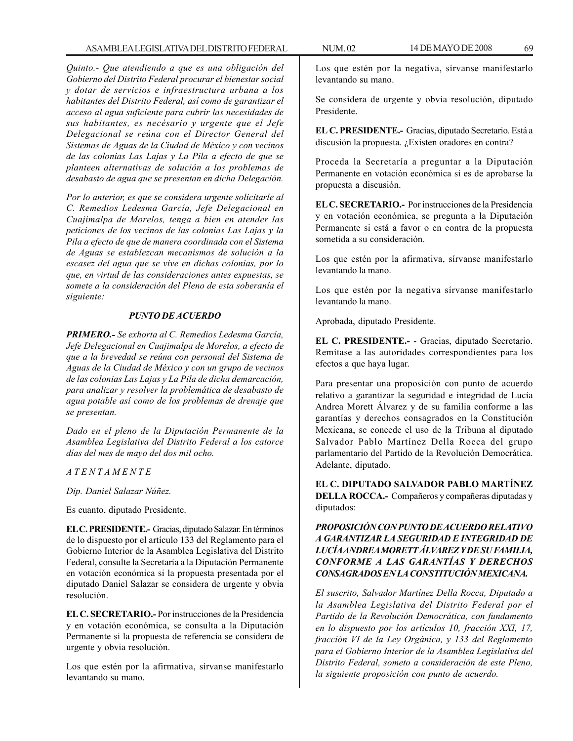*Quinto.- Que atendiendo a que es una obligación del Gobierno del Distrito Federal procurar el bienestar social y dotar de servicios e infraestructura urbana a los habitantes del Distrito Federal, así como de garantizar el acceso al agua suficiente para cubrir las necesidades de sus habitantes, es necésario y urgente que el Jefe Delegacional se reúna con el Director General del Sistemas de Aguas de la Ciudad de México y con vecinos de las colonias Las Lajas y La Pila a efecto de que se planteen alternativas de solución a los problemas de desabasto de agua que se presentan en dicha Delegación.*

*Por lo anterior, es que se considera urgente solicitarle al C. Remedios Ledesma García, Jefe Delegacional en Cuajimalpa de Morelos, tenga a bien en atender las peticiones de los vecinos de las colonias Las Lajas y la Pila a efecto de que de manera coordinada con el Sistema de Aguas se establezcan mecanismos de solución a la escasez del agua que se vive en dichas colonias, por lo que, en virtud de las consideraciones antes expuestas, se somete a la consideración del Pleno de esta soberanía el siguiente:*

## *PUNTO DE ACUERDO*

*PRIMERO.- Se exhorta al C. Remedios Ledesma García, Jefe Delegacional en Cuajimalpa de Morelos, a efecto de que a la brevedad se reúna con personal del Sistema de Aguas de la Ciudad de México y con un grupo de vecinos de las colonias Las Lajas y La Pila de dicha demarcación, para analizar y resolver la problemática de desabasto de agua potable así como de los problemas de drenaje que se presentan.*

*Dado en el pleno de la Diputación Permanente de la Asamblea Legislativa del Distrito Federal a los catorce días del mes de mayo del dos mil ocho.*

*A T E N T A M E N T E*

*Dip. Daniel Salazar Núñez.*

Es cuanto, diputado Presidente.

**EL C. PRESIDENTE.-** Gracias, diputado Salazar. En términos de lo dispuesto por el artículo 133 del Reglamento para el Gobierno Interior de la Asamblea Legislativa del Distrito Federal, consulte la Secretaría a la Diputación Permanente en votación económica si la propuesta presentada por el diputado Daniel Salazar se considera de urgente y obvia resolución.

**EL C. SECRETARIO.-** Por instrucciones de la Presidencia y en votación económica, se consulta a la Diputación Permanente si la propuesta de referencia se considera de urgente y obvia resolución.

Los que estén por la afirmativa, sírvanse manifestarlo levantando su mano.

Se considera de urgente y obvia resolución, diputado Presidente.

**EL C. PRESIDENTE.-** Gracias, diputado Secretario. Está a discusión la propuesta. ¿Existen oradores en contra?

Proceda la Secretaría a preguntar a la Diputación Permanente en votación económica si es de aprobarse la propuesta a discusión.

**EL C. SECRETARIO.-** Por instrucciones de la Presidencia y en votación económica, se pregunta a la Diputación Permanente si está a favor o en contra de la propuesta sometida a su consideración.

Los que estén por la afirmativa, sírvanse manifestarlo levantando la mano.

Los que estén por la negativa sírvanse manifestarlo levantando la mano.

Aprobada, diputado Presidente.

**EL C. PRESIDENTE.-** - Gracias, diputado Secretario. Remítase a las autoridades correspondientes para los efectos a que haya lugar.

Para presentar una proposición con punto de acuerdo relativo a garantizar la seguridad e integridad de Lucía Andrea Morett Álvarez y de su familia conforme a las garantías y derechos consagrados en la Constitución Mexicana, se concede el uso de la Tribuna al diputado Salvador Pablo Martínez Della Rocca del grupo parlamentario del Partido de la Revolución Democrática. Adelante, diputado.

**EL C. DIPUTADO SALVADOR PABLO MARTÍNEZ DELLA ROCCA.-** Compañeros y compañeras diputadas y diputados:

## *PROPOSICIÓN CON PUNTO DE ACUERDO RELATIVO A GARANTIZAR LA SEGURIDAD E INTEGRIDAD DE LUCÍA ANDREA MORETT ÁLVAREZ Y DE SU FAMILIA, CONFORME A LAS GARANTÍAS Y DERECHOS CONSAGRADOS EN LA CONSTITUCIÓN MEXICANA.*

*El suscrito, Salvador Martínez Della Rocca, Diputado a la Asamblea Legislativa del Distrito Federal por el Partido de la Revolución Democrática, con fundamento en lo dispuesto por los artículos 10, fracción XXI, 17, fracción VI de la Ley Orgánica, y 133 del Reglamento para el Gobierno Interior de la Asamblea Legislativa del Distrito Federal, someto a consideración de este Pleno, la siguiente proposición con punto de acuerdo.*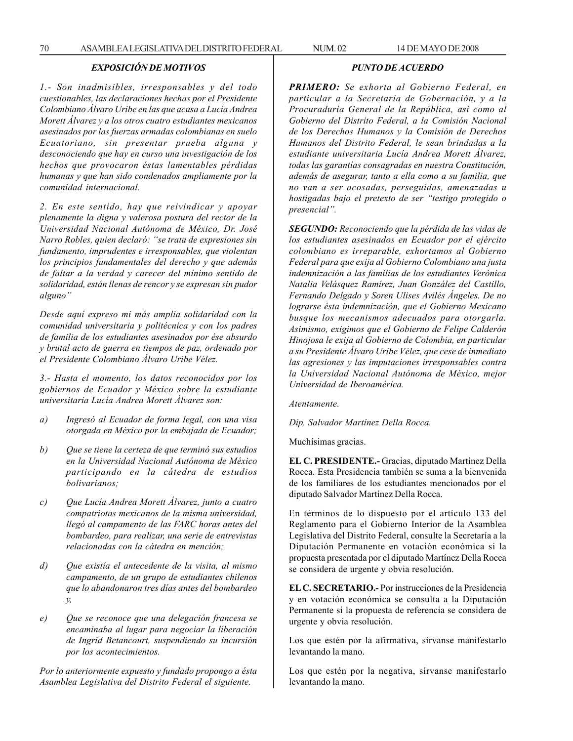## *EXPOSICIÓN DE MOTIVOS*

*1.- Son inadmisibles, irresponsables y del todo cuestionables, las declaraciones hechas por el Presidente Colombiano Álvaro Uribe en las que acusa a Lucía Andrea Morett Álvarez y a los otros cuatro estudiantes mexicanos asesinados por las fuerzas armadas colombianas en suelo Ecuatoriano, sin presentar prueba alguna y desconociendo que hay en curso una investigación de los hechos que provocaron éstas lamentables pérdidas humanas y que han sido condenados ampliamente por la comunidad internacional.*

*2. En este sentido, hay que reivindicar y apoyar plenamente la digna y valerosa postura del rector de la Universidad Nacional Autónoma de México, Dr. José Narro Robles, quien declaró: ''se trata de expresiones sin fundamento, imprudentes e irresponsables, que violentan los principios fundamentales del derecho y que además de faltar a la verdad y carecer del mínimo sentido de solidaridad, están llenas de rencor y se expresan sin pudor alguno''*

*Desde aquí expreso mi más amplia solidaridad con la comunidad universitaria y politécnica y con los padres de familia de los estudiantes asesinados por ése absurdo y brutal acto de guerra en tiempos de paz, ordenado por el Presidente Colombiano Álvaro Uribe Vélez.*

*3.- Hasta el momento, los datos reconocidos por los gobiernos de Ecuador y México sobre la estudiante universitaria Lucía Andrea Morett Álvarez son:*

- *a) Ingresó al Ecuador de forma legal, con una visa otorgada en México por la embajada de Ecuador;*
- *b) Que se tiene la certeza de que terminó sus estudios en la Universidad Nacional Autónoma de México participando en la cátedra de estudios bolivarianos;*
- *c) Que Lucía Andrea Morett Álvarez, junto a cuatro compatriotas mexicanos de la misma universidad, llegó al campamento de las FARC horas antes del bombardeo, para realizar, una serie de entrevistas relacionadas con la cátedra en mención;*
- *d) Que existía el antecedente de la visita, al mismo campamento, de un grupo de estudiantes chilenos que lo abandonaron tres días antes del bombardeo y,*
- *e) Que se reconoce que una delegación francesa se encaminaba al lugar para negociar la liberación de Ingrid Betancourt, suspendiendo su incursión por los acontecimientos.*

*Por lo anteriormente expuesto y fundado propongo a ésta Asamblea Legislativa del Distrito Federal el siguiente.*

## *PUNTO DE ACUERDO*

*PRIMERO: Se exhorta al Gobierno Federal, en particular a la Secretaría de Gobernación, y a la Procuraduría General de la República, así como al Gobierno del Distrito Federal, a la Comisión Nacional de los Derechos Humanos y la Comisión de Derechos Humanos del Distrito Federal, le sean brindadas a la estudiante universitaria Lucía Andrea Morett Álvarez, todas las garantías consagradas en nuestra Constitución, además de asegurar, tanto a ella como a su familia, que no van a ser acosadas, perseguidas, amenazadas u hostigadas bajo el pretexto de ser ''testigo protegido o presencial''.*

*SEGUNDO: Reconociendo que la pérdida de las vidas de los estudiantes asesinados en Ecuador por el ejército colombiano es irreparable, exhortamos al Gobierno Federal para que exija al Gobierno Colombiano una justa indemnización a las familias de los estudiantes Verónica Natalia Velásquez Ramírez, Juan González del Castillo, Fernando Delgado y Soren Ulises Avilés Ángeles. De no lograrse ésta indemnización, que el Gobierno Mexicano busque los mecanismos adecuados para otorgarla. Asimismo, exigimos que el Gobierno de Felipe Calderón Hinojosa le exija al Gobierno de Colombia, en particular a su Presidente Álvaro Uribe Vélez, que cese de inmediato las agresiones y las imputaciones irresponsables contra la Universidad Nacional Autónoma de México, mejor Universidad de Iberoamérica.*

*Atentamente.*

*Dip. Salvador Martínez Della Rocca.*

Muchísimas gracias.

**EL C. PRESIDENTE.-** Gracias, diputado Martínez Della Rocca. Esta Presidencia también se suma a la bienvenida de los familiares de los estudiantes mencionados por el diputado Salvador Martínez Della Rocca.

En términos de lo dispuesto por el artículo 133 del Reglamento para el Gobierno Interior de la Asamblea Legislativa del Distrito Federal, consulte la Secretaría a la Diputación Permanente en votación económica si la propuesta presentada por el diputado Martínez Della Rocca se considera de urgente y obvia resolución.

**EL C. SECRETARIO.-** Por instrucciones de la Presidencia y en votación económica se consulta a la Diputación Permanente si la propuesta de referencia se considera de urgente y obvia resolución.

Los que estén por la afirmativa, sírvanse manifestarlo levantando la mano.

Los que estén por la negativa, sírvanse manifestarlo levantando la mano.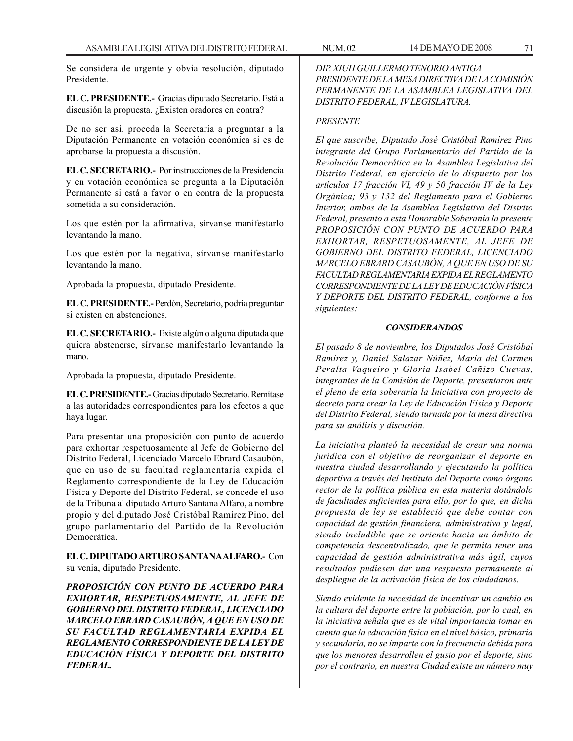Se considera de urgente y obvia resolución, diputado Presidente.

**EL C. PRESIDENTE.-** Gracias diputado Secretario. Está a discusión la propuesta. ¿Existen oradores en contra?

De no ser así, proceda la Secretaría a preguntar a la Diputación Permanente en votación económica si es de aprobarse la propuesta a discusión.

**EL C. SECRETARIO.-** Por instrucciones de la Presidencia y en votación económica se pregunta a la Diputación Permanente si está a favor o en contra de la propuesta sometida a su consideración.

Los que estén por la afirmativa, sírvanse manifestarlo levantando la mano.

Los que estén por la negativa, sírvanse manifestarlo levantando la mano.

Aprobada la propuesta, diputado Presidente.

**EL C. PRESIDENTE.-** Perdón, Secretario, podría preguntar si existen en abstenciones.

**EL C. SECRETARIO.-** Existe algún o alguna diputada que quiera abstenerse, sírvanse manifestarlo levantando la mano.

Aprobada la propuesta, diputado Presidente.

**EL C. PRESIDENTE.-** Gracias diputado Secretario. Remítase a las autoridades correspondientes para los efectos a que haya lugar.

Para presentar una proposición con punto de acuerdo para exhortar respetuosamente al Jefe de Gobierno del Distrito Federal, Licenciado Marcelo Ebrard Casaubón, que en uso de su facultad reglamentaria expida el Reglamento correspondiente de la Ley de Educación Física y Deporte del Distrito Federal, se concede el uso de la Tribuna al diputado Arturo Santana Alfaro, a nombre propio y del diputado José Cristóbal Ramírez Pino, del grupo parlamentario del Partido de la Revolución Democrática.

**EL C. DIPUTADO ARTURO SANTANA ALFARO.-** Con su venia, diputado Presidente.

*PROPOSICIÓN CON PUNTO DE ACUERDO PARA EXHORTAR, RESPETUOSAMENTE, AL JEFE DE GOBIERNO DEL DISTRITO FEDERAL, LICENCIADO MARCELO EBRARD CASAUBÓN, A QUE EN USO DE SU FACULTAD REGLAMENTARIA EXPIDA EL REGLAMENTO CORRESPONDIENTE DE LA LEY DE EDUCACIÓN FÍSICA Y DEPORTE DEL DISTRITO FEDERAL.*

*DIP. XIUH GUILLERMO TENORIO ANTIGA PRESIDENTE DE LA MESA DIRECTIVA DE LA COMISIÓN PERMANENTE DE LA ASAMBLEA LEGISLATIVA DEL DISTRITO FEDERAL, IV LEGISLATURA.*

## *PRESENTE*

*El que suscribe, Diputado José Cristóbal Ramírez Pino integrante del Grupo Parlamentario del Partido de la Revolución Democrática en la Asamblea Legislativa del Distrito Federal, en ejercicio de lo dispuesto por los artículos 17 fracción VI, 49 y 50 fracción IV de la Ley Orgánica; 93 y 132 del Reglamento para el Gobierno Interior, ambos de la Asamblea Legislativa del Distrito Federal, presento a esta Honorable Soberanía la presente PROPOSICIÓN CON PUNTO DE ACUERDO PARA EXHORTAR, RESPETUOSAMENTE, AL JEFE DE GOBIERNO DEL DISTRITO FEDERAL, LICENCIADO MARCELO EBRARD CASAUBÓN, A QUE EN USO DE SU FACULTAD REGLAMENTARIA EXPIDA EL REGLAMENTO CORRESPONDIENTE DE LA LEY DE EDUCACIÓN FÍSICA Y DEPORTE DEL DISTRITO FEDERAL, conforme a los siguientes:*

## *CONSIDERANDOS*

*El pasado 8 de noviembre, los Diputados José Cristóbal Ramírez y, Daniel Salazar Núñez, María del Carmen Peralta Vaqueiro y Gloria Isabel Cañizo Cuevas, integrantes de la Comisión de Deporte, presentaron ante el pleno de esta soberanía la Iniciativa con proyecto de decreto para crear la Ley de Educación Física y Deporte del Distrito Federal, siendo turnada por la mesa directiva para su análisis y discusión.*

*La iniciativa planteó la necesidad de crear una norma jurídica con el objetivo de reorganizar el deporte en nuestra ciudad desarrollando y ejecutando la política deportiva a través del Instituto del Deporte como órgano rector de la política pública en esta materia dotándolo de facultades suficientes para ello, por lo que, en dicha propuesta de ley se estableció que debe contar con capacidad de gestión financiera, administrativa y legal, siendo ineludible que se oriente hacia un ámbito de competencia descentralizado, que le permita tener una capacidad de gestión administrativa más ágil, cuyos resultados pudiesen dar una respuesta permanente al despliegue de la activación física de los ciudadanos.*

*Siendo evidente la necesidad de incentivar un cambio en la cultura del deporte entre la población, por lo cual, en la iniciativa señala que es de vital importancia tomar en cuenta que la educación física en el nivel básico, primaria y secundaria, no se imparte con la frecuencia debida para que los menores desarrollen el gusto por el deporte, sino por el contrario, en nuestra Ciudad existe un número muy*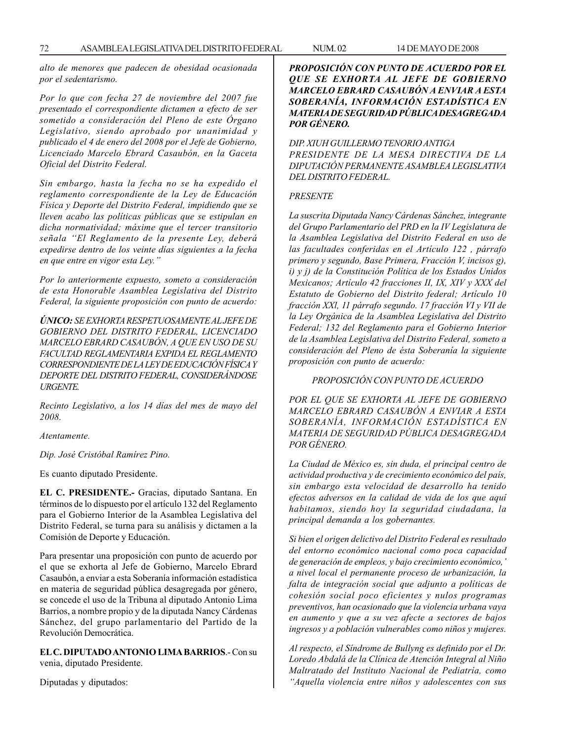*alto de menores que padecen de obesidad ocasionada por el sedentarismo.*

*Por lo que con fecha 27 de noviembre del 2007 fue presentado el correspondiente dictamen a efecto de ser sometido a consideración del Pleno de este Órgano Legislativo, siendo aprobado por unanimidad y publicado el 4 de enero del 2008 por el Jefe de Gobierno, Licenciado Marcelo Ebrard Casaubón, en la Gaceta Oficial del Distrito Federal.*

*Sin embargo, hasta la fecha no se ha expedido el reglamento correspondiente de la Ley de Educación Física y Deporte del Distrito Federal, impidiendo que se lleven acabo las políticas públicas que se estipulan en dicha normatividad; máxime que el tercer transitorio señala ''El Reglamento de la presente Ley, deberá expedirse dentro de los veinte días siguientes a la fecha en que entre en vigor esta Ley.''*

*Por lo anteriormente expuesto, someto a consideración de esta Honorable Asamblea Legislativa del Distrito Federal, la siguiente proposición con punto de acuerdo:*

*ÚNICO: SE EXHORTA RESPETUOSAMENTE AL JEFE DE GOBIERNO DEL DISTRITO FEDERAL, LICENCIADO MARCELO EBRARD CASAUBÓN, A QUE EN USO DE SU FACULTAD REGLAMENTARIA EXPIDA EL REGLAMENTO CORRESPONDIENTE DE LA LEY DE EDUCACIÓN FÍSICA Y DEPORTE DEL DISTRITO FEDERAL, CONSIDERÁNDOSE URGENTE.*

*Recinto Legislativo, a los 14 días del mes de mayo del 2008.*

*Atentamente.*

*Dip. José Cristóbal Ramírez Pino.*

Es cuanto diputado Presidente.

**EL C. PRESIDENTE.-** Gracias, diputado Santana. En términos de lo dispuesto por el artículo 132 del Reglamento para el Gobierno Interior de la Asamblea Legislativa del Distrito Federal, se turna para su análisis y dictamen a la Comisión de Deporte y Educación.

Para presentar una proposición con punto de acuerdo por el que se exhorta al Jefe de Gobierno, Marcelo Ebrard Casaubón, a enviar a esta Soberanía información estadística en materia de seguridad pública desagregada por género, se concede el uso de la Tribuna al diputado Antonio Lima Barrios, a nombre propio y de la diputada Nancy Cárdenas Sánchez, del grupo parlamentario del Partido de la Revolución Democrática.

**EL C. DIPUTADO ANTONIO LIMA BARRIOS**.- Con su venia, diputado Presidente.

Diputadas y diputados:

## *PROPOSICIÓN CON PUNTO DE ACUERDO POR EL QUE SE EXHORTA AL JEFE DE GOBIERNO MARCELO EBRARD CASAUBÓN A ENVIAR A ESTA SOBERANÍA, INFORMACIÓN ESTADÍSTICA EN MATERIA DE SEGURIDAD PÚBLICA DESAGREGADA POR GÉNERO.*

*DIP. XIUH GUILLERMO TENORIO ANTIGA PRESIDENTE DE LA MESA DIRECTIVA DE LA DIPUTACIÓN PERMANENTE ASAMBLEA LEGISLATIVA DEL DISTRITO FEDERAL.*

### *PRESENTE*

*La suscrita Diputada Nancy Cárdenas Sánchez, integrante del Grupo Parlamentario del PRD en la IV Legislatura de la Asamblea Legislativa del Distrito Federal en uso de las facultades conferidas en el Artículo 122 , párrafo primero y segundo, Base Primera, Fracción V, incisos g), i) y j) de la Constitución Política de los Estados Unidos Mexicanos; Artículo 42 fracciones II, IX, XIV y XXX del Estatuto de Gobierno del Distrito federal; Artículo 10 fracción XXl, 11 párrafo segundo. 17 fracción VI y VII de la Ley Orgánica de la Asamblea Legislativa del Distrito Federal; 132 del Reglamento para el Gobierno Interior de la Asamblea Legislativa del Distrito Federal, someto a consideración del Pleno de ésta Soberanía la siguiente proposición con punto de acuerdo:*

### *PROPOSICIÓN CON PUNTO DE ACUERDO*

*POR EL QUE SE EXHORTA AL JEFE DE GOBIERNO MARCELO EBRARD CASAUBÓN A ENVIAR A ESTA SOBERANÍA, INFORMACIÓN ESTADÍSTICA EN MATERIA DE SEGURIDAD PÚBLICA DESAGREGADA POR GÉNERO.*

*La Ciudad de México es, sin duda, el principal centro de actividad productiva y de crecimiento económico del país, sin embargo esta velocidad de desarrollo ha tenido efectos adversos en la calidad de vida de los que aquí habitamos, siendo hoy la seguridad ciudadana, la principal demanda a los gobernantes.*

*Si bien el origen delictivo del Distrito Federal es resultado del entorno económico nacional como poca capacidad de generación de empleos, y bajo crecimiento económico,' a nivel local el permanente proceso de urbanización, la falta de integración social que adjunto a políticas de cohesión social poco eficientes y nulos programas preventivos, han ocasionado que la violencia urbana vaya en aumento y que a su vez afecte a sectores de bajos ingresos y a población vulnerables como niños y mujeres.*

*Al respecto, el Síndrome de Bullyng es definido por el Dr. Loredo Abdalá de la Clínica de Atención Integral al Niño Maltratado del Instituto Nacional de Pediatría, como ''Aquella violencia entre niños y adolescentes con sus*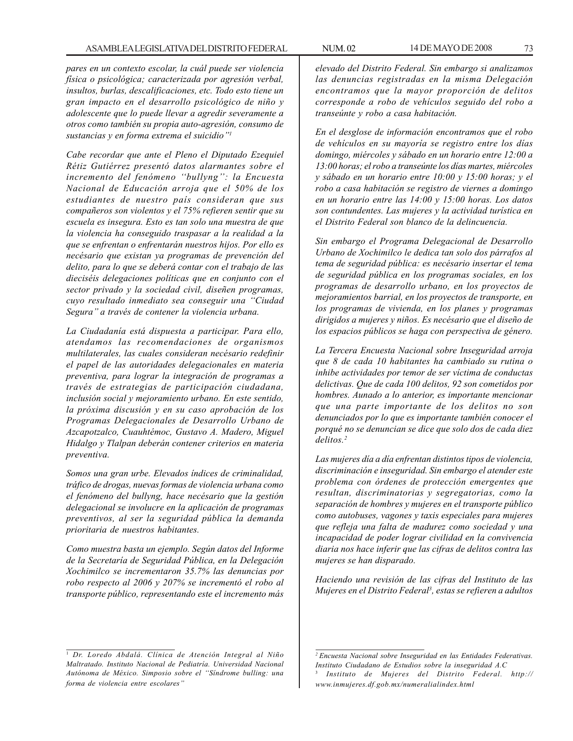*pares en un contexto escolar, la cuál puede ser violencia física o psicológica; caracterizada por agresión verbal, insultos, burlas, descalificaciones, etc. Todo esto tiene un gran impacto en el desarrollo psicológico de niño y adolescente que lo puede llevar a agredir severamente a otros como también su propia auto-agresión, consumo de sustancias y en forma extrema el suicidio''1*

*Cabe recordar que ante el Pleno el Diputado Ezequiel Rétiz Gutiérrez presentó datos alarmantes sobre el incremento del fenómeno ''bullyng'': la Encuesta Nacional de Educación arroja que el 50% de los estudiantes de nuestro país consideran que sus compañeros son violentos y el 75% refieren sentir que su escuela es insegura. Esto es tan solo una muestra de que la violencia ha conseguido traspasar a la realidad a la que se enfrentan o enfrentarán nuestros hijos. Por ello es necésario que existan ya programas de prevención del delito, para lo que se deberá contar con el trabajo de las dieciséis delegaciones políticas que en conjunto con el sector privado y la sociedad civil, diseñen programas, cuyo resultado inmediato sea conseguir una ''Ciudad Segura'' a través de contener la violencia urbana.*

*La Ciudadanía está dispuesta a participar. Para ello, atendamos las recomendaciones de organismos multilaterales, las cuales consideran necésario redefinir el papel de las autoridades delegacionales en materia preventiva, para lograr la integración de programas a través de estrategias de participación ciudadana, inclusión social y mejoramiento urbano. En este sentido, la próxima discusión y en su caso aprobación de los Programas Delegacionales de Desarrollo Urbano de Azcapotzalco, Cuauhtémoc, Gustavo A. Madero, Miguel Hidalgo y Tlalpan deberán contener criterios en materia preventiva.*

*Somos una gran urbe. Elevados índices de criminalidad, tráfico de drogas, nuevas formas de violencia urbana como el fenómeno del bullyng, hace necésario que la gestión delegacional se involucre en la aplicación de programas preventivos, al ser la seguridad pública la demanda prioritaria de nuestros habitantes.*

*Como muestra basta un ejemplo. Según datos del Informe de la Secretaría de Seguridad Pública, en la Delegación Xochimilco se incrementaron 35.7% las denuncias por robo respecto al 2006 y 207% se incrementó el robo al transporte público, representando este el incremento más*

*elevado del Distrito Federal. Sin embargo si analizamos las denuncias registradas en la misma Delegación encontramos que la mayor proporción de delitos corresponde a robo de vehículos seguido del robo a transeúnte y robo a casa habitación.*

*En el desglose de información encontramos que el robo de vehículos en su mayoría se registro entre los días domingo, miércoles y sábado en un horario entre 12:00 a 13:00 horas; el robo a transeúnte los días martes, miércoles y sábado en un horario entre 10:00 y 15:00 horas; y el robo a casa habitación se registro de viernes a domingo en un horario entre las 14:00 y 15:00 horas. Los datos son contundentes. Las mujeres y la actividad turística en el Distrito Federal son blanco de la delincuencia.*

*Sin embargo el Programa Delegacional de Desarrollo Urbano de Xochimilco le dedica tan solo dos párrafos al tema de seguridad pública: es necésario insertar el tema de seguridad pública en los programas sociales, en los programas de desarrollo urbano, en los proyectos de mejoramientos barrial, en los proyectos de transporte, en los programas de vivienda, en los planes y programas dirigidos a mujeres y niños. Es necésario que el diseño de los espacios públicos se haga con perspectiva de género.*

*La Tercera Encuesta Nacional sobre Inseguridad arroja que 8 de cada 10 habitantes ha cambiado su rutina o inhibe actividades por temor de ser víctima de conductas delictivas. Que de cada 100 delitos, 92 son cometidos por hombres. Aunado a lo anterior, es importante mencionar que una parte importante de los delitos no son denunciados por lo que es importante también conocer el porqué no se denuncian se dice que solo dos de cada diez delitos.2*

*Las mujeres día a día enfrentan distintos tipos de violencia, discriminación e inseguridad. Sin embargo el atender este problema con órdenes de protección emergentes que resultan, discriminatorias y segregatorias, como la separación de hombres y mujeres en el transporte público como autobuses, vagones y taxis especiales para mujeres que refleja una falta de madurez como sociedad y una incapacidad de poder lograr civilidad en la convivencia diaria nos hace inferir que las cifras de delitos contra las mujeres se han disparado.*

*Haciendo una revisión de las cifras del Instituto de las Mujeres en el Distrito Federal3 , estas se refieren a adultos*

<sup>1</sup> *Dr. Loredo Abdalá. Clínica de Atención Integral al Niño Maltratado. Instituto Nacional de Pediatría. Universidad Nacional Autónoma de México. Simposio sobre el ''Síndrome bulling: una forma de violencia entre escolares''*

*<sup>2</sup> Encuesta Nacional sobre Inseguridad en las Entidades Federativas. Instituto Ciudadano de Estudios sobre la inseguridad A.C* <sup>3</sup> *Instituto de Mujeres del Distrito Federal. http:// www.inmujeres.df.gob.mx/numeralialindex.html*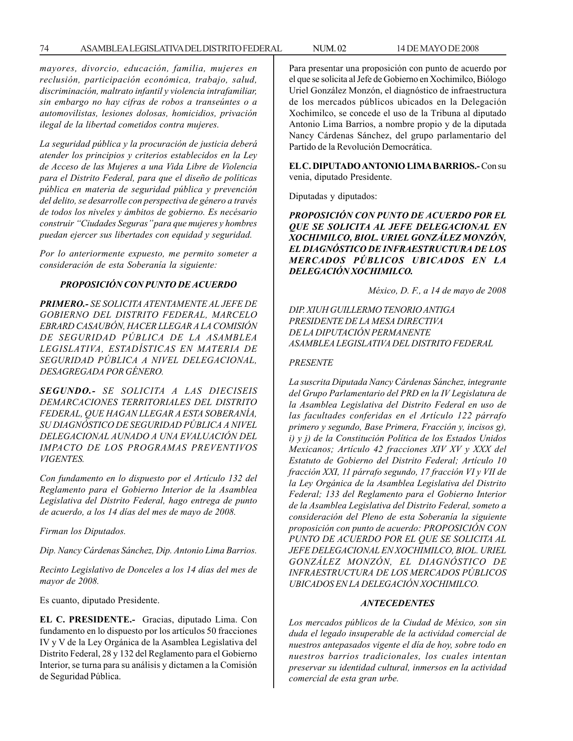*mayores, divorcio, educación, familia, mujeres en reclusión, participación económica, trabajo, salud, discriminación, maltrato infantil y violencia intrafamiliar, sin embargo no hay cifras de robos a transeúntes o a automovilistas, lesiones dolosas, homicidios, privación ilegal de la libertad cometidos contra mujeres.*

*La seguridad pública y la procuración de justicia deberá atender los principios y criterios establecidos en la Ley de Acceso de las Mujeres a una Vida Libre de Violencia para el Distrito Federal, para que el diseño de políticas pública en materia de seguridad pública y prevención del delito, se desarrolle con perspectiva de género a través de todos los niveles y ámbitos de gobierno. Es necésario construir ''Ciudades Seguras'' para que mujeres y hombres puedan ejercer sus libertades con equidad y seguridad.*

*Por lo anteriormente expuesto, me permito someter a consideración de esta Soberanía la siguiente:*

# *PROPOSICIÓN CON PUNTO DE ACUERDO*

*PRIMERO.- SE SOLICITA ATENTAMENTE AL JEFE DE GOBIERNO DEL DISTRITO FEDERAL, MARCELO EBRARD CASAUBÓN, HACER LLEGAR A LA COMISIÓN DE SEGURIDAD PÚBLICA DE LA ASAMBLEA LEGISLATIVA, ESTADÍSTICAS EN MATERIA DE SEGURIDAD PÚBLICA A NIVEL DELEGACIONAL, DESAGREGADA POR GÉNERO.*

*SEGUNDO.- SE SOLICITA A LAS DIECISEIS DEMARCACIONES TERRITORIALES DEL DISTRITO FEDERAL, QUE HAGAN LLEGAR A ESTA SOBERANÍA, SU DIAGNÓSTICO DE SEGURIDAD PÚBLICA A NIVEL DELEGACIONAL AUNADO A UNA EVALUACIÓN DEL IMPACTO DE LOS PROGRAMAS PREVENTIVOS VIGENTES.*

*Con fundamento en lo dispuesto por el Artículo 132 del Reglamento para el Gobierno Interior de la Asamblea Legislativa del Distrito Federal, hago entrega de punto de acuerdo, a los 14 días del mes de mayo de 2008.*

*Firman los Diputados.*

*Dip. Nancy Cárdenas Sánchez, Dip. Antonio Lima Barrios.*

*Recinto Legislativo de Donceles a los 14 días del mes de mayor de 2008.*

Es cuanto, diputado Presidente.

**EL C. PRESIDENTE.-** Gracias, diputado Lima. Con fundamento en lo dispuesto por los artículos 50 fracciones IV y V de la Ley Orgánica de la Asamblea Legislativa del Distrito Federal, 28 y 132 del Reglamento para el Gobierno Interior, se turna para su análisis y dictamen a la Comisión de Seguridad Pública.

Para presentar una proposición con punto de acuerdo por el que se solicita al Jefe de Gobierno en Xochimilco, Biólogo Uriel González Monzón, el diagnóstico de infraestructura de los mercados públicos ubicados en la Delegación Xochimilco, se concede el uso de la Tribuna al diputado Antonio Lima Barrios, a nombre propio y de la diputada Nancy Cárdenas Sánchez, del grupo parlamentario del Partido de la Revolución Democrática.

**EL C. DIPUTADO ANTONIO LIMA BARRIOS.-** Con su venia, diputado Presidente.

Diputadas y diputados:

*PROPOSICIÓN CON PUNTO DE ACUERDO POR EL QUE SE SOLICITA AL JEFE DELEGACIONAL EN XOCHIMILCO, BIOL. URIEL GONZÁLEZ MONZÓN, EL DIAGNÓSTICO DE INFRAESTRUCTURA DE LOS MERCADOS PÚBLICOS UBICADOS EN LA DELEGACIÓN XOCHIMILCO.*

*México, D. F., a 14 de mayo de 2008*

*DIP. XIUH GUILLERMO TENORIO ANTIGA PRESIDENTE DE LA MESA DIRECTIVA DE LA DIPUTACIÓN PERMANENTE ASAMBLEA LEGISLATIVA DEL DISTRITO FEDERAL*

#### *PRESENTE*

*La suscrita Diputada Nancy Cárdenas Sánchez, integrante del Grupo Parlamentario del PRD en la IV Legislatura de la Asamblea Legislativa del Distrito Federal en uso de las facultades conferidas en el Artículo 122 párrafo primero y segundo, Base Primera, Fracción y, incisos g), i) y j) de la Constitución Política de los Estados Unidos Mexicanos; Artículo 42 fracciones XIV XV y XXX del Estatuto de Gobierno del Distrito Federal; Artículo 10 fracción XXI, 11 párrafo segundo, 17 fracción VI y VII de la Ley Orgánica de la Asamblea Legislativa del Distrito Federal; 133 del Reglamento para el Gobierno Interior de la Asamblea Legislativa del Distrito Federal, someto a consideración del Pleno de esta Soberanía la siguiente proposición con punto de acuerdo: PROPOSICIÓN CON PUNTO DE ACUERDO POR EL QUE SE SOLICITA AL JEFE DELEGACIONAL EN XOCHIMILCO, BIOL. URIEL GONZÁLEZ MONZÓN, EL DIAGNÓSTICO DE INFRAESTRUCTURA DE LOS MERCADOS PÚBLICOS UBICADOS EN LA DELEGACIÓN XOCHIMILCO.*

#### *ANTECEDENTES*

*Los mercados públicos de la Ciudad de México, son sin duda el legado insuperable de la actividad comercial de nuestros antepasados vigente el día de hoy, sobre todo en nuestros barrios tradicionales, los cuales intentan preservar su identidad cultural, inmersos en la actividad comercial de esta gran urbe.*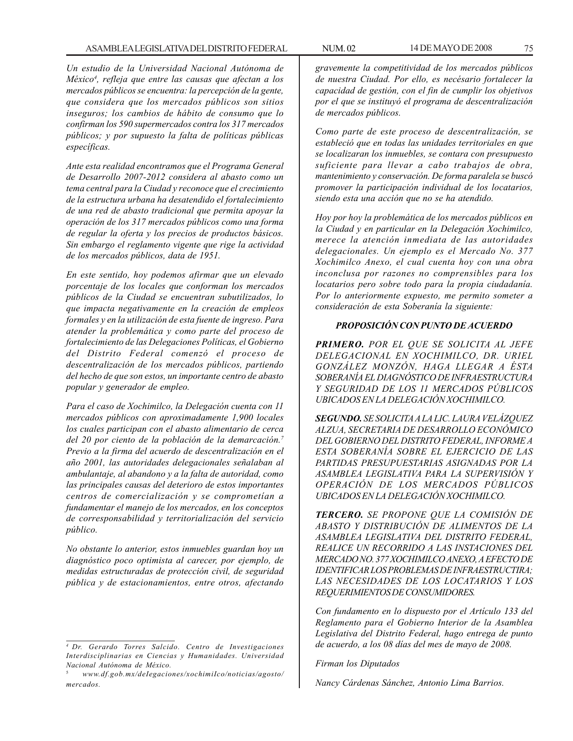*Un estudio de la Universidad Nacional Autónoma de México4 , refleja que entre las causas que afectan a los mercados públicos se encuentra: la percepción de la gente, que considera que los mercados públicos son sitios inseguros; los cambios de hábito de consumo que lo confirman los 590 supermercados contra los 317 mercados públicos; y por supuesto la falta de políticas públicas específicas.*

*Ante esta realidad encontramos que el Programa General de Desarrollo 2007-2012 considera al abasto como un tema central para la Ciudad y reconoce que el crecimiento de la estructura urbana ha desatendido el fortalecimiento de una red de abasto tradicional que permita apoyar la operación de los 317 mercados públicos como una forma de regular la oferta y los precios de productos básicos. Sin embargo el reglamento vigente que rige la actividad de los mercados públicos, data de 1951.*

*En este sentido, hoy podemos afirmar que un elevado porcentaje de los locales que conforman los mercados públicos de la Ciudad se encuentran subutilizados, lo que impacta negativamente en la creación de empleos formales y en la utilización de esta fuente de ingreso. Para atender la problemática y como parte del proceso de fortalecimiento de las Delegaciones Políticas, el Gobierno del Distrito Federal comenzó el proceso de descentralización de los mercados públicos, partiendo del hecho de que son estos, un importante centro de abasto popular y generador de empleo.*

*Para el caso de Xochimilco, la Delegación cuenta con 11 mercados públicos con aproximadamente 1,900 locales los cuales participan con el abasto alimentario de cerca del 20 por ciento de la población de la demarcación.7 Previo a la firma del acuerdo de descentralización en el año 2001, las autoridades delegacionales señalaban al ambulantaje, al abandono y a la falta de autoridad, como las principales causas del deterioro de estos importantes centros de comercialización y se comprometían a fundamentar el manejo de los mercados, en los conceptos de corresponsabilidad y territorialización del servicio público.*

*No obstante lo anterior, estos inmuebles guardan hoy un diagnóstico poco optimista al carecer, por ejemplo, de medidas estructuradas de protección civil, de seguridad pública y de estacionamientos, entre otros, afectando* *gravemente la competitividad de los mercados públicos de nuestra Ciudad. Por ello, es necésario fortalecer la capacidad de gestión, con el fin de cumplir los objetivos por el que se instituyó el programa de descentralización de mercados públicos.*

*Como parte de este proceso de descentralización, se estableció que en todas las unidades territoriales en que se localizaran los inmuebles, se contara con presupuesto suficiente para llevar a cabo trabajos de obra, mantenimiento y conservación. De forma paralela se buscó promover la participación individual de los locatarios, siendo esta una acción que no se ha atendido.*

*Hoy por hoy la problemática de los mercados públicos en la Ciudad y en particular en la Delegación Xochimilco, merece la atención inmediata de las autoridades delegacionales. Un ejemplo es el Mercado No. 377 Xochimilco Anexo, el cual cuenta hoy con una obra inconclusa por razones no comprensibles para los locatarios pero sobre todo para la propia ciudadanía. Por lo anteriormente expuesto, me permito someter a consideración de esta Soberanía la siguiente:*

## *PROPOSICIÓN CON PUNTO DE ACUERDO*

*PRIMERO. POR EL QUE SE SOLICITA AL JEFE DELEGACIONAL EN XOCHIMILCO, DR. URIEL GONZÁLEZ MONZÓN, HAGA LLEGAR A ÉSTA SOBERANÍA EL DIAGNÓSTICO DE INFRAESTRUCTURA Y SEGURIDAD DE LOS 11 MERCADOS PÚBLICOS UBICADOS EN LA DELEGACIÓN XOCHIMILCO.*

*SEGUNDO. SE SOLICITA A LA LIC. LAURA VELÁZQUEZ ALZUA, SECRETARIA DE DESARROLLO ECONÓMICO DEL GOBIERNO DEL DISTRITO FEDERAL, INFORME A ESTA SOBERANÍA SOBRE EL EJERCICIO DE LAS PARTIDAS PRESUPUESTARIAS ASIGNADAS POR LA ASAMBLEA LEGISLATIVA PARA LA SUPERVISIÓN Y OPERACIÓN DE LOS MERCADOS PÚBLICOS UBICADOS EN LA DELEGACIÓN XOCHIMILCO.*

*TERCERO. SE PROPONE QUE LA COMISIÓN DE ABASTO Y DISTRIBUCIÓN DE ALIMENTOS DE LA ASAMBLEA LEGISLATIVA DEL DISTRITO FEDERAL, REALICE UN RECORRIDO A LAS INSTACIONES DEL MERCADO NO. 377 XOCHIMILCO ANEXO, A EFECTO DE IDENTIFICAR LOS PROBLEMAS DE INFRAESTRUCTIRA; LAS NECESIDADES DE LOS LOCATARIOS Y LOS REQUERIMIENTOS DE CONSUMIDORES.*

*Con fundamento en lo dispuesto por el Artículo 133 del Reglamento para el Gobierno Interior de la Asamblea Legislativa del Distrito Federal, hago entrega de punto de acuerdo, a los 08 días del mes de mayo de 2008.*

### *Firman los Diputados*

*Nancy Cárdenas Sánchez, Antonio Lima Barrios.*

*<sup>4</sup> Dr. Gerardo Torres Salcido. Centro de Investigaciones Interdisciplinarias en Ciencias y Humanidades. Universidad Nacional Autónoma de México.*

<sup>5</sup> *www.df.gob.mx/deIegaciones/xochimiIco/noticias/agosto/ mercados.*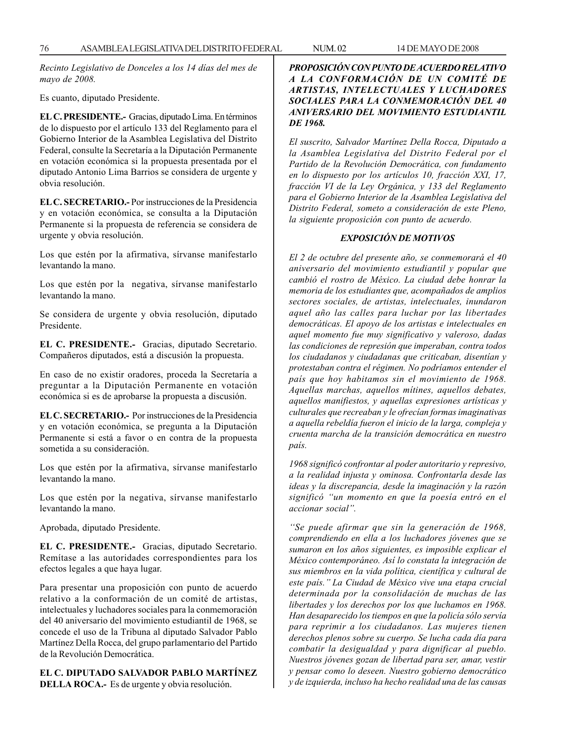*Recinto Legislativo de Donceles a los 14 días del mes de mayo de 2008.*

Es cuanto, diputado Presidente.

**EL C. PRESIDENTE.-** Gracias, diputado Lima. En términos de lo dispuesto por el artículo 133 del Reglamento para el Gobierno Interior de la Asamblea Legislativa del Distrito Federal, consulte la Secretaría a la Diputación Permanente en votación económica si la propuesta presentada por el diputado Antonio Lima Barrios se considera de urgente y obvia resolución.

**EL C. SECRETARIO.-** Por instrucciones de la Presidencia y en votación económica, se consulta a la Diputación Permanente si la propuesta de referencia se considera de urgente y obvia resolución.

Los que estén por la afirmativa, sírvanse manifestarlo levantando la mano.

Los que estén por la negativa, sírvanse manifestarlo levantando la mano.

Se considera de urgente y obvia resolución, diputado Presidente.

**EL C. PRESIDENTE.-** Gracias, diputado Secretario. Compañeros diputados, está a discusión la propuesta.

En caso de no existir oradores, proceda la Secretaría a preguntar a la Diputación Permanente en votación económica si es de aprobarse la propuesta a discusión.

**EL C. SECRETARIO.-** Por instrucciones de la Presidencia y en votación económica, se pregunta a la Diputación Permanente si está a favor o en contra de la propuesta sometida a su consideración.

Los que estén por la afirmativa, sírvanse manifestarlo levantando la mano.

Los que estén por la negativa, sírvanse manifestarlo levantando la mano.

Aprobada, diputado Presidente.

**EL C. PRESIDENTE.-** Gracias, diputado Secretario. Remítase a las autoridades correspondientes para los efectos legales a que haya lugar.

Para presentar una proposición con punto de acuerdo relativo a la conformación de un comité de artistas, intelectuales y luchadores sociales para la conmemoración del 40 aniversario del movimiento estudiantil de 1968, se concede el uso de la Tribuna al diputado Salvador Pablo Martínez Della Rocca, del grupo parlamentario del Partido de la Revolución Democrática.

**EL C. DIPUTADO SALVADOR PABLO MARTÍNEZ DELLA ROCA.-** Es de urgente y obvia resolución.

# *PROPOSICIÓN CON PUNTO DE ACUERDO RELATIVO A LA CONFORMACIÓN DE UN COMITÉ DE ARTISTAS, INTELECTUALES Y LUCHADORES SOCIALES PARA LA CONMEMORACIÓN DEL 40 ANIVERSARIO DEL MOVIMIENTO ESTUDIANTIL DE 1968.*

*El suscrito, Salvador Martínez Della Rocca, Diputado a la Asamblea Legislativa del Distrito Federal por el Partido de la Revolución Democrática, con fundamento en lo dispuesto por los artículos 10, fracción XXI, 17, fracción VI de la Ley Orgánica, y 133 del Reglamento para el Gobierno Interior de la Asamblea Legislativa del Distrito Federal, someto a consideración de este Pleno, la siguiente proposición con punto de acuerdo.*

# *EXPOSICIÓN DE MOTIVOS*

*El 2 de octubre del presente año, se conmemorará el 40 aniversario del movimiento estudiantil y popular que cambió el rostro de México. La ciudad debe honrar la memoria de los estudiantes que, acompañados de amplios sectores sociales, de artistas, intelectuales, inundaron aquel año las calles para luchar por las libertades democráticas. El apoyo de los artistas e intelectuales en aquel momento fue muy significativo y valeroso, dadas las condiciones de represión que imperaban, contra todos los ciudadanos y ciudadanas que criticaban, disentían y protestaban contra el régimen. No podríamos entender el país que hoy habitamos sin el movimiento de 1968. Aquellas marchas, aquellos mítines, aquellos debates, aquellos manifiestos, y aquellas expresiones artísticas y culturales que recreaban y le ofrecían formas imaginativas a aquella rebeldía fueron el inicio de la larga, compleja y cruenta marcha de la transición democrática en nuestro país.*

*1968 significó confrontar al poder autoritario y represivo, a la realidad injusta y ominosa. Confrontarla desde las ideas y la discrepancia, desde la imaginación y la razón significó ''un momento en que la poesía entró en el accionar social''.*

*''Se puede afirmar que sin la generación de 1968, comprendiendo en ella a los luchadores jóvenes que se sumaron en los años siguientes, es imposible explicar el México contemporáneo. Así lo constata la integración de sus miembros en la vida política, científica y cultural de este país.'' La Ciudad de México vive una etapa crucial determinada por la consolidación de muchas de las libertades y los derechos por los que luchamos en 1968. Han desaparecido los tiempos en que la policía sólo servía para reprimir a los ciudadanos. Las mujeres tienen derechos plenos sobre su cuerpo. Se lucha cada día para combatir la desigualdad y para dignificar al pueblo. Nuestros jóvenes gozan de libertad para ser, amar, vestir y pensar como lo deseen. Nuestro gobierno democrático y de izquierda, incluso ha hecho realidad una de las causas*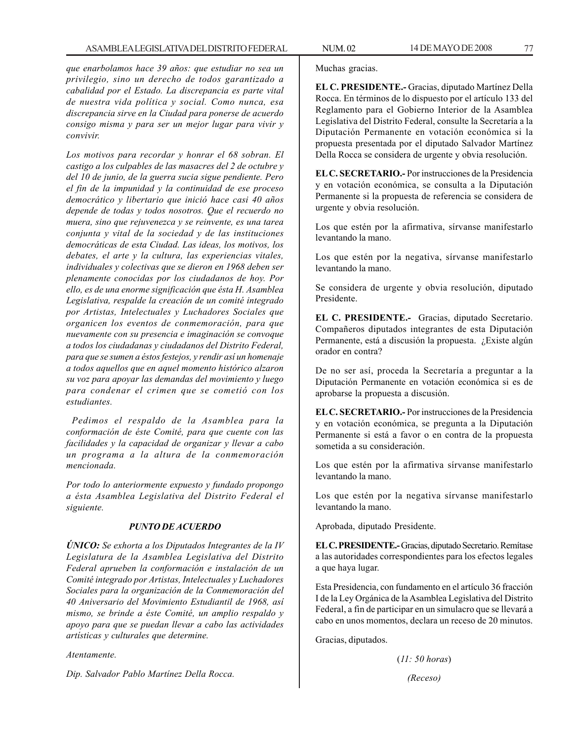*que enarbolamos hace 39 años: que estudiar no sea un privilegio, sino un derecho de todos garantizado a cabalidad por el Estado. La discrepancia es parte vital de nuestra vida política y social. Como nunca, esa discrepancia sirve en la Ciudad para ponerse de acuerdo consigo misma y para ser un mejor lugar para vivir y convivir.*

*Los motivos para recordar y honrar el 68 sobran. El castigo a los culpables de las masacres del 2 de octubre y del 10 de junio, de la guerra sucia sigue pendiente. Pero el fin de la impunidad y la continuidad de ese proceso democrático y libertario que inició hace casi 40 años depende de todas y todos nosotros. Que el recuerdo no muera, sino que rejuvenezca y se reinvente, es una tarea conjunta y vital de la sociedad y de las instituciones democráticas de esta Ciudad. Las ideas, los motivos, los debates, el arte y la cultura, las experiencias vitales, individuales y colectivas que se dieron en 1968 deben ser plenamente conocidas por los ciudadanos de hoy. Por ello, es de una enorme significación que ésta H. Asamblea Legislativa, respalde la creación de un comité integrado por Artistas, Intelectuales y Luchadores Sociales que organicen los eventos de conmemoración, para que nuevamente con su presencia e imaginación se convoque a todos los ciudadanas y ciudadanos del Distrito Federal, para que se sumen a éstos festejos, y rendir así un homenaje a todos aquellos que en aquel momento histórico alzaron su voz para apoyar las demandas del movimiento y luego para condenar el crimen que se cometió con los estudiantes.*

 *Pedimos el respaldo de la Asamblea para la conformación de éste Comité, para que cuente con las facilidades y la capacidad de organizar y llevar a cabo un programa a la altura de la conmemoración mencionada.*

*Por todo lo anteriormente expuesto y fundado propongo a ésta Asamblea Legislativa del Distrito Federal el siguiente.*

### *PUNTO DE ACUERDO*

*ÚNICO: Se exhorta a los Diputados Integrantes de la IV Legislatura de la Asamblea Legislativa del Distrito Federal aprueben la conformación e instalación de un Comité integrado por Artistas, Intelectuales y Luchadores Sociales para la organización de la Conmemoración del 40 Aniversario del Movimiento Estudiantil de 1968, así mismo, se brinde a éste Comité, un amplio respaldo y apoyo para que se puedan llevar a cabo las actividades artísticas y culturales que determine.*

*Atentamente.*

*Dip. Salvador Pablo Martínez Della Rocca.*

Muchas gracias.

**EL C. PRESIDENTE.-** Gracias, diputado Martínez Della Rocca. En términos de lo dispuesto por el artículo 133 del Reglamento para el Gobierno Interior de la Asamblea Legislativa del Distrito Federal, consulte la Secretaría a la Diputación Permanente en votación económica si la propuesta presentada por el diputado Salvador Martínez Della Rocca se considera de urgente y obvia resolución.

**EL C. SECRETARIO.-** Por instrucciones de la Presidencia y en votación económica, se consulta a la Diputación Permanente si la propuesta de referencia se considera de urgente y obvia resolución.

Los que estén por la afirmativa, sírvanse manifestarlo levantando la mano.

Los que estén por la negativa, sírvanse manifestarlo levantando la mano.

Se considera de urgente y obvia resolución, diputado Presidente.

**EL C. PRESIDENTE.-** Gracias, diputado Secretario. Compañeros diputados integrantes de esta Diputación Permanente, está a discusión la propuesta. ¿Existe algún orador en contra?

De no ser así, proceda la Secretaría a preguntar a la Diputación Permanente en votación económica si es de aprobarse la propuesta a discusión.

**EL C. SECRETARIO.-** Por instrucciones de la Presidencia y en votación económica, se pregunta a la Diputación Permanente si está a favor o en contra de la propuesta sometida a su consideración.

Los que estén por la afirmativa sírvanse manifestarlo levantando la mano.

Los que estén por la negativa sírvanse manifestarlo levantando la mano.

Aprobada, diputado Presidente.

**EL C. PRESIDENTE.-** Gracias, diputado Secretario. Remítase a las autoridades correspondientes para los efectos legales a que haya lugar.

Esta Presidencia, con fundamento en el artículo 36 fracción I de la Ley Orgánica de la Asamblea Legislativa del Distrito Federal, a fin de participar en un simulacro que se llevará a cabo en unos momentos, declara un receso de 20 minutos.

Gracias, diputados.

(*11: 50 horas*)

*(Receso)*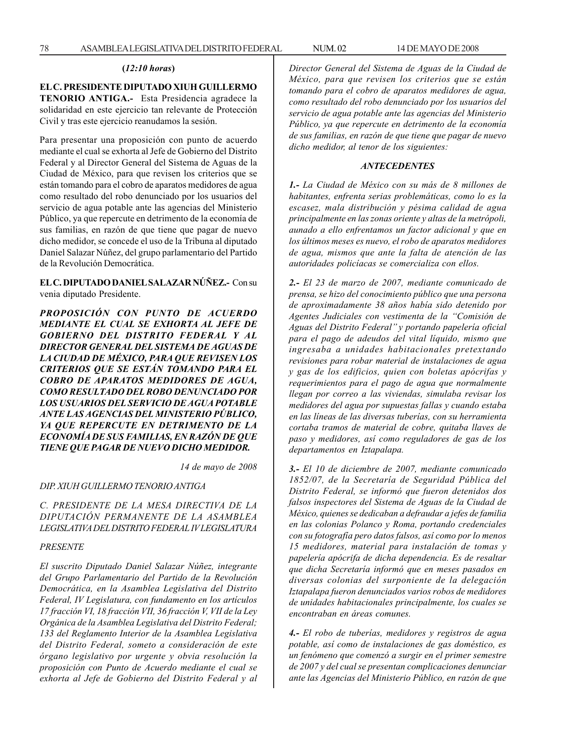#### **(***12:10 horas***)**

## **EL C. PRESIDENTE DIPUTADO XIUH GUILLERMO**

**TENORIO ANTIGA.-** Esta Presidencia agradece la solidaridad en este ejercicio tan relevante de Protección Civil y tras este ejercicio reanudamos la sesión.

Para presentar una proposición con punto de acuerdo mediante el cual se exhorta al Jefe de Gobierno del Distrito Federal y al Director General del Sistema de Aguas de la Ciudad de México, para que revisen los criterios que se están tomando para el cobro de aparatos medidores de agua como resultado del robo denunciado por los usuarios del servicio de agua potable ante las agencias del Ministerio Público, ya que repercute en detrimento de la economía de sus familias, en razón de que tiene que pagar de nuevo dicho medidor, se concede el uso de la Tribuna al diputado Daniel Salazar Núñez, del grupo parlamentario del Partido de la Revolución Democrática.

**EL C. DIPUTADO DANIEL SALAZAR NÚÑEZ.-** Con su venia diputado Presidente.

*PROPOSICIÓN CON PUNTO DE ACUERDO MEDIANTE EL CUAL SE EXHORTA AL JEFE DE GOBIERNO DEL DISTRITO FEDERAL Y AL DIRECTOR GENERAL DEL SISTEMA DE AGUAS DE LA CIUDAD DE MÉXICO, PARA QUE REVISEN LOS CRITERIOS QUE SE ESTÁN TOMANDO PARA EL COBRO DE APARATOS MEDIDORES DE AGUA, COMO RESULTADO DEL ROBO DENUNCIADO POR LOS USUARIOS DEL SERVICIO DE AGUA POTABLE ANTE LAS AGENCIAS DEL MINISTERIO PÚBLICO, YA QUE REPERCUTE EN DETRIMENTO DE LA ECONOMÍA DE SUS FAMILIAS, EN RAZÓN DE QUE TIENE QUE PAGAR DE NUEVO DICHO MEDIDOR.*

*14 de mayo de 2008*

# *DIP. XIUH GUILLERMO TENORIO ANTIGA*

*C. PRESIDENTE DE LA MESA DIRECTIVA DE LA DIPUTACIÓN PERMANENTE DE LA ASAMBLEA LEGISLATIVA DEL DISTRITO FEDERAL IV LEGISLATURA*

## *PRESENTE*

*El suscrito Diputado Daniel Salazar Núñez, integrante del Grupo Parlamentario del Partido de la Revolución Democrática, en la Asamblea Legislativa del Distrito Federal, IV Legislatura, con fundamento en los artículos 17 fracción VI, 18 fracción VII, 36 fracción V, VII de la Ley Orgánica de la Asamblea Legislativa del Distrito Federal; 133 del Reglamento Interior de la Asamblea Legislativa del Distrito Federal, someto a consideración de este órgano legislativo por urgente y obvia resolución la proposición con Punto de Acuerdo mediante el cual se exhorta al Jefe de Gobierno del Distrito Federal y al* *Director General del Sistema de Aguas de la Ciudad de México, para que revisen los criterios que se están tomando para el cobro de aparatos medidores de agua, como resultado del robo denunciado por los usuarios del servicio de agua potable ante las agencias del Ministerio Público, ya que repercute en detrimento de la economía de sus familias, en razón de que tiene que pagar de nuevo dicho medidor, al tenor de los siguientes:*

#### *ANTECEDENTES*

*1.- La Ciudad de México con su más de 8 millones de habitantes, enfrenta serias problemáticas, como lo es la escasez, mala distribución y pésima calidad de agua principalmente en las zonas oriente y altas de la metrópoli, aunado a ello enfrentamos un factor adicional y que en los últimos meses es nuevo, el robo de aparatos medidores de agua, mismos que ante la falta de atención de las autoridades policíacas se comercializa con ellos.*

*2.- El 23 de marzo de 2007, mediante comunicado de prensa, se hizo del conocimiento público que una persona de aproximadamente 38 años había sido detenido por Agentes Judiciales con vestimenta de la ''Comisión de Aguas del Distrito Federal'' y portando papelería oficial para el pago de adeudos del vital líquido, mismo que ingresaba a unidades habitacionales pretextando revisiones para robar material de instalaciones de agua y gas de los edificios, quien con boletas apócrifas y requerimientos para el pago de agua que normalmente llegan por correo a las viviendas, simulaba revisar los medidores del agua por supuestas fallas y cuando estaba en las líneas de las diversas tuberías, con su herramienta cortaba tramos de material de cobre, quitaba llaves de paso y medidores, así como reguladores de gas de los departamentos en Iztapalapa.*

*3.- El 10 de diciembre de 2007, mediante comunicado 1852/07, de la Secretaría de Seguridad Pública del Distrito Federal, se informó que fueron detenidos dos falsos inspectores del Sistema de Aguas de la Ciudad de México, quienes se dedicaban a defraudar a jefes de familia en las colonias Polanco y Roma, portando credenciales con su fotografía pero datos falsos, así como por lo menos 15 medidores, material para instalación de tomas y papelería apócrifa de dicha dependencia. Es de resaltar que dicha Secretaría informó que en meses pasados en diversas colonias del surponiente de la delegación Iztapalapa fueron denunciados varios robos de medidores de unidades habitacionales principalmente, los cuales se encontraban en áreas comunes.*

*4.- El robo de tuberías, medidores y registros de agua potable, así como de instalaciones de gas doméstico, es un fenómeno que comenzó a surgir en el primer semestre de 2007 y del cual se presentan complicaciones denunciar ante las Agencias del Ministerio Público, en razón de que*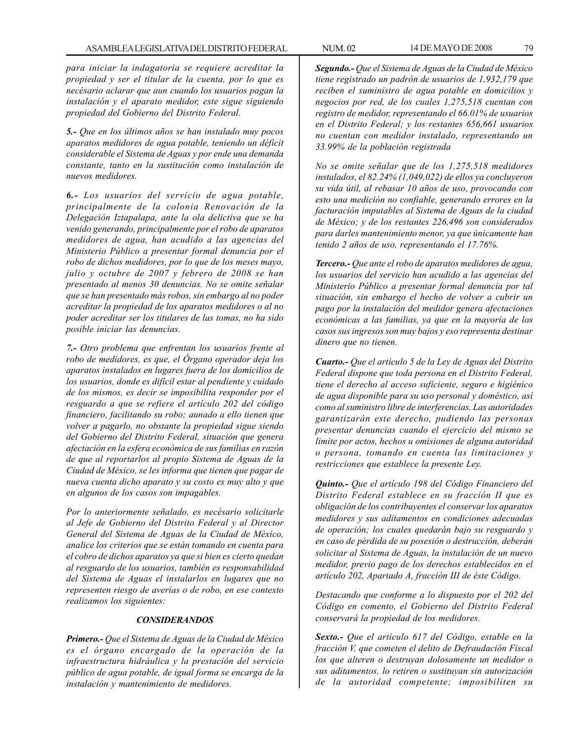*para iniciar la indagatoria se requiere acreditar la propiedad y ser el titular de la cuenta, por lo que es necésario aclarar que aun cuando los usuarios pagan la instalación y el aparato medidor, este sigue siguiendo propiedad del Gobierno del Distrito Federal.*

*5.- Que en los últimos años se han instalado muy pocos aparatos medidores de agua potable, teniendo un déficit considerable el Sistema de Aguas y por ende una demanda constante, tanto en la sustitución como instalación de nuevos medidores.*

*6.- Los usuarios del servicio de agua potable, principalmente de la colonia Renovación de la Delegación Iztapalapa, ante la ola delictiva que se ha venido generando, principalmente por el robo de aparatos medidores de agua, han acudido a las agencias del Ministerio Público a presentar formal denuncia por el robo de dichos medidores, por lo que de los meses mayo, julio y octubre de 2007 y febrero de 2008 se han presentado al menos 30 denuncias. No se omite señalar que se han presentado más robos, sin embargo al no poder acreditar la propiedad de los aparatos medidores o al no poder acreditar ser los titulares de las tomas, no ha sido posible iniciar las denuncias.*

*7.- Otro problema que enfrentan los usuarios frente al robo de medidores, es que, el Órgano operador deja los aparatos instalados en lugares fuera de los domicilios de los usuarios, donde es difícil estar al pendiente y cuidado de los mismos, es decir se imposibilita responder por el resguardo a que se refiere el artículo 202 del código financiero, facilitando su robo; aunado a ello tienen que volver a pagarlo, no obstante la propiedad sigue siendo del Gobierno del Distrito Federal, situación que genera afectación en la esfera económica de sus familias en razón de que al reportarlos al propio Sistema de Aguas de la Ciudad de México, se les informa que tienen que pagar de nueva cuenta dicho aparato y su costo es muy alto y que en algunos de los casos son impagables.*

*Por lo anteriormente señalado, es necésario solicitarle al Jefe de Gobierno del Distrito Federal y al Director General del Sistema de Aguas de la Ciudad de México, analice los criterios que se están tomando en cuenta para el cobro de dichos aparatos ya que si bien es cierto quedan al resguardo de los usuarios, también es responsabilidad del Sistema de Aguas el instalarlos en lugares que no representen riesgo de averías o de robo, en ese contexto realizamos los siguientes:*

### *CONSIDERANDOS*

*Primero.- Que el Sistema de Aguas de la Ciudad de México es el órgano encargado de la operación de la infraestructura hidráulica y la prestación del servicio público de agua potable, de igual forma se encarga de la instalación y mantenimiento de medidores.*

*Segundo.- Que el Sistema de Aguas de la Ciudad de México tiene registrado un padrón de usuarios de 1,932,179 que reciben el suministro de agua potable en domicilios y negocios por red, de los cuales 1,275,518 cuentan con registro de medidor, representando el 66.01% de usuarios en el Distrito Federal; y los restantes 656,661 usuarios no cuentan con medidor instalado, representando un 33.99% de la población registrada*

*No se omite señalar que de los 1,275,518 medidores instalados, el 82.24% (1,049,022) de ellos ya concluyeron su vida útil, al rebasar 10 años de uso, provocando con esto una medición no confiable, generando errores en la facturación imputables al Sistema de Aguas de la ciudad de México; y de los restantes 226,496 son considerados para darles mantenimiento menor, ya que únicamente han tenido 2 años de uso, representando el 17.76%.*

*Tercero.- Que ante el robo de aparatos medidores de agua, los usuarios del servicio han acudido a las agencias del Ministerio Público a presentar formal denuncia por tal situación, sin embargo el hecho de volver a cubrir un pago por la instalación del medidor genera afectaciones económicas a las familias, ya que en la mayoría de los casos sus ingresos son muy bajos y eso representa destinar dinero que no tienen.*

*Cuarto.- Que el artículo 5 de la Ley de Aguas del Distrito Federal dispone que toda persona en el Distrito Federal, tiene el derecho al acceso suficiente, seguro e higiénico de agua disponible para su uso personal y doméstico, así como al suministro libre de interferencias. Las autoridades garantizarán este derecho, pudiendo las personas presentar denuncias cuando el ejercicio del mismo se limite por actos, hechos u omisiones de alguna autoridad o persona, tomando en cuenta las limitaciones y restricciones que establece la presente Ley.*

*Quinto.- Que el artículo 198 del Código Financiero del Distrito Federal establece en su fracción II que es obligación de los contribuyentes el conservar los aparatos medidores y sus aditamentos en condiciones adecuadas de operación; los cuales quedarán bajo su resguardo y en caso de pérdida de su posesión o destrucción, deberán solicitar al Sistema de Aguas, la instalación de un nuevo medidor, previo pago de los derechos establecidos en el artículo 202, Apartado A, fracción III de éste Código.*

*Destacando que conforme a lo dispuesto por el 202 del Código en comento, el Gobierno del Distrito Federal conservará la propiedad de los medidores.*

*Sexto.- Que el artículo 617 del Código, estable en la fracción V, que cometen el delito de Defraudación Fiscal los que alteren o destruyan dolosamente un medidor o sus aditamentos, lo retiren o sustituyan sin autorización de la autoridad competente; imposibiliten su*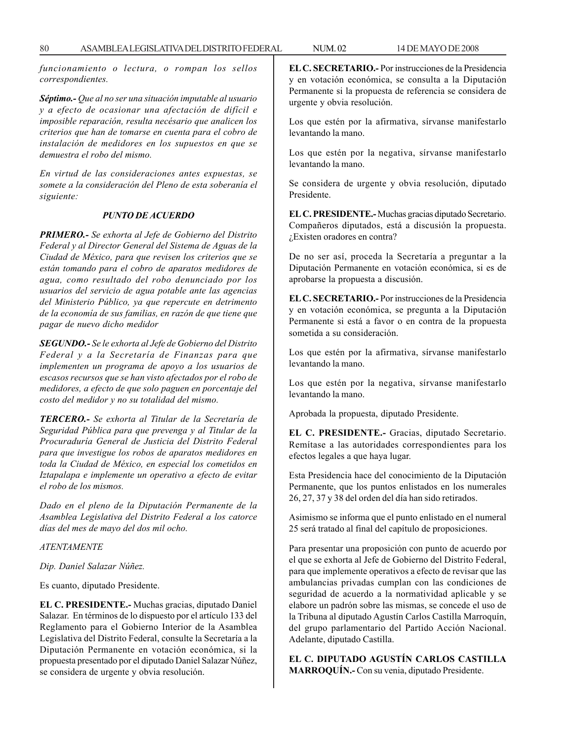*funcionamiento o lectura, o rompan los sellos correspondientes.*

*Séptimo.- Que al no ser una situación imputable al usuario y a efecto de ocasionar una afectación de difícil e imposible reparación, resulta necésario que analicen los criterios que han de tomarse en cuenta para el cobro de instalación de medidores en los supuestos en que se demuestra el robo del mismo.*

*En virtud de las consideraciones antes expuestas, se somete a la consideración del Pleno de esta soberanía el siguiente:*

## *PUNTO DE ACUERDO*

*PRIMERO.- Se exhorta al Jefe de Gobierno del Distrito Federal y al Director General del Sistema de Aguas de la Ciudad de México, para que revisen los criterios que se están tomando para el cobro de aparatos medidores de agua, como resultado del robo denunciado por los usuarios del servicio de agua potable ante las agencias del Ministerio Público, ya que repercute en detrimento de la economía de sus familias, en razón de que tiene que pagar de nuevo dicho medidor*

*SEGUNDO.- Se le exhorta al Jefe de Gobierno del Distrito Federal y a la Secretaría de Finanzas para que implementen un programa de apoyo a los usuarios de escasos recursos que se han visto afectados por el robo de medidores, a efecto de que solo paguen en porcentaje del costo del medidor y no su totalidad del mismo.*

*TERCERO.- Se exhorta al Titular de la Secretaría de Seguridad Pública para que prevenga y al Titular de la Procuraduría General de Justicia del Distrito Federal para que investigue los robos de aparatos medidores en toda la Ciudad de México, en especial los cometidos en Iztapalapa e implemente un operativo a efecto de evitar el robo de los mismos.*

*Dado en el pleno de la Diputación Permanente de la Asamblea Legislativa del Distrito Federal a los catorce días del mes de mayo del dos mil ocho.*

# *ATENTAMENTE*

*Dip. Daniel Salazar Núñez.*

Es cuanto, diputado Presidente.

**EL C. PRESIDENTE.-** Muchas gracias, diputado Daniel Salazar. En términos de lo dispuesto por el artículo 133 del Reglamento para el Gobierno Interior de la Asamblea Legislativa del Distrito Federal, consulte la Secretaría a la Diputación Permanente en votación económica, si la propuesta presentado por el diputado Daniel Salazar Núñez, se considera de urgente y obvia resolución.

**EL C. SECRETARIO.-** Por instrucciones de la Presidencia y en votación económica, se consulta a la Diputación Permanente si la propuesta de referencia se considera de urgente y obvia resolución.

Los que estén por la afirmativa, sírvanse manifestarlo levantando la mano.

Los que estén por la negativa, sírvanse manifestarlo levantando la mano.

Se considera de urgente y obvia resolución, diputado Presidente.

**EL C. PRESIDENTE.-** Muchas gracias diputado Secretario. Compañeros diputados, está a discusión la propuesta. ¿Existen oradores en contra?

De no ser así, proceda la Secretaría a preguntar a la Diputación Permanente en votación económica, si es de aprobarse la propuesta a discusión.

**EL C. SECRETARIO.-** Por instrucciones de la Presidencia y en votación económica, se pregunta a la Diputación Permanente si está a favor o en contra de la propuesta sometida a su consideración.

Los que estén por la afirmativa, sírvanse manifestarlo levantando la mano.

Los que estén por la negativa, sírvanse manifestarlo levantando la mano.

Aprobada la propuesta, diputado Presidente.

**EL C. PRESIDENTE.-** Gracias, diputado Secretario. Remítase a las autoridades correspondientes para los efectos legales a que haya lugar.

Esta Presidencia hace del conocimiento de la Diputación Permanente, que los puntos enlistados en los numerales 26, 27, 37 y 38 del orden del día han sido retirados.

Asimismo se informa que el punto enlistado en el numeral 25 será tratado al final del capítulo de proposiciones.

Para presentar una proposición con punto de acuerdo por el que se exhorta al Jefe de Gobierno del Distrito Federal, para que implemente operativos a efecto de revisar que las ambulancias privadas cumplan con las condiciones de seguridad de acuerdo a la normatividad aplicable y se elabore un padrón sobre las mismas, se concede el uso de la Tribuna al diputado Agustín Carlos Castilla Marroquín, del grupo parlamentario del Partido Acción Nacional. Adelante, diputado Castilla.

**EL C. DIPUTADO AGUSTÍN CARLOS CASTILLA MARROQUÍN.-** Con su venia, diputado Presidente.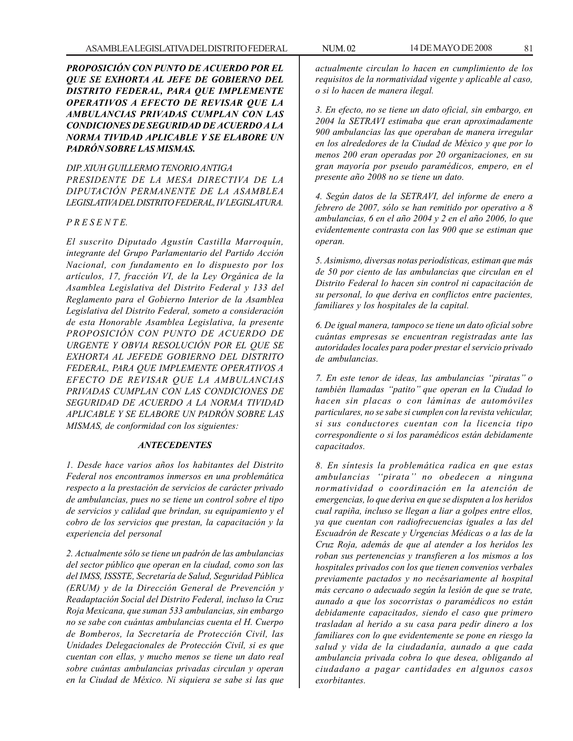*PROPOSICIÓN CON PUNTO DE ACUERDO POR EL QUE SE EXHORTA AL JEFE DE GOBIERNO DEL DISTRITO FEDERAL, PARA QUE IMPLEMENTE OPERATIVOS A EFECTO DE REVISAR QUE LA AMBULANCIAS PRIVADAS CUMPLAN CON LAS CONDICIONES DE SEGURIDAD DE ACUERDO A LA NORMA TIVIDAD APLICABLE Y SE ELABORE UN PADRÓN SOBRE LAS MISMAS.*

# *DIP. XIUH GUILLERMO TENORIO ANTIGA PRESIDENTE DE LA MESA DIRECTIVA DE LA DIPUTACIÓN PERMANENTE DE LA ASAMBLEA LEGISLATIVA DEL DISTRITO FEDERAL, IV LEGISLATURA.*

## *P R E S E N T E.*

*El suscrito Diputado Agustín Castilla Marroquín, integrante del Grupo Parlamentario del Partido Acción Nacional, con fundamento en lo dispuesto por los artículos, 17, fracción VI, de la Ley Orgánica de la Asamblea Legislativa del Distrito Federal y 133 del Reglamento para el Gobierno Interior de la Asamblea Legislativa del Distrito Federal, someto a consideración de esta Honorable Asamblea Legislativa, la presente PROPOSICIÓN CON PUNTO DE ACUERDO DE URGENTE Y OBVIA RESOLUCIÓN POR EL QUE SE EXHORTA AL JEFEDE GOBIERNO DEL DISTRITO FEDERAL, PARA QUE IMPLEMENTE OPERATIVOS A EFECTO DE REVISAR QUE LA AMBULANCIAS PRIVADAS CUMPLAN CON LAS CONDICIONES DE SEGURIDAD DE ACUERDO A LA NORMA TIVIDAD APLICABLE Y SE ELABORE UN PADRÓN SOBRE LAS MISMAS, de conformidad con los siguientes:*

# *ANTECEDENTES*

*1. Desde hace varios años los habitantes del Distrito Federal nos encontramos inmersos en una problemática respecto a la prestación de servicios de carácter privado de ambulancias, pues no se tiene un control sobre el tipo de servicios y calidad que brindan, su equipamiento y el cobro de los servicios que prestan, la capacitación y la experiencia del personal*

*2. Actualmente sólo se tiene un padrón de las ambulancias del sector público que operan en la ciudad, como son las del IMSS, ISSSTE, Secretaría de Salud, Seguridad Pública (ERUM) y de la Dirección General de Prevención y Readaptación Social del Distrito Federal, incluso la Cruz Roja Mexicana, que suman 533 ambulancias, sin embargo no se sabe con cuántas ambulancias cuenta el H. Cuerpo de Bomberos, la Secretaría de Protección Civil, las Unidades Delegacionales de Protección Civil, si es que cuentan con ellas, y mucho menos se tiene un dato real sobre cuántas ambulancias privadas circulan y operan en la Ciudad de México. Ni siquiera se sabe si las que*

*actualmente circulan lo hacen en cumplimiento de los requisitos de la normatividad vigente y aplicable al caso, o si lo hacen de manera ilegal.*

*3. En efecto, no se tiene un dato oficial, sin embargo, en 2004 la SETRAVI estimaba que eran aproximadamente 900 ambulancias las que operaban de manera irregular en los alrededores de la Ciudad de México y que por lo menos 200 eran operadas por 20 organizaciones, en su gran mayoría por pseudo paramédicos, empero, en el presente año 2008 no se tiene un dato.*

*4. Según datos de la SETRAVI, del informe de enero a febrero de 2007, sólo se han remitido por operativo a 8 ambulancias, 6 en el año 2004 y 2 en el año 2006, lo que evidentemente contrasta con las 900 que se estiman que operan.*

*5. Asimismo, diversas notas periodísticas, estiman que más de 50 por ciento de las ambulancias que circulan en el Distrito Federal lo hacen sin control ni capacitación de su personal, lo que deriva en conflictos entre pacientes, familiares y los hospitales de la capital.*

*6. De igual manera, tampoco se tiene un dato oficial sobre cuántas empresas se encuentran registradas ante las autoridades locales para poder prestar el servicio privado de ambulancias.*

*7. En este tenor de ideas, las ambulancias ''piratas'' o también llamadas ''patito'' que operan en la Ciudad lo hacen sin placas o con láminas de automóviles particulares, no se sabe si cumplen con la revista vehicular, si sus conductores cuentan con la licencia tipo correspondiente o si los paramédicos están debidamente capacitados.*

*8. En síntesis la problemática radica en que estas ambulancias ''pirata'' no obedecen a ninguna normatividad o coordinación en la atención de emergencias, lo que deriva en que se disputen a los heridos cual rapiña, incluso se llegan a liar a golpes entre ellos, ya que cuentan con radiofrecuencias iguales a las del Escuadrón de Rescate y Urgencias Médicas o a las de la Cruz Roja, además de que al atender a los heridos les roban sus pertenencias y transfieren a los mismos a los hospitales privados con los que tienen convenios verbales previamente pactados y no necésariamente al hospital más cercano o adecuado según la lesión de que se trate, aunado a que los socorristas o paramédicos no están debidamente capacitados, siendo el caso que primero trasladan al herido a su casa para pedir dinero a los familiares con lo que evidentemente se pone en riesgo la salud y vida de la ciudadanía, aunado a que cada ambulancia privada cobra lo que desea, obligando al ciudadano a pagar cantidades en algunos casos exorbitantes.*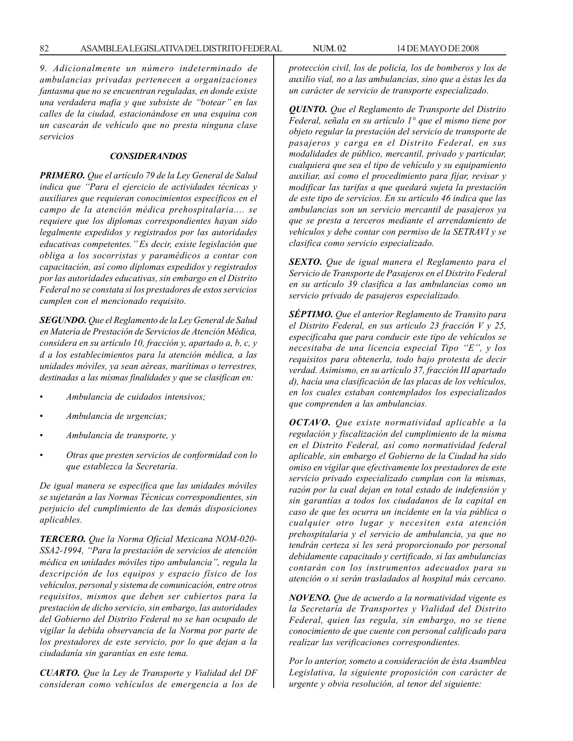*9. Adicionalmente un número indeterminado de ambulancias privadas pertenecen a organizaciones fantasma que no se encuentran reguladas, en donde existe una verdadera mafia y que subsiste de ''botear'' en las calles de la ciudad, estacionándose en una esquina con un cascarán de vehículo que no presta ninguna clase servicios*

### *CONSIDERANDOS*

*PRIMERO. Que el artículo 79 de la Ley General de Salud indica que ''Para el ejercicio de actividades técnicas y auxiliares que requieran conocimientos específicos en el campo de la atención médica prehospitalaria.... se requiere que los diplomas correspondientes hayan sido legalmente expedidos y registrados por las autoridades educativas competentes.'' Es decir, existe legislación que obliga a los socorristas y paramédicos a contar con capacitación, así como diplomas expedidos y registrados por las autoridades educativas, sin embargo en el Distrito Federal no se constata si los prestadores de estos servicios cumplen con el mencionado requisito.*

*SEGUNDO. Que el Reglamento de la Ley General de Salud en Materia de Prestación de Servicios de Atención Médica, considera en su artículo 10, fracción y, apartado a, b, c, y d a los establecimientos para la atención médica, a las unidades móviles, ya sean aéreas, marítimas o terrestres, destinadas a las mismas finalidades y que se clasifican en:*

- *Ambulancia de cuidados intensivos;*
- *Ambulancia de urgencias;*
- *Ambulancia de transporte, y*
- *Otras que presten servicios de conformidad con lo que establezca la Secretaría.*

*De igual manera se especifica que las unidades móviles se sujetarán a las Normas Técnicas correspondientes, sin perjuicio del cumplimiento de las demás disposiciones aplicables.*

*TERCERO. Que la Norma Oficial Mexicana NOM-020- SSA2-1994, ''Para la prestación de servicios de atención médica en unidades móviles tipo ambulancia'', regula la descripción de los equipos y espacio físico de los vehículos, personal y sistema de comunicación, entre otros requisitos, mismos que deben ser cubiertos para la prestación de dicho servicio, sin embargo, las autoridades del Gobierno del Distrito Federal no se han ocupado de vigilar la debida observancia de la Norma por parte de los prestadores de este servicio, por lo que dejan a la ciudadanía sin garantías en este tema.*

*CUARTO. Que la Ley de Transporte y Vialidad del DF consideran como vehículos de emergencia a los de* *protección civil, los de policía, los de bomberos y los de auxilio vial, no a las ambulancias, sino que a éstas les da un carácter de servicio de transporte especializado.*

*QUINTO. Que el Reglamento de Transporte del Distrito Federal, señala en su artículo 1° que el mismo tiene por objeto regular la prestación del servicio de transporte de pasajeros y carga en el Distrito Federal, en sus modalidades de público, mercantil, privado y particular, cualquiera que sea el tipo de vehículo y su equipamiento auxiliar, así como el procedimiento para fijar, revisar y modificar las tarifas a que quedará sujeta la prestación de este tipo de servicios. En su artículo 46 indica que las ambulancias son un servicio mercantil de pasajeros ya que se presta a terceros mediante el arrendamiento de vehículos y debe contar con permiso de la SETRAVI y se clasifica como servicio especializado.*

*SEXTO. Que de igual manera el Reglamento para el Servicio de Transporte de Pasajeros en el Distrito Federal en su artículo 39 clasifica a las ambulancias como un servicio privado de pasajeros especializado.*

*SÉPTIMO. Que el anterior Reglamento de Transito para el Distrito Federal, en sus artículo 23 fracción V y 25, especificaba que para conducir este tipo de vehículos se necesitaba de una licencia especial Tipo ''E'', y los requisitos para obtenerla, todo bajo protesta de decir verdad. Asimismo, en su artículo 37, fracción III apartado d), hacía una clasificación de las placas de los vehículos, en los cuales estaban contemplados los especializados que comprenden a las ambulancias.*

*OCTAVO. Que existe normatividad aplicable a la regulación y fiscalización del cumplimiento de la misma en el Distrito Federal, así como normatividad federal aplicable, sin embargo el Gobierno de la Ciudad ha sido omiso en vigilar que efectivamente los prestadores de este servicio privado especializado cumplan con la mismas, razón por la cual dejan en total estado de indefensión y sin garantías a todos los ciudadanos de la capital en caso de que les ocurra un incidente en la vía pública o cualquier otro lugar y necesiten esta atención prehospitalaria y el servicio de ambulancia, ya que no tendrán certeza si les será proporcionado por personal debidamente capacitado y certificado, si las ambulancias contarán con los instrumentos adecuados para su atención o si serán trasladados al hospital más cercano.*

*NOVENO. Que de acuerdo a la normatividad vigente es la Secretaría de Transportes y Vialidad del Distrito Federal, quien las regula, sin embargo, no se tiene conocimiento de que cuente con personal calificado para realizar las verificaciones correspondientes.*

*Por lo anterior, someto a consideración de ésta Asamblea Legislativa, la siguiente proposición con carácter de urgente y obvia resolución, al tenor del siguiente:*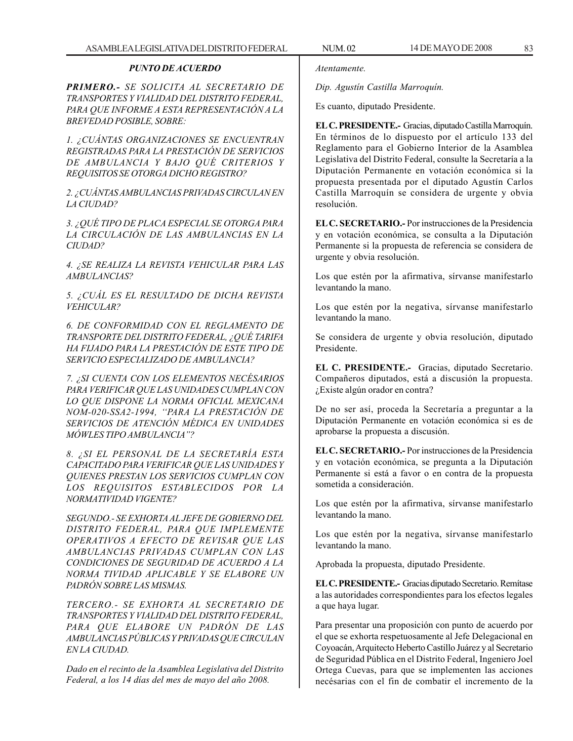## *PUNTO DE ACUERDO*

*PRIMERO.- SE SOLICITA AL SECRETARIO DE TRANSPORTES Y VIALIDAD DEL DISTRITO FEDERAL, PARA QUE INFORME A ESTA REPRESENTACIÓN A LA BREVEDAD POSIBLE, SOBRE:*

*1. ¿CUÁNTAS ORGANIZACIONES SE ENCUENTRAN REGISTRADAS PARA LA PRESTACIÓN DE SERVICIOS DE AMBULANCIA Y BAJO QUÉ CRITERIOS Y REQUISITOS SE OTORGA DICHO REGISTRO?*

*2. ¿CUÁNTAS AMBULANCIAS PRIVADAS CIRCULAN EN LA CIUDAD?*

*3. ¿QUÉ TIPO DE PLACA ESPECIAL SE OTORGA PARA LA CIRCULACIÓN DE LAS AMBULANCIAS EN LA CIUDAD?*

*4. ¿SE REALIZA LA REVISTA VEHICULAR PARA LAS AMBULANCIAS?*

*5. ¿CUÁL ES EL RESULTADO DE DICHA REVISTA VEHICULAR?*

*6. DE CONFORMIDAD CON EL REGLAMENTO DE TRANSPORTE DEL DISTRITO FEDERAL, ¿QUÉ TARIFA HA FIJADO PARA LA PRESTACIÓN DE ESTE TIPO DE SERVICIO ESPECIALIZADO DE AMBULANCIA?*

*7. ¿SI CUENTA CON LOS ELEMENTOS NECÉSARIOS PARA VERIFICAR QUE LAS UNIDADES CUMPLAN CON LO QUE DISPONE LA NORMA OFICIAL MEXICANA NOM-020-SSA2-1994, ''PARA LA PRESTACIÓN DE SERVICIOS DE ATENCIÓN MÉDICA EN UNIDADES MÓWLES TIPO AMBULANCIA''?*

*8. ¿SI EL PERSONAL DE LA SECRETARÍA ESTA CAPACITADO PARA VERIFICAR QUE LAS UNIDADES Y QUIENES PRESTAN LOS SERVICIOS CUMPLAN CON LOS REQUISITOS ESTABLECIDOS POR LA NORMATIVIDAD VIGENTE?*

*SEGUNDO.- SE EXHORTA AL JEFE DE GOBIERNO DEL DISTRITO FEDERAL, PARA QUE IMPLEMENTE OPERATIVOS A EFECTO DE REVISAR QUE LAS AMBULANCIAS PRIVADAS CUMPLAN CON LAS CONDICIONES DE SEGURIDAD DE ACUERDO A LA NORMA TIVIDAD APLICABLE Y SE ELABORE UN PADRÓN SOBRE LAS MISMAS.*

*TERCERO.- SE EXHORTA AL SECRETARIO DE TRANSPORTES Y VIALIDAD DEL DISTRITO FEDERAL, PARA QUE ELABORE UN PADRÓN DE LAS AMBULANCIAS PÚBLICAS Y PRIVADAS QUE CIRCULAN EN LA CIUDAD.*

*Dado en el recinto de la Asamblea Legislativa del Distrito Federal, a los 14 días del mes de mayo del año 2008.*

*Atentamente.*

*Dip. Agustín Castilla Marroquín.*

Es cuanto, diputado Presidente.

**EL C. PRESIDENTE.-** Gracias, diputado Castilla Marroquín. En términos de lo dispuesto por el artículo 133 del Reglamento para el Gobierno Interior de la Asamblea Legislativa del Distrito Federal, consulte la Secretaría a la Diputación Permanente en votación económica si la propuesta presentada por el diputado Agustín Carlos Castilla Marroquín se considera de urgente y obvia resolución.

**EL C. SECRETARIO.-** Por instrucciones de la Presidencia y en votación económica, se consulta a la Diputación Permanente si la propuesta de referencia se considera de urgente y obvia resolución.

Los que estén por la afirmativa, sírvanse manifestarlo levantando la mano.

Los que estén por la negativa, sírvanse manifestarlo levantando la mano.

Se considera de urgente y obvia resolución, diputado Presidente.

**EL C. PRESIDENTE.-** Gracias, diputado Secretario. Compañeros diputados, está a discusión la propuesta. ¿Existe algún orador en contra?

De no ser así, proceda la Secretaría a preguntar a la Diputación Permanente en votación económica si es de aprobarse la propuesta a discusión.

**EL C. SECRETARIO.-** Por instrucciones de la Presidencia y en votación económica, se pregunta a la Diputación Permanente si está a favor o en contra de la propuesta sometida a consideración.

Los que estén por la afirmativa, sírvanse manifestarlo levantando la mano.

Los que estén por la negativa, sírvanse manifestarlo levantando la mano.

Aprobada la propuesta, diputado Presidente.

**EL C. PRESIDENTE.-** Gracias diputado Secretario. Remítase a las autoridades correspondientes para los efectos legales a que haya lugar.

Para presentar una proposición con punto de acuerdo por el que se exhorta respetuosamente al Jefe Delegacional en Coyoacán, Arquitecto Heberto Castillo Juárez y al Secretario de Seguridad Pública en el Distrito Federal, Ingeniero Joel Ortega Cuevas, para que se implementen las acciones necésarias con el fin de combatir el incremento de la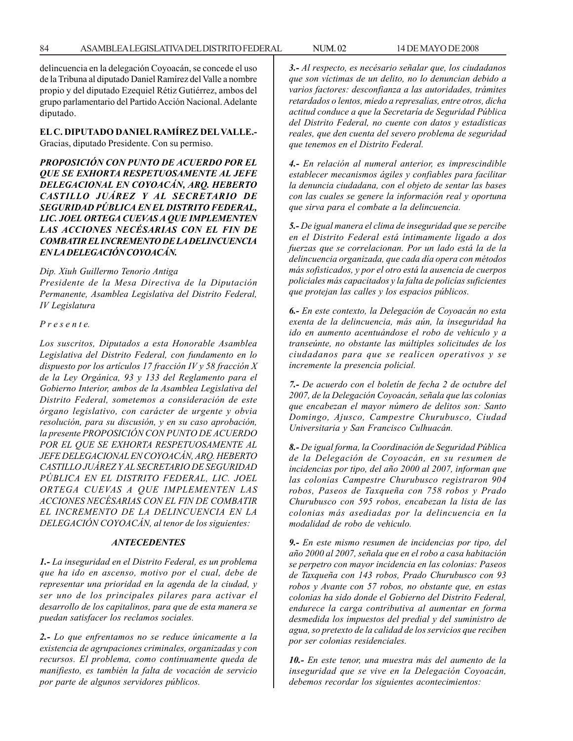delincuencia en la delegación Coyoacán, se concede el uso de la Tribuna al diputado Daniel Ramírez del Valle a nombre propio y del diputado Ezequiel Rétiz Gutiérrez, ambos del grupo parlamentario del Partido Acción Nacional. Adelante diputado.

**EL C. DIPUTADO DANIEL RAMÍREZ DEL VALLE.-** Gracias, diputado Presidente. Con su permiso.

*PROPOSICIÓN CON PUNTO DE ACUERDO POR EL QUE SE EXHORTA RESPETUOSAMENTE AL JEFE DELEGACIONAL EN COYOACÁN, ARQ. HEBERTO CASTILLO JUÁREZ Y AL SECRETARIO DE SEGURIDAD PÚBLICA EN EL DISTRITO FEDERAL, LIC. JOEL ORTEGA CUEVAS A QUE IMPLEMENTEN LAS ACCIONES NECÉSARIAS CON EL FIN DE COMBATIR EL INCREMENTO DE LA DELINCUENCIA EN LA DELEGACIÓN COYOACÁN.*

*Dip. Xiuh Guillermo Tenorio Antiga*

*Presidente de la Mesa Directiva de la Diputación Permanente, Asamblea Legislativa del Distrito Federal, IV Legislatura*

### *P r e s e n t e.*

*Los suscritos, Diputados a esta Honorable Asamblea Legislativa del Distrito Federal, con fundamento en lo dispuesto por los artículos 17 fracción IV y 58 fracción X de la Ley Orgánica, 93 y 133 del Reglamento para el Gobierno Interior, ambos de la Asamblea Legislativa del Distrito Federal, sometemos a consideración de este órgano legislativo, con carácter de urgente y obvia resolución, para su discusión, y en su caso aprobación, la presente PROPOSICIÓN CON PUNTO DE ACUERDO POR EL QUE SE EXHORTA RESPETUOSAMENTE AL JEFE DELEGACIONAL EN COYOACÁN, ARQ. HEBERTO CASTILLO JUÁREZ Y AL SECRETARIO DE SEGURIDAD PÚBLICA EN EL DISTRITO FEDERAL, LIC. JOEL ORTEGA CUEVAS A QUE IMPLEMENTEN LAS ACCIONES NECÉSARIAS CON EL FIN DE COMBATIR EL INCREMENTO DE LA DELINCUENCIA EN LA DELEGACIÓN COYOACÁN, al tenor de los siguientes:*

#### *ANTECEDENTES*

*1.- La inseguridad en el Distrito Federal, es un problema que ha ido en ascenso, motivo por el cual, debe de representar una prioridad en la agenda de la ciudad, y ser uno de los principales pilares para activar el desarrollo de los capitalinos, para que de esta manera se puedan satisfacer los reclamos sociales.*

*2.- Lo que enfrentamos no se reduce únicamente a la existencia de agrupaciones criminales, organizadas y con recursos. El problema, como continuamente queda de manifiesto, es también la falta de vocación de servicio por parte de algunos servidores públicos.*

*3.- Al respecto, es necésario señalar que, los ciudadanos que son víctimas de un delito, no lo denuncian debido a varios factores: desconfianza a las autoridades, trámites retardados o lentos, miedo a represalias, entre otros, dicha actitud conduce a que la Secretaría de Seguridad Pública del Distrito Federal, no cuente con datos y estadísticas reales, que den cuenta del severo problema de seguridad que tenemos en el Distrito Federal.*

*4.- En relación al numeral anterior, es imprescindible establecer mecanismos ágiles y confiables para facilitar la denuncia ciudadana, con el objeto de sentar las bases con las cuales se genere la información real y oportuna que sirva para el combate a la delincuencia.*

*5.- De igual manera el clima de inseguridad que se percibe en el Distrito Federal está íntimamente ligado a dos fuerzas que se correlacionan. Por un lado está la de la delincuencia organizada, que cada día opera con métodos más sofisticados, y por el otro está la ausencia de cuerpos policiales más capacitados y la falta de policías suficientes que protejan las calles y los espacios públicos.*

*6.- En este contexto, la Delegación de Coyoacán no esta exenta de la delincuencia, más aún, la inseguridad ha ido en aumento acentuándose el robo de vehículo y a transeúnte, no obstante las múltiples solicitudes de los ciudadanos para que se realicen operativos y se incremente la presencia policial.*

*7.- De acuerdo con el boletín de fecha 2 de octubre del 2007, de la Delegación Coyoacán, señala que las colonias que encabezan el mayor número de delitos son: Santo Domingo, Ajusco, Campestre Churubusco, Ciudad Universitaria y San Francisco Culhuacán.*

*8.- De igual forma, la Coordinación de Seguridad Pública de la Delegación de Coyoacán, en su resumen de incidencias por tipo, del año 2000 al 2007, informan que las colonias Campestre Churubusco registraron 904 robos, Paseos de Taxqueña con 758 robos y Prado Churubusco con 595 robos, encabezan la lista de las colonias más asediadas por la delincuencia en la modalidad de robo de vehiculo.*

*9.- En este mismo resumen de incidencias por tipo, del año 2000 al 2007, señala que en el robo a casa habitación se perpetro con mayor incidencia en las colonias: Paseos de Taxqueña con 143 robos, Prado Churubusco con 93 robos y Avante con 57 robos, no obstante que, en estas colonias ha sido donde el Gobierno del Distrito Federal, endurece la carga contributiva al aumentar en forma desmedida los impuestos del predial y del suministro de agua, so pretexto de la calidad de los servicios que reciben por ser colonias residenciales.*

*10.- En este tenor, una muestra más del aumento de la inseguridad que se vive en la Delegación Coyoacán, debemos recordar los siguientes acontecimientos:*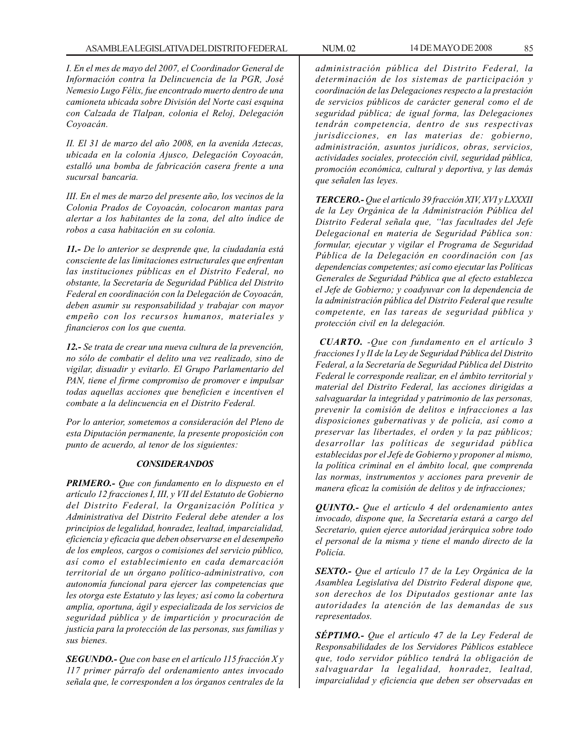*I. En el mes de mayo del 2007, el Coordinador General de Información contra la Delincuencia de la PGR, José Nemesio Lugo Félix, fue encontrado muerto dentro de una camioneta ubicada sobre División del Norte casi esquina con Calzada de Tlalpan, colonia el Reloj, Delegación Coyoacán.*

*II. El 31 de marzo del año 2008, en la avenida Aztecas, ubicada en la colonia Ajusco, Delegación Coyoacán, estalló una bomba de fabricación casera frente a una sucursal bancaria.*

*III. En el mes de marzo del presente año, los vecinos de la Colonia Prados de Coyoacán, colocaron mantas para alertar a los habitantes de la zona, del alto índice de robos a casa habitación en su colonia.*

*11.- De lo anterior se desprende que, la ciudadanía está consciente de las limitaciones estructurales que enfrentan las instituciones públicas en el Distrito Federal, no obstante, la Secretaría de Seguridad Pública del Distrito Federal en coordinación con la Delegación de Coyoacán, deben asumir su responsabilidad y trabajar con mayor empeño con los recursos humanos, materiales y financieros con los que cuenta.*

*12.- Se trata de crear una nueva cultura de la prevención, no sólo de combatir el delito una vez realizado, sino de vigilar, disuadir y evitarlo. El Grupo Parlamentario del PAN, tiene el firme compromiso de promover e impulsar todas aquellas acciones que beneficien e incentiven el combate a la delincuencia en el Distrito Federal.*

*Por lo anterior, sometemos a consideración del Pleno de esta Diputación permanente, la presente proposición con punto de acuerdo, al tenor de los siguientes:*

# *CONSIDERANDOS*

*PRIMERO.- Que con fundamento en lo dispuesto en el artículo 12 fracciones I, III, y VII del Estatuto de Gobierno del Distrito Federal, la Organización Política y Administrativa del Distrito Federal debe atender a los principios de legalidad, honradez, lealtad, imparcialidad, eficiencia y eficacia que deben observarse en el desempeño de los empleos, cargos o comisiones del servicio público, así como el establecimiento en cada demarcación territorial de un órgano político-administrativo, con autonomía funcional para ejercer las competencias que les otorga este Estatuto y las leyes; así como la cobertura amplia, oportuna, ágil y especializada de los servicios de seguridad pública y de impartición y procuración de justicia para la protección de las personas, sus familias y sus bienes.*

*SEGUNDO.- Que con base en el artículo 115 fracción X y 117 primer párrafo del ordenamiento antes invocado señala que, le corresponden a los órganos centrales de la*

*administración pública del Distrito Federal, la determinación de los sistemas de participación y coordinación de las Delegaciones respecto a la prestación de servicios públicos de carácter general como el de seguridad pública; de igual forma, las Delegaciones tendrán competencia, dentro de sus respectivas jurisdicciones, en las materias de: gobierno, administración, asuntos jurídicos, obras, servicios, actividades sociales, protección civil, seguridad pública, promoción económica, cultural y deportiva, y las demás que señalen las leyes.*

*TERCERO.- Que el artículo 39 fracción XIV, XVI y LXXXII de la Ley Orgánica de la Administración Pública del Distrito Federal señala que, ''las facultades del Jefe Delegacional en materia de Seguridad Pública son: formular, ejecutar y vigilar el Programa de Seguridad Pública de la Delegación en coordinación con [as dependencias competentes; así como ejecutar las Políticas Generales de Seguridad Pública que al efecto establezca el Jefe de Gobierno; y coadyuvar con la dependencia de la administración pública del Distrito Federal que resulte competente, en las tareas de seguridad pública y protección civil en la delegación.*

*CUARTO. -Que con fundamento en el artículo 3 fracciones I y II de la Ley de Seguridad Pública del Distrito Federal, a la Secretaría de Seguridad Pública del Distrito Federal le corresponde realizar, en el ámbito territorial y material del Distrito Federal, las acciones dirigidas a salvaguardar la integridad y patrimonio de las personas, prevenir la comisión de delitos e infracciones a las disposiciones gubernativas y de policía, así como a preservar las libertades, el orden y la paz públicos; desarrollar las políticas de seguridad pública establecidas por el Jefe de Gobierno y proponer al mismo, la política criminal en el ámbito local, que comprenda las normas, instrumentos y acciones para prevenir de manera eficaz la comisión de delitos y de infracciones;*

*QUINTO.- Que el artículo 4 del ordenamiento antes invocado, dispone que, la Secretaría estará a cargo del Secretario, quien ejerce autoridad jerárquica sobre todo el personal de la misma y tiene el mando directo de la Policía.*

*SEXTO.- Que el artículo 17 de la Ley Orgánica de la Asamblea Legislativa del Distrito Federal dispone que, son derechos de los Diputados gestionar ante las autoridades la atención de las demandas de sus representados.*

*SÉPTIMO.- Que el artículo 47 de la Ley Federal de Responsabilidades de los Servidores Públicos establece que, todo servidor público tendrá la obligación de salvaguardar la legalidad, honradez, lealtad, imparcialidad y eficiencia que deben ser observadas en*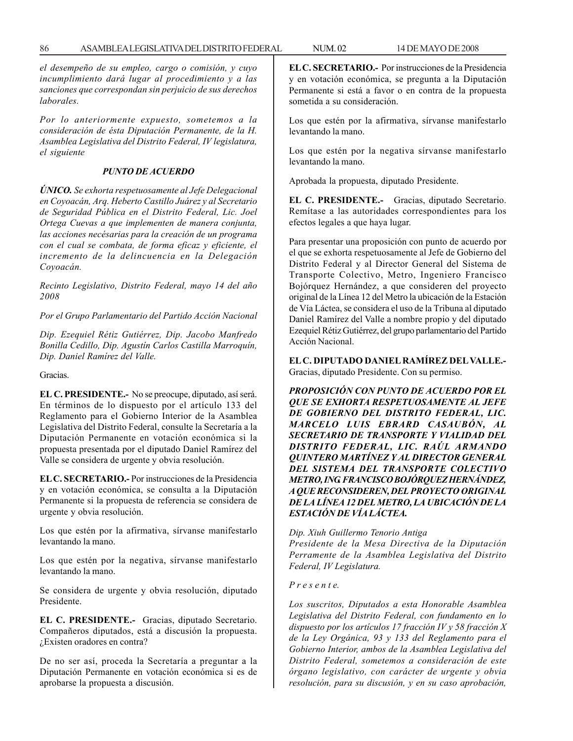*el desempeño de su empleo, cargo o comisión, y cuyo incumplimiento dará lugar al procedimiento y a las sanciones que correspondan sin perjuicio de sus derechos laborales.*

*Por lo anteriormente expuesto, sometemos a la consideración de ésta Diputación Permanente, de la H. Asamblea Legislativa del Distrito Federal, IV legislatura, el siguiente*

### *PUNTO DE ACUERDO*

*ÚNICO. Se exhorta respetuosamente al Jefe Delegacional en Coyoacán, Arq. Heberto Castillo Juárez y al Secretario de Seguridad Pública en el Distrito Federal, Lic. Joel Ortega Cuevas a que implementen de manera conjunta, las acciones necésarias para la creación de un programa con el cual se combata, de forma eficaz y eficiente, el incremento de la delincuencia en la Delegación Coyoacán.*

*Recinto Legislativo, Distrito Federal, mayo 14 del año 2008*

*Por el Grupo Parlamentario del Partido Acción Nacional*

*Dip. Ezequiel Rétiz Gutiérrez, Dip. Jacobo Manfredo Bonilla Cedillo, Dip. Agustín Carlos Castilla Marroquín, Dip. Daniel Ramírez del Valle.*

Gracias.

**EL C. PRESIDENTE.-** No se preocupe, diputado, así será. En términos de lo dispuesto por el artículo 133 del Reglamento para el Gobierno Interior de la Asamblea Legislativa del Distrito Federal, consulte la Secretaría a la Diputación Permanente en votación económica si la propuesta presentada por el diputado Daniel Ramírez del Valle se considera de urgente y obvia resolución.

**EL C. SECRETARIO.-** Por instrucciones de la Presidencia y en votación económica, se consulta a la Diputación Permanente si la propuesta de referencia se considera de urgente y obvia resolución.

Los que estén por la afirmativa, sírvanse manifestarlo levantando la mano.

Los que estén por la negativa, sírvanse manifestarlo levantando la mano.

Se considera de urgente y obvia resolución, diputado Presidente.

**EL C. PRESIDENTE.-** Gracias, diputado Secretario. Compañeros diputados, está a discusión la propuesta. ¿Existen oradores en contra?

De no ser así, proceda la Secretaría a preguntar a la Diputación Permanente en votación económica si es de aprobarse la propuesta a discusión.

**EL C. SECRETARIO.-** Por instrucciones de la Presidencia y en votación económica, se pregunta a la Diputación Permanente si está a favor o en contra de la propuesta sometida a su consideración.

Los que estén por la afirmativa, sírvanse manifestarlo levantando la mano.

Los que estén por la negativa sírvanse manifestarlo levantando la mano.

Aprobada la propuesta, diputado Presidente.

**EL C. PRESIDENTE.-** Gracias, diputado Secretario. Remítase a las autoridades correspondientes para los efectos legales a que haya lugar.

Para presentar una proposición con punto de acuerdo por el que se exhorta respetuosamente al Jefe de Gobierno del Distrito Federal y al Director General del Sistema de Transporte Colectivo, Metro, Ingeniero Francisco Bojórquez Hernández, a que consideren del proyecto original de la Línea 12 del Metro la ubicación de la Estación de Vía Láctea, se considera el uso de la Tribuna al diputado Daniel Ramírez del Valle a nombre propio y del diputado Ezequiel Rétiz Gutiérrez, del grupo parlamentario del Partido Acción Nacional.

**EL C. DIPUTADO DANIEL RAMÍREZ DEL VALLE.-** Gracias, diputado Presidente. Con su permiso.

*PROPOSICIÓN CON PUNTO DE ACUERDO POR EL QUE SE EXHORTA RESPETUOSAMENTE AL JEFE DE GOBIERNO DEL DISTRITO FEDERAL, LIC. MARCELO LUIS EBRARD CASAUBÓN, AL SECRETARIO DE TRANSPORTE Y VIALIDAD DEL DISTRITO FEDERAL, LIC. RAÚL ARMANDO QUINTERO MARTÍNEZ Y AL DIRECTOR GENERAL DEL SISTEMA DEL TRANSPORTE COLECTIVO METRO, ING. FRANCISCO BOJÓRQUEZ HERNÁNDEZ, A QUE RECONSIDEREN, DEL PROYECTO ORIGINAL DE LA LÍNEA 12 DEL METRO, LA UBICACIÓN DE LA ESTACIÓN DE VÍA LÁCTEA.*

*Dip. Xiuh Guillermo Tenorio Antiga*

*Presidente de la Mesa Directiva de la Diputación Perramente de la Asamblea Legislativa del Distrito Federal, IV Legislatura.*

## *P r e s e n t e.*

*Los suscritos, Diputados a esta Honorable Asamblea Legislativa del Distrito Federal, con fundamento en lo dispuesto por los artículos 17 fracción IV y 58 fracción X de la Ley Orgánica, 93 y 133 del Reglamento para el Gobierno Interior, ambos de la Asamblea Legislativa del Distrito Federal, sometemos a consideración de este órgano legislativo, con carácter de urgente y obvia resolución, para su discusión, y en su caso aprobación,*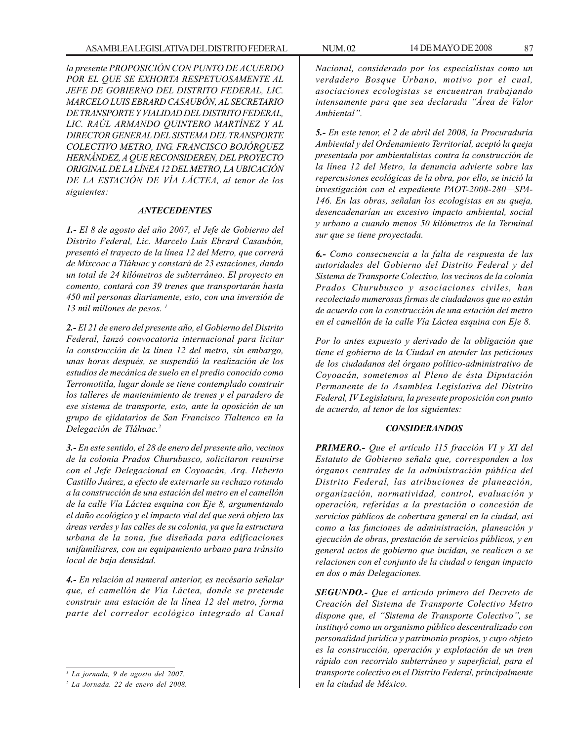*la presente PROPOSICIÓN CON PUNTO DE ACUERDO POR EL QUE SE EXHORTA RESPETUOSAMENTE AL JEFE DE GOBIERNO DEL DISTRITO FEDERAL, LIC. MARCELO LUIS EBRARD CASAUBÓN, AL SECRETARIO DE TRANSPORTE Y VIALIDAD DEL DISTRITO FEDERAL, LIC. RAÚL ARMANDO QUINTERO MARTÍNEZ Y AL DIRECTOR GENERAL DEL SISTEMA DEL TRANSPORTE COLECTIVO METRO, ING. FRANCISCO BOJÓRQUEZ HERNÁNDEZ, A QUE RECONSIDEREN, DEL PROYECTO ORIGINAL DE LA LÍNEA 12 DEL METRO, LA UBICACIÓN DE LA ESTACIÓN DE VÍA LÁCTEA, al tenor de los siguientes:*

### *ANTECEDENTES*

*1.- El 8 de agosto del año 2007, el Jefe de Gobierno del Distrito Federal, Lic. Marcelo Luis Ebrard Casaubón, presentó el trayecto de la línea 12 del Metro, que correrá de Mixcoac a Tláhuac y constará de 23 estaciones, dando un total de 24 kilómetros de subterráneo. El proyecto en comento, contará con 39 trenes que transportarán hasta 450 mil personas diariamente, esto, con una inversión de 13 mil millones de pesos. 1*

*2.- El 21 de enero del presente año, el Gobierno del Distrito Federal, lanzó convocatoria internacional para licitar la construcción de la línea 12 del metro, sin embargo, unas horas después, se suspendió la realización de los estudios de mecánica de suelo en el predio conocido como Terromotitla, lugar donde se tiene contemplado construir los talleres de mantenimiento de trenes y el paradero de ese sistema de transporte, esto, ante la oposición de un grupo de ejidatarios de San Francisco Tlaltenco en la Delegación de Tláhuac.2*

*3.- En este sentido, el 28 de enero del presente año, vecinos de la colonia Prados Churubusco, solicitaron reunirse con el Jefe Delegacional en Coyoacán, Arq. Heberto Castillo Juárez, a efecto de externarle su rechazo rotundo a la construcción de una estación del metro en el camellón de la calle Vía Láctea esquina con Eje 8, argumentando el daño ecológico y el impacto vial del que será objeto las áreas verdes y las calles de su colonia, ya que la estructura urbana de la zona, fue diseñada para edificaciones unifamiliares, con un equipamiento urbano para tránsito local de baja densidad.*

*4.- En relación al numeral anterior, es necésario señalar que, el camellón de Vía Láctea, donde se pretende construir una estación de la línea 12 del metro, forma parte del corredor ecológico integrado al Canal* *Nacional, considerado por los especialistas como un verdadero Bosque Urbano, motivo por el cual, asociaciones ecologistas se encuentran trabajando intensamente para que sea declarada ''Área de Valor Ambiental''.*

*5.- En este tenor, el 2 de abril del 2008, la Procuraduría Ambiental y del Ordenamiento Territorial, aceptó la queja presentada por ambientalistas contra la construcción de la línea 12 del Metro, la denuncia advierte sobre las repercusiones ecológicas de la obra, por ello, se inició la investigación con el expediente PAOT-2008-280—SPA-146. En las obras, señalan los ecologistas en su queja, desencadenarían un excesivo impacto ambiental, social y urbano a cuando menos 50 kilómetros de la Terminal sur que se tiene proyectada.*

*6.- Como consecuencia a la falta de respuesta de las autoridades del Gobierno del Distrito Federal y del Sistema de Transporte Colectivo, los vecinos de la colonia Prados Churubusco y asociaciones civiles, han recolectado numerosas firmas de ciudadanos que no están de acuerdo con la construcción de una estación del metro en el camellón de la calle Vía Láctea esquina con Eje 8.*

*Por lo antes expuesto y derivado de la obligación que tiene el gobierno de la Ciudad en atender las peticiones de los ciudadanos del órgano político-administrativo de Coyoacán, sometemos al Pleno de ésta Diputación Permanente de la Asamblea Legislativa del Distrito Federal, IV Legislatura, la presente proposición con punto de acuerdo, al tenor de los siguientes:*

#### *CONSIDERANDOS*

*PRIMERO.- Que el artículo 115 fracción VI y XI del Estatuto de Gobierno señala que, corresponden a los órganos centrales de la administración pública del Distrito Federal, las atribuciones de planeación, organización, normatividad, control, evaluación y operación, referidas a la prestación o concesión de servicios públicos de cobertura general en la ciudad, así como a las funciones de administración, planeación y ejecución de obras, prestación de servicios públicos, y en general actos de gobierno que incidan, se realicen o se relacionen con el conjunto de la ciudad o tengan impacto en dos o más Delegaciones.*

*SEGUNDO.- Que el artículo primero del Decreto de Creación del Sistema de Transporte Colectivo Metro dispone que, el ''Sistema de Transporte Colectivo'', se instituyó como un organismo público descentralizado con personalidad jurídica y patrimonio propios, y cuyo objeto es la construcción, operación y explotación de un tren rápido con recorrido subterráneo y superficial, para el transporte colectivo en el Distrito Federal, principalmente en la ciudad de México.*

*<sup>1</sup> La jornada, 9 de agosto del 2007.*

*<sup>2</sup> La Jornada. 22 de enero del 2008.*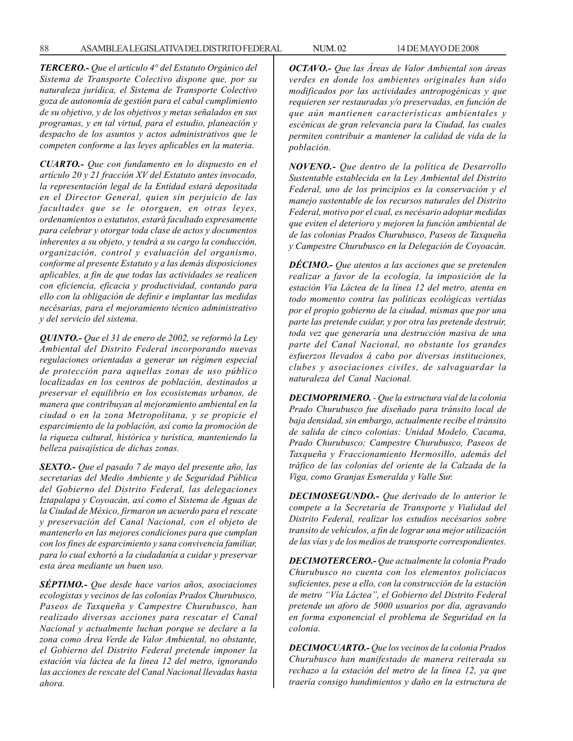*TERCERO.- Que el artículo 4° del Estatuto Orgánico del Sistema de Transporte Colectivo dispone que, por su naturaleza jurídica, el Sistema de Transporte Colectivo goza de autonomía de gestión para el cabal cumplimiento de su objetivo, y de los objetivos y metas señalados en sus programas, y en tal virtud, para el estudio, planeación y despacho de los asuntos y actos administrativos que le competen conforme a las leyes aplicables en la materia.*

*CUARTO.- Que con fundamento en lo dispuesto en el artículo 20 y 21 fracción XV del Estatuto antes invocado, la representación legal de la Entidad estará depositada en el Director General, quien sin perjuicio de las facultades que se le otorguen, en otras leyes, ordenamientos o estatutos, estará facultado expresamente para celebrar y otorgar toda clase de actos y documentos inherentes a su objeto, y tendrá a su cargo la conducción, organización, control y evaluación del organismo, conforme al presente Estatuto y a las demás disposiciones aplicables, a fin de que todas las actividades se realicen con eficiencia, eficacia y productividad, contando para ello con la obligación de definir e implantar las medidas necésarias, para el mejoramiento técnico administrativo y del servicio del sistema.*

*QUINTO.- Que el 31 de enero de 2002, se reformó la Ley Ambiental del Distrito Federal incorporando nuevas regulaciones orientadas a generar un régimen especial de protección para aquellas zonas de uso público localizadas en los centros de población, destinados a preservar el equilibrio en los ecosistemas urbanos, de manera que contribuyan al mejoramiento ambiental en la ciudad o en la zona Metropolitana, y se propicie el esparcimiento de la población, así como la promoción de la riqueza cultural, histórica y turística, manteniendo la belleza paisajística de dichas zonas.*

*SEXTO.- Que el pasado 7 de mayo del presente año, las secretarias del Medio Ambiente y de Seguridad Pública del Gobierno del Distrito Federal, las delegaciones Iztapalapa y Coyoacán, así como el Sistema de Aguas de la Ciudad de México, firmaron un acuerdo para el rescate y preservación del Canal Nacional, con el objeto de mantenerlo en las mejores condiciones para que cumplan con los fines de esparcimiento y sana convivencia familiar, para lo cual exhortó a la ciudadanía a cuidar y preservar esta área mediante un buen uso.*

*SÉPTIMO.- Que desde hace varios años, asociaciones ecologistas y vecinos de las colonias Prados Churubusco, Paseos de Taxqueña y Campestre Churubusco, han realizado diversas acciones para rescatar el Canal Nacional y actualmente luchan porque se declare a la zona como Área Verde de Valor Ambiental, no obstante, el Gobierno del Distrito Federal pretende imponer la estación vía láctea de la línea 12 del metro, ignorando las acciones de rescate del Canal Nacional llevadas hasta ahora.*

*OCTAVO.- Que las Áreas de Valor Ambiental son áreas verdes en donde los ambientes originales han sido modificados por las actividades antropogénicas y que requieren ser restauradas y/o preservadas, en función de que aún mantienen características ambientales y escénicas de gran relevancia para la Ciudad, las cuales permiten contribuir a mantener la calidad de vida de la población.*

*NOVENO.- Que dentro de la política de Desarrollo Sustentable establecida en la Ley Ambiental del Distrito Federal, uno de los principios es la conservación y el manejo sustentable de los recursos naturales del Distrito Federal, motivo por el cual, es necésario adoptar medidas que eviten el deterioro y mejoren la función ambiental de de las colonias Prados Churubusco, Paseos de Taxqueña y Campestre Churubusco en la Delegación de Coyoacán.*

*DÉCIMO.- Que atentos a las acciones que se pretenden realizar a favor de la ecología, la imposición de la estación Vía Láctea de la línea 12 del metro, atenta en todo momento contra las políticas ecológicas vertidas por el propio gobierno de la ciudad, mismas que por una parte las pretende cuidar, y por otra las pretende destruir, toda vez que generaría una destrucción masiva de una parte del Canal Nacional, no obstante los grandes esfuerzos llevados á cabo por diversas instituciones, clubes y asociaciones civiles, de salvaguardar la naturaleza del Canal Nacional.*

*DECIMOPRIMERO. - Que la estructura vial de la colonia Prado Churubusco fue diseñado para tránsito local de baja densidad, sin embargo, actualmente recibe el tránsito de salida de cinco colonias: Unidad Modelo, Cacama, Prado Churubusco; Campestre Churubusco, Paseos de Taxqueña y Fraccionamiento Hermosillo, además del tráfico de las colonias del oriente de la Calzada de la Viga, como Granjas Esmeralda y Valle Sur.*

*DECIMOSEGUNDO.- Que derivado de lo anterior le compete a la Secretaría de Transporte y Vialidad del Distrito Federal, realizar los estudios necésarios sobre transito de vehículos, a fin de lograr una mejor utilización de las vías y de los medios de transporte correspondientes.*

*DECIMOTERCERO.- Que actualmente la colonia Prado Churubusco no cuenta con los elementos policíacos suficientes, pese a ello, con la construcción de la estación de metro ''Vía Láctea'', el Gobierno del Distrito Federal pretende un aforo de 5000 usuarios por día, agravando en forma exponencial el problema de Seguridad en la colonia.*

*DECIMOCUARTO.- Que los vecinos de la colonia Prados Churubusco han manifestado de manera reiterada su rechazo a la estación del metro de la línea 12, ya que traería consigo hundimientos y daño en la estructura de*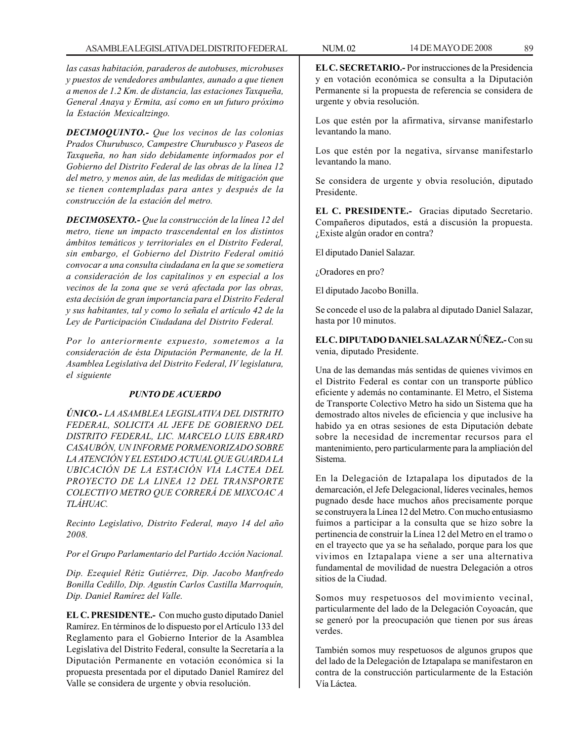*las casas habitación, paraderos de autobuses, microbuses y puestos de vendedores ambulantes, aunado a que tienen a menos de 1.2 Km. de distancia, las estaciones Taxqueña, General Anaya y Ermita, así como en un futuro próximo la Estación Mexicaltzingo.*

*DECIMOQUINTO.- Que los vecinos de las colonias Prados Churubusco, Campestre Churubusco y Paseos de Taxqueña, no han sido debidamente informados por el Gobierno del Distrito Federal de las obras de la línea 12 del metro, y menos aún, de las medidas de mitigación que se tienen contempladas para antes y después de la construcción de la estación del metro.*

*DECIMOSEXTO.- Que la construcción de la línea 12 del metro, tiene un impacto trascendental en los distintos ámbitos temáticos y territoriales en el Distrito Federal, sin embargo, el Gobierno del Distrito Federal omitió convocar a una consulta ciudadana en la que se sometiera a consideración de los capitalinos y en especial a los vecinos de la zona que se verá afectada por las obras, esta decisión de gran importancia para el Distrito Federal y sus habitantes, tal y como lo señala el artículo 42 de la Ley de Participación Ciudadana del Distrito Federal.*

*Por lo anteriormente expuesto, sometemos a la consideración de ésta Diputación Permanente, de la H. Asamblea Legislativa del Distrito Federal, IV legislatura, el siguiente*

# *PUNTO DE ACUERDO*

*ÚNICO.- LA ASAMBLEA LEGISLATIVA DEL DISTRITO FEDERAL, SOLICITA AL JEFE DE GOBIERNO DEL DISTRITO FEDERAL, LIC. MARCELO LUIS EBRARD CASAUBÓN, UN INFORME PORMENORIZADO SOBRE LA ATENCIÓN Y EL ESTADO ACTUAL QUE GUARDA LA UBICACIÓN DE LA ESTACIÓN VIA LACTEA DEL PROYECTO DE LA LINEA 12 DEL TRANSPORTE COLECTIVO METRO QUE CORRERÁ DE MIXCOAC A TLÁHUAC.*

*Recinto Legislativo, Distrito Federal, mayo 14 del año 2008.*

*Por el Grupo Parlamentario del Partido Acción Nacional.*

*Dip. Ezequiel Rétiz Gutiérrez, Dip. Jacobo Manfredo Bonilla Cedillo, Dip. Agustín Carlos Castilla Marroquín, Dip. Daniel Ramírez del Valle.*

**EL C. PRESIDENTE.-** Con mucho gusto diputado Daniel Ramírez. En términos de lo dispuesto por el Artículo 133 del Reglamento para el Gobierno Interior de la Asamblea Legislativa del Distrito Federal, consulte la Secretaría a la Diputación Permanente en votación económica si la propuesta presentada por el diputado Daniel Ramírez del Valle se considera de urgente y obvia resolución.

**EL C. SECRETARIO.-** Por instrucciones de la Presidencia y en votación económica se consulta a la Diputación Permanente si la propuesta de referencia se considera de urgente y obvia resolución.

Los que estén por la afirmativa, sírvanse manifestarlo levantando la mano.

Los que estén por la negativa, sírvanse manifestarlo levantando la mano.

Se considera de urgente y obvia resolución, diputado Presidente.

**EL C. PRESIDENTE.-** Gracias diputado Secretario. Compañeros diputados, está a discusión la propuesta. ¿Existe algún orador en contra?

El diputado Daniel Salazar.

¿Oradores en pro?

El diputado Jacobo Bonilla.

Se concede el uso de la palabra al diputado Daniel Salazar, hasta por 10 minutos.

**EL C. DIPUTADO DANIEL SALAZAR NÚÑEZ.-** Con su venia, diputado Presidente.

Una de las demandas más sentidas de quienes vivimos en el Distrito Federal es contar con un transporte público eficiente y además no contaminante. El Metro, el Sistema de Transporte Colectivo Metro ha sido un Sistema que ha demostrado altos niveles de eficiencia y que inclusive ha habido ya en otras sesiones de esta Diputación debate sobre la necesidad de incrementar recursos para el mantenimiento, pero particularmente para la ampliación del Sistema.

En la Delegación de Iztapalapa los diputados de la demarcación, el Jefe Delegacional, líderes vecinales, hemos pugnado desde hace muchos años precisamente porque se construyera la Línea 12 del Metro. Con mucho entusiasmo fuimos a participar a la consulta que se hizo sobre la pertinencia de construir la Línea 12 del Metro en el tramo o en el trayecto que ya se ha señalado, porque para los que vivimos en Iztapalapa viene a ser una alternativa fundamental de movilidad de nuestra Delegación a otros sitios de la Ciudad.

Somos muy respetuosos del movimiento vecinal, particularmente del lado de la Delegación Coyoacán, que se generó por la preocupación que tienen por sus áreas verdes.

También somos muy respetuosos de algunos grupos que del lado de la Delegación de Iztapalapa se manifestaron en contra de la construcción particularmente de la Estación Vía Láctea.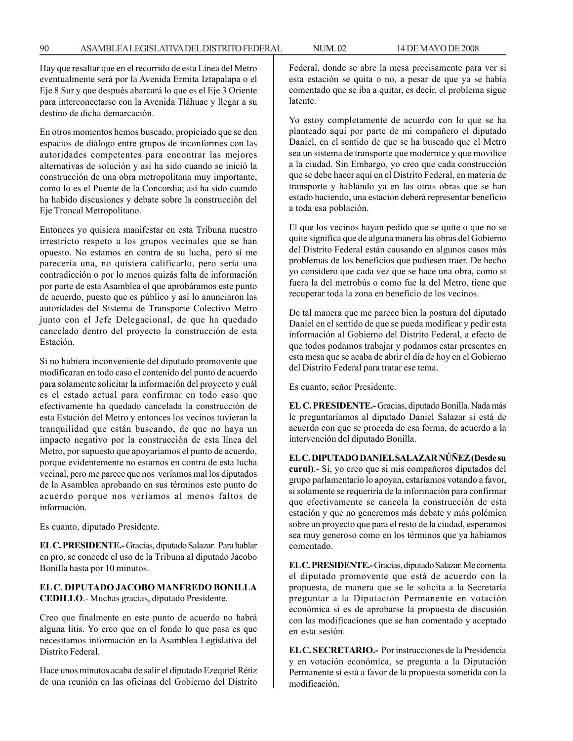Hay que resaltar que en el recorrido de esta Línea del Metro eventualmente será por la Avenida Ermita Iztapalapa o el Eje 8 Sur y que después abarcará lo que es el Eje 3 Oriente para interconectarse con la Avenida Tláhuac y llegar a su destino de dicha demarcación.

En otros momentos hemos buscado, propiciado que se den espacios de diálogo entre grupos de inconformes con las autoridades competentes para encontrar las mejores alternativas de solución y así ha sido cuando se inició la construcción de una obra metropolitana muy importante, como lo es el Puente de la Concordia; así ha sido cuando ha habido discusiones y debate sobre la construcción del Eje Troncal Metropolitano.

Entonces yo quisiera manifestar en esta Tribuna nuestro irrestricto respeto a los grupos vecinales que se han opuesto. No estamos en contra de su lucha, pero sí me parecería una, no quisiera calificarlo, pero sería una contradicción o por lo menos quizás falta de información por parte de esta Asamblea el que aprobáramos este punto de acuerdo, puesto que es público y así lo anunciaron las autoridades del Sistema de Transporte Colectivo Metro junto con el Jefe Delegacional, de que ha quedado cancelado dentro del proyecto la construcción de esta Estación.

Si no hubiera inconveniente del diputado promovente que modificaran en todo caso el contenido del punto de acuerdo para solamente solicitar la información del proyecto y cuál es el estado actual para confirmar en todo caso que efectivamente ha quedado cancelada la construcción de esta Estación del Metro y entonces los vecinos tuvieran la tranquilidad que están buscando, de que no haya un impacto negativo por la construcción de esta línea del Metro, por supuesto que apoyaríamos el punto de acuerdo, porque evidentemente no estamos en contra de esta lucha vecinal, pero me parece que nos veríamos mal los diputados de la Asamblea aprobando en sus términos este punto de acuerdo porque nos veríamos al menos faltos de información.

Es cuanto, diputado Presidente.

**EL C. PRESIDENTE.-** Gracias, diputado Salazar. Para hablar en pro, se concede el uso de la Tribuna al diputado Jacobo Bonilla hasta por 10 minutos.

# **EL C. DIPUTADO JACOBO MANFREDO BONILLA CEDILLO**.- Muchas gracias, diputado Presidente.

Creo que finalmente en este punto de acuerdo no habrá alguna litis. Yo creo que en el fondo lo que pasa es que necesitamos información en la Asamblea Legislativa del Distrito Federal.

Hace unos minutos acaba de salir el diputado Ezequiel Rétiz de una reunión en las oficinas del Gobierno del Distrito Federal, donde se abre la mesa precisamente para ver si esta estación se quita o no, a pesar de que ya se había comentado que se iba a quitar, es decir, el problema sigue latente.

Yo estoy completamente de acuerdo con lo que se ha planteado aquí por parte de mi compañero el diputado Daniel, en el sentido de que se ha buscado que el Metro sea un sistema de transporte que modernice y que movilice a la ciudad. Sin Embargo, yo creo que cada construcción que se debe hacer aquí en el Distrito Federal, en materia de transporte y hablando ya en las otras obras que se han estado haciendo, una estación deberá representar beneficio a toda esa población.

El que los vecinos hayan pedido que se quite o que no se quite significa que de alguna manera las obras del Gobierno del Distrito Federal están causando en algunos casos más problemas de los beneficios que pudiesen traer. De hecho yo considero que cada vez que se hace una obra, como si fuera la del metrobús o como fue la del Metro, tiene que recuperar toda la zona en beneficio de los vecinos.

De tal manera que me parece bien la postura del diputado Daniel en el sentido de que se pueda modificar y pedir esta información al Gobierno del Distrito Federal, a efecto de que todos podamos trabajar y podamos estar presentes en esta mesa que se acaba de abrir el día de hoy en el Gobierno del Distrito Federal para tratar ese tema.

Es cuanto, señor Presidente.

**EL C. PRESIDENTE.-** Gracias, diputado Bonilla. Nada más le preguntaríamos al diputado Daniel Salazar si está de acuerdo con que se proceda de esa forma, de acuerdo a la intervención del diputado Bonilla.

**EL C. DIPUTADO DANIEL SALAZAR NÚÑEZ (Desde su curul)**.- Sí, yo creo que si mis compañeros diputados del grupo parlamentario lo apoyan, estaríamos votando a favor, si solamente se requeriría de la información para confirmar que efectivamente se cancela la construcción de esta estación y que no generemos más debate y más polémica sobre un proyecto que para el resto de la ciudad, esperamos sea muy generoso como en los términos que ya habíamos comentado.

**EL C. PRESIDENTE.-** Gracias, diputado Salazar. Me comenta el diputado promovente que está de acuerdo con la propuesta, de manera que se le solicita a la Secretaría preguntar a la Diputación Permanente en votación económica si es de aprobarse la propuesta de discusión con las modificaciones que se han comentado y aceptado en esta sesión.

**EL C. SECRETARIO.-** Por instrucciones de la Presidencia y en votación económica, se pregunta a la Diputación Permanente si está a favor de la propuesta sometida con la modificación.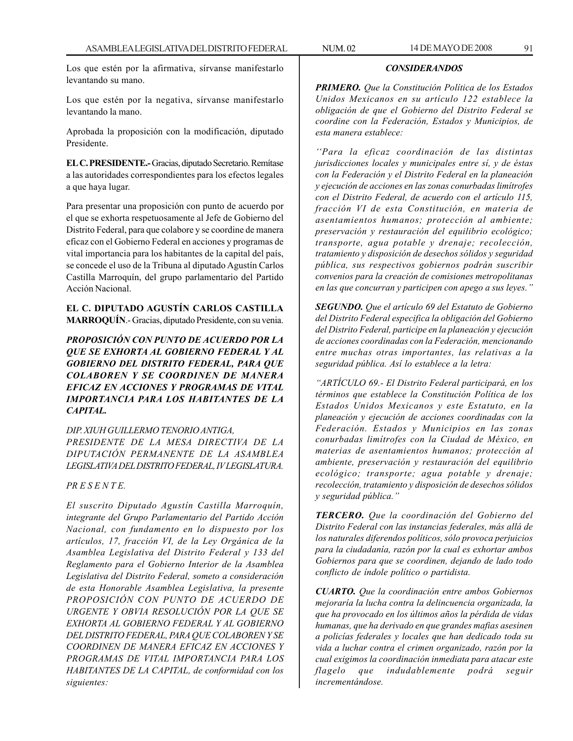Los que estén por la afirmativa, sírvanse manifestarlo levantando su mano.

Los que estén por la negativa, sírvanse manifestarlo levantando la mano.

Aprobada la proposición con la modificación, diputado Presidente.

**EL C. PRESIDENTE.-** Gracias, diputado Secretario. Remítase a las autoridades correspondientes para los efectos legales a que haya lugar.

Para presentar una proposición con punto de acuerdo por el que se exhorta respetuosamente al Jefe de Gobierno del Distrito Federal, para que colabore y se coordine de manera eficaz con el Gobierno Federal en acciones y programas de vital importancia para los habitantes de la capital del país, se concede el uso de la Tribuna al diputado Agustín Carlos Castilla Marroquín, del grupo parlamentario del Partido Acción Nacional.

# **EL C. DIPUTADO AGUSTÍN CARLOS CASTILLA MARROQUÍN**.- Gracias, diputado Presidente, con su venia.

*PROPOSICIÓN CON PUNTO DE ACUERDO POR LA QUE SE EXHORTA AL GOBIERNO FEDERAL Y AL GOBIERNO DEL DISTRITO FEDERAL, PARA QUE COLABOREN Y SE COORDINEN DE MANERA EFICAZ EN ACCIONES Y PROGRAMAS DE VITAL IMPORTANCIA PARA LOS HABITANTES DE LA CAPITAL.*

*DIP. XIUH GUILLERMO TENORIO ANTIGA, PRESIDENTE DE LA MESA DIRECTIVA DE LA DIPUTACIÓN PERMANENTE DE LA ASAMBLEA LEGISLATIVA DEL DISTRITO FEDERAL, IV LEGISLATURA.*

# *PR E S E N T E.*

*El suscrito Diputado Agustín Castilla Marroquín, integrante del Grupo Parlamentario del Partido Acción Nacional, con fundamento en lo dispuesto por los artículos, 17, fracción VI, de la Ley Orgánica de la Asamblea Legislativa del Distrito Federal y 133 del Reglamento para el Gobierno Interior de la Asamblea Legislativa del Distrito Federal, someto a consideración de esta Honorable Asamblea Legislativa, la presente PROPOSICIÓN CON PUNTO DE ACUERDO DE URGENTE Y OBVIA RESOLUCIÓN POR LA QUE SE EXHORTA AL GOBIERNO FEDERAL Y AL GOBIERNO DEL DISTRITO FEDERAL, PARA QUE COLABOREN Y SE COORDINEN DE MANERA EFICAZ EN ACCIONES Y PROGRAMAS DE VITAL IMPORTANCIA PARA LOS HABITANTES DE LA CAPITAL, de conformidad con los siguientes:*

*PRIMERO. Que la Constitución Política de los Estados Unidos Mexicanos en su artículo 122 establece la obligación de que el Gobierno del Distrito Federal se coordine con la Federación, Estados y Municipios, de esta manera establece:*

*CONSIDERANDOS*

*''Para la eficaz coordinación de las distintas jurisdicciones locales y municipales entre sí, y de éstas con la Federación y el Distrito Federal en la planeación y ejecución de acciones en las zonas conurbadas limítrofes con el Distrito Federal, de acuerdo con el artículo 115, fracción VI de esta Constitución, en materia de asentamientos humanos; protección al ambiente; preservación y restauración del equilibrio ecológico; transporte, agua potable y drenaje; recolección, tratamiento y disposición de desechos sólidos y seguridad pública, sus respectivos gobiernos podrán suscribir convenios para la creación de comisiones metropolitanas en las que concurran y participen con apego a sus leyes.''*

*SEGUNDO. Que el artículo 69 del Estatuto de Gobierno del Distrito Federal especifica la obligación del Gobierno del Distrito Federal, participe en la planeación y ejecución de acciones coordinadas con la Federación, mencionando entre muchas otras importantes, las relativas a la seguridad pública. Así lo establece a la letra:*

*''ARTÍCULO 69.- El Distrito Federal participará, en los términos que establece la Constitución Política de los Estados Unidos Mexicanos y este Estatuto, en la planeación y ejecución de acciones coordinadas con la Federación. Estados y Municipios en las zonas conurbadas limítrofes con la Ciudad de México, en materias de asentamientos humanos; protección al ambiente, preservación y restauración del equilibrio ecológico; transporte; agua potable y drenaje; recolección, tratamiento y disposición de desechos sólidos y seguridad pública.''*

*TERCERO. Que la coordinación del Gobierno del Distrito Federal con las instancias federales, más allá de los naturales diferendos políticos, sólo provoca perjuicios para la ciudadanía, razón por la cual es exhortar ambos Gobiernos para que se coordinen, dejando de lado todo conflicto de índole político o partidista.*

*CUARTO. Que la coordinación entre ambos Gobiernos mejoraría la lucha contra la delincuencia organizada, la que ha provocado en los últimos años la pérdida de vidas humanas, que ha derivado en que grandes mafias asesinen a policías federales y locales que han dedicado toda su vida a luchar contra el crimen organizado, razón por la cual exigimos la coordinación inmediata para atacar este flagelo que indudablemente podrá seguir incrementándose.*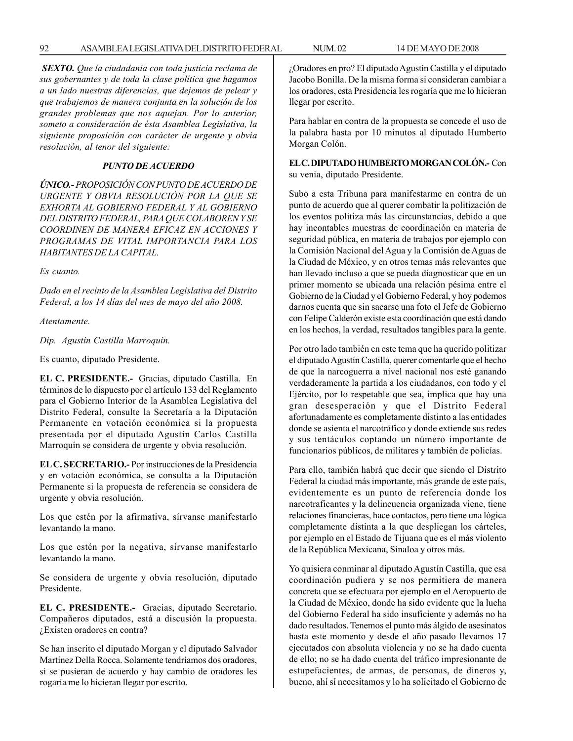*SEXTO. Que la ciudadanía con toda justicia reclama de sus gobernantes y de toda la clase política que hagamos a un lado nuestras diferencias, que dejemos de pelear y que trabajemos de manera conjunta en la solución de los grandes problemas que nos aquejan. Por lo anterior, someto a consideración de ésta Asamblea Legislativa, la siguiente proposición con carácter de urgente y obvia resolución, al tenor del siguiente:*

## *PUNTO DE ACUERDO*

*ÚNICO.- PROPOSICIÓN CON PUNTO DE ACUERDO DE URGENTE Y OBVIA RESOLUCIÓN POR LA QUE SE EXHORTA AL GOBIERNO FEDERAL Y AL GOBIERNO DEL DISTRITO FEDERAL, PARA QUE COLABOREN Y SE COORDINEN DE MANERA EFICAZ EN ACCIONES Y PROGRAMAS DE VITAL IMPORTANCIA PARA LOS HABITANTES DE LA CAPITAL.*

*Es cuanto.*

*Dado en el recinto de la Asamblea Legislativa del Distrito Federal, a los 14 días del mes de mayo del año 2008.*

*Atentamente.*

*Dip. Agustín Castilla Marroquín.*

Es cuanto, diputado Presidente.

**EL C. PRESIDENTE.-** Gracias, diputado Castilla. En términos de lo dispuesto por el artículo 133 del Reglamento para el Gobierno Interior de la Asamblea Legislativa del Distrito Federal, consulte la Secretaría a la Diputación Permanente en votación económica si la propuesta presentada por el diputado Agustín Carlos Castilla Marroquín se considera de urgente y obvia resolución.

**EL C. SECRETARIO.-** Por instrucciones de la Presidencia y en votación económica, se consulta a la Diputación Permanente si la propuesta de referencia se considera de urgente y obvia resolución.

Los que estén por la afirmativa, sírvanse manifestarlo levantando la mano.

Los que estén por la negativa, sírvanse manifestarlo levantando la mano.

Se considera de urgente y obvia resolución, diputado Presidente.

**EL C. PRESIDENTE.-** Gracias, diputado Secretario. Compañeros diputados, está a discusión la propuesta. ¿Existen oradores en contra?

Se han inscrito el diputado Morgan y el diputado Salvador Martínez Della Rocca. Solamente tendríamos dos oradores, si se pusieran de acuerdo y hay cambio de oradores les rogaría me lo hicieran llegar por escrito.

¿Oradores en pro? El diputado Agustín Castilla y el diputado Jacobo Bonilla. De la misma forma si consideran cambiar a los oradores, esta Presidencia les rogaría que me lo hicieran llegar por escrito.

Para hablar en contra de la propuesta se concede el uso de la palabra hasta por 10 minutos al diputado Humberto Morgan Colón.

**EL C. DIPUTADO HUMBERTO MORGAN COLÓN.-** Con su venia, diputado Presidente.

Subo a esta Tribuna para manifestarme en contra de un punto de acuerdo que al querer combatir la politización de los eventos politiza más las circunstancias, debido a que hay incontables muestras de coordinación en materia de seguridad pública, en materia de trabajos por ejemplo con la Comisión Nacional del Agua y la Comisión de Aguas de la Ciudad de México, y en otros temas más relevantes que han llevado incluso a que se pueda diagnosticar que en un primer momento se ubicada una relación pésima entre el Gobierno de la Ciudad y el Gobierno Federal, y hoy podemos darnos cuenta que sin sacarse una foto el Jefe de Gobierno con Felipe Calderón existe esta coordinación que está dando en los hechos, la verdad, resultados tangibles para la gente.

Por otro lado también en este tema que ha querido politizar el diputado Agustín Castilla, querer comentarle que el hecho de que la narcoguerra a nivel nacional nos esté ganando verdaderamente la partida a los ciudadanos, con todo y el Ejército, por lo respetable que sea, implica que hay una gran desesperación y que el Distrito Federal afortunadamente es completamente distinto a las entidades donde se asienta el narcotráfico y donde extiende sus redes y sus tentáculos coptando un número importante de funcionarios públicos, de militares y también de policías.

Para ello, también habrá que decir que siendo el Distrito Federal la ciudad más importante, más grande de este país, evidentemente es un punto de referencia donde los narcotraficantes y la delincuencia organizada viene, tiene relaciones financieras, hace contactos, pero tiene una lógica completamente distinta a la que despliegan los cárteles, por ejemplo en el Estado de Tijuana que es el más violento de la República Mexicana, Sinaloa y otros más.

Yo quisiera conminar al diputado Agustín Castilla, que esa coordinación pudiera y se nos permitiera de manera concreta que se efectuara por ejemplo en el Aeropuerto de la Ciudad de México, donde ha sido evidente que la lucha del Gobierno Federal ha sido insuficiente y además no ha dado resultados. Tenemos el punto más álgido de asesinatos hasta este momento y desde el año pasado llevamos 17 ejecutados con absoluta violencia y no se ha dado cuenta de ello; no se ha dado cuenta del tráfico impresionante de estupefacientes, de armas, de personas, de dineros y, bueno, ahí sí necesitamos y lo ha solicitado el Gobierno de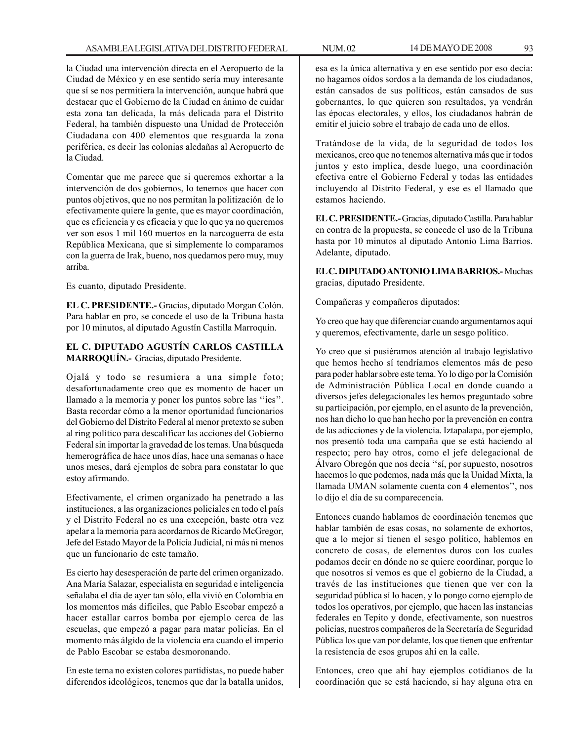la Ciudad una intervención directa en el Aeropuerto de la Ciudad de México y en ese sentido sería muy interesante que sí se nos permitiera la intervención, aunque habrá que destacar que el Gobierno de la Ciudad en ánimo de cuidar esta zona tan delicada, la más delicada para el Distrito Federal, ha también dispuesto una Unidad de Protección Ciudadana con 400 elementos que resguarda la zona periférica, es decir las colonias aledañas al Aeropuerto de la Ciudad.

Comentar que me parece que si queremos exhortar a la intervención de dos gobiernos, lo tenemos que hacer con puntos objetivos, que no nos permitan la politización de lo efectivamente quiere la gente, que es mayor coordinación, que es eficiencia y es eficacia y que lo que ya no queremos ver son esos 1 mil 160 muertos en la narcoguerra de esta República Mexicana, que si simplemente lo comparamos con la guerra de Irak, bueno, nos quedamos pero muy, muy arriba.

Es cuanto, diputado Presidente.

**EL C. PRESIDENTE.-** Gracias, diputado Morgan Colón. Para hablar en pro, se concede el uso de la Tribuna hasta por 10 minutos, al diputado Agustín Castilla Marroquín.

# **EL C. DIPUTADO AGUSTÍN CARLOS CASTILLA MARROQUÍN.-** Gracias, diputado Presidente.

Ojalá y todo se resumiera a una simple foto; desafortunadamente creo que es momento de hacer un llamado a la memoria y poner los puntos sobre las ''íes''. Basta recordar cómo a la menor oportunidad funcionarios del Gobierno del Distrito Federal al menor pretexto se suben al ring político para descalificar las acciones del Gobierno Federal sin importar la gravedad de los temas. Una búsqueda hemerográfica de hace unos días, hace una semanas o hace unos meses, dará ejemplos de sobra para constatar lo que estoy afirmando.

Efectivamente, el crimen organizado ha penetrado a las instituciones, a las organizaciones policiales en todo el país y el Distrito Federal no es una excepción, baste otra vez apelar a la memoria para acordarnos de Ricardo McGregor, Jefe del Estado Mayor de la Policía Judicial, ni más ni menos que un funcionario de este tamaño.

Es cierto hay desesperación de parte del crimen organizado. Ana María Salazar, especialista en seguridad e inteligencia señalaba el día de ayer tan sólo, ella vivió en Colombia en los momentos más difíciles, que Pablo Escobar empezó a hacer estallar carros bomba por ejemplo cerca de las escuelas, que empezó a pagar para matar policías. En el momento más álgido de la violencia era cuando el imperio de Pablo Escobar se estaba desmoronando.

En este tema no existen colores partidistas, no puede haber diferendos ideológicos, tenemos que dar la batalla unidos, esa es la única alternativa y en ese sentido por eso decía: no hagamos oídos sordos a la demanda de los ciudadanos, están cansados de sus políticos, están cansados de sus gobernantes, lo que quieren son resultados, ya vendrán las épocas electorales, y ellos, los ciudadanos habrán de emitir el juicio sobre el trabajo de cada uno de ellos.

Tratándose de la vida, de la seguridad de todos los mexicanos, creo que no tenemos alternativa más que ir todos juntos y esto implica, desde luego, una coordinación efectiva entre el Gobierno Federal y todas las entidades incluyendo al Distrito Federal, y ese es el llamado que estamos haciendo.

**EL C. PRESIDENTE.-** Gracias, diputado Castilla. Para hablar en contra de la propuesta, se concede el uso de la Tribuna hasta por 10 minutos al diputado Antonio Lima Barrios. Adelante, diputado.

**EL C. DIPUTADO ANTONIO LIMA BARRIOS.-** Muchas gracias, diputado Presidente.

Compañeras y compañeros diputados:

Yo creo que hay que diferenciar cuando argumentamos aquí y queremos, efectivamente, darle un sesgo político.

Yo creo que si pusiéramos atención al trabajo legislativo que hemos hecho sí tendríamos elementos más de peso para poder hablar sobre este tema. Yo lo digo por la Comisión de Administración Pública Local en donde cuando a diversos jefes delegacionales les hemos preguntado sobre su participación, por ejemplo, en el asunto de la prevención, nos han dicho lo que han hecho por la prevención en contra de las adicciones y de la violencia. Iztapalapa, por ejemplo, nos presentó toda una campaña que se está haciendo al respecto; pero hay otros, como el jefe delegacional de Álvaro Obregón que nos decía ''sí, por supuesto, nosotros hacemos lo que podemos, nada más que la Unidad Mixta, la llamada UMAN solamente cuenta con 4 elementos'', nos lo dijo el día de su comparecencia.

Entonces cuando hablamos de coordinación tenemos que hablar también de esas cosas, no solamente de exhortos, que a lo mejor sí tienen el sesgo político, hablemos en concreto de cosas, de elementos duros con los cuales podamos decir en dónde no se quiere coordinar, porque lo que nosotros sí vemos es que el gobierno de la Ciudad, a través de las instituciones que tienen que ver con la seguridad pública sí lo hacen, y lo pongo como ejemplo de todos los operativos, por ejemplo, que hacen las instancias federales en Tepito y donde, efectivamente, son nuestros policías, nuestros compañeros de la Secretaría de Seguridad Pública los que van por delante, los que tienen que enfrentar la resistencia de esos grupos ahí en la calle.

Entonces, creo que ahí hay ejemplos cotidianos de la coordinación que se está haciendo, si hay alguna otra en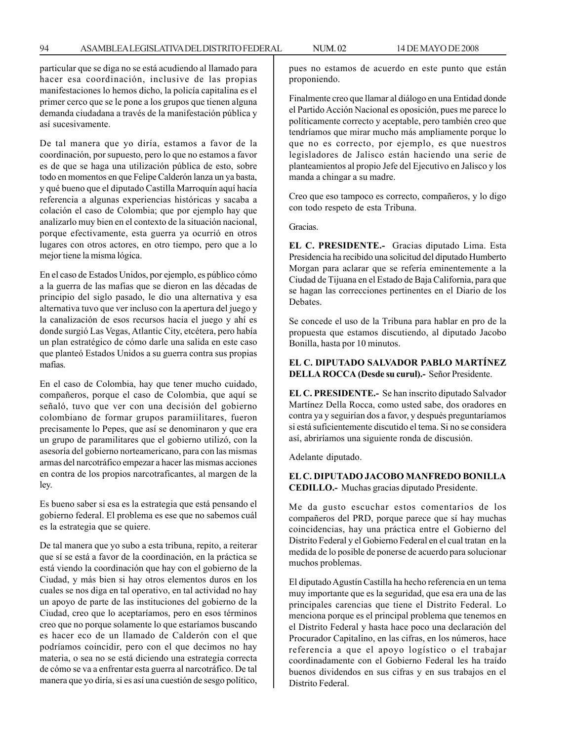particular que se diga no se está acudiendo al llamado para hacer esa coordinación, inclusive de las propias manifestaciones lo hemos dicho, la policía capitalina es el primer cerco que se le pone a los grupos que tienen alguna demanda ciudadana a través de la manifestación pública y así sucesivamente.

De tal manera que yo diría, estamos a favor de la coordinación, por supuesto, pero lo que no estamos a favor es de que se haga una utilización pública de esto, sobre todo en momentos en que Felipe Calderón lanza un ya basta, y qué bueno que el diputado Castilla Marroquín aquí hacía referencia a algunas experiencias históricas y sacaba a colación el caso de Colombia; que por ejemplo hay que analizarlo muy bien en el contexto de la situación nacional, porque efectivamente, esta guerra ya ocurrió en otros lugares con otros actores, en otro tiempo, pero que a lo mejor tiene la misma lógica.

En el caso de Estados Unidos, por ejemplo, es público cómo a la guerra de las mafias que se dieron en las décadas de principio del siglo pasado, le dio una alternativa y esa alternativa tuvo que ver incluso con la apertura del juego y la canalización de esos recursos hacia el juego y ahí es donde surgió Las Vegas, Atlantic City, etcétera, pero había un plan estratégico de cómo darle una salida en este caso que planteó Estados Unidos a su guerra contra sus propias mafias.

En el caso de Colombia, hay que tener mucho cuidado, compañeros, porque el caso de Colombia, que aquí se señaló, tuvo que ver con una decisión del gobierno colombiano de formar grupos paramiilitares, fueron precisamente lo Pepes, que así se denominaron y que era un grupo de paramilitares que el gobierno utilizó, con la asesoría del gobierno norteamericano, para con las mismas armas del narcotráfico empezar a hacer las mismas acciones en contra de los propios narcotraficantes, al margen de la ley.

Es bueno saber si esa es la estrategia que está pensando el gobierno federal. El problema es ese que no sabemos cuál es la estrategia que se quiere.

De tal manera que yo subo a esta tribuna, repito, a reiterar que sí se está a favor de la coordinación, en la práctica se está viendo la coordinación que hay con el gobierno de la Ciudad, y más bien si hay otros elementos duros en los cuales se nos diga en tal operativo, en tal actividad no hay un apoyo de parte de las instituciones del gobierno de la Ciudad, creo que lo aceptaríamos, pero en esos términos creo que no porque solamente lo que estaríamos buscando es hacer eco de un llamado de Calderón con el que podríamos coincidir, pero con el que decimos no hay materia, o sea no se está diciendo una estrategia correcta de cómo se va a enfrentar esta guerra al narcotráfico. De tal manera que yo diría, si es así una cuestión de sesgo político, pues no estamos de acuerdo en este punto que están proponiendo.

Finalmente creo que llamar al diálogo en una Entidad donde el Partido Acción Nacional es oposición, pues me parece lo políticamente correcto y aceptable, pero también creo que tendríamos que mirar mucho más ampliamente porque lo que no es correcto, por ejemplo, es que nuestros legisladores de Jalisco están haciendo una serie de planteamientos al propio Jefe del Ejecutivo en Jalisco y los manda a chingar a su madre.

Creo que eso tampoco es correcto, compañeros, y lo digo con todo respeto de esta Tribuna.

Gracias.

**EL C. PRESIDENTE.-** Gracias diputado Lima. Esta Presidencia ha recibido una solicitud del diputado Humberto Morgan para aclarar que se refería eminentemente a la Ciudad de Tijuana en el Estado de Baja California, para que se hagan las correcciones pertinentes en el Diario de los Debates.

Se concede el uso de la Tribuna para hablar en pro de la propuesta que estamos discutiendo, al diputado Jacobo Bonilla, hasta por 10 minutos.

# **EL C. DIPUTADO SALVADOR PABLO MARTÍNEZ DELLA ROCCA (Desde su curul).-** Señor Presidente.

**EL C. PRESIDENTE.-** Se han inscrito diputado Salvador Martínez Della Rocca, como usted sabe, dos oradores en contra ya y seguirían dos a favor, y después preguntaríamos si está suficientemente discutido el tema. Si no se considera así, abriríamos una siguiente ronda de discusión.

Adelante diputado.

**EL C. DIPUTADO JACOBO MANFREDO BONILLA CEDILLO.-** Muchas gracias diputado Presidente.

Me da gusto escuchar estos comentarios de los compañeros del PRD, porque parece que sí hay muchas coincidencias, hay una práctica entre el Gobierno del Distrito Federal y el Gobierno Federal en el cual tratan en la medida de lo posible de ponerse de acuerdo para solucionar muchos problemas.

El diputado Agustín Castilla ha hecho referencia en un tema muy importante que es la seguridad, que esa era una de las principales carencias que tiene el Distrito Federal. Lo menciona porque es el principal problema que tenemos en el Distrito Federal y hasta hace poco una declaración del Procurador Capitalino, en las cifras, en los números, hace referencia a que el apoyo logístico o el trabajar coordinadamente con el Gobierno Federal les ha traído buenos dividendos en sus cifras y en sus trabajos en el Distrito Federal.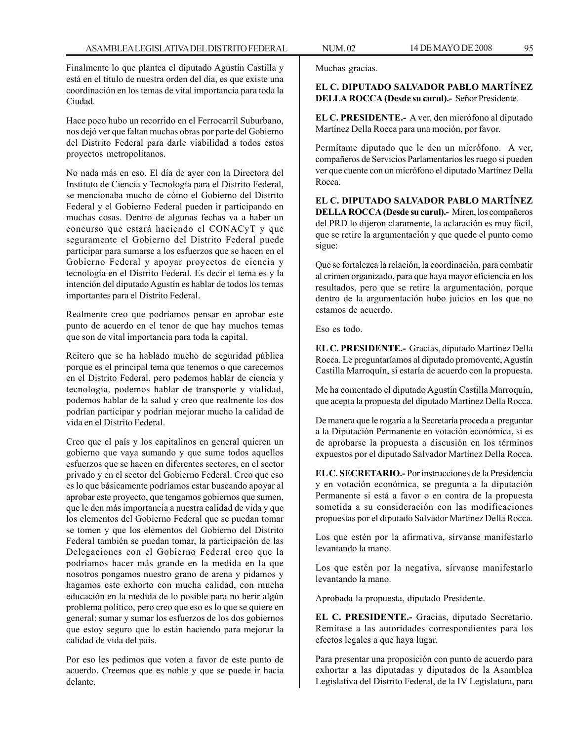Finalmente lo que plantea el diputado Agustín Castilla y está en el título de nuestra orden del día, es que existe una coordinación en los temas de vital importancia para toda la Ciudad.

Hace poco hubo un recorrido en el Ferrocarril Suburbano, nos dejó ver que faltan muchas obras por parte del Gobierno del Distrito Federal para darle viabilidad a todos estos proyectos metropolitanos.

No nada más en eso. El día de ayer con la Directora del Instituto de Ciencia y Tecnología para el Distrito Federal, se mencionaba mucho de cómo el Gobierno del Distrito Federal y el Gobierno Federal pueden ir participando en muchas cosas. Dentro de algunas fechas va a haber un concurso que estará haciendo el CONACyT y que seguramente el Gobierno del Distrito Federal puede participar para sumarse a los esfuerzos que se hacen en el Gobierno Federal y apoyar proyectos de ciencia y tecnología en el Distrito Federal. Es decir el tema es y la intención del diputado Agustín es hablar de todos los temas importantes para el Distrito Federal.

Realmente creo que podríamos pensar en aprobar este punto de acuerdo en el tenor de que hay muchos temas que son de vital importancia para toda la capital.

Reitero que se ha hablado mucho de seguridad pública porque es el principal tema que tenemos o que carecemos en el Distrito Federal, pero podemos hablar de ciencia y tecnología, podemos hablar de transporte y vialidad, podemos hablar de la salud y creo que realmente los dos podrían participar y podrían mejorar mucho la calidad de vida en el Distrito Federal.

Creo que el país y los capitalinos en general quieren un gobierno que vaya sumando y que sume todos aquellos esfuerzos que se hacen en diferentes sectores, en el sector privado y en el sector del Gobierno Federal. Creo que eso es lo que básicamente podríamos estar buscando apoyar al aprobar este proyecto, que tengamos gobiernos que sumen, que le den más importancia a nuestra calidad de vida y que los elementos del Gobierno Federal que se puedan tomar se tomen y que los elementos del Gobierno del Distrito Federal también se puedan tomar, la participación de las Delegaciones con el Gobierno Federal creo que la podríamos hacer más grande en la medida en la que nosotros pongamos nuestro grano de arena y pidamos y hagamos este exhorto con mucha calidad, con mucha educación en la medida de lo posible para no herir algún problema político, pero creo que eso es lo que se quiere en general: sumar y sumar los esfuerzos de los dos gobiernos que estoy seguro que lo están haciendo para mejorar la calidad de vida del país.

Por eso les pedimos que voten a favor de este punto de acuerdo. Creemos que es noble y que se puede ir hacia delante.

Muchas gracias.

# **EL C. DIPUTADO SALVADOR PABLO MARTÍNEZ DELLA ROCCA (Desde su curul).-** Señor Presidente.

**EL C. PRESIDENTE.-** A ver, den micrófono al diputado Martínez Della Rocca para una moción, por favor.

Permítame diputado que le den un micrófono. A ver, compañeros de Servicios Parlamentarios les ruego si pueden ver que cuente con un micrófono el diputado Martínez Della Rocca.

**EL C. DIPUTADO SALVADOR PABLO MARTÍNEZ DELLA ROCCA (Desde su curul).-** Miren, los compañeros del PRD lo dijeron claramente, la aclaración es muy fácil, que se retire la argumentación y que quede el punto como sigue:

Que se fortalezca la relación, la coordinación, para combatir al crimen organizado, para que haya mayor eficiencia en los resultados, pero que se retire la argumentación, porque dentro de la argumentación hubo juicios en los que no estamos de acuerdo.

Eso es todo.

**EL C. PRESIDENTE.-** Gracias, diputado Martínez Della Rocca. Le preguntaríamos al diputado promovente, Agustín Castilla Marroquín, si estaría de acuerdo con la propuesta.

Me ha comentado el diputado Agustín Castilla Marroquín, que acepta la propuesta del diputado Martínez Della Rocca.

De manera que le rogaría a la Secretaría proceda a preguntar a la Diputación Permanente en votación económica, si es de aprobarse la propuesta a discusión en los términos expuestos por el diputado Salvador Martínez Della Rocca.

**EL C. SECRETARIO.-** Por instrucciones de la Presidencia y en votación económica, se pregunta a la diputación Permanente si está a favor o en contra de la propuesta sometida a su consideración con las modificaciones propuestas por el diputado Salvador Martínez Della Rocca.

Los que estén por la afirmativa, sírvanse manifestarlo levantando la mano.

Los que estén por la negativa, sírvanse manifestarlo levantando la mano.

Aprobada la propuesta, diputado Presidente.

**EL C. PRESIDENTE.-** Gracias, diputado Secretario. Remítase a las autoridades correspondientes para los efectos legales a que haya lugar.

Para presentar una proposición con punto de acuerdo para exhortar a las diputadas y diputados de la Asamblea Legislativa del Distrito Federal, de la IV Legislatura, para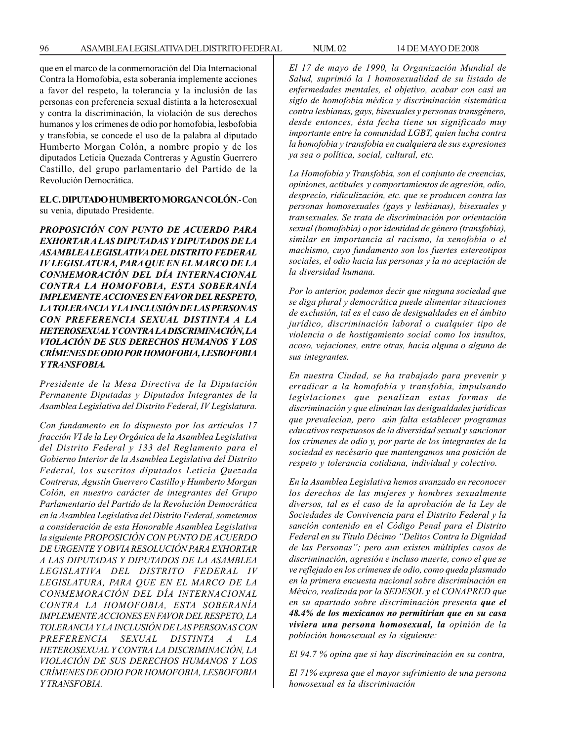que en el marco de la conmemoración del Día Internacional Contra la Homofobia, esta soberanía implemente acciones a favor del respeto, la tolerancia y la inclusión de las personas con preferencia sexual distinta a la heterosexual y contra la discriminación, la violación de sus derechos humanos y los crímenes de odio por homofobia, lesbofobia y transfobia, se concede el uso de la palabra al diputado Humberto Morgan Colón, a nombre propio y de los diputados Leticia Quezada Contreras y Agustín Guerrero Castillo, del grupo parlamentario del Partido de la Revolución Democrática.

## **EL C. DIPUTADO HUMBERTO MORGAN COLÓN**.- Con su venia, diputado Presidente.

*PROPOSICIÓN CON PUNTO DE ACUERDO PARA EXHORTAR A LAS DIPUTADAS Y DIPUTADOS DE LA ASAMBLEA LEGISLATIVA DEL DISTRITO FEDERAL IV LEGISLATURA, PARA QUE EN EL MARCO DE LA CONMEMORACIÓN DEL DÍA INTERNACIONAL CONTRA LA HOMOFOBIA, ESTA SOBERANÍA IMPLEMENTE ACCIONES EN FAVOR DEL RESPETO, LA TOLERANCIA Y LA INCLUSIÓN DE LAS PERSONAS CON PREFERENCIA SEXUAL DISTINTA A LA HETEROSEXUAL Y CONTRA LA DISCRIMINACIÓN, LA VIOLACIÓN DE SUS DERECHOS HUMANOS Y LOS CRÍMENES DE ODIO POR HOMOFOBIA, LESBOFOBIA Y TRANSFOBIA.*

*Presidente de la Mesa Directiva de la Diputación Permanente Diputadas y Diputados Integrantes de la Asamblea Legislativa del Distrito Federal, IV Legislatura.*

*Con fundamento en lo dispuesto por los artículos 17 fracción VI de la Ley Orgánica de la Asamblea Legislativa del Distrito Federal y 133 del Reglamento para el Gobierno Interior de la Asamblea Legislativa del Distrito Federal, los suscritos diputados Leticia Quezada Contreras, Agustín Guerrero Castillo y Humberto Morgan Colón, en nuestro carácter de integrantes del Grupo Parlamentario del Partido de la Revolución Democrática en la Asamblea Legislativa del Distrito Federal, sometemos a consideración de esta Honorable Asamblea Legislativa la siguiente PROPOSICIÓN CON PUNTO DE ACUERDO DE URGENTE Y OBVIA RESOLUCIÓN PARA EXHORTAR A LAS DIPUTADAS Y DIPUTADOS DE LA ASAMBLEA LEGISLATIVA DEL DISTRITO FEDERAL IV LEGISLATURA, PARA QUE EN EL MARCO DE LA CONMEMORACIÓN DEL DÍA INTERNACIONAL CONTRA LA HOMOFOBIA, ESTA SOBERANÍA IMPLEMENTE ACCIONES EN FAVOR DEL RESPETO, LA TOLERANCIA Y LA INCLUSIÓN DE LAS PERSONAS CON PREFERENCIA SEXUAL DISTINTA A LA HETEROSEXUAL Y CONTRA LA DISCRIMINACIÓN, LA VIOLACIÓN DE SUS DERECHOS HUMANOS Y LOS CRÍMENES DE ODIO POR HOMOFOBIA, LESBOFOBIA Y TRANSFOBIA.*

*El 17 de mayo de 1990, la Organización Mundial de Salud, suprimió la 1 homosexualidad de su listado de enfermedades mentales, el objetivo, acabar con casi un siglo de homofobia médica y discriminación sistemática contra lesbianas, gays, bisexuales y personas transgénero, desde entonces, ésta fecha tiene un significado muy importante entre la comunidad LGBT, quien lucha contra la homofobia y transfobia en cualquiera de sus expresiones ya sea o política, social, cultural, etc.*

*La Homofobia y Transfobia, son el conjunto de creencias, opiniones, actitudes y comportamientos de agresión, odio, desprecio, ridiculización, etc. que se producen contra las personas homosexuales (gays y lesbianas), bisexuales y transexuales. Se trata de discriminación por orientación sexual (homofobia) o por identidad de género (transfobia), similar en importancia al racismo, la xenofobia o el machismo, cuyo fundamento son los fuertes estereotipos sociales, el odio hacia las personas y la no aceptación de la diversidad humana.*

*Por lo anterior, podemos decir que ninguna sociedad que se diga plural y democrática puede alimentar situaciones de exclusión, tal es el caso de desigualdades en el ámbito jurídico, discriminación laboral o cualquier tipo de violencia o de hostigamiento social como los insultos, acoso, vejaciones, entre otras, hacia alguna o alguno de sus integrantes.*

*En nuestra Ciudad, se ha trabajado para prevenir y erradicar a la homofobia y transfobia, impulsando legislaciones que penalizan estas formas de discriminación y que eliminan las desigualdades jurídicas que prevalecían, pero aún falta establecer programas educativos respetuosos de la diversidad sexual y sancionar los crímenes de odio y, por parte de los integrantes de la sociedad es necésario que mantengamos una posición de respeto y tolerancia cotidiana, individual y colectivo.*

*En la Asamblea Legislativa hemos avanzado en reconocer los derechos de las mujeres y hombres sexualmente diversos, tal es el caso de la aprobación de la Ley de Sociedades de Convivencia para el Distrito Federal y la sanción contenido en el Código Penal para el Distrito Federal en su Título Décimo ''Delitos Contra la Dignidad de las Personas''; pero aun existen múltiples casos de discriminación, agresión e incluso muerte, como el que se ve reflejado en los crímenes de odio, como queda plasmado en la primera encuesta nacional sobre discriminación en México, realizada por la SEDESOL y el CONAPRED que en su apartado sobre discriminación presenta que el 48.4% de los mexicanos no permitirían que en su casa viviera una persona homosexual, la opinión de la población homosexual es la siguiente:*

*El 94.7 % opina que si hay discriminación en su contra,*

*El 71% expresa que el mayor sufrimiento de una persona homosexual es la discriminación*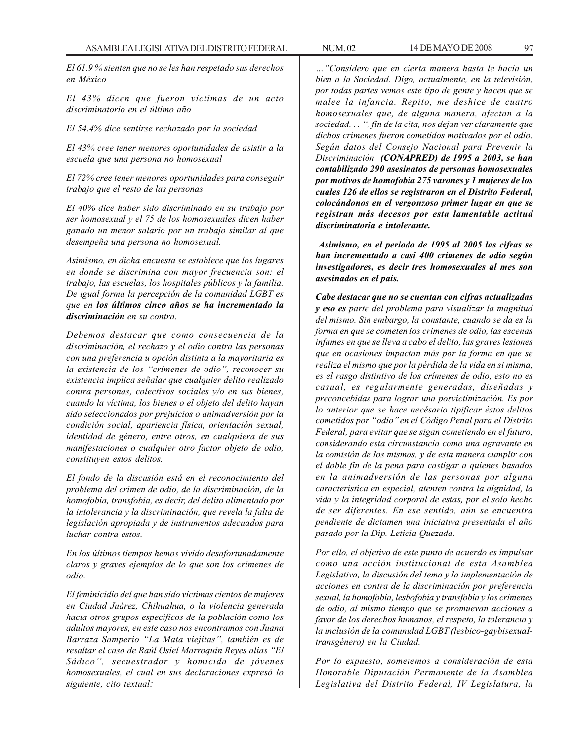*El 61.9 % sienten que no se les han respetado sus derechos en México*

*El 43% dicen que fueron víctimas de un acto discriminatorio en el último año*

*El 54.4% dice sentirse rechazado por la sociedad*

*El 43% cree tener menores oportunidades de asistir a la escuela que una persona no homosexual*

*El 72% cree tener menores oportunidades para conseguir trabajo que el resto de las personas*

*El 40% dice haber sido discriminado en su trabajo por ser homosexual y el 75 de los homosexuales dicen haber ganado un menor salario por un trabajo similar al que desempeña una persona no homosexual.*

*Asimismo, en dicha encuesta se establece que los lugares en donde se discrimina con mayor frecuencia son: el trabajo, las escuelas, los hospitales públicos y la familia. De igual forma la percepción de la comunidad LGBT es que en los últimos cinco años se ha incrementado la discriminación en su contra.*

*Debemos destacar que como consecuencia de la discriminación, el rechazo y el odio contra las personas con una preferencia u opción distinta a la mayoritaria es la existencia de los ''crímenes de odio'', reconocer su existencia implica señalar que cualquier delito realizado contra personas, colectivos sociales y/o en sus bienes, cuando la víctima, los bienes o el objeto del delito hayan sido seleccionados por prejuicios o animadversión por la condición social, apariencia física, orientación sexual, identidad de género, entre otros, en cualquiera de sus manifestaciones o cualquier otro factor objeto de odio, constituyen estos delitos.*

*El fondo de la discusión está en el reconocimiento del problema del crimen de odio, de la discriminación, de la homofobia, transfobia, es decir, del delito alimentado por la intolerancia y la discriminación, que revela la falta de legislación apropiada y de instrumentos adecuados para luchar contra estos.*

*En los últimos tiempos hemos vivido desafortunadamente claros y graves ejemplos de lo que son los crímenes de odio.*

*El feminicidio del que han sido víctimas cientos de mujeres en Ciudad Juárez, Chihuahua, o la violencia generada hacia otros grupos específicos de la población como los adultos mayores, en este caso nos encontramos con Juana Barraza Samperio ''La Mata viejitas'', también es de resaltar el caso de Raúl Osiel Marroquín Reyes alias ''El Sádico'', secuestrador y homicida de jóvenes homosexuales, el cual en sus declaraciones expresó lo siguiente, cito textual:*

*…''Considero que en cierta manera hasta le hacía un bien a la Sociedad. Digo, actualmente, en la televisión, por todas partes vemos este tipo de gente y hacen que se malee la infancia. Repito, me deshice de cuatro homosexuales que, de alguna manera, afectan a la sociedad. . . '', fin de la cita, nos dejan ver claramente que dichos crímenes fueron cometidos motivados por el odio. Según datos del Consejo Nacional para Prevenir la Discriminación (CONAPRED) de 1995 a 2003, se han contabilizado 290 asesinatos de personas homosexuales por motivos de homofobia 275 varones y 1 mujeres de los cuales 126 de ellos se registraron en el Distrito Federal, colocándonos en el vergonzoso primer lugar en que se registran más decesos por esta lamentable actitud discriminatoria e intolerante.*

 *Asimismo, en el periodo de 1995 al 2005 las cifras se han incrementado a casi 400 crímenes de odio según investigadores, es decir tres homosexuales al mes son asesinados en el país.*

*Cabe destacar que no se cuentan con cifras actualizadas y eso es parte del problema para visualizar la magnitud del mismo. Sin embargo, la constante, cuando se da es la forma en que se cometen los crímenes de odio, las escenas infames en que se lleva a cabo el delito, las graves lesiones que en ocasiones impactan más por la forma en que se realiza el mismo que por la pérdida de la vida en si misma, es el rasgo distintivo de los crímenes de odio, esto no es casual, es regularmente generadas, diseñadas y preconcebidas para lograr una posvictimización. Es por lo anterior que se hace necésario tipificar éstos delitos cometidos por ''odio'' en el Código Penal para el Distrito Federal, para evitar que se sigan cometiendo en el futuro, considerando esta circunstancia como una agravante en la comisión de los mismos, y de esta manera cumplir con el doble fin de la pena para castigar a quienes basados en la animadversión de las personas por alguna característica en especial, atenten contra la dignidad, la vida y la integridad corporal de estas, por el solo hecho de ser diferentes. En ese sentido, aún se encuentra pendiente de dictamen una iniciativa presentada el año pasado por la Dip. Leticia Quezada.*

*Por ello, el objetivo de este punto de acuerdo es impulsar como una acción institucional de esta Asamblea Legislativa, la discusión del tema y la implementación de acciones en contra de la discriminación por preferencia sexual, la homofobia, lesbofobia y transfobia y los crímenes de odio, al mismo tiempo que se promuevan acciones a favor de los derechos humanos, el respeto, la tolerancia y la inclusión de la comunidad LGBT (lesbico-gaybisexuaItransgénero) en la Ciudad.*

*Por lo expuesto, sometemos a consideración de esta Honorable Diputación Permanente de la Asamblea Legislativa del Distrito Federal, IV Legislatura, la*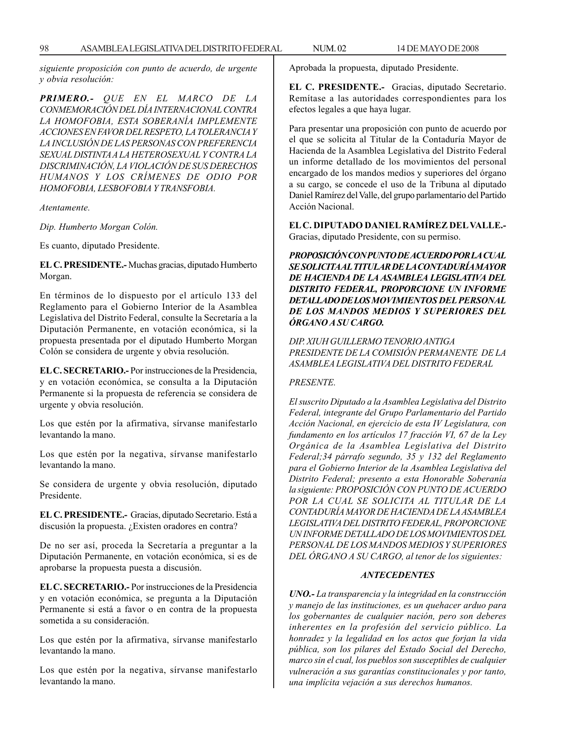*siguiente proposición con punto de acuerdo, de urgente y obvia resolución:*

*PRIMERO.- QUE EN EL MARCO DE LA CONMEMORACIÓN DEL DÍA INTERNACIONAL CONTRA LA HOMOFOBIA, ESTA SOBERANÍA IMPLEMENTE ACCIONES EN FAVOR DEL RESPETO, LA TOLERANCIA Y LA INCLUSIÓN DE LAS PERSONAS CON PREFERENCIA SEXUAL DISTINTA A LA HETEROSEXUAL Y CONTRA LA DISCRIMINACIÓN, LA VIOLACIÓN DE SUS DERECHOS HUMANOS Y LOS CRÍMENES DE ODIO POR HOMOFOBIA, LESBOFOBIA Y TRANSFOBIA.*

*Atentamente.*

*Dip. Humberto Morgan Colón.*

Es cuanto, diputado Presidente.

**EL C. PRESIDENTE.-** Muchas gracias, diputado Humberto Morgan.

En términos de lo dispuesto por el artículo 133 del Reglamento para el Gobierno Interior de la Asamblea Legislativa del Distrito Federal, consulte la Secretaría a la Diputación Permanente, en votación económica, si la propuesta presentada por el diputado Humberto Morgan Colón se considera de urgente y obvia resolución.

**EL C. SECRETARIO.-** Por instrucciones de la Presidencia, y en votación económica, se consulta a la Diputación Permanente si la propuesta de referencia se considera de urgente y obvia resolución.

Los que estén por la afirmativa, sírvanse manifestarlo levantando la mano.

Los que estén por la negativa, sírvanse manifestarlo levantando la mano.

Se considera de urgente y obvia resolución, diputado Presidente.

**EL C. PRESIDENTE.-** Gracias, diputado Secretario. Está a discusión la propuesta. ¿Existen oradores en contra?

De no ser así, proceda la Secretaría a preguntar a la Diputación Permanente, en votación económica, si es de aprobarse la propuesta puesta a discusión.

**EL C. SECRETARIO.-** Por instrucciones de la Presidencia y en votación económica, se pregunta a la Diputación Permanente si está a favor o en contra de la propuesta sometida a su consideración.

Los que estén por la afirmativa, sírvanse manifestarlo levantando la mano.

Los que estén por la negativa, sírvanse manifestarlo levantando la mano.

Aprobada la propuesta, diputado Presidente.

**EL C. PRESIDENTE.-** Gracias, diputado Secretario. Remítase a las autoridades correspondientes para los efectos legales a que haya lugar.

Para presentar una proposición con punto de acuerdo por el que se solicita al Titular de la Contaduría Mayor de Hacienda de la Asamblea Legislativa del Distrito Federal un informe detallado de los movimientos del personal encargado de los mandos medios y superiores del órgano a su cargo, se concede el uso de la Tribuna al diputado Daniel Ramírez del Valle, del grupo parlamentario del Partido Acción Nacional.

**EL C. DIPUTADO DANIEL RAMÍREZ DEL VALLE.-** Gracias, diputado Presidente, con su permiso.

*PROPOSICIÓN CON PUNTO DE ACUERDO POR LA CUAL SE SOLICITA AL TITULAR DE LA CONTADURÍA MAYOR DE HACIENDA DE LA ASAMBLEA LEGISLATIVA DEL DISTRITO FEDERAL, PROPORCIONE UN INFORME DETALLADO DE LOS MOVIMIENTOS DEL PERSONAL DE LOS MANDOS MEDIOS Y SUPERIORES DEL ÓRGANO A SU CARGO.*

*DIP. XIUH GUILLERMO TENORIO ANTIGA PRESIDENTE DE LA COMISIÓN PERMANENTE DE LA ASAMBLEA LEGISLATIVA DEL DISTRITO FEDERAL*

#### *PRESENTE.*

*El suscrito Diputado a la Asamblea Legislativa del Distrito Federal, integrante del Grupo Parlamentario del Partido Acción Nacional, en ejercicio de esta IV Legislatura, con fundamento en los artículos 17 fracción VI, 67 de la Ley Orgánica de la Asamblea Legislativa del Distrito Federal;34 párrafo segundo, 35 y 132 del Reglamento para el Gobierno Interior de la Asamblea Legislativa del Distrito Federal; presento a esta Honorable Soberanía la siguiente: PROPOSICIÓN CON PUNTO DE ACUERDO POR LA CUAL SE SOLICITA AL TITULAR DE LA CONTADURÍA MAYOR DE HACIENDA DE LA ASAMBLEA LEGISLATIVA DEL DISTRITO FEDERAL, PROPORCIONE UN INFORME DETALLADO DE LOS MOVIMIENTOS DEL PERSONAL DE LOS MANDOS MEDIOS Y SUPERIORES DEL ÓRGANO A SU CARGO, al tenor de los siguientes:*

#### *ANTECEDENTES*

*UNO.- La transparencia y la integridad en la construcción y manejo de las instituciones, es un quehacer arduo para los gobernantes de cualquier nación, pero son deberes inherentes en la profesión del servicio público. La honradez y la legalidad en los actos que forjan la vida pública, son los pilares del Estado Social del Derecho, marco sin el cual, los pueblos son susceptibles de cualquier vulneración a sus garantías constitucionales y por tanto, una implícita vejación a sus derechos humanos.*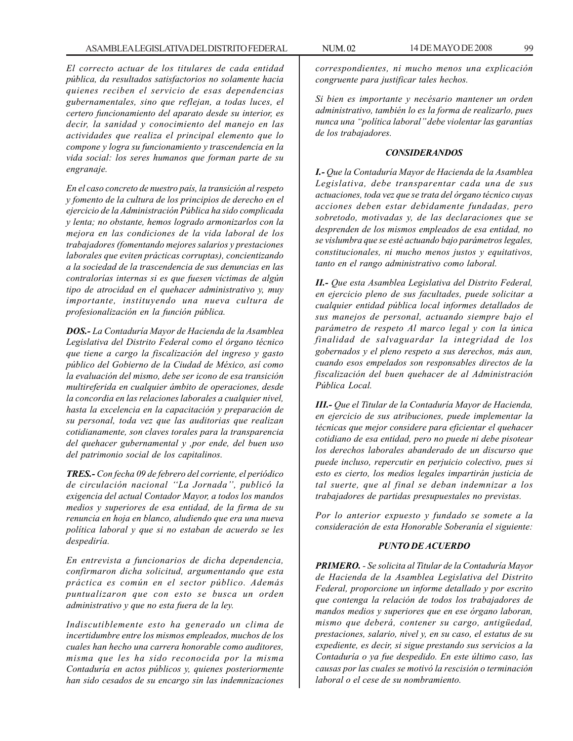*El correcto actuar de los titulares de cada entidad pública, da resultados satisfactorios no solamente hacia quienes reciben el servicio de esas dependencias gubernamentales, sino que reflejan, a todas luces, el certero funcionamiento del aparato desde su interior, es decir, la sanidad y conocimiento del manejo en las actividades que realiza el principal elemento que lo compone y logra su funcionamiento y trascendencia en la vida social: los seres humanos que forman parte de su engranaje.*

*En el caso concreto de nuestro país, la transición al respeto y fomento de la cultura de los principios de derecho en el ejercicio de la Administración Pública ha sido complicada y lenta; no obstante, hemos logrado armonizarlos con la mejora en las condiciones de la vida laboral de los trabajadores (fomentando mejores salarios y prestaciones laborales que eviten prácticas corruptas), concientizando a la sociedad de la trascendencia de sus denuncias en las contralorías internas si es que fuesen víctimas de algún tipo de atrocidad en el quehacer administrativo y, muy importante, instituyendo una nueva cultura de profesionalización en la función pública.*

*DOS.- La Contaduría Mayor de Hacienda de la Asamblea Legislativa del Distrito Federal como el órgano técnico que tiene a cargo la fiscalización del ingreso y gasto público del Gobierno de la Ciudad de México, así como la evaluación del mismo, debe ser icono de esa transición multireferida en cualquier ámbito de operaciones, desde la concordia en las relaciones laborales a cualquier nivel, hasta la excelencia en la capacitación y preparación de su personal, toda vez que las auditorias que realizan cotidianamente, son claves torales para la transparencia del quehacer gubernamental y ,por ende, del buen uso del patrimonio social de los capitalinos.*

*TRES.- Con fecha 09 de febrero del corriente, el periódico de circulación nacional ''La Jornada'', publicó la exigencia del actual Contador Mayor, a todos los mandos medios y superiores de esa entidad, de la firma de su renuncia en hoja en blanco, aludiendo que era una nueva política laboral y que si no estaban de acuerdo se les despediría.*

*En entrevista a funcionarios de dicha dependencia, confirmaron dicha solicitud, argumentando que esta práctica es común en el sector público. Además puntualizaron que con esto se busca un orden administrativo y que no esta fuera de la ley.*

*Indiscutiblemente esto ha generado un clima de incertidumbre entre los mismos empleados, muchos de los cuales han hecho una carrera honorable como auditores, misma que les ha sido reconocida por la misma Contaduría en actos públicos y, quienes posteriormente han sido cesados de su encargo sin las indemnizaciones*

*correspondientes, ni mucho menos una explicación congruente para justificar tales hechos.*

*Si bien es importante y necésario mantener un orden administrativo, también lo es la forma de realizarlo, pues nunca una ''política laboral'' debe violentar las garantías de los trabajadores.*

### *CONSIDERANDOS*

*I.- Que la Contaduría Mayor de Hacienda de la Asamblea Legislativa, debe transparentar cada una de sus actuaciones, toda vez que se trata del órgano técnico cuyas acciones deben estar debidamente fundadas, pero sobretodo, motivadas y, de las declaraciones que se desprenden de los mismos empleados de esa entidad, no se vislumbra que se esté actuando bajo parámetros legales, constitucionales, ni mucho menos justos y equitativos, tanto en el rango administrativo como laboral.*

*II.- Que esta Asamblea Legislativa del Distrito Federal, en ejercicio pleno de sus facultades, puede solicitar a cualquier entidad pública local informes detallados de sus manejos de personal, actuando siempre bajo el parámetro de respeto Al marco legal y con la única finalidad de salvaguardar la integridad de los gobernados y el pleno respeto a sus derechos, más aun, cuando esos empelados son responsables directos de la fiscalización del buen quehacer de al Administración Pública Local.*

*III.- Que el Titular de la Contaduría Mayor de Hacienda, en ejercicio de sus atribuciones, puede implementar la técnicas que mejor considere para eficientar el quehacer cotidiano de esa entidad, pero no puede ni debe pisotear los derechos laborales abanderado de un discurso que puede incluso, repercutir en perjuicio colectivo, pues si esto es cierto, los medios legales impartirán justicia de tal suerte, que al final se deban indemnizar a los trabajadores de partidas presupuestales no previstas.*

*Por lo anterior expuesto y fundado se somete a la consideración de esta Honorable Soberanía el siguiente:*

## *PUNTO DE ACUERDO*

*PRIMERO. - Se solicita al Titular de la Contaduría Mayor de Hacienda de la Asamblea Legislativa del Distrito Federal, proporcione un informe detallado y por escrito que contenga la relación de todos los trabajadores de mandos medios y superiores que en ese órgano laboran, mismo que deberá, contener su cargo, antigüedad, prestaciones, salario, nivel y, en su caso, el estatus de su expediente, es decir, si sigue prestando sus servicios a la Contaduría o ya fue despedido. En este último caso, las causas por las cuales se motivó la rescisión o terminación laboral o el cese de su nombramiento.*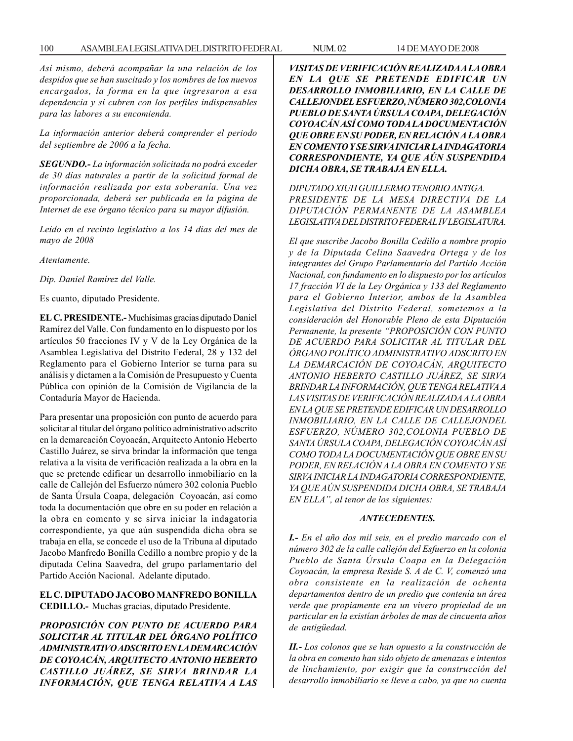### 100 ASAMBLEA LEGISLATIVA DEL DISTRITO FEDERAL NUM. 02 14 DE MAYO DE 2008

*Así mismo, deberá acompañar la una relación de los despidos que se han suscitado y los nombres de los nuevos encargados, la forma en la que ingresaron a esa dependencia y si cubren con los perfiles indispensables para las labores a su encomienda.*

*La información anterior deberá comprender el periodo del septiembre de 2006 a la fecha.*

*SEGUNDO.- La información solicitada no podrá exceder de 30 días naturales a partir de la solicitud formal de información realizada por esta soberanía. Una vez proporcionada, deberá ser publicada en la página de Internet de ese órgano técnico para su mayor difusión.*

*Leído en el recinto legislativo a los 14 días del mes de mayo de 2008*

*Atentamente.*

*Dip. Daniel Ramírez del Valle.*

Es cuanto, diputado Presidente.

**EL C. PRESIDENTE.-** Muchísimas gracias diputado Daniel Ramírez del Valle. Con fundamento en lo dispuesto por los artículos 50 fracciones IV y V de la Ley Orgánica de la Asamblea Legislativa del Distrito Federal, 28 y 132 del Reglamento para el Gobierno Interior se turna para su análisis y dictamen a la Comisión de Presupuesto y Cuenta Pública con opinión de la Comisión de Vigilancia de la Contaduría Mayor de Hacienda.

Para presentar una proposición con punto de acuerdo para solicitar al titular del órgano político administrativo adscrito en la demarcación Coyoacán, Arquitecto Antonio Heberto Castillo Juárez, se sirva brindar la información que tenga relativa a la visita de verificación realizada a la obra en la que se pretende edificar un desarrollo inmobiliario en la calle de Callejón del Esfuerzo número 302 colonia Pueblo de Santa Úrsula Coapa, delegación Coyoacán, así como toda la documentación que obre en su poder en relación a la obra en comento y se sirva iniciar la indagatoria correspondiente, ya que aún suspendida dicha obra se trabaja en ella, se concede el uso de la Tribuna al diputado Jacobo Manfredo Bonilla Cedillo a nombre propio y de la diputada Celina Saavedra, del grupo parlamentario del Partido Acción Nacional. Adelante diputado.

## **EL C. DIPUTADO JACOBO MANFREDO BONILLA CEDILLO.-** Muchas gracias, diputado Presidente.

*PROPOSICIÓN CON PUNTO DE ACUERDO PARA SOLICITAR AL TITULAR DEL ÓRGANO POLÍTICO ADMINISTRATIVO ADSCRITO EN LA DEMARCACIÓN DE COYOACÁN, ARQUITECTO ANTONIO HEBERTO CASTILLO JUÁREZ, SE SIRVA BRINDAR LA INFORMACIÓN, QUE TENGA RELATIVA A LAS*

*VISITAS DE VERIFICACIÓN REALIZADA A LA OBRA EN LA QUE SE PRETENDE EDIFICAR UN DESARROLLO INMOBILIARIO, EN LA CALLE DE CALLEJONDEL ESFUERZO, NÚMERO 302,COLONIA PUEBLO DE SANTA ÚRSULA COAPA, DELEGACIÓN COYOACÁN ASÍ COMO TODA LA DOCUMENTACIÓN QUE OBRE EN SU PODER, EN RELACIÓN A LA OBRA EN COMENTO Y SE SIRVA INICIAR LA INDAGATORIA CORRESPONDIENTE, YA QUE AÚN SUSPENDIDA DICHA OBRA, SE TRABAJA EN ELLA.*

*DIPUTADO XIUH GUILLERMO TENORIO ANTIGA. PRESIDENTE DE LA MESA DIRECTIVA DE LA DIPUTACIÓN PERMANENTE DE LA ASAMBLEA LEGISLATIVA DEL DISTRITO FEDERAL IV LEGISLATURA.*

*El que suscribe Jacobo Bonilla Cedillo a nombre propio y de la Diputada Celina Saavedra Ortega y de los integrantes del Grupo Parlamentario del Partido Acción Nacional, con fundamento en lo dispuesto por los artículos 17 fracción VI de la Ley Orgánica y 133 del Reglamento para el Gobierno Interior, ambos de la Asamblea Legislativa del Distrito Federal, sometemos a la consideración del Honorable Pleno de esta Diputación Permanente, la presente ''PROPOSICIÓN CON PUNTO DE ACUERDO PARA SOLICITAR AL TITULAR DEL ÓRGANO POLÍTICO ADMINISTRATIVO ADSCRITO EN LA DEMARCACIÓN DE COYOACÁN, ARQUITECTO ANTONIO HEBERTO CASTILLO JUÁREZ, SE SIRVA BRINDAR LA INFORMACIÓN, QUE TENGA RELATIVA A LAS VISITAS DE VERIFICACIÓN REALIZADA A LA OBRA EN LA QUE SE PRETENDE EDIFICAR UN DESARROLLO INMOBILIARIO, EN LA CALLE DE CALLEJONDEL ESFUERZO, NÚMERO 302,COLONIA PUEBLO DE SANTA ÚRSULA COAPA, DELEGACIÓN COYOACÁN ASÍ COMO TODA LA DOCUMENTACIÓN QUE OBRE EN SU PODER, EN RELACIÓN A LA OBRA EN COMENTO Y SE SIRVA INICIAR LA INDAGATORIA CORRESPONDIENTE, YA QUE AÚN SUSPENDIDA DICHA OBRA, SE TRABAJA EN ELLA'', al tenor de los siguientes:*

### *ANTECEDENTES.*

*I.- En el año dos mil seis, en el predio marcado con el número 302 de la calle callejón del Esfuerzo en la colonia Pueblo de Santa Úrsula Coapa en la Delegación Coyoacán, la empresa Reside S. A de C. V, comenzó una obra consistente en la realización de ochenta departamentos dentro de un predio que contenía un área verde que propiamente era un vivero propiedad de un particular en la existían árboles de mas de cincuenta años de antigüedad.*

*II.- Los colonos que se han opuesto a la construcción de la obra en comento han sido objeto de amenazas e intentos de linchamiento, por exigir que la construcción del desarrollo inmobiliario se lleve a cabo, ya que no cuenta*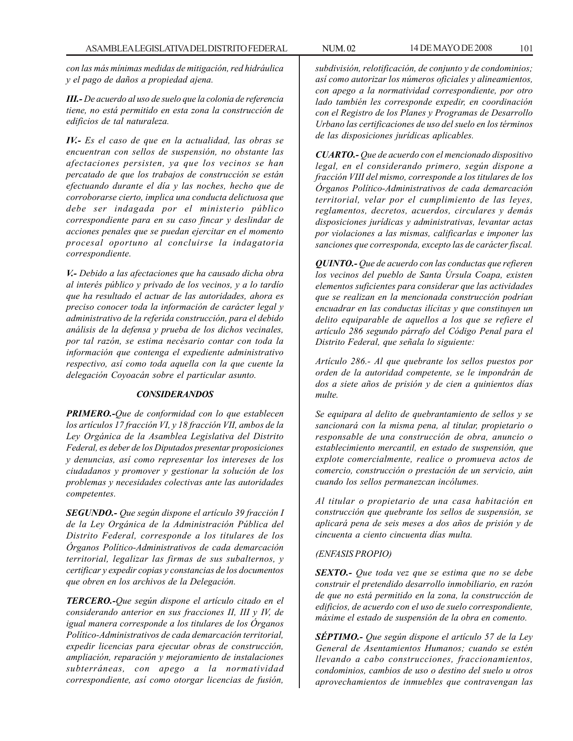*con las más mínimas medidas de mitigación, red hidráulica y el pago de daños a propiedad ajena.*

*III.- De acuerdo al uso de suelo que la colonia de referencia tiene, no está permitido en esta zona la construcción de edificios de tal naturaleza.*

*IV.- Es el caso de que en la actualidad, las obras se encuentran con sellos de suspensión, no obstante las afectaciones persisten, ya que los vecinos se han percatado de que los trabajos de construcción se están efectuando durante el día y las noches, hecho que de corroborarse cierto, implica una conducta delictuosa que debe ser indagada por el ministerio público correspondiente para en su caso fincar y deslindar de acciones penales que se puedan ejercitar en el momento procesal oportuno al concluirse la indagatoria correspondiente.*

*V.- Debido a las afectaciones que ha causado dicha obra al interés público y privado de los vecinos, y a lo tardío que ha resultado el actuar de las autoridades, ahora es preciso conocer toda la información de carácter legal y administrativo de la referida construcción, para el debido análisis de la defensa y prueba de los dichos vecinales, por tal razón, se estima necésario contar con toda la información que contenga el expediente administrativo respectivo, así como toda aquella con la que cuente la delegación Coyoacán sobre el particular asunto.*

### *CONSIDERANDOS*

*PRIMERO.-Que de conformidad con lo que establecen los artículos 17 fracción VI, y 18 fracción VII, ambos de la Ley Orgánica de la Asamblea Legislativa del Distrito Federal, es deber de los Diputados presentar proposiciones y denuncias, así como representar los intereses de los ciudadanos y promover y gestionar la solución de los problemas y necesidades colectivas ante las autoridades competentes.*

*SEGUNDO.- Que según dispone el artículo 39 fracción I de la Ley Orgánica de la Administración Pública del Distrito Federal, corresponde a los titulares de los Órganos Político-Administrativos de cada demarcación territorial, legalizar las firmas de sus subalternos, y certificar y expedir copias y constancias de los documentos que obren en los archivos de la Delegación.*

*TERCERO.-Que según dispone el artículo citado en el considerando anterior en sus fracciones II, III y IV, de igual manera corresponde a los titulares de los Órganos Político-Administrativos de cada demarcación territorial, expedir licencias para ejecutar obras de construcción, ampliación, reparación y mejoramiento de instalaciones subterráneas, con apego a la normatividad correspondiente, así como otorgar licencias de fusión,*

*subdivisión, relotificación, de conjunto y de condominios; así como autorizar los números oficiales y alineamientos, con apego a la normatividad correspondiente, por otro lado también les corresponde expedir, en coordinación con el Registro de los Planes y Programas de Desarrollo Urbano las certificaciones de uso del suelo en los términos de las disposiciones jurídicas aplicables.*

*CUARTO.- Que de acuerdo con el mencionado dispositivo legal, en el considerando primero, según dispone a fracción VIII del mismo, corresponde a los titulares de los Órganos Político-Administrativos de cada demarcación territorial, velar por el cumplimiento de las leyes, reglamentos, decretos, acuerdos, circulares y demás disposiciones jurídicas y administrativas, levantar actas por violaciones a las mismas, calificarlas e imponer las sanciones que corresponda, excepto las de carácter fiscal.*

*QUINTO.- Que de acuerdo con las conductas que refieren los vecinos del pueblo de Santa Úrsula Coapa, existen elementos suficientes para considerar que las actividades que se realizan en la mencionada construcción podrían encuadrar en las conductas ilícitas y que constituyen un delito equiparable de aquellos a los que se refiere el artículo 286 segundo párrafo del Código Penal para el Distrito Federal, que señala lo siguiente:*

*Artículo 286.- Al que quebrante los sellos puestos por orden de la autoridad competente, se le impondrán de dos a siete años de prisión y de cien a quinientos días multe.*

*Se equipara al delito de quebrantamiento de sellos y se sancionará con la misma pena, al titular, propietario o responsable de una construcción de obra, anuncio o establecimiento mercantil, en estado de suspensión, que explote comercialmente, realice o promueva actos de comercio, construcción o prestación de un servicio, aún cuando los sellos permanezcan incólumes.*

*Al titular o propietario de una casa habitación en construcción que quebrante los sellos de suspensión, se aplicará pena de seis meses a dos años de prisión y de cincuenta a ciento cincuenta días multa.*

# *(ENFASIS PROPIO)*

*SEXTO.- Que toda vez que se estima que no se debe construir el pretendido desarrollo inmobiliario, en razón de que no está permitido en la zona, la construcción de edificios, de acuerdo con el uso de suelo correspondiente, máxime el estado de suspensión de la obra en comento.*

*SÉPTIMO.- Que según dispone el artículo 57 de la Ley General de Asentamientos Humanos; cuando se estén llevando a cabo construcciones, fraccionamientos, condominios, cambios de uso o destino del suelo u otros aprovechamientos de inmuebles que contravengan las*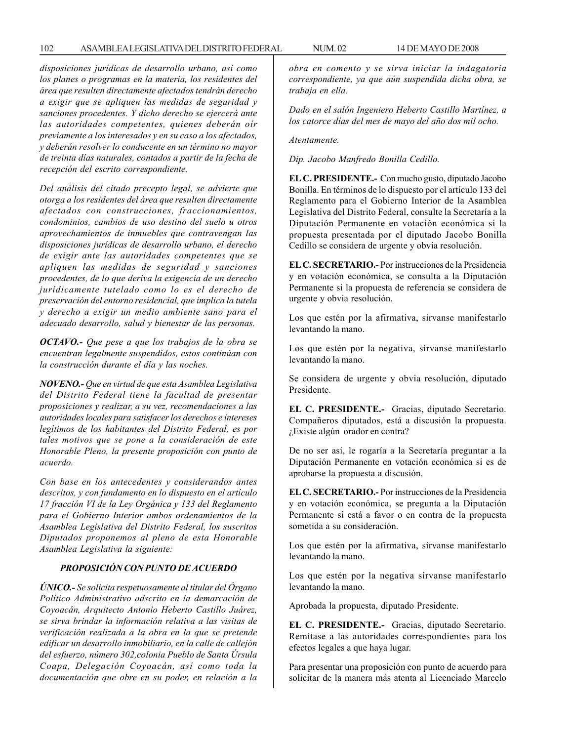*disposiciones jurídicas de desarrollo urbano, así como los planes o programas en la materia, los residentes del área que resulten directamente afectados tendrán derecho a exigir que se apliquen las medidas de seguridad y sanciones procedentes. Y dicho derecho se ejercerá ante las autoridades competentes, quienes deberán oír previamente a los interesados y en su caso a los afectados, y deberán resolver lo conducente en un término no mayor de treinta días naturales, contados a partir de la fecha de recepción del escrito correspondiente.*

*Del análisis del citado precepto legal, se advierte que otorga a los residentes del área que resulten directamente afectados con construcciones, fraccionamientos, condominios, cambios de uso destino del suelo u otros aprovechamientos de inmuebles que contravengan las disposiciones jurídicas de desarrollo urbano, el derecho de exigir ante las autoridades competentes que se apliquen las medidas de seguridad y sanciones procedentes, de lo que deriva la exigencia de un derecho jurídicamente tutelado como lo es el derecho de preservación del entorno residencial, que implica la tutela y derecho a exigir un medio ambiente sano para el adecuado desarrollo, salud y bienestar de las personas.*

*OCTAVO.- Que pese a que los trabajos de la obra se encuentran legalmente suspendidos, estos continúan con la construcción durante el día y las noches.*

*NOVENO.- Que en virtud de que esta Asamblea Legislativa del Distrito Federal tiene la facultad de presentar proposiciones y realizar, a su vez, recomendaciones a las autoridades locales para satisfacer los derechos e intereses legítimos de los habitantes del Distrito Federal, es por tales motivos que se pone a la consideración de este Honorable Pleno, la presente proposición con punto de acuerdo.*

*Con base en los antecedentes y considerandos antes descritos, y con fundamento en lo dispuesto en el artículo 17 fracción VI de la Ley Orgánica y 133 del Reglamento para el Gobierno Interior ambos ordenamientos de la Asamblea Legislativa del Distrito Federal, los suscritos Diputados proponemos al pleno de esta Honorable Asamblea Legislativa la siguiente:*

# *PROPOSICIÓN CON PUNTO DE ACUERDO*

*ÚNICO.- Se solicita respetuosamente al titular del Órgano Político Administrativo adscrito en la demarcación de Coyoacán, Arquitecto Antonio Heberto Castillo Juárez, se sirva brindar la información relativa a las visitas de verificación realizada a la obra en la que se pretende edificar un desarrollo inmobiliario, en la calle de callejón del esfuerzo, número 302,colonia Pueblo de Santa Úrsula Coapa, Delegación Coyoacán, así como toda la documentación que obre en su poder, en relación a la* *obra en comento y se sirva iniciar la indagatoria correspondiente, ya que aún suspendida dicha obra, se trabaja en ella.*

*Dado en el salón Ingeniero Heberto Castillo Martínez, a los catorce días del mes de mayo del año dos mil ocho.*

*Atentamente.*

*Dip. Jacobo Manfredo Bonilla Cedillo.*

**EL C. PRESIDENTE.-** Con mucho gusto, diputado Jacobo Bonilla. En términos de lo dispuesto por el artículo 133 del Reglamento para el Gobierno Interior de la Asamblea Legislativa del Distrito Federal, consulte la Secretaría a la Diputación Permanente en votación económica si la propuesta presentada por el diputado Jacobo Bonilla Cedillo se considera de urgente y obvia resolución.

**EL C. SECRETARIO.-** Por instrucciones de la Presidencia y en votación económica, se consulta a la Diputación Permanente si la propuesta de referencia se considera de urgente y obvia resolución.

Los que estén por la afirmativa, sírvanse manifestarlo levantando la mano.

Los que estén por la negativa, sírvanse manifestarlo levantando la mano.

Se considera de urgente y obvia resolución, diputado Presidente.

**EL C. PRESIDENTE.-** Gracias, diputado Secretario. Compañeros diputados, está a discusión la propuesta. ¿Existe algún orador en contra?

De no ser así, le rogaría a la Secretaría preguntar a la Diputación Permanente en votación económica si es de aprobarse la propuesta a discusión.

**EL C. SECRETARIO.-** Por instrucciones de la Presidencia y en votación económica, se pregunta a la Diputación Permanente si está a favor o en contra de la propuesta sometida a su consideración.

Los que estén por la afirmativa, sírvanse manifestarlo levantando la mano.

Los que estén por la negativa sírvanse manifestarlo levantando la mano.

Aprobada la propuesta, diputado Presidente.

**EL C. PRESIDENTE.-** Gracias, diputado Secretario. Remítase a las autoridades correspondientes para los efectos legales a que haya lugar.

Para presentar una proposición con punto de acuerdo para solicitar de la manera más atenta al Licenciado Marcelo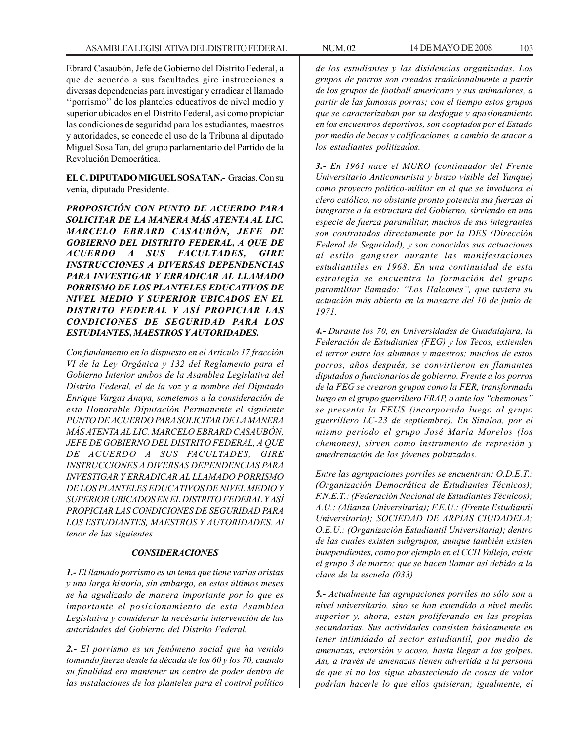Ebrard Casaubón, Jefe de Gobierno del Distrito Federal, a que de acuerdo a sus facultades gire instrucciones a diversas dependencias para investigar y erradicar el llamado ''porrismo'' de los planteles educativos de nivel medio y superior ubicados en el Distrito Federal, así como propiciar las condiciones de seguridad para los estudiantes, maestros y autoridades, se concede el uso de la Tribuna al diputado Miguel Sosa Tan, del grupo parlamentario del Partido de la Revolución Democrática.

**EL C. DIPUTADO MIGUEL SOSA TAN.-** Gracias. Con su venia, diputado Presidente.

*PROPOSICIÓN CON PUNTO DE ACUERDO PARA SOLICITAR DE LA MANERA MÁS ATENTA AL LIC. MARCELO EBRARD CASAUBÓN, JEFE DE GOBIERNO DEL DISTRITO FEDERAL, A QUE DE ACUERDO A SUS FACULTADES, GIRE INSTRUCCIONES A DIVERSAS DEPENDENCIAS PARA INVESTIGAR Y ERRADICAR AL LLAMADO PORRISMO DE LOS PLANTELES EDUCATIVOS DE NIVEL MEDIO Y SUPERIOR UBICADOS EN EL DISTRITO FEDERAL Y ASÍ PROPICIAR LAS CONDICIONES DE SEGURIDAD PARA LOS ESTUDIANTES, MAESTROS Y AUTORIDADES.*

*Con fundamento en lo dispuesto en el Artículo 17 fracción VI de la Ley Orgánica y 132 del Reglamento para el Gobierno Interior ambos de la Asamblea Legislativa del Distrito Federal, el de la voz y a nombre del Diputado Enrique Vargas Anaya, sometemos a la consideración de esta Honorable Diputación Permanente el siguiente PUNTO DE ACUERDO PARA SOLICITAR DE LA MANERA MÁS ATENTA AL LIC. MARCELO EBRARD CASAUBÓN, JEFE DE GOBIERNO DEL DISTRITO FEDERAL, A QUE DE ACUERDO A SUS FACULTADES, GIRE INSTRUCCIONES A DIVERSAS DEPENDENCIAS PARA INVESTIGAR Y ERRADICAR AL LLAMADO PORRISMO DE LOS PLANTELES EDUCATIVOS DE NIVEL MEDIO Y SUPERIOR UBICADOS EN EL DISTRITO FEDERAL Y ASÍ PROPICIAR LAS CONDICIONES DE SEGURIDAD PARA LOS ESTUDIANTES, MAESTROS Y AUTORIDADES. Al tenor de las siguientes*

#### *CONSIDERACIONES*

*1.- El llamado porrismo es un tema que tiene varias aristas y una larga historia, sin embargo, en estos últimos meses se ha agudizado de manera importante por lo que es importante el posicionamiento de esta Asamblea Legislativa y considerar la necésaria intervención de las autoridades del Gobierno del Distrito Federal.*

*2.- El porrismo es un fenómeno social que ha venido tomando fuerza desde la década de los 60 y los 70, cuando su finalidad era mantener un centro de poder dentro de las instalaciones de los planteles para el control político*

*de los estudiantes y las disidencias organizadas. Los grupos de porros son creados tradicionalmente a partir de los grupos de football americano y sus animadores, a partir de las famosas porras; con el tiempo estos grupos que se caracterizaban por su desfogue y apasionamiento en los encuentros deportivos, son cooptados por el Estado por medio de becas y calificaciones, a cambio de atacar a los estudiantes politizados.*

*3.- En 1961 nace el MURO (continuador del Frente Universitario Anticomunista y brazo visible del Yunque) como proyecto político-militar en el que se involucra el clero católico, no obstante pronto potencia sus fuerzas al integrarse a la estructura del Gobierno, sirviendo en una especie de fuerza paramilitar, muchos de sus integrantes son contratados directamente por la DES (Dirección Federal de Seguridad), y son conocidas sus actuaciones al estilo gangster durante las manifestaciones estudiantiles en 1968. En una continuidad de esta estrategia se encuentra la formación del grupo paramilitar llamado: ''Los Halcones'', que tuviera su actuación más abierta en la masacre del 10 de junio de 1971.*

*4.- Durante los 70, en Universidades de Guadalajara, la Federación de Estudiantes (FEG) y los Tecos, extienden el terror entre los alumnos y maestros; muchos de estos porros, años después, se convirtieron en flamantes diputados o funcionarios de gobierno. Frente a los porros de la FEG se crearon grupos como la FER, transformada luego en el grupo guerrillero FRAP, o ante los ''chemones'' se presenta la FEUS (incorporada luego al grupo guerrillero LC-23 de septiembre). En Sinaloa, por el mismo período el grupo José María Morelos (los chemones), sirven como instrumento de represión y amedrentación de los jóvenes politizados.*

*Entre las agrupaciones porriles se encuentran: O.D.E.T.: (Organización Democrática de Estudiantes Técnicos); F.N.E.T.: (Federación Nacional de Estudiantes Técnicos); A.U.: (Alianza Universitaria); F.E.U.: (Frente Estudiantil Universitario); SOCIEDAD DE ARPIAS CIUDADELA; O.E.U.: (Organización Estudiantil Universitaria); dentro de las cuales existen subgrupos, aunque también existen independientes, como por ejemplo en el CCH Vallejo, existe el grupo 3 de marzo; que se hacen llamar así debido a la clave de la escuela (033)*

*5.- Actualmente las agrupaciones porriles no sólo son a nivel universitario, sino se han extendido a nivel medio superior y, ahora, están proliferando en las propias secundarias. Sus actividades consisten básicamente en tener intimidado al sector estudiantil, por medio de amenazas, extorsión y acoso, hasta llegar a los golpes. Así, a través de amenazas tienen advertida a la persona de que si no los sigue abasteciendo de cosas de valor podrían hacerle lo que ellos quisieran; igualmente, el*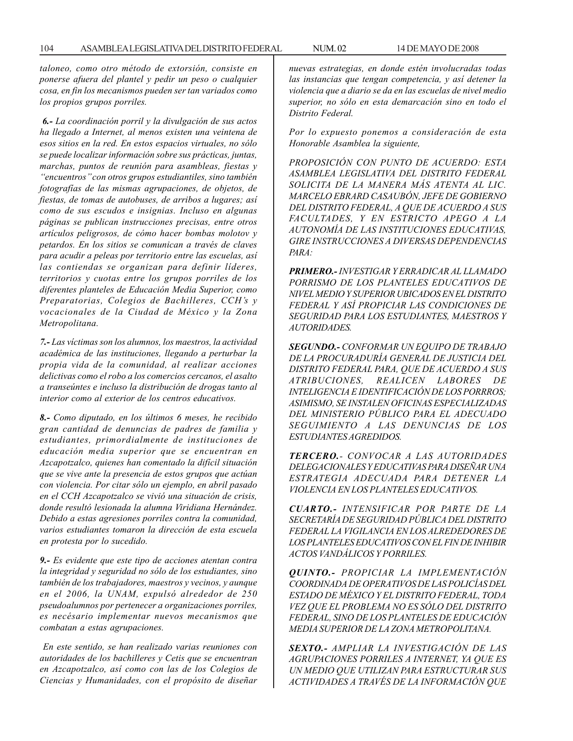*taloneo, como otro método de extorsión, consiste en ponerse afuera del plantel y pedir un peso o cualquier cosa, en fin los mecanismos pueden ser tan variados como los propios grupos porriles.*

*6.- La coordinación porril y la divulgación de sus actos ha llegado a Internet, al menos existen una veintena de esos sitios en la red. En estos espacios virtuales, no sólo se puede localizar información sobre sus prácticas, juntas, marchas, puntos de reunión para asambleas, fiestas y ''encuentros'' con otros grupos estudiantiles, sino también fotografías de las mismas agrupaciones, de objetos, de fiestas, de tomas de autobuses, de arribos a lugares; así como de sus escudos e insignias. Incluso en algunas páginas se publican instrucciones precisas, entre otros artículos peligrosos, de cómo hacer bombas molotov y petardos. En los sitios se comunican a través de claves para acudir a peleas por territorio entre las escuelas, así las contiendas se organizan para definir líderes, territorios y cuotas entre los grupos porriles de los diferentes planteles de Educación Media Superior, como Preparatorias, Colegios de Bachilleres, CCH's y vocacionales de la Ciudad de México y la Zona Metropolitana.*

*7.- Las víctimas son los alumnos, los maestros, la actividad académica de las instituciones, llegando a perturbar la propia vida de la comunidad, al realizar acciones delictivas como el robo a los comercios cercanos, el asalto a transeúntes e incluso la distribución de drogas tanto al interior como al exterior de los centros educativos.*

*8.- Como diputado, en los últimos 6 meses, he recibido gran cantidad de denuncias de padres de familia y estudiantes, primordialmente de instituciones de educación media superior que se encuentran en Azcapotzalco, quienes han comentado la difícil situación que se vive ante la presencia de estos grupos que actúan con violencia. Por citar sólo un ejemplo, en abril pasado en el CCH Azcapotzalco se vivió una situación de crisis, donde resultó lesionada la alumna Viridiana Hernández. Debido a estas agresiones porriles contra la comunidad, varios estudiantes tomaron la dirección de esta escuela en protesta por lo sucedido.*

*9.- Es evidente que este tipo de acciones atentan contra la integridad y seguridad no sólo de los estudiantes, sino también de los trabajadores, maestros y vecinos, y aunque en el 2006, la UNAM, expulsó alrededor de 250 pseudoalumnos por pertenecer a organizaciones porriles, es necésario implementar nuevos mecanismos que combatan a estas agrupaciones.*

 *En este sentido, se han realizado varias reuniones con autoridades de los bachilleres y Cetis que se encuentran en Azcapotzalco, así como con las de los Colegios de Ciencias y Humanidades, con el propósito de diseñar* *nuevas estrategias, en donde estén involucradas todas las instancias que tengan competencia, y así detener la violencia que a diario se da en las escuelas de nivel medio superior, no sólo en esta demarcación sino en todo el Distrito Federal.*

*Por lo expuesto ponemos a consideración de esta Honorable Asamblea la siguiente,*

*PROPOSICIÓN CON PUNTO DE ACUERDO: ESTA ASAMBLEA LEGISLATIVA DEL DISTRITO FEDERAL SOLICITA DE LA MANERA MÁS ATENTA AL LIC. MARCELO EBRARD CASAUBÓN, JEFE DE GOBIERNO DEL DISTRITO FEDERAL, A QUE DE ACUERDO A SUS FACULTADES, Y EN ESTRICTO APEGO A LA AUTONOMÍA DE LAS INSTITUCIONES EDUCATIVAS, GIRE INSTRUCCIONES A DIVERSAS DEPENDENCIAS PARA:*

*PRIMERO.- INVESTIGAR Y ERRADICAR AL LLAMADO PORRISMO DE LOS PLANTELES EDUCATIVOS DE NIVEL MEDIO Y SUPERIOR UBICADOS EN EL DISTRITO FEDERAL Y ASÍ PROPICIAR LAS CONDICIONES DE SEGURIDAD PARA LOS ESTUDIANTES, MAESTROS Y AUTORIDADES.*

*SEGUNDO.- CONFORMAR UN EQUIPO DE TRABAJO DE LA PROCURADURÍA GENERAL DE JUSTICIA DEL DISTRITO FEDERAL PARA, QUE DE ACUERDO A SUS ATRIBUCIONES, REALICEN LABORES DE INTELIGENCIA E IDENTIFICACIÓN DE LOS PORRROS; ASIMISMO, SE INSTALEN OFICINAS ESPECIALIZADAS DEL MINISTERIO PÚBLICO PARA EL ADECUADO SEGUIMIENTO A LAS DENUNCIAS DE LOS ESTUDIANTES AGREDIDOS.*

*TERCERO.- CONVOCAR A LAS AUTORIDADES DELEGACIONALES Y EDUCATIVAS PARA DISEÑAR UNA ESTRATEGIA ADECUADA PARA DETENER LA VIOLENCIA EN LOS PLANTELES EDUCATIVOS.*

*CUARTO.- INTENSIFICAR POR PARTE DE LA SECRETARÍA DE SEGURIDAD PÚBLICA DEL DISTRITO FEDERAL LA VIGILANCIA EN LOS ALREDEDORES DE LOS PLANTELES EDUCATIVOS CON EL FIN DE INHIBIR ACTOS VANDÁLICOS Y PORRILES.*

*QUINTO.- PROPICIAR LA IMPLEMENTACIÓN COORDINADA DE OPERATIVOS DE LAS POLICÍAS DEL ESTADO DE MÉXICO Y EL DISTRITO FEDERAL, TODA VEZ QUE EL PROBLEMA NO ES SÓLO DEL DISTRITO FEDERAL, SINO DE LOS PLANTELES DE EDUCACIÓN MEDIA SUPERIOR DE LA ZONA METROPOLITANA.*

*SEXTO.- AMPLIAR LA INVESTIGACIÓN DE LAS AGRUPACIONES PORRILES A INTERNET, YA QUE ES UN MEDIO QUE UTILIZAN PARA ESTRUCTURAR SUS ACTIVIDADES A TRAVÉS DE LA INFORMACIÓN QUE*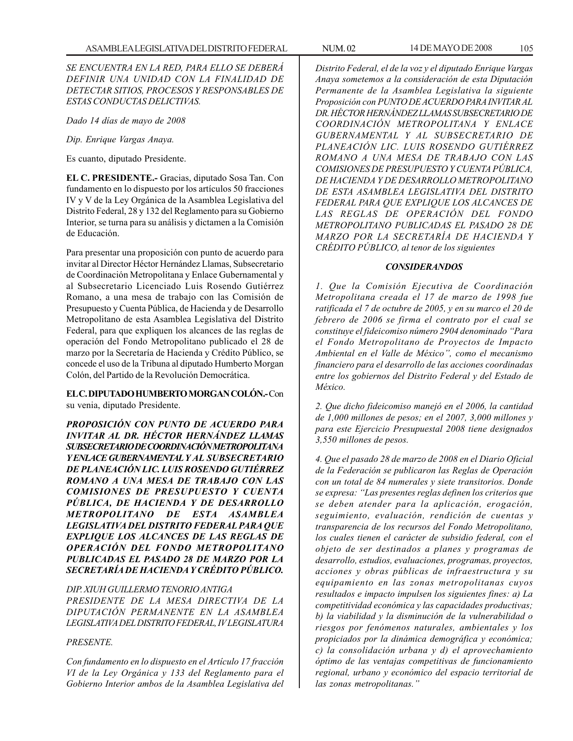# *SE ENCUENTRA EN LA RED, PARA ELLO SE DEBERÁ DEFINIR UNA UNIDAD CON LA FINALIDAD DE DETECTAR SITIOS, PROCESOS Y RESPONSABLES DE ESTAS CONDUCTAS DELICTIVAS.*

*Dado 14 días de mayo de 2008*

*Dip. Enrique Vargas Anaya.*

Es cuanto, diputado Presidente.

**EL C. PRESIDENTE.-** Gracias, diputado Sosa Tan. Con fundamento en lo dispuesto por los artículos 50 fracciones IV y V de la Ley Orgánica de la Asamblea Legislativa del Distrito Federal, 28 y 132 del Reglamento para su Gobierno Interior, se turna para su análisis y dictamen a la Comisión de Educación.

Para presentar una proposición con punto de acuerdo para invitar al Director Héctor Hernández Llamas, Subsecretario de Coordinación Metropolitana y Enlace Gubernamental y al Subsecretario Licenciado Luis Rosendo Gutiérrez Romano, a una mesa de trabajo con las Comisión de Presupuesto y Cuenta Pública, de Hacienda y de Desarrollo Metropolitano de esta Asamblea Legislativa del Distrito Federal, para que expliquen los alcances de las reglas de operación del Fondo Metropolitano publicado el 28 de marzo por la Secretaría de Hacienda y Crédito Público, se concede el uso de la Tribuna al diputado Humberto Morgan Colón, del Partido de la Revolución Democrática.

**EL C. DIPUTADO HUMBERTO MORGAN COLÓN.-** Con su venia, diputado Presidente.

*PROPOSICIÓN CON PUNTO DE ACUERDO PARA INVITAR AL DR. HÉCTOR HERNÁNDEZ LLAMAS SUBSECRETARIO DE COORDINACIÓN METROPOLITANA Y ENLACE GUBERNAMENTAL Y AL SUBSECRETARIO DE PLANEACIÓN LIC. LUIS ROSENDO GUTIÉRREZ ROMANO A UNA MESA DE TRABAJO CON LAS COMISIONES DE PRESUPUESTO Y CUENTA PÚBLICA, DE HACIENDA Y DE DESARROLLO METROPOLITANO DE ESTA ASAMBLEA LEGISLATIVA DEL DISTRITO FEDERAL PARA QUE EXPLIQUE LOS ALCANCES DE LAS REGLAS DE OPERACIÓN DEL FONDO METROPOLITANO PUBLICADAS EL PASADO 28 DE MARZO POR LA SECRETARÍA DE HACIENDA Y CRÉDITO PÚBLICO.*

### *DIP. XIUH GUILLERMO TENORIO ANTIGA*

*PRESIDENTE DE LA MESA DIRECTIVA DE LA DIPUTACIÓN PERMANENTE EN LA ASAMBLEA LEGISLATIVA DEL DISTRITO FEDERAL, IV LEGISLATURA*

## *PRESENTE.*

*Con fundamento en lo dispuesto en el Artículo 17 fracción VI de la Ley Orgánica y 133 del Reglamento para el Gobierno Interior ambos de la Asamblea Legislativa del* *Distrito Federal, el de la voz y el diputado Enrique Vargas Anaya sometemos a la consideración de esta Diputación Permanente de la Asamblea Legislativa la siguiente Proposición con PUNTO DE ACUERDO PARA INVITAR AL DR. HÉCTOR HERNÁNDEZ LLAMAS SUBSECRETARIO DE COORDINACIÓN METROPOLITANA Y ENLACE GUBERNAMENTAL Y AL SUBSECRETARIO DE PLANEACIÓN LIC. LUIS ROSENDO GUTIÉRREZ ROMANO A UNA MESA DE TRABAJO CON LAS COMISIONES DE PRESUPUESTO Y CUENTA PÚBLICA, DE HACIENDA Y DE DESARROLLO METROPOLITANO DE ESTA ASAMBLEA LEGISLATIVA DEL DISTRITO FEDERAL PARA QUE EXPLIQUE LOS ALCANCES DE LAS REGLAS DE OPERACIÓN DEL FONDO METROPOLITANO PUBLICADAS EL PASADO 28 DE MARZO POR LA SECRETARÍA DE HACIENDA Y*

#### *CONSIDERANDOS*

*CRÉDITO PÚBLICO, al tenor de los siguientes*

*1. Que la Comisión Ejecutiva de Coordinación Metropolitana creada el 17 de marzo de 1998 fue ratificada el 7 de octubre de 2005, y en su marco el 20 de febrero de 2006 se firma el contrato por el cual se constituye el fideicomiso número 2904 denominado ''Para el Fondo Metropolitano de Proyectos de Impacto Ambiental en el Valle de México'', como el mecanismo financiero para el desarrollo de las acciones coordinadas entre los gobiernos del Distrito Federal y del Estado de México.*

*2. Que dicho fideicomiso manejó en el 2006, la cantidad de 1,000 millones de pesos; en el 2007, 3,000 millones y para este Ejercicio Presupuestal 2008 tiene designados 3,550 millones de pesos.*

*4. Que el pasado 28 de marzo de 2008 en el Diario Oficial de la Federación se publicaron las Reglas de Operación con un total de 84 numerales y siete transitorios. Donde se expresa: ''Las presentes reglas definen los criterios que se deben atender para la aplicación, erogación, seguimiento, evaluación, rendición de cuentas y transparencia de los recursos del Fondo Metropolitano, los cuales tienen el carácter de subsidio federal, con el objeto de ser destinados a planes y programas de desarrollo, estudios, evaluaciones, programas, proyectos, acciones y obras públicas de infraestructura y su equipamiento en las zonas metropolitanas cuyos resultados e impacto impulsen los siguientes fines: a) La competitividad económica y las capacidades productivas; b) la viabilidad y la disminución de la vulnerabilidad o riesgos por fenómenos naturales, ambientales y los propiciados por la dinámica demográfica y económica; c) la consolidación urbana y d) el aprovechamiento óptimo de las ventajas competitivas de funcionamiento regional, urbano y económico del espacio territorial de las zonas metropolitanas.''*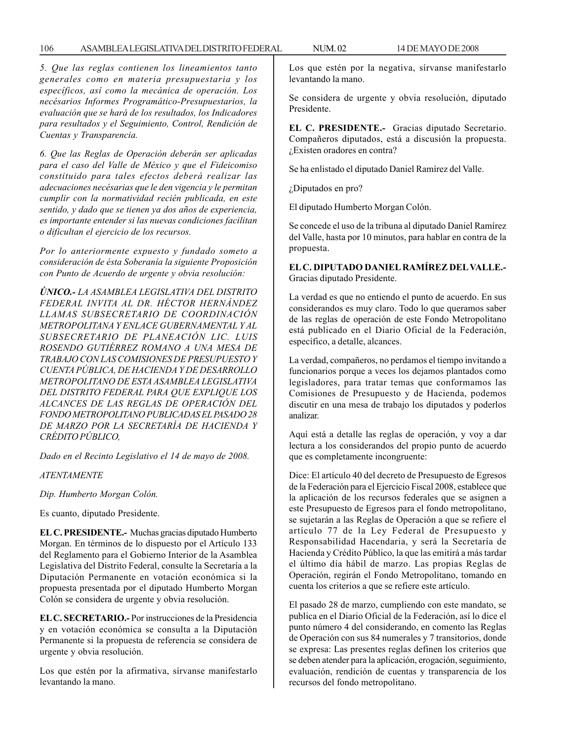*5. Que las reglas contienen los lineamientos tanto generales como en materia presupuestaria y los específicos, así como la mecánica de operación. Los necésarios Informes Programático-Presupuestarios, la evaluación que se hará de los resultados, los Indicadores para resultados y el Seguimiento, Control, Rendición de Cuentas y Transparencia.*

*6. Que las Reglas de Operación deberán ser aplicadas para el caso del Valle de México y que el Fideicomiso constituido para tales efectos deberá realizar las adecuaciones necésarias que le den vigencia y le permitan cumplir con la normatividad recién publicada, en este sentido, y dado que se tienen ya dos años de experiencia, es importante entender si las nuevas condiciones facilitan o dificultan el ejercicio de los recursos.*

*Por lo anteriormente expuesto y fundado someto a consideración de ésta Soberanía la siguiente Proposición con Punto de Acuerdo de urgente y obvia resolución:*

*ÚNICO.- LA ASAMBLEA LEGISLATIVA DEL DISTRITO FEDERAL INVITA AL DR. HÉCTOR HERNÁNDEZ LLAMAS SUBSECRETARIO DE COORDINACIÓN METROPOLITANA Y ENLACE GUBERNAMENTAL Y AL SUBSECRETARIO DE PLANEACIÓN LIC. LUIS ROSENDO GUTIÉRREZ ROMANO A UNA MESA DE TRABAJO CON LAS COMISIONES DE PRESUPUESTO Y CUENTA PÚBLICA, DE HACIENDA Y DE DESARROLLO METROPOLITANO DE ESTA ASAMBLEA LEGISLATIVA DEL DISTRITO FEDERAL PARA QUE EXPLIQUE LOS ALCANCES DE LAS REGLAS DE OPERACIÓN DEL FONDO METROPOLITANO PUBLICADAS EL PASADO 28 DE MARZO POR LA SECRETARÍA DE HACIENDA Y CRÉDITO PÚBLICO,*

*Dado en el Recinto Legislativo el 14 de mayo de 2008.*

*ATENTAMENTE*

*Dip. Humberto Morgan Colón.*

Es cuanto, diputado Presidente.

**EL C. PRESIDENTE.-** Muchas gracias diputado Humberto Morgan. En términos de lo dispuesto por el Artículo 133 del Reglamento para el Gobierno Interior de la Asamblea Legislativa del Distrito Federal, consulte la Secretaría a la Diputación Permanente en votación económica si la propuesta presentada por el diputado Humberto Morgan Colón se considera de urgente y obvia resolución.

**EL C. SECRETARIO.-** Por instrucciones de la Presidencia y en votación económica se consulta a la Diputación Permanente si la propuesta de referencia se considera de urgente y obvia resolución.

Los que estén por la afirmativa, sírvanse manifestarlo levantando la mano.

Los que estén por la negativa, sírvanse manifestarlo levantando la mano.

Se considera de urgente y obvia resolución, diputado Presidente.

**EL C. PRESIDENTE.-** Gracias diputado Secretario. Compañeros diputados, está a discusión la propuesta. ¿Existen oradores en contra?

Se ha enlistado el diputado Daniel Ramírez del Valle.

¿Diputados en pro?

El diputado Humberto Morgan Colón.

Se concede el uso de la tribuna al diputado Daniel Ramírez del Valle, hasta por 10 minutos, para hablar en contra de la propuesta.

**EL C. DIPUTADO DANIEL RAMÍREZ DEL VALLE.-** Gracias diputado Presidente.

La verdad es que no entiendo el punto de acuerdo. En sus considerandos es muy claro. Todo lo que queramos saber de las reglas de operación de este Fondo Metropolitano está publicado en el Diario Oficial de la Federación, específico, a detalle, alcances.

La verdad, compañeros, no perdamos el tiempo invitando a funcionarios porque a veces los dejamos plantados como legisladores, para tratar temas que conformamos las Comisiones de Presupuesto y de Hacienda, podemos discutir en una mesa de trabajo los diputados y poderlos analizar.

Aquí está a detalle las reglas de operación, y voy a dar lectura a los considerandos del propio punto de acuerdo que es completamente incongruente:

Dice: El artículo 40 del decreto de Presupuesto de Egresos de la Federación para el Ejercicio Fiscal 2008, establece que la aplicación de los recursos federales que se asignen a este Presupuesto de Egresos para el fondo metropolitano, se sujetarán a las Reglas de Operación a que se refiere el artículo 77 de la Ley Federal de Presupuesto y Responsabilidad Hacendaria, y será la Secretaría de Hacienda y Crédito Público, la que las emitirá a más tardar el último día hábil de marzo. Las propias Reglas de Operación, regirán el Fondo Metropolitano, tomando en cuenta los criterios a que se refiere este artículo.

El pasado 28 de marzo, cumpliendo con este mandato, se publica en el Diario Oficial de la Federación, así lo dice el punto número 4 del considerando, en comento las Reglas de Operación con sus 84 numerales y 7 transitorios, donde se expresa: Las presentes reglas definen los criterios que se deben atender para la aplicación, erogación, seguimiento, evaluación, rendición de cuentas y transparencia de los recursos del fondo metropolitano.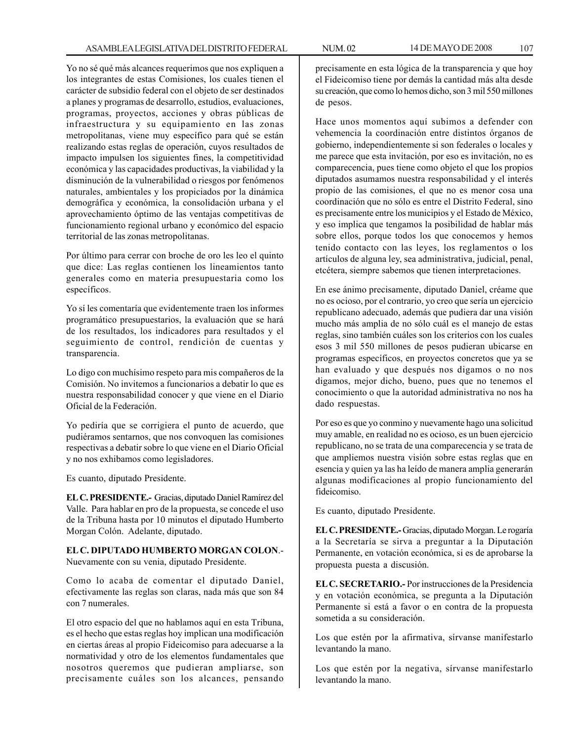Yo no sé qué más alcances requerimos que nos expliquen a los integrantes de estas Comisiones, los cuales tienen el carácter de subsidio federal con el objeto de ser destinados a planes y programas de desarrollo, estudios, evaluaciones, programas, proyectos, acciones y obras públicas de infraestructura y su equipamiento en las zonas metropolitanas, viene muy específico para qué se están realizando estas reglas de operación, cuyos resultados de impacto impulsen los siguientes fines, la competitividad económica y las capacidades productivas, la viabilidad y la disminución de la vulnerabilidad o riesgos por fenómenos naturales, ambientales y los propiciados por la dinámica demográfica y económica, la consolidación urbana y el aprovechamiento óptimo de las ventajas competitivas de funcionamiento regional urbano y económico del espacio territorial de las zonas metropolitanas.

Por último para cerrar con broche de oro les leo el quinto que dice: Las reglas contienen los lineamientos tanto generales como en materia presupuestaria como los específicos.

Yo sí les comentaría que evidentemente traen los informes programático presupuestarios, la evaluación que se hará de los resultados, los indicadores para resultados y el seguimiento de control, rendición de cuentas y transparencia.

Lo digo con muchísimo respeto para mis compañeros de la Comisión. No invitemos a funcionarios a debatir lo que es nuestra responsabilidad conocer y que viene en el Diario Oficial de la Federación.

Yo pediría que se corrigiera el punto de acuerdo, que pudiéramos sentarnos, que nos convoquen las comisiones respectivas a debatir sobre lo que viene en el Diario Oficial y no nos exhibamos como legisladores.

Es cuanto, diputado Presidente.

**EL C. PRESIDENTE.-** Gracias, diputado Daniel Ramírez del Valle. Para hablar en pro de la propuesta, se concede el uso de la Tribuna hasta por 10 minutos el diputado Humberto Morgan Colón. Adelante, diputado.

**EL C. DIPUTADO HUMBERTO MORGAN COLON**.- Nuevamente con su venia, diputado Presidente.

Como lo acaba de comentar el diputado Daniel, efectivamente las reglas son claras, nada más que son 84 con 7 numerales.

El otro espacio del que no hablamos aquí en esta Tribuna, es el hecho que estas reglas hoy implican una modificación en ciertas áreas al propio Fideicomiso para adecuarse a la normatividad y otro de los elementos fundamentales que nosotros queremos que pudieran ampliarse, son precisamente cuáles son los alcances, pensando

precisamente en esta lógica de la transparencia y que hoy el Fideicomiso tiene por demás la cantidad más alta desde su creación, que como lo hemos dicho, son 3 mil 550 millones de pesos.

Hace unos momentos aquí subimos a defender con vehemencia la coordinación entre distintos órganos de gobierno, independientemente si son federales o locales y me parece que esta invitación, por eso es invitación, no es comparecencia, pues tiene como objeto el que los propios diputados asumamos nuestra responsabilidad y el interés propio de las comisiones, el que no es menor cosa una coordinación que no sólo es entre el Distrito Federal, sino es precisamente entre los municipios y el Estado de México, y eso implica que tengamos la posibilidad de hablar más sobre ellos, porque todos los que conocemos y hemos tenido contacto con las leyes, los reglamentos o los artículos de alguna ley, sea administrativa, judicial, penal, etcétera, siempre sabemos que tienen interpretaciones.

En ese ánimo precisamente, diputado Daniel, créame que no es ocioso, por el contrario, yo creo que sería un ejercicio republicano adecuado, además que pudiera dar una visión mucho más amplia de no sólo cuál es el manejo de estas reglas, sino también cuáles son los criterios con los cuales esos 3 mil 550 millones de pesos pudieran ubicarse en programas específicos, en proyectos concretos que ya se han evaluado y que después nos digamos o no nos digamos, mejor dicho, bueno, pues que no tenemos el conocimiento o que la autoridad administrativa no nos ha dado respuestas.

Por eso es que yo conmino y nuevamente hago una solicitud muy amable, en realidad no es ocioso, es un buen ejercicio republicano, no se trata de una comparecencia y se trata de que ampliemos nuestra visión sobre estas reglas que en esencia y quien ya las ha leído de manera amplia generarán algunas modificaciones al propio funcionamiento del fideicomiso.

Es cuanto, diputado Presidente.

**EL C. PRESIDENTE.-** Gracias, diputado Morgan. Le rogaría a la Secretaría se sirva a preguntar a la Diputación Permanente, en votación económica, si es de aprobarse la propuesta puesta a discusión.

**EL C. SECRETARIO.-** Por instrucciones de la Presidencia y en votación económica, se pregunta a la Diputación Permanente si está a favor o en contra de la propuesta sometida a su consideración.

Los que estén por la afirmativa, sírvanse manifestarlo levantando la mano.

Los que estén por la negativa, sírvanse manifestarlo levantando la mano.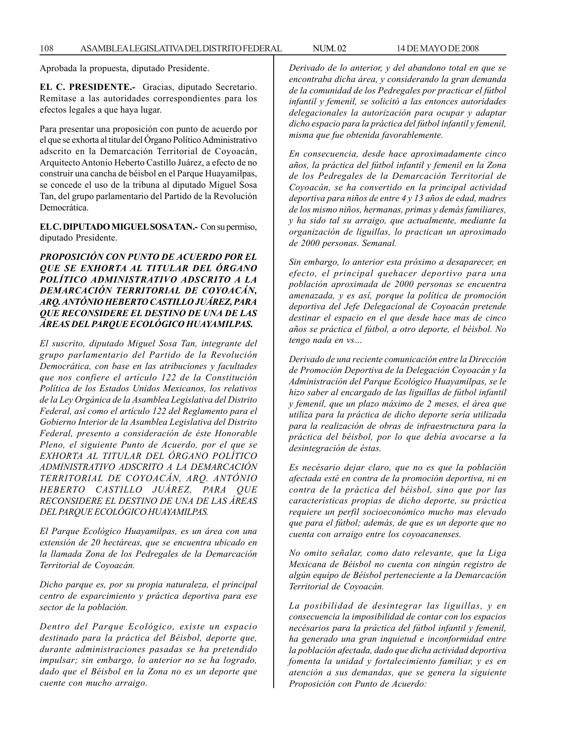Aprobada la propuesta, diputado Presidente.

**EL C. PRESIDENTE.-** Gracias, diputado Secretario. Remítase a las autoridades correspondientes para los efectos legales a que haya lugar.

Para presentar una proposición con punto de acuerdo por el que se exhorta al titular del Órgano Político Administrativo adscrito en la Demarcación Territorial de Coyoacán, Arquitecto Antonio Heberto Castillo Juárez, a efecto de no construir una cancha de béisbol en el Parque Huayamilpas, se concede el uso de la tribuna al diputado Miguel Sosa Tan, del grupo parlamentario del Partido de la Revolución Democrática.

**EL C. DIPUTADO MIGUEL SOSA TAN.-** Con su permiso, diputado Presidente.

# *PROPOSICIÓN CON PUNTO DE ACUERDO POR EL QUE SE EXHORTA AL TITULAR DEL ÓRGANO POLÍTICO ADMINISTRATIVO ADSCRITO A LA DEMARCACIÓN TERRITORIAL DE COYOACÁN, ARQ. ANTÓNIO HEBERTO CASTILLO JUÁREZ, PARA QUE RECONSIDERE EL DESTINO DE UNA DE LAS ÁREAS DEL PARQUE ECOLÓGICO HUAYAMILPAS.*

*El suscrito, diputado Miguel Sosa Tan, integrante del grupo parlamentario del Partido de la Revolución Democrática, con base en las atribuciones y facultades que nos confiere el artículo 122 de la Constitución Política de los Estados Unidos Mexicanos, los relativos de la Ley Orgánica de la Asamblea Legislativa del Distrito Federal, así como el artículo 122 del Reglamento para el Gobierno Interior de la Asamblea Legislativa del Distrito Federal, presento a consideración de éste Honorable Pleno, el siguiente Punto de Acuerdo, por el que se EXHORTA AL TITULAR DEL ÓRGANO POLÍTICO ADMINISTRATIVO ADSCRITO A LA DEMARCACIÓN TERRITORIAL DE COYOACÁN, ARQ. ANTÓNIO HEBERTO CASTILLO JUÁREZ, PARA QUE RECONSIDERE EL DESTINO DE UNA DE LAS ÁREAS DEL PARQUE ECOLÓGICO HUAYAMILPAS.*

*El Parque Ecológico Huayamilpas, es un área con una extensión de 20 hectáreas, que se encuentra ubicado en la llamada Zona de los Pedregales de la Demarcación Territorial de Coyoacán.*

*Dicho parque es, por su propia naturaleza, el principal centro de esparcimiento y práctica deportiva para ese sector de la población.*

*Dentro del Parque Ecológico, existe un espacio destinado para la práctica del Béisbol, deporte que, durante administraciones pasadas se ha pretendido impulsar; sin embargo, lo anterior no se ha logrado, dado que el Béisbol en la Zona no es un deporte que cuente con mucho arraigo.*

*Derivado de lo anterior, y del abandono total en que se encontraba dicha área, y considerando la gran demanda de la comunidad de los Pedregales por practicar el fútbol infantil y femenil, se solicitó a las entonces autoridades delegacionales la autorización para ocupar y adaptar dicho espacio para la práctica del fútbol infantil y femenil, misma que fue obtenida favorablemente.*

*En consecuencia, desde hace aproximadamente cinco años, la práctica del fútbol infantil y femenil en la Zona de los Pedregales de la Demarcación Territorial de Coyoacán, se ha convertido en la principal actividad deportiva para niños de entre 4 y 13 años de edad, madres de los mismo niños, hermanas, primas y demás familiares, y ha sido tal su arraigo, que actualmente, mediante la organización de liguillas, lo practican un aproximado de 2000 personas. Semanal.*

*Sin embargo, lo anterior esta próximo a desaparecer, en efecto, el principal quehacer deportivo para una población aproximada de 2000 personas se encuentra amenazada, y es así, porque la política de promoción deportiva del Jefe Delegacional de Coyoacán pretende destinar el espacio en el que desde hace mas de cinco años se práctica el fútbol, a otro deporte, el béisbol. No tengo nada en vs…*

*Derivado de una reciente comunicación entre la Dirección de Promoción Deportiva de la Delegación Coyoacán y la Administración del Parque Ecológico Huayamilpas, se le hizo saber al encargado de las liguillas de fútbol infantil y femenil, que un plazo máximo de 2 meses, el área que utiliza para la práctica de dicho deporte sería utilizada para la realización de obras de infraestructura para la práctica del béisbol, por lo que debía avocarse a la desintegración de éstas.*

*Es necésario dejar claro, que no es que la población afectada esté en contra de la promoción deportiva, ni en contra de la práctica del béisbol, sino que por las características propias de dicho deporte, su práctica requiere un perfil socioeconómico mucho mas elevado que para el fútbol; además, de que es un deporte que no cuenta con arraigo entre los coyoacanenses.*

*No omito señalar, como dato relevante, que la Liga Mexicana de Béisbol no cuenta con ningún registro de algún equipo de Béisbol perteneciente a la Demarcación Territorial de Coyoacán.*

*La posibilidad de desintegrar las liguillas, y en consecuencia la imposibilidad de contar con los espacios necésarios para la práctica del fútbol infantil y femenil, ha generado una gran inquietud e inconformidad entre la población afectada, dado que dicha actividad deportiva fomenta la unidad y fortalecimiento familiar, y es en atención a sus demandas, que se genera la siguiente Proposición con Punto de Acuerdo:*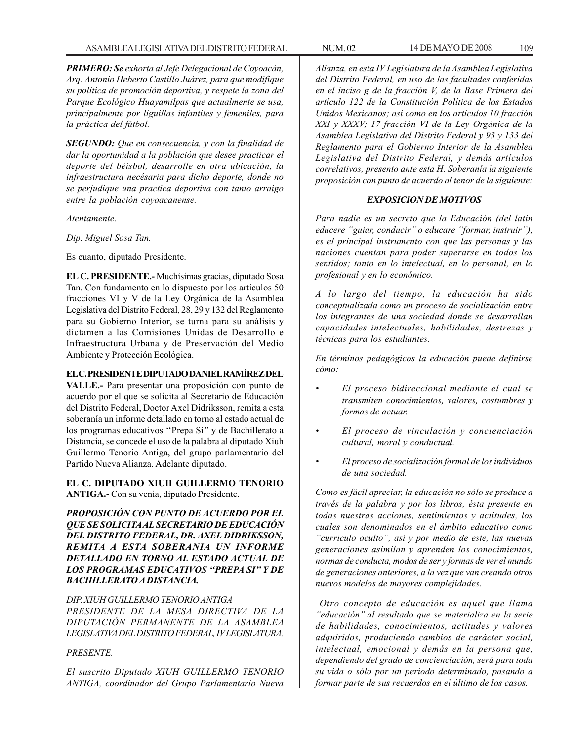*PRIMERO: Se exhorta al Jefe Delegacional de Coyoacán, Arq. Antonio Heberto Castillo Juárez, para que modifique su política de promoción deportiva, y respete la zona del Parque Ecológico Huayamilpas que actualmente se usa, principalmente por liguillas infantiles y femeniles, para la práctica del fútbol.*

*SEGUNDO: Que en consecuencia, y con la finalidad de dar la oportunidad a la población que desee practicar el deporte del béisbol, desarrolle en otra ubicación, la infraestructura necésaria para dicho deporte, donde no se perjudique una practica deportiva con tanto arraigo entre la población coyoacanense.*

*Atentamente.*

*Dip. Miguel Sosa Tan.*

Es cuanto, diputado Presidente.

**EL C. PRESIDENTE.-** Muchísimas gracias, diputado Sosa Tan. Con fundamento en lo dispuesto por los artículos 50 fracciones VI y V de la Ley Orgánica de la Asamblea Legislativa del Distrito Federal, 28, 29 y 132 del Reglamento para su Gobierno Interior, se turna para su análisis y dictamen a las Comisiones Unidas de Desarrollo e Infraestructura Urbana y de Preservación del Medio Ambiente y Protección Ecológica.

### **EL C. PRESIDENTE DIPUTADO DANIEL RAMÍREZ DEL**

**VALLE.-** Para presentar una proposición con punto de acuerdo por el que se solicita al Secretario de Educación del Distrito Federal, Doctor Axel Didriksson, remita a esta soberanía un informe detallado en torno al estado actual de los programas educativos ''Prepa Sí'' y de Bachillerato a Distancia, se concede el uso de la palabra al diputado Xiuh Guillermo Tenorio Antiga, del grupo parlamentario del Partido Nueva Alianza. Adelante diputado.

**EL C. DIPUTADO XIUH GUILLERMO TENORIO ANTIGA.-** Con su venia, diputado Presidente.

*PROPOSICIÓN CON PUNTO DE ACUERDO POR EL QUE SE SOLICITA AL SECRETARIO DE EDUCACIÓN DEL DISTRITO FEDERAL, DR. AXEL DIDRIKSSON, REMITA A ESTA SOBERANIA UN INFORME DETALLADO EN TORNO AL ESTADO ACTUAL DE LOS PROGRAMAS EDUCATIVOS ''PREPA SI'' Y DE BACHILLERATO A DISTANCIA.*

*DIP. XIUH GUILLERMO TENORIO ANTIGA PRESIDENTE DE LA MESA DIRECTIVA DE LA DIPUTACIÓN PERMANENTE DE LA ASAMBLEA LEGISLATIVA DEL DISTRITO FEDERAL, IV LEGISLATURA.*

### *PRESENTE.*

*El suscrito Diputado XIUH GUILLERMO TENORIO ANTIGA, coordinador del Grupo Parlamentario Nueva*

*Alianza, en esta IV Legislatura de la Asamblea Legislativa del Distrito Federal, en uso de las facultades conferidas en el inciso g de la fracción V, de la Base Primera del artículo 122 de la Constitución Política de los Estados Unidos Mexicanos; así como en los artículos 10 fracción XXI y XXXV; 17 fracción VI de la Ley Orgánica de la Asamblea Legislativa del Distrito Federal y 93 y 133 del Reglamento para el Gobierno Interior de la Asamblea Legislativa del Distrito Federal, y demás artículos correlativos, presento ante esta H. Soberanía la siguiente proposición con punto de acuerdo al tenor de la siguiente:*

# *EXPOSICION DE MOTIVOS*

*Para nadie es un secreto que la Educación (del latín educere ''guiar, conducir'' o educare ''formar, instruir''), es el principal instrumento con que las personas y las naciones cuentan para poder superarse en todos los sentidos; tanto en lo intelectual, en lo personal, en lo profesional y en lo económico.*

*A lo largo del tiempo, la educación ha sido conceptualizada como un proceso de socialización entre los integrantes de una sociedad donde se desarrollan capacidades intelectuales, habilidades, destrezas y técnicas para los estudiantes.*

*En términos pedagógicos la educación puede definirse cómo:*

- *El proceso bidireccional mediante el cual se transmiten conocimientos, valores, costumbres y formas de actuar.*
- *El proceso de vinculación y concienciación cultural, moral y conductual.*
- *El proceso de socialización formal de los individuos de una sociedad.*

*Como es fácil apreciar, la educación no sólo se produce a través de la palabra y por los libros, ésta presente en todas nuestras acciones, sentimientos y actitudes, los cuales son denominados en el ámbito educativo como ''currículo oculto'', así y por medio de este, las nuevas generaciones asimilan y aprenden los conocimientos, normas de conducta, modos de ser y formas de ver el mundo de generaciones anteriores, a la vez que van creando otros nuevos modelos de mayores complejidades.*

 *Otro concepto de educación es aquel que llama ''educación'' al resultado que se materializa en la serie de habilidades, conocimientos, actitudes y valores adquiridos, produciendo cambios de carácter social, intelectual, emocional y demás en la persona que, dependiendo del grado de concienciación, será para toda su vida o sólo por un periodo determinado, pasando a formar parte de sus recuerdos en el último de los casos.*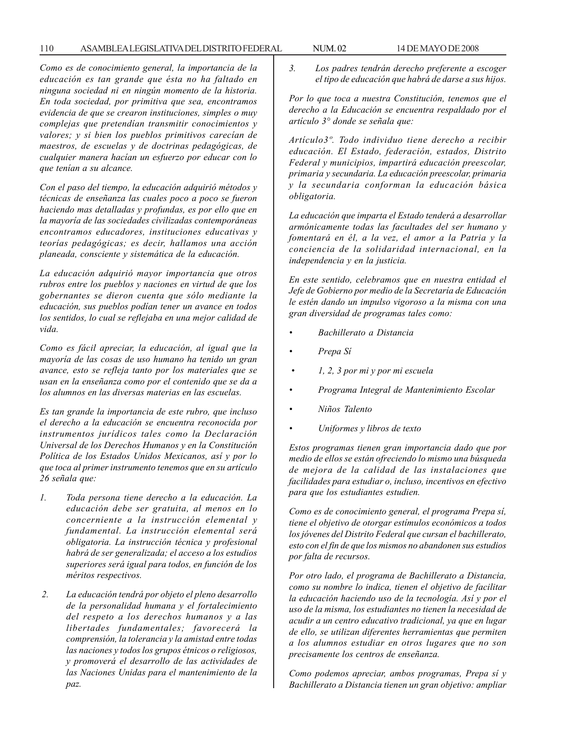*Como es de conocimiento general, la importancia de la educación es tan grande que ésta no ha faltado en ninguna sociedad ni en ningún momento de la historia. En toda sociedad, por primitiva que sea, encontramos evidencia de que se crearon instituciones, simples o muy complejas que pretendían transmitir conocimientos y valores; y si bien los pueblos primitivos carecían de maestros, de escuelas y de doctrinas pedagógicas, de cualquier manera hacían un esfuerzo por educar con lo que tenían a su alcance.*

*Con el paso del tiempo, la educación adquirió métodos y técnicas de enseñanza las cuales poco a poco se fueron haciendo mas detalladas y profundas, es por ello que en la mayoría de las sociedades civilizadas contemporáneas encontramos educadores, instituciones educativas y teorías pedagógicas; es decir, hallamos una acción planeada, consciente y sistemática de la educación.*

*La educación adquirió mayor importancia que otros rubros entre los pueblos y naciones en virtud de que los gobernantes se dieron cuenta que sólo mediante la educación, sus pueblos podían tener un avance en todos los sentidos, lo cual se reflejaba en una mejor calidad de vida.*

*Como es fácil apreciar, la educación, al igual que la mayoría de las cosas de uso humano ha tenido un gran avance, esto se refleja tanto por los materiales que se usan en la enseñanza como por el contenido que se da a los alumnos en las diversas materias en las escuelas.*

*Es tan grande la importancia de este rubro, que incluso el derecho a la educación se encuentra reconocida por instrumentos jurídicos tales como la Declaración Universal de los Derechos Humanos y en la Constitución Política de los Estados Unidos Mexicanos, así y por lo que toca al primer instrumento tenemos que en su artículo 26 señala que:*

- *1. Toda persona tiene derecho a la educación. La educación debe ser gratuita, al menos en lo concerniente a la instrucción elemental y fundamental. La instrucción elemental será obligatoria. La instrucción técnica y profesional habrá de ser generalizada; el acceso a los estudios superiores será igual para todos, en función de los méritos respectivos.*
- *2. La educación tendrá por objeto el pleno desarrollo de la personalidad humana y el fortalecimiento del respeto a los derechos humanos y a las libertades fundamentales; favorecerá la comprensión, la tolerancia y la amistad entre todas las naciones y todos los grupos étnicos o religiosos, y promoverá el desarrollo de las actividades de las Naciones Unidas para el mantenimiento de la paz.*

*3. Los padres tendrán derecho preferente a escoger el tipo de educación que habrá de darse a sus hijos.*

*Por lo que toca a nuestra Constitución, tenemos que el derecho a la Educación se encuentra respaldado por el artículo 3° donde se señala que:*

*Artículo3º. Todo individuo tiene derecho a recibir educación. El Estado, federación, estados, Distrito Federal y municipios, impartirá educación preescolar, primaria y secundaria. La educación preescolar, primaria y la secundaria conforman la educación básica obligatoria.*

*La educación que imparta el Estado tenderá a desarrollar armónicamente todas las facultades del ser humano y fomentará en él, a la vez, el amor a la Patria y la conciencia de la solidaridad internacional, en la independencia y en la justicia.*

*En este sentido, celebramos que en nuestra entidad el Jefe de Gobierno por medio de la Secretaría de Educación le estén dando un impulso vigoroso a la misma con una gran diversidad de programas tales como:*

- *Bachillerato a Distancia*
- *Prepa Sí*
- *1, 2, 3 por mi y por mi escuela*
- *Programa Integral de Mantenimiento Escolar*
- *Niños Talento*
- *Uniformes y libros de texto*

*Estos programas tienen gran importancia dado que por medio de ellos se están ofreciendo lo mismo una búsqueda de mejora de la calidad de las instalaciones que facilidades para estudiar o, incluso, incentivos en efectivo para que los estudiantes estudien.*

*Como es de conocimiento general, el programa Prepa sí, tiene el objetivo de otorgar estímulos económicos a todos los jóvenes del Distrito Federal que cursan el bachillerato, esto con el fin de que los mismos no abandonen sus estudios por falta de recursos.*

*Por otro lado, el programa de Bachillerato a Distancia, como su nombre lo indica, tienen el objetivo de facilitar la educación haciendo uso de la tecnología. Así y por el uso de la misma, los estudiantes no tienen la necesidad de acudir a un centro educativo tradicional, ya que en lugar de ello, se utilizan diferentes herramientas que permiten a los alumnos estudiar en otros lugares que no son precisamente los centros de enseñanza.*

*Como podemos apreciar, ambos programas, Prepa sí y Bachillerato a Distancia tienen un gran objetivo: ampliar*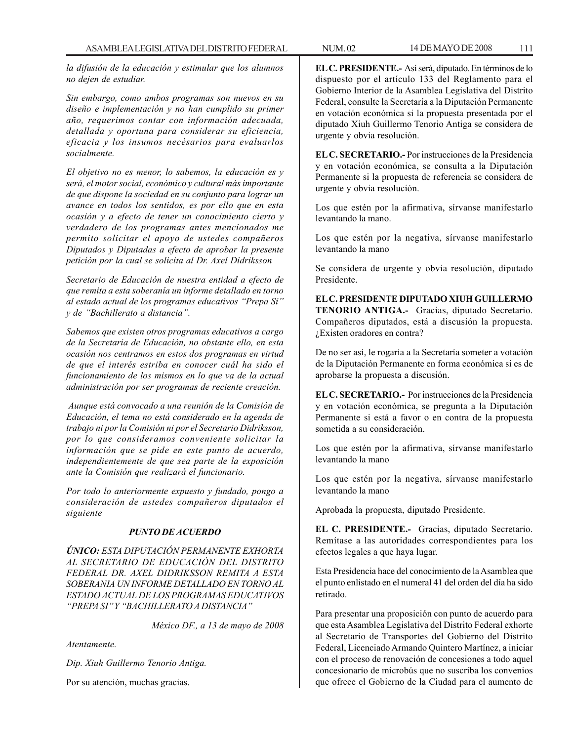*la difusión de la educación y estimular que los alumnos no dejen de estudiar.*

*Sin embargo, como ambos programas son nuevos en su diseño e implementación y no han cumplido su primer año, requerimos contar con información adecuada, detallada y oportuna para considerar su eficiencia, eficacia y los insumos necésarios para evaluarlos socialmente.*

*El objetivo no es menor, lo sabemos, la educación es y será, el motor social, económico y cultural más importante de que dispone la sociedad en su conjunto para lograr un avance en todos los sentidos, es por ello que en esta ocasión y a efecto de tener un conocimiento cierto y verdadero de los programas antes mencionados me permito solicitar el apoyo de ustedes compañeros Diputados y Diputadas a efecto de aprobar la presente petición por la cual se solicita al Dr. Axel Didriksson*

*Secretario de Educación de nuestra entidad a efecto de que remita a esta soberanía un informe detallado en torno al estado actual de los programas educativos ''Prepa Sí'' y de ''Bachillerato a distancia''.*

*Sabemos que existen otros programas educativos a cargo de la Secretaria de Educación, no obstante ello, en esta ocasión nos centramos en estos dos programas en virtud de que el interés estriba en conocer cuál ha sido el funcionamiento de los mismos en lo que va de la actual administración por ser programas de reciente creación.*

 *Aunque está convocado a una reunión de la Comisión de Educación, el tema no está considerado en la agenda de trabajo ni por la Comisión ni por el Secretario Didriksson, por lo que consideramos conveniente solicitar la información que se pide en este punto de acuerdo, independientemente de que sea parte de la exposición ante la Comisión que realizará el funcionario.*

*Por todo lo anteriormente expuesto y fundado, pongo a consideración de ustedes compañeros diputados el siguiente*

### *PUNTO DE ACUERDO*

*ÚNICO: ESTA DIPUTACIÓN PERMANENTE EXHORTA AL SECRETARIO DE EDUCACIÓN DEL DISTRITO FEDERAL DR. AXEL DIDRIKSSON REMITA A ESTA SOBERANIA UN INFORME DETALLADO EN TORNO AL ESTADO ACTUAL DE LOS PROGRAMAS EDUCATIVOS ''PREPA SI'' Y ''BACHILLERATO A DISTANCIA''*

*México DF., a 13 de mayo de 2008*

*Atentamente.*

*Dip. Xiuh Guillermo Tenorio Antiga.*

Por su atención, muchas gracias.

**EL C. PRESIDENTE.-** Así será, diputado. En términos de lo dispuesto por el artículo 133 del Reglamento para el Gobierno Interior de la Asamblea Legislativa del Distrito Federal, consulte la Secretaría a la Diputación Permanente en votación económica si la propuesta presentada por el diputado Xiuh Guillermo Tenorio Antiga se considera de urgente y obvia resolución.

**EL C. SECRETARIO.-** Por instrucciones de la Presidencia y en votación económica, se consulta a la Diputación Permanente si la propuesta de referencia se considera de urgente y obvia resolución.

Los que estén por la afirmativa, sírvanse manifestarlo levantando la mano.

Los que estén por la negativa, sírvanse manifestarlo levantando la mano

Se considera de urgente y obvia resolución, diputado Presidente.

**EL C. PRESIDENTE DIPUTADO XIUH GUILLERMO TENORIO ANTIGA.-** Gracias, diputado Secretario. Compañeros diputados, está a discusión la propuesta. ¿Existen oradores en contra?

De no ser así, le rogaría a la Secretaría someter a votación de la Diputación Permanente en forma económica si es de aprobarse la propuesta a discusión.

**EL C. SECRETARIO.-** Por instrucciones de la Presidencia y en votación económica, se pregunta a la Diputación Permanente si está a favor o en contra de la propuesta sometida a su consideración.

Los que estén por la afirmativa, sírvanse manifestarlo levantando la mano

Los que estén por la negativa, sírvanse manifestarlo levantando la mano

Aprobada la propuesta, diputado Presidente.

**EL C. PRESIDENTE.-** Gracias, diputado Secretario. Remítase a las autoridades correspondientes para los efectos legales a que haya lugar.

Esta Presidencia hace del conocimiento de la Asamblea que el punto enlistado en el numeral 41 del orden del día ha sido retirado.

Para presentar una proposición con punto de acuerdo para que esta Asamblea Legislativa del Distrito Federal exhorte al Secretario de Transportes del Gobierno del Distrito Federal, Licenciado Armando Quintero Martínez, a iniciar con el proceso de renovación de concesiones a todo aquel concesionario de microbús que no suscriba los convenios que ofrece el Gobierno de la Ciudad para el aumento de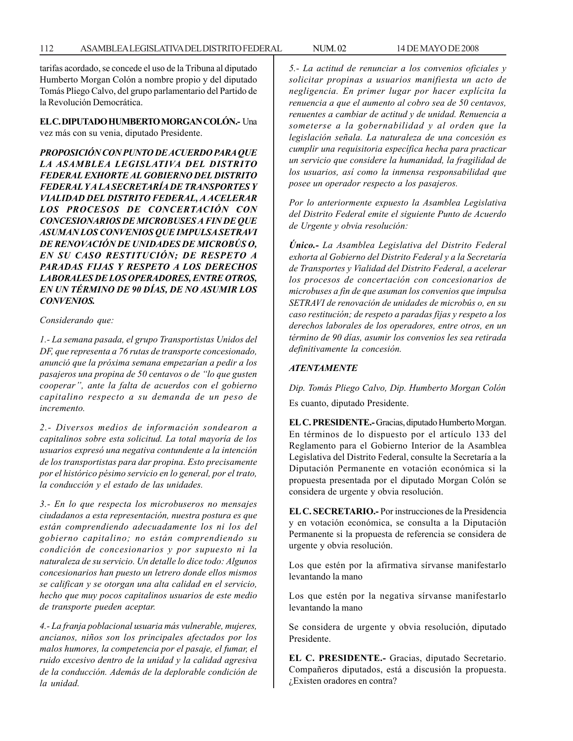tarifas acordado, se concede el uso de la Tribuna al diputado Humberto Morgan Colón a nombre propio y del diputado Tomás Pliego Calvo, del grupo parlamentario del Partido de la Revolución Democrática.

**EL C. DIPUTADO HUMBERTO MORGAN COLÓN.-** Una vez más con su venia, diputado Presidente.

*PROPOSICIÓN CON PUNTO DE ACUERDO PARA QUE LA ASAMBLEA LEGISLATIVA DEL DISTRITO FEDERAL EXHORTE AL GOBIERNO DEL DISTRITO FEDERAL Y A LA SECRETARÍA DE TRANSPORTES Y VIALIDAD DEL DISTRITO FEDERAL, A ACELERAR LOS PROCESOS DE CONCERTACIÓN CON CONCESIONARIOS DE MICROBUSES A FIN DE QUE ASUMAN LOS CONVENIOS QUE IMPULSA SETRAVI DE RENOVACIÓN DE UNIDADES DE MICROBÚS O, EN SU CASO RESTITUCIÓN; DE RESPETO A PARADAS FIJAS Y RESPETO A LOS DERECHOS LABORALES DE LOS OPERADORES, ENTRE OTROS, EN UN TÉRMINO DE 90 DÍAS, DE NO ASUMIR LOS CONVENIOS.*

*Considerando que:*

*1.- La semana pasada, el grupo Transportistas Unidos del DF, que representa a 76 rutas de transporte concesionado, anunció que la próxima semana empezarían a pedir a los pasajeros una propina de 50 centavos o de ''lo que gusten cooperar'', ante la falta de acuerdos con el gobierno capitalino respecto a su demanda de un peso de incremento.*

*2.- Diversos medios de información sondearon a capitalinos sobre esta solicitud. La total mayoría de los usuarios expresó una negativa contundente a la intención de los transportistas para dar propina. Esto precisamente por el histórico pésimo servicio en lo general, por el trato, la conducción y el estado de las unidades.*

*3.- En lo que respecta los microbuseros no mensajes ciudadanos a esta representación, nuestra postura es que están comprendiendo adecuadamente los ni los del gobierno capitalino; no están comprendiendo su condición de concesionarios y por supuesto ni la naturaleza de su servicio. Un detalle lo dice todo: Algunos concesionarios han puesto un letrero donde ellos mismos se califican y se otorgan una alta calidad en el servicio, hecho que muy pocos capitalinos usuarios de este medio de transporte pueden aceptar.*

*4.- La franja poblacional usuaria más vulnerable, mujeres, ancianos, niños son los principales afectados por los malos humores, la competencia por el pasaje, el fumar, el ruido excesivo dentro de la unidad y la calidad agresiva de la conducción. Además de la deplorable condición de la unidad.*

*5.- La actitud de renunciar a los convenios oficiales y solicitar propinas a usuarios manifiesta un acto de negligencia. En primer lugar por hacer explícita la renuencia a que el aumento al cobro sea de 50 centavos, renuentes a cambiar de actitud y de unidad. Renuencia a someterse a la gobernabilidad y al orden que la legislación señala. La naturaleza de una concesión es cumplir una requisitoria específica hecha para practicar un servicio que considere la humanidad, la fragilidad de los usuarios, así como la inmensa responsabilidad que posee un operador respecto a los pasajeros.*

*Por lo anteriormente expuesto la Asamblea Legislativa del Distrito Federal emite el siguiente Punto de Acuerdo de Urgente y obvia resolución:*

*Único.- La Asamblea Legislativa del Distrito Federal exhorta al Gobierno del Distrito Federal y a la Secretaría de Transportes y Vialidad del Distrito Federal, a acelerar los procesos de concertación con concesionarios de microbuses a fin de que asuman los convenios que impulsa SETRAVI de renovación de unidades de microbús o, en su caso restitución; de respeto a paradas fijas y respeto a los derechos laborales de los operadores, entre otros, en un término de 90 días, asumir los convenios les sea retirada definitivamente la concesión.*

## *ATENTAMENTE*

*Dip. Tomás Pliego Calvo, Dip. Humberto Morgan Colón* Es cuanto, diputado Presidente.

**EL C. PRESIDENTE.-** Gracias, diputado Humberto Morgan. En términos de lo dispuesto por el artículo 133 del Reglamento para el Gobierno Interior de la Asamblea Legislativa del Distrito Federal, consulte la Secretaría a la Diputación Permanente en votación económica si la propuesta presentada por el diputado Morgan Colón se considera de urgente y obvia resolución.

**EL C. SECRETARIO.-** Por instrucciones de la Presidencia y en votación económica, se consulta a la Diputación Permanente si la propuesta de referencia se considera de urgente y obvia resolución.

Los que estén por la afirmativa sírvanse manifestarlo levantando la mano

Los que estén por la negativa sírvanse manifestarlo levantando la mano

Se considera de urgente y obvia resolución, diputado Presidente.

**EL C. PRESIDENTE.-** Gracias, diputado Secretario. Compañeros diputados, está a discusión la propuesta. ¿Existen oradores en contra?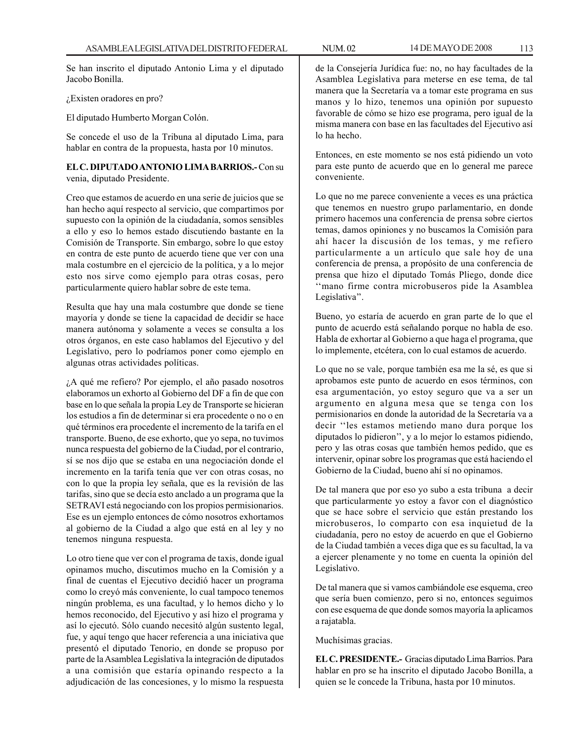Se han inscrito el diputado Antonio Lima y el diputado Jacobo Bonilla.

¿Existen oradores en pro?

El diputado Humberto Morgan Colón.

Se concede el uso de la Tribuna al diputado Lima, para hablar en contra de la propuesta, hasta por 10 minutos.

## **EL C. DIPUTADO ANTONIO LIMA BARRIOS.-** Con su venia, diputado Presidente.

Creo que estamos de acuerdo en una serie de juicios que se han hecho aquí respecto al servicio, que compartimos por supuesto con la opinión de la ciudadanía, somos sensibles a ello y eso lo hemos estado discutiendo bastante en la Comisión de Transporte. Sin embargo, sobre lo que estoy en contra de este punto de acuerdo tiene que ver con una mala costumbre en el ejercicio de la política, y a lo mejor esto nos sirve como ejemplo para otras cosas, pero particularmente quiero hablar sobre de este tema.

Resulta que hay una mala costumbre que donde se tiene mayoría y donde se tiene la capacidad de decidir se hace manera autónoma y solamente a veces se consulta a los otros órganos, en este caso hablamos del Ejecutivo y del Legislativo, pero lo podríamos poner como ejemplo en algunas otras actividades políticas.

¿A qué me refiero? Por ejemplo, el año pasado nosotros elaboramos un exhorto al Gobierno del DF a fin de que con base en lo que señala la propia Ley de Transporte se hicieran los estudios a fin de determinar si era procedente o no o en qué términos era procedente el incremento de la tarifa en el transporte. Bueno, de ese exhorto, que yo sepa, no tuvimos nunca respuesta del gobierno de la Ciudad, por el contrario, sí se nos dijo que se estaba en una negociación donde el incremento en la tarifa tenía que ver con otras cosas, no con lo que la propia ley señala, que es la revisión de las tarifas, sino que se decía esto anclado a un programa que la SETRAVI está negociando con los propios permisionarios. Ese es un ejemplo entonces de cómo nosotros exhortamos al gobierno de la Ciudad a algo que está en al ley y no tenemos ninguna respuesta.

Lo otro tiene que ver con el programa de taxis, donde igual opinamos mucho, discutimos mucho en la Comisión y a final de cuentas el Ejecutivo decidió hacer un programa como lo creyó más conveniente, lo cual tampoco tenemos ningún problema, es una facultad, y lo hemos dicho y lo hemos reconocido, del Ejecutivo y así hizo el programa y así lo ejecutó. Sólo cuando necesitó algún sustento legal, fue, y aquí tengo que hacer referencia a una iniciativa que presentó el diputado Tenorio, en donde se propuso por parte de la Asamblea Legislativa la integración de diputados a una comisión que estaría opinando respecto a la adjudicación de las concesiones, y lo mismo la respuesta

de la Consejería Jurídica fue: no, no hay facultades de la Asamblea Legislativa para meterse en ese tema, de tal manera que la Secretaría va a tomar este programa en sus manos y lo hizo, tenemos una opinión por supuesto favorable de cómo se hizo ese programa, pero igual de la misma manera con base en las facultades del Ejecutivo así lo ha hecho.

Entonces, en este momento se nos está pidiendo un voto para este punto de acuerdo que en lo general me parece conveniente.

Lo que no me parece conveniente a veces es una práctica que tenemos en nuestro grupo parlamentario, en donde primero hacemos una conferencia de prensa sobre ciertos temas, damos opiniones y no buscamos la Comisión para ahí hacer la discusión de los temas, y me refiero particularmente a un artículo que sale hoy de una conferencia de prensa, a propósito de una conferencia de prensa que hizo el diputado Tomás Pliego, donde dice ''mano firme contra microbuseros pide la Asamblea Legislativa''.

Bueno, yo estaría de acuerdo en gran parte de lo que el punto de acuerdo está señalando porque no habla de eso. Habla de exhortar al Gobierno a que haga el programa, que lo implemente, etcétera, con lo cual estamos de acuerdo.

Lo que no se vale, porque también esa me la sé, es que si aprobamos este punto de acuerdo en esos términos, con esa argumentación, yo estoy seguro que va a ser un argumento en alguna mesa que se tenga con los permisionarios en donde la autoridad de la Secretaría va a decir ''les estamos metiendo mano dura porque los diputados lo pidieron'', y a lo mejor lo estamos pidiendo, pero y las otras cosas que también hemos pedido, que es intervenir, opinar sobre los programas que está haciendo el Gobierno de la Ciudad, bueno ahí sí no opinamos.

De tal manera que por eso yo subo a esta tribuna a decir que particularmente yo estoy a favor con el diagnóstico que se hace sobre el servicio que están prestando los microbuseros, lo comparto con esa inquietud de la ciudadanía, pero no estoy de acuerdo en que el Gobierno de la Ciudad también a veces diga que es su facultad, la va a ejercer plenamente y no tome en cuenta la opinión del Legislativo.

De tal manera que si vamos cambiándole ese esquema, creo que sería buen comienzo, pero si no, entonces seguimos con ese esquema de que donde somos mayoría la aplicamos a rajatabla.

Muchísimas gracias.

**EL C. PRESIDENTE.-** Gracias diputado Lima Barrios. Para hablar en pro se ha inscrito el diputado Jacobo Bonilla, a quien se le concede la Tribuna, hasta por 10 minutos.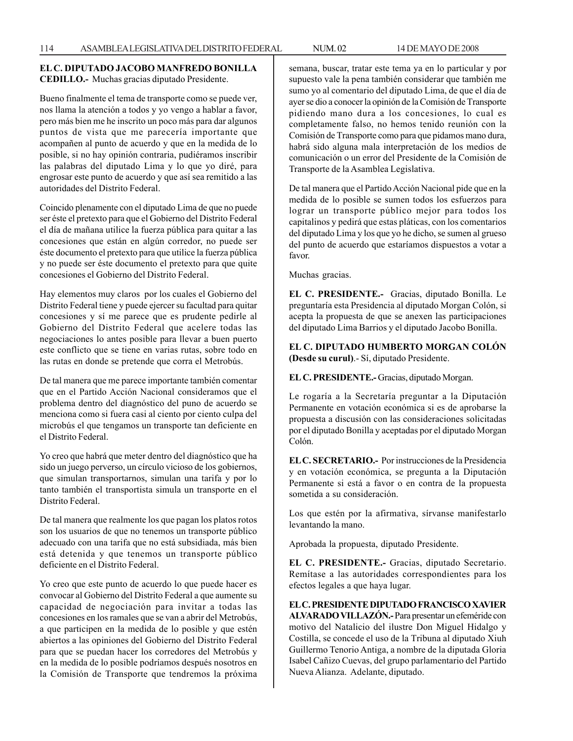### **EL C. DIPUTADO JACOBO MANFREDO BONILLA CEDILLO.-** Muchas gracias diputado Presidente.

Bueno finalmente el tema de transporte como se puede ver, nos llama la atención a todos y yo vengo a hablar a favor, pero más bien me he inscrito un poco más para dar algunos puntos de vista que me parecería importante que acompañen al punto de acuerdo y que en la medida de lo posible, si no hay opinión contraria, pudiéramos inscribir las palabras del diputado Lima y lo que yo diré, para engrosar este punto de acuerdo y que así sea remitido a las autoridades del Distrito Federal.

Coincido plenamente con el diputado Lima de que no puede ser éste el pretexto para que el Gobierno del Distrito Federal el día de mañana utilice la fuerza pública para quitar a las concesiones que están en algún corredor, no puede ser éste documento el pretexto para que utilice la fuerza pública y no puede ser éste documento el pretexto para que quite concesiones el Gobierno del Distrito Federal.

Hay elementos muy claros por los cuales el Gobierno del Distrito Federal tiene y puede ejercer su facultad para quitar concesiones y sí me parece que es prudente pedirle al Gobierno del Distrito Federal que acelere todas las negociaciones lo antes posible para llevar a buen puerto este conflicto que se tiene en varias rutas, sobre todo en las rutas en donde se pretende que corra el Metrobús.

De tal manera que me parece importante también comentar que en el Partido Acción Nacional consideramos que el problema dentro del diagnóstico del puno de acuerdo se menciona como si fuera casi al ciento por ciento culpa del microbús el que tengamos un transporte tan deficiente en el Distrito Federal.

Yo creo que habrá que meter dentro del diagnóstico que ha sido un juego perverso, un círculo vicioso de los gobiernos, que simulan transportarnos, simulan una tarifa y por lo tanto también el transportista simula un transporte en el Distrito Federal.

De tal manera que realmente los que pagan los platos rotos son los usuarios de que no tenemos un transporte público adecuado con una tarifa que no está subsidiada, más bien está detenida y que tenemos un transporte público deficiente en el Distrito Federal.

Yo creo que este punto de acuerdo lo que puede hacer es convocar al Gobierno del Distrito Federal a que aumente su capacidad de negociación para invitar a todas las concesiones en los ramales que se van a abrir del Metrobús, a que participen en la medida de lo posible y que estén abiertos a las opiniones del Gobierno del Distrito Federal para que se puedan hacer los corredores del Metrobús y en la medida de lo posible podríamos después nosotros en la Comisión de Transporte que tendremos la próxima semana, buscar, tratar este tema ya en lo particular y por supuesto vale la pena también considerar que también me sumo yo al comentario del diputado Lima, de que el día de ayer se dio a conocer la opinión de la Comisión de Transporte pidiendo mano dura a los concesiones, lo cual es completamente falso, no hemos tenido reunión con la Comisión de Transporte como para que pidamos mano dura, habrá sido alguna mala interpretación de los medios de comunicación o un error del Presidente de la Comisión de Transporte de la Asamblea Legislativa.

De tal manera que el Partido Acción Nacional pide que en la medida de lo posible se sumen todos los esfuerzos para lograr un transporte público mejor para todos los capitalinos y pedirá que estas pláticas, con los comentarios del diputado Lima y los que yo he dicho, se sumen al grueso del punto de acuerdo que estaríamos dispuestos a votar a favor.

Muchas gracias.

**EL C. PRESIDENTE.-** Gracias, diputado Bonilla. Le preguntaría esta Presidencia al diputado Morgan Colón, si acepta la propuesta de que se anexen las participaciones del diputado Lima Barrios y el diputado Jacobo Bonilla.

**EL C. DIPUTADO HUMBERTO MORGAN COLÓN (Desde su curul)**.- Sí, diputado Presidente.

**EL C. PRESIDENTE.-** Gracias, diputado Morgan.

Le rogaría a la Secretaría preguntar a la Diputación Permanente en votación económica si es de aprobarse la propuesta a discusión con las consideraciones solicitadas por el diputado Bonilla y aceptadas por el diputado Morgan Colón.

**EL C. SECRETARIO.-** Por instrucciones de la Presidencia y en votación económica, se pregunta a la Diputación Permanente si está a favor o en contra de la propuesta sometida a su consideración.

Los que estén por la afirmativa, sírvanse manifestarlo levantando la mano.

Aprobada la propuesta, diputado Presidente.

**EL C. PRESIDENTE.-** Gracias, diputado Secretario. Remítase a las autoridades correspondientes para los efectos legales a que haya lugar.

**EL C. PRESIDENTE DIPUTADO FRANCISCO XAVIER ALVARADO VILLAZÓN.-** Para presentar un efeméride con motivo del Natalicio del ilustre Don Miguel Hidalgo y Costilla, se concede el uso de la Tribuna al diputado Xiuh Guillermo Tenorio Antiga, a nombre de la diputada Gloria Isabel Cañizo Cuevas, del grupo parlamentario del Partido Nueva Alianza. Adelante, diputado.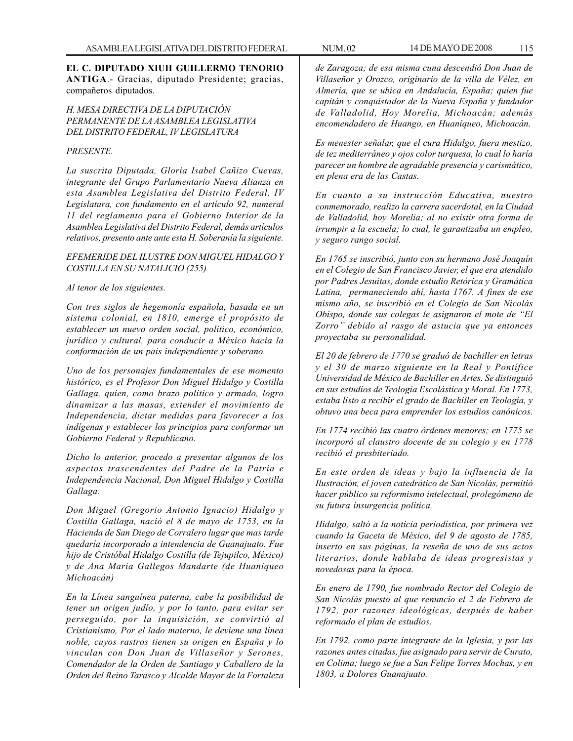**EL C. DIPUTADO XIUH GUILLERMO TENORIO ANTIGA**.- Gracias, diputado Presidente; gracias, compañeros diputados.

*H. MESA DIRECTIVA DE LA DIPUTACIÓN PERMANENTE DE LA ASAMBLEA LEGISLATIVA DEL DISTRITO FEDERAL, IV LEGISLATURA*

#### *PRESENTE.*

*La suscrita Diputada, Gloria Isabel Cañizo Cuevas, integrante del Grupo Parlamentario Nueva Alianza en esta Asamblea Legislativa del Distrito Federal, IV Legislatura, con fundamento en el artículo 92, numeral 11 del reglamento para el Gobierno Interior de la Asamblea Legislativa del Distrito Federal, demás artículos relativos, presento ante ante esta H. Soberanía la siguiente.*

#### *EFEMERIDE DEL ILUSTRE DON MIGUEL HIDALGO Y COSTILLA EN SU NATALICIO (255)*

#### *Al tenor de los siguientes.*

*Con tres siglos de hegemonía española, basada en un sistema colonial, en 1810, emerge el propósito de establecer un nuevo orden social, político, económico, jurídico y cultural, para conducir a México hacia la conformación de un país independiente y soberano.*

*Uno de los personajes fundamentales de ese momento histórico, es el Profesor Don Miguel Hidalgo y Costilla Gallaga, quien, como brazo político y armado, logro dinamizar a las masas, extender el movimiento de Independencia, dictar medidas para favorecer a los indígenas y establecer los principios para conformar un Gobierno Federal y Republicano.*

*Dicho lo anterior, procedo a presentar algunos de los aspectos trascendentes del Padre de la Patria e Independencia Nacional, Don Miguel Hidalgo y Costilla Gallaga.*

*Don Miguel (Gregorio Antonio Ignacio) Hidalgo y Costilla Gallaga, nació el 8 de mayo de 1753, en la Hacienda de San Diego de Corralero lugar que mas tarde quedaría incorporado a intendencia de Guanajuato. Fue hijo de Cristóbal Hidalgo Costilla (de Tejupilco, México) y de Ana María Gallegos Mandarte (de Huaniqueo Michoacán)*

*En la Línea sanguínea paterna, cabe la posibilidad de tener un origen judío, y por lo tanto, para evitar ser perseguido, por la inquisición, se convirtió al Cristianismo, Por el lado materno, le deviene una línea noble, cuyos rastros tienen su origen en España y lo vinculan con Don Juan de Villaseñor y Serones, Comendador de la Orden de Santiago y Caballero de la Orden del Reino Tarasco y Alcalde Mayor de la Fortaleza*

*de Zaragoza; de esa misma cuna descendió Don Juan de Villaseñor y Orozco, originario de la villa de Vélez, en Almería, que se ubica en Andalucía, España; quien fue capitán y conquistador de la Nueva España y fundador de Valladolid, Hoy Morelia, Michoacán; además encomendadero de Huango, en Huaníqueo, Michoacán.*

*Es menester señalar, que el cura Hidalgo, fuera mestizo, de tez mediterráneo y ojos color turquesa, lo cual lo haría parecer un hombre de agradable presencia y carismático, en plena era de las Castas.*

*En cuanto a su instrucción Educativa, nuestro conmemorado, realizo la carrera sacerdotal, en la Ciudad de Valladolid, hoy Morelia; al no existir otra forma de irrumpir a la escuela; lo cual, le garantizaba un empleo, y seguro rango social.*

*En 1765 se inscribió, junto con su hermano José Joaquín en el Colegio de San Francisco Javier, el que era atendido por Padres Jesuitas, donde estudio Retórica y Gramática Latina, permaneciendo ahí, hasta 1767. A fines de ese mismo año, se inscribió en el Colegio de San Nicolás Obispo, donde sus colegas le asignaron el mote de ''El Zorro'' debido al rasgo de astucia que ya entonces proyectaba su personalidad.*

*El 20 de febrero de 1770 se graduó de bachiller en letras y el 30 de marzo siguiente en la Real y Pontífice Universidad de México de Bachiller en Artes. Se distinguió en sus estudios de Teología Escolástica y Moral. En 1773, estaba listo a recibir el grado de Bachiller en Teología, y obtuvo una beca para emprender los estudios canónicos.*

*En 1774 recibió las cuatro órdenes menores; en 1775 se incorporó al claustro docente de su colegio y en 1778 recibió el presbiteriado.*

*En este orden de ideas y bajo la influencia de la Ilustración, el joven catedrático de San Nicolás, permitió hacer público su reformismo intelectual, prolegómeno de su futura insurgencia política.*

*Hidalgo, saltó a la noticia periodística, por primera vez cuando la Gaceta de México, del 9 de agosto de 1785, inserto en sus páginas, la reseña de uno de sus actos literarios, donde hablaba de ideas progresistas y novedosas para la época.*

*En enero de 1790, fue nombrado Rector del Colegio de San Nicolás puesto al que renuncio el 2 de Febrero de 1792, por razones ideológicas, después de haber reformado el plan de estudios.*

*En 1792, como parte integrante de la Iglesia, y por las razones antes citadas, fue asignado para servir de Curato, en Colima; luego se fue a San Felipe Torres Mochas, y en 1803, a Dolores Guanajuato.*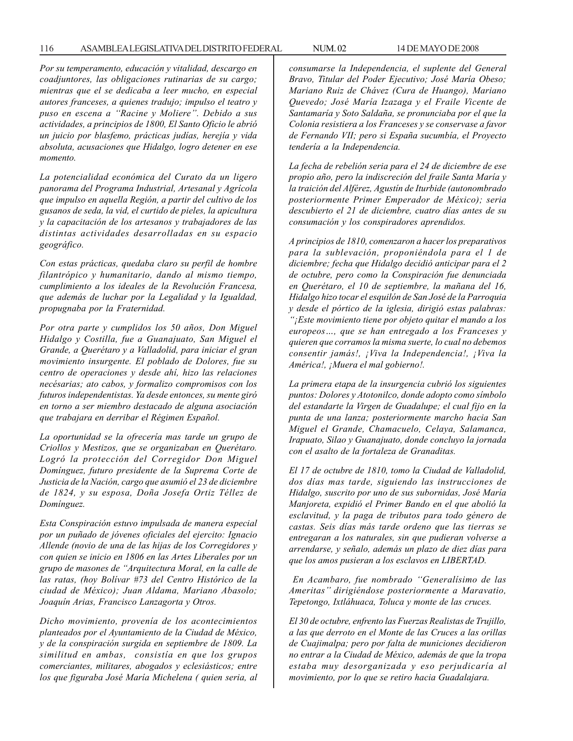*Por su temperamento, educación y vitalidad, descargo en coadjuntores, las obligaciones rutinarias de su cargo; mientras que el se dedicaba a leer mucho, en especial autores franceses, a quienes tradujo; impulso el teatro y puso en escena a ''Racine y Moliere''. Debido a sus actividades, a principios de 1800, El Santo Oficio le abrió un juicio por blasfemo, prácticas judías, herejía y vida absoluta, acusaciones que Hidalgo, logro detener en ese momento.*

*La potencialidad económica del Curato da un ligero panorama del Programa Industrial, Artesanal y Agrícola que impulso en aquella Región, a partir del cultivo de los gusanos de seda, la vid, el curtido de pieles, la apicultura y la capacitación de los artesanos y trabajadores de las distintas actividades desarrolladas en su espacio geográfico.*

*Con estas prácticas, quedaba claro su perfil de hombre filantrópico y humanitario, dando al mismo tiempo, cumplimiento a los ideales de la Revolución Francesa, que además de luchar por la Legalidad y la Igualdad, propugnaba por la Fraternidad.*

*Por otra parte y cumplidos los 50 años, Don Miguel Hidalgo y Costilla, fue a Guanajuato, San Miguel el Grande, a Querétaro y a Valladolid, para iniciar el gran movimiento insurgente. El poblado de Dolores, fue su centro de operaciones y desde ahí, hizo las relaciones necésarias; ato cabos, y formalizo compromisos con los futuros independentistas. Ya desde entonces, su mente giró en torno a ser miembro destacado de alguna asociación que trabajara en derribar el Régimen Español.*

*La oportunidad se la ofrecería mas tarde un grupo de Criollos y Mestizos, que se organizaban en Querétaro. Logró la protección del Corregidor Don Miguel Domínguez, futuro presidente de la Suprema Corte de Justicia de la Nación, cargo que asumió el 23 de diciembre de 1824, y su esposa, Doña Josefa Ortiz Téllez de Domínguez.*

*Esta Conspiración estuvo impulsada de manera especial por un puñado de jóvenes oficiales del ejercito: Ignacio Allende (novio de una de las hijas de los Corregidores y con quien se inicio en 1806 en las Artes Liberales por un grupo de masones de ''Arquitectura Moral, en la calle de las ratas, (hoy Bolívar #73 del Centro Histórico de la ciudad de México); Juan Aldama, Mariano Abasolo; Joaquín Arias, Francisco Lanzagorta y Otros.*

*Dicho movimiento, provenía de los acontecimientos planteados por el Ayuntamiento de la Ciudad de México, y de la conspiración surgida en septiembre de 1809. La similitud en ambas, consistía en que los grupos comerciantes, militares, abogados y eclesiásticos; entre los que figuraba José María Michelena ( quien seria, al* *consumarse la Independencia, el suplente del General Bravo, Titular del Poder Ejecutivo; José María Obeso; Mariano Ruiz de Chávez (Cura de Huango), Mariano Quevedo; José María Izazaga y el Fraile Vicente de Santamaría y Soto Saldaña, se pronunciaba por el que la Colonia resistiera a los Franceses y se conservase a favor de Fernando VII; pero si España sucumbía, el Proyecto tendería a la Independencia.*

*La fecha de rebelión seria para el 24 de diciembre de ese propio año, pero la indiscreción del fraile Santa María y la traición del Alférez, Agustín de Iturbide (autonombrado posteriormente Primer Emperador de México); seria descubierto el 21 de diciembre, cuatro días antes de su consumación y los conspiradores aprendidos.*

*A principios de 1810, comenzaron a hacer los preparativos para la sublevación, proponiéndola para el 1 de diciembre; fecha que Hidalgo decidió anticipar para el 2 de octubre, pero como la Conspiración fue denunciada en Querétaro, el 10 de septiembre, la mañana del 16, Hidalgo hizo tocar el esquilón de San José de la Parroquia y desde el pórtico de la iglesia, dirigió estas palabras: ''¡Este movimiento tiene por objeto quitar el mando a los europeos…, que se han entregado a los Franceses y quieren que corramos la misma suerte, lo cual no debemos consentir jamás!, ¡Viva la Independencia!, ¡Viva la América!, ¡Muera el mal gobierno!.*

*La primera etapa de la insurgencia cubrió los siguientes puntos: Dolores y Atotonilco, donde adopto como símbolo del estandarte la Virgen de Guadalupe; el cual fijo en la punta de una lanza; posteriormente marcho hacia San Miguel el Grande, Chamacuelo, Celaya, Salamanca, Irapuato, Silao y Guanajuato, donde concluyo la jornada con el asalto de la fortaleza de Granaditas.*

*El 17 de octubre de 1810, tomo la Ciudad de Valladolid, dos días mas tarde, siguiendo las instrucciones de Hidalgo, suscrito por uno de sus subornidas, José María Manjoreta, expidió el Primer Bando en el que abolió la esclavitud, y la paga de tributos para todo género de castas. Seis días más tarde ordeno que las tierras se entregaran a los naturales, sin que pudieran volverse a arrendarse, y señalo, además un plazo de diez días para que los amos pusieran a los esclavos en LIBERTAD.*

 *En Acambaro, fue nombrado ''Generalísimo de las Ameritas'' dirigiéndose posteriormente a Maravatio, Tepetongo, Ixtláhuaca, Toluca y monte de las cruces.*

*El 30 de octubre, enfrento las Fuerzas Realistas de Trujillo, a las que derroto en el Monte de las Cruces a las orillas de Cuajimalpa; pero por falta de municiones decidieron no entrar a la Ciudad de México, además de que la tropa estaba muy desorganizada y eso perjudicaría al movimiento, por lo que se retiro hacia Guadalajara.*